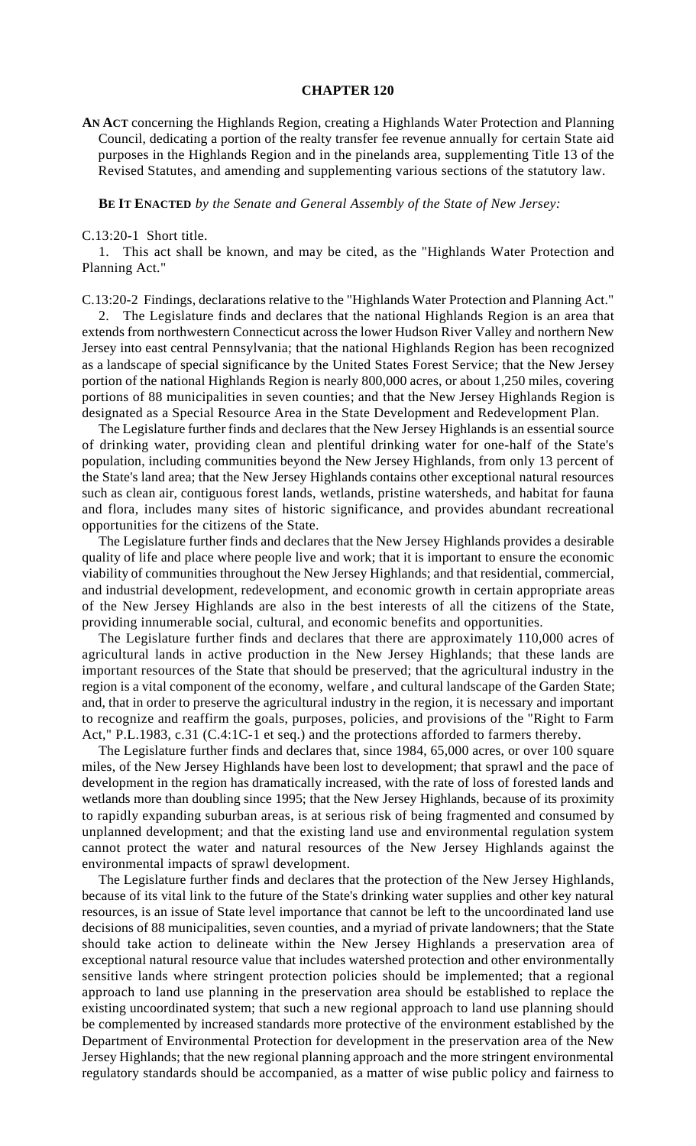### **CHAPTER 120**

**AN ACT** concerning the Highlands Region, creating a Highlands Water Protection and Planning Council, dedicating a portion of the realty transfer fee revenue annually for certain State aid purposes in the Highlands Region and in the pinelands area, supplementing Title 13 of the Revised Statutes, and amending and supplementing various sections of the statutory law.

### **BE IT ENACTED** *by the Senate and General Assembly of the State of New Jersey:*

#### C.13:20-1 Short title.

1. This act shall be known, and may be cited, as the "Highlands Water Protection and Planning Act."

C.13:20-2 Findings, declarations relative to the "Highlands Water Protection and Planning Act."

2. The Legislature finds and declares that the national Highlands Region is an area that extends from northwestern Connecticut across the lower Hudson River Valley and northern New Jersey into east central Pennsylvania; that the national Highlands Region has been recognized as a landscape of special significance by the United States Forest Service; that the New Jersey portion of the national Highlands Region is nearly 800,000 acres, or about 1,250 miles, covering portions of 88 municipalities in seven counties; and that the New Jersey Highlands Region is designated as a Special Resource Area in the State Development and Redevelopment Plan.

The Legislature further finds and declares that the New Jersey Highlands is an essential source of drinking water, providing clean and plentiful drinking water for one-half of the State's population, including communities beyond the New Jersey Highlands, from only 13 percent of the State's land area; that the New Jersey Highlands contains other exceptional natural resources such as clean air, contiguous forest lands, wetlands, pristine watersheds, and habitat for fauna and flora, includes many sites of historic significance, and provides abundant recreational opportunities for the citizens of the State.

The Legislature further finds and declares that the New Jersey Highlands provides a desirable quality of life and place where people live and work; that it is important to ensure the economic viability of communities throughout the New Jersey Highlands; and that residential, commercial, and industrial development, redevelopment, and economic growth in certain appropriate areas of the New Jersey Highlands are also in the best interests of all the citizens of the State, providing innumerable social, cultural, and economic benefits and opportunities.

The Legislature further finds and declares that there are approximately 110,000 acres of agricultural lands in active production in the New Jersey Highlands; that these lands are important resources of the State that should be preserved; that the agricultural industry in the region is a vital component of the economy, welfare , and cultural landscape of the Garden State; and, that in order to preserve the agricultural industry in the region, it is necessary and important to recognize and reaffirm the goals, purposes, policies, and provisions of the "Right to Farm Act," P.L.1983, c.31 (C.4:1C-1 et seq.) and the protections afforded to farmers thereby.

The Legislature further finds and declares that, since 1984, 65,000 acres, or over 100 square miles, of the New Jersey Highlands have been lost to development; that sprawl and the pace of development in the region has dramatically increased, with the rate of loss of forested lands and wetlands more than doubling since 1995; that the New Jersey Highlands, because of its proximity to rapidly expanding suburban areas, is at serious risk of being fragmented and consumed by unplanned development; and that the existing land use and environmental regulation system cannot protect the water and natural resources of the New Jersey Highlands against the environmental impacts of sprawl development.

The Legislature further finds and declares that the protection of the New Jersey Highlands, because of its vital link to the future of the State's drinking water supplies and other key natural resources, is an issue of State level importance that cannot be left to the uncoordinated land use decisions of 88 municipalities, seven counties, and a myriad of private landowners; that the State should take action to delineate within the New Jersey Highlands a preservation area of exceptional natural resource value that includes watershed protection and other environmentally sensitive lands where stringent protection policies should be implemented; that a regional approach to land use planning in the preservation area should be established to replace the existing uncoordinated system; that such a new regional approach to land use planning should be complemented by increased standards more protective of the environment established by the Department of Environmental Protection for development in the preservation area of the New Jersey Highlands; that the new regional planning approach and the more stringent environmental regulatory standards should be accompanied, as a matter of wise public policy and fairness to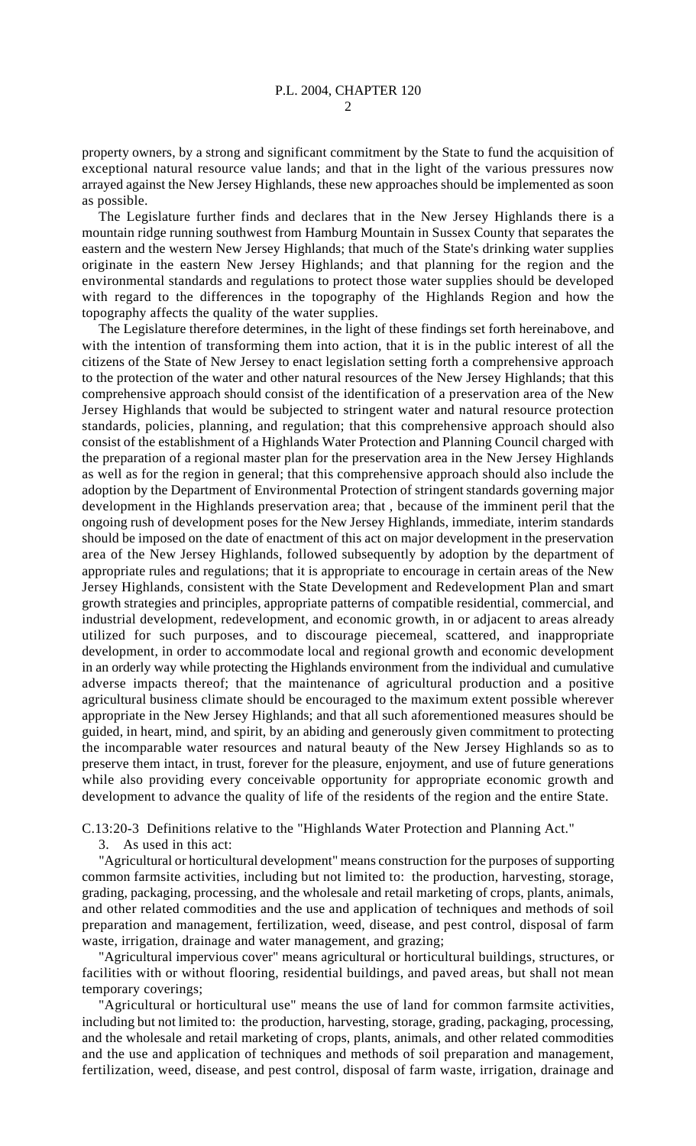property owners, by a strong and significant commitment by the State to fund the acquisition of exceptional natural resource value lands; and that in the light of the various pressures now arrayed against the New Jersey Highlands, these new approaches should be implemented as soon as possible.

The Legislature further finds and declares that in the New Jersey Highlands there is a mountain ridge running southwest from Hamburg Mountain in Sussex County that separates the eastern and the western New Jersey Highlands; that much of the State's drinking water supplies originate in the eastern New Jersey Highlands; and that planning for the region and the environmental standards and regulations to protect those water supplies should be developed with regard to the differences in the topography of the Highlands Region and how the topography affects the quality of the water supplies.

The Legislature therefore determines, in the light of these findings set forth hereinabove, and with the intention of transforming them into action, that it is in the public interest of all the citizens of the State of New Jersey to enact legislation setting forth a comprehensive approach to the protection of the water and other natural resources of the New Jersey Highlands; that this comprehensive approach should consist of the identification of a preservation area of the New Jersey Highlands that would be subjected to stringent water and natural resource protection standards, policies, planning, and regulation; that this comprehensive approach should also consist of the establishment of a Highlands Water Protection and Planning Council charged with the preparation of a regional master plan for the preservation area in the New Jersey Highlands as well as for the region in general; that this comprehensive approach should also include the adoption by the Department of Environmental Protection of stringent standards governing major development in the Highlands preservation area; that , because of the imminent peril that the ongoing rush of development poses for the New Jersey Highlands, immediate, interim standards should be imposed on the date of enactment of this act on major development in the preservation area of the New Jersey Highlands, followed subsequently by adoption by the department of appropriate rules and regulations; that it is appropriate to encourage in certain areas of the New Jersey Highlands, consistent with the State Development and Redevelopment Plan and smart growth strategies and principles, appropriate patterns of compatible residential, commercial, and industrial development, redevelopment, and economic growth, in or adjacent to areas already utilized for such purposes, and to discourage piecemeal, scattered, and inappropriate development, in order to accommodate local and regional growth and economic development in an orderly way while protecting the Highlands environment from the individual and cumulative adverse impacts thereof; that the maintenance of agricultural production and a positive agricultural business climate should be encouraged to the maximum extent possible wherever appropriate in the New Jersey Highlands; and that all such aforementioned measures should be guided, in heart, mind, and spirit, by an abiding and generously given commitment to protecting the incomparable water resources and natural beauty of the New Jersey Highlands so as to preserve them intact, in trust, forever for the pleasure, enjoyment, and use of future generations while also providing every conceivable opportunity for appropriate economic growth and development to advance the quality of life of the residents of the region and the entire State.

C.13:20-3 Definitions relative to the "Highlands Water Protection and Planning Act."

3. As used in this act:

"Agricultural or horticultural development" means construction for the purposes of supporting common farmsite activities, including but not limited to: the production, harvesting, storage, grading, packaging, processing, and the wholesale and retail marketing of crops, plants, animals, and other related commodities and the use and application of techniques and methods of soil preparation and management, fertilization, weed, disease, and pest control, disposal of farm waste, irrigation, drainage and water management, and grazing;

"Agricultural impervious cover" means agricultural or horticultural buildings, structures, or facilities with or without flooring, residential buildings, and paved areas, but shall not mean temporary coverings;

"Agricultural or horticultural use" means the use of land for common farmsite activities, including but not limited to: the production, harvesting, storage, grading, packaging, processing, and the wholesale and retail marketing of crops, plants, animals, and other related commodities and the use and application of techniques and methods of soil preparation and management, fertilization, weed, disease, and pest control, disposal of farm waste, irrigation, drainage and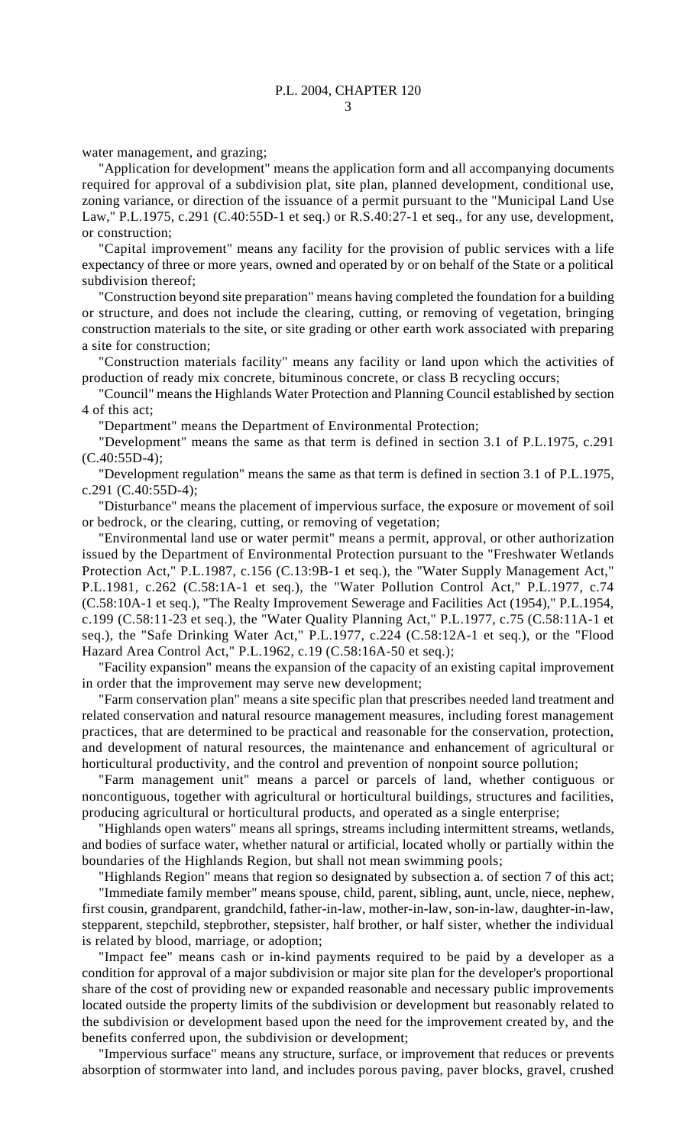water management, and grazing;

"Application for development" means the application form and all accompanying documents required for approval of a subdivision plat, site plan, planned development, conditional use, zoning variance, or direction of the issuance of a permit pursuant to the "Municipal Land Use Law," P.L.1975, c.291 (C.40:55D-1 et seq.) or R.S.40:27-1 et seq., for any use, development, or construction;

"Capital improvement" means any facility for the provision of public services with a life expectancy of three or more years, owned and operated by or on behalf of the State or a political subdivision thereof;

"Construction beyond site preparation" means having completed the foundation for a building or structure, and does not include the clearing, cutting, or removing of vegetation, bringing construction materials to the site, or site grading or other earth work associated with preparing a site for construction;

"Construction materials facility" means any facility or land upon which the activities of production of ready mix concrete, bituminous concrete, or class B recycling occurs;

"Council" means the Highlands Water Protection and Planning Council established by section 4 of this act;

"Department" means the Department of Environmental Protection;

"Development" means the same as that term is defined in section 3.1 of P.L.1975, c.291  $(C.40:55D-4);$ 

"Development regulation" means the same as that term is defined in section 3.1 of P.L.1975, c.291 (C.40:55D-4);

"Disturbance" means the placement of impervious surface, the exposure or movement of soil or bedrock, or the clearing, cutting, or removing of vegetation;

"Environmental land use or water permit" means a permit, approval, or other authorization issued by the Department of Environmental Protection pursuant to the "Freshwater Wetlands Protection Act," P.L.1987, c.156 (C.13:9B-1 et seq.), the "Water Supply Management Act," P.L.1981, c.262 (C.58:1A-1 et seq.), the "Water Pollution Control Act," P.L.1977, c.74 (C.58:10A-1 et seq.), "The Realty Improvement Sewerage and Facilities Act (1954)," P.L.1954, c.199 (C.58:11-23 et seq.), the "Water Quality Planning Act," P.L.1977, c.75 (C.58:11A-1 et seq.), the "Safe Drinking Water Act," P.L.1977, c.224 (C.58:12A-1 et seq.), or the "Flood Hazard Area Control Act," P.L.1962, c.19 (C.58:16A-50 et seq.);

"Facility expansion" means the expansion of the capacity of an existing capital improvement in order that the improvement may serve new development;

"Farm conservation plan" means a site specific plan that prescribes needed land treatment and related conservation and natural resource management measures, including forest management practices, that are determined to be practical and reasonable for the conservation, protection, and development of natural resources, the maintenance and enhancement of agricultural or horticultural productivity, and the control and prevention of nonpoint source pollution;

"Farm management unit" means a parcel or parcels of land, whether contiguous or noncontiguous, together with agricultural or horticultural buildings, structures and facilities, producing agricultural or horticultural products, and operated as a single enterprise;

"Highlands open waters" means all springs, streams including intermittent streams, wetlands, and bodies of surface water, whether natural or artificial, located wholly or partially within the boundaries of the Highlands Region, but shall not mean swimming pools;

"Highlands Region" means that region so designated by subsection a. of section 7 of this act; "Immediate family member" means spouse, child, parent, sibling, aunt, uncle, niece, nephew, first cousin, grandparent, grandchild, father-in-law, mother-in-law, son-in-law, daughter-in-law, stepparent, stepchild, stepbrother, stepsister, half brother, or half sister, whether the individual is related by blood, marriage, or adoption;

"Impact fee" means cash or in-kind payments required to be paid by a developer as a condition for approval of a major subdivision or major site plan for the developer's proportional share of the cost of providing new or expanded reasonable and necessary public improvements located outside the property limits of the subdivision or development but reasonably related to the subdivision or development based upon the need for the improvement created by, and the benefits conferred upon, the subdivision or development;

"Impervious surface" means any structure, surface, or improvement that reduces or prevents absorption of stormwater into land, and includes porous paving, paver blocks, gravel, crushed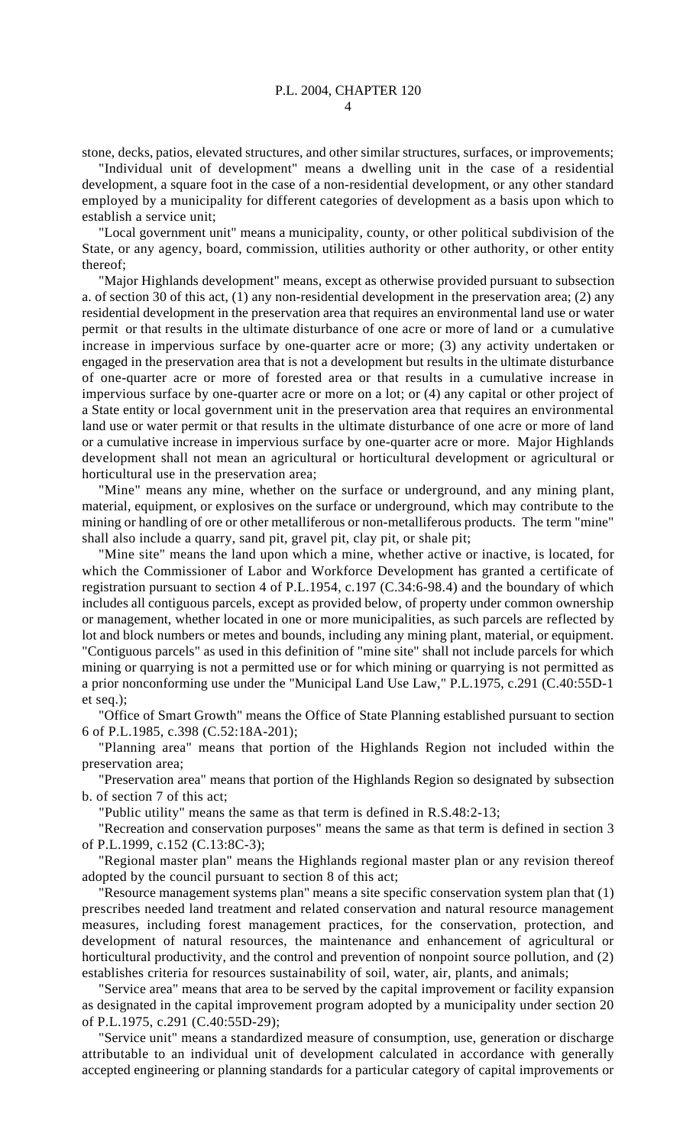stone, decks, patios, elevated structures, and other similar structures, surfaces, or improvements;

"Individual unit of development" means a dwelling unit in the case of a residential development, a square foot in the case of a non-residential development, or any other standard employed by a municipality for different categories of development as a basis upon which to establish a service unit;

"Local government unit" means a municipality, county, or other political subdivision of the State, or any agency, board, commission, utilities authority or other authority, or other entity thereof;

"Major Highlands development" means, except as otherwise provided pursuant to subsection a. of section 30 of this act, (1) any non-residential development in the preservation area; (2) any residential development in the preservation area that requires an environmental land use or water permit or that results in the ultimate disturbance of one acre or more of land or a cumulative increase in impervious surface by one-quarter acre or more; (3) any activity undertaken or engaged in the preservation area that is not a development but results in the ultimate disturbance of one-quarter acre or more of forested area or that results in a cumulative increase in impervious surface by one-quarter acre or more on a lot; or (4) any capital or other project of a State entity or local government unit in the preservation area that requires an environmental land use or water permit or that results in the ultimate disturbance of one acre or more of land or a cumulative increase in impervious surface by one-quarter acre or more. Major Highlands development shall not mean an agricultural or horticultural development or agricultural or horticultural use in the preservation area;

"Mine" means any mine, whether on the surface or underground, and any mining plant, material, equipment, or explosives on the surface or underground, which may contribute to the mining or handling of ore or other metalliferous or non-metalliferous products. The term "mine" shall also include a quarry, sand pit, gravel pit, clay pit, or shale pit;

"Mine site" means the land upon which a mine, whether active or inactive, is located, for which the Commissioner of Labor and Workforce Development has granted a certificate of registration pursuant to section 4 of P.L.1954, c.197 (C.34:6-98.4) and the boundary of which includes all contiguous parcels, except as provided below, of property under common ownership or management, whether located in one or more municipalities, as such parcels are reflected by lot and block numbers or metes and bounds, including any mining plant, material, or equipment. "Contiguous parcels" as used in this definition of "mine site" shall not include parcels for which mining or quarrying is not a permitted use or for which mining or quarrying is not permitted as a prior nonconforming use under the "Municipal Land Use Law," P.L.1975, c.291 (C.40:55D-1 et seq.);

"Office of Smart Growth" means the Office of State Planning established pursuant to section 6 of P.L.1985, c.398 (C.52:18A-201);

"Planning area" means that portion of the Highlands Region not included within the preservation area;

"Preservation area" means that portion of the Highlands Region so designated by subsection b. of section 7 of this act;

"Public utility" means the same as that term is defined in R.S.48:2-13;

"Recreation and conservation purposes" means the same as that term is defined in section 3 of P.L.1999, c.152 (C.13:8C-3);

"Regional master plan" means the Highlands regional master plan or any revision thereof adopted by the council pursuant to section 8 of this act;

"Resource management systems plan" means a site specific conservation system plan that (1) prescribes needed land treatment and related conservation and natural resource management measures, including forest management practices, for the conservation, protection, and development of natural resources, the maintenance and enhancement of agricultural or horticultural productivity, and the control and prevention of nonpoint source pollution, and (2) establishes criteria for resources sustainability of soil, water, air, plants, and animals;

"Service area" means that area to be served by the capital improvement or facility expansion as designated in the capital improvement program adopted by a municipality under section 20 of P.L.1975, c.291 (C.40:55D-29);

"Service unit" means a standardized measure of consumption, use, generation or discharge attributable to an individual unit of development calculated in accordance with generally accepted engineering or planning standards for a particular category of capital improvements or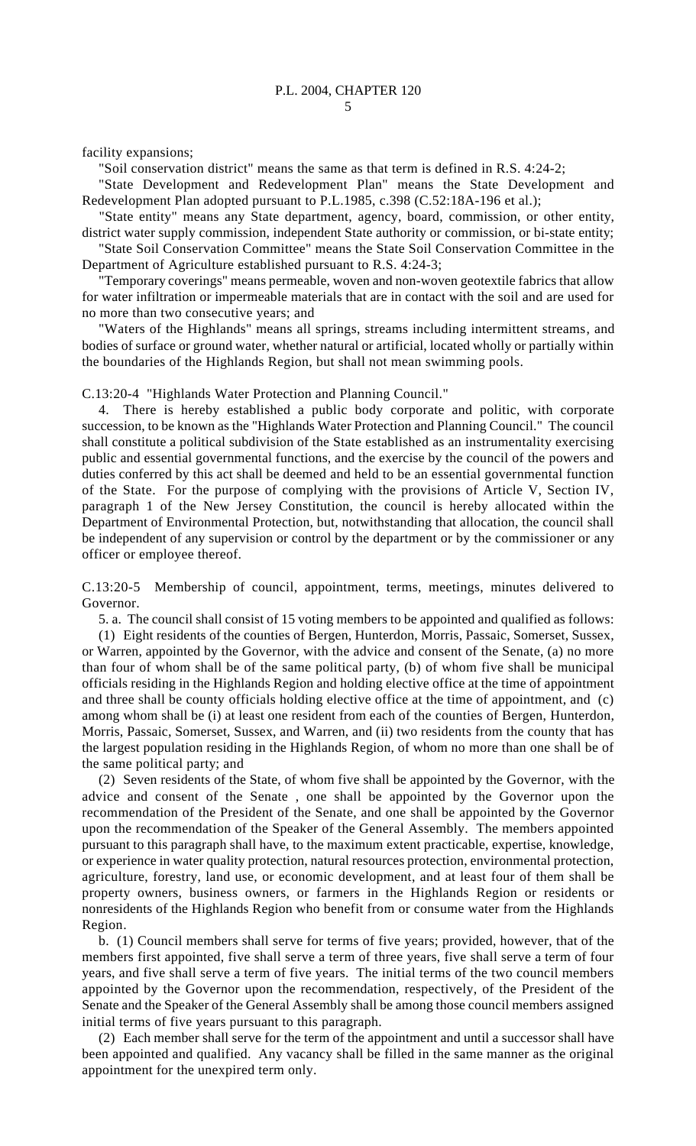facility expansions;

"Soil conservation district" means the same as that term is defined in R.S. 4:24-2;

"State Development and Redevelopment Plan" means the State Development and Redevelopment Plan adopted pursuant to P.L.1985, c.398 (C.52:18A-196 et al.);

"State entity" means any State department, agency, board, commission, or other entity, district water supply commission, independent State authority or commission, or bi-state entity;

"State Soil Conservation Committee" means the State Soil Conservation Committee in the Department of Agriculture established pursuant to R.S. 4:24-3;

"Temporary coverings" means permeable, woven and non-woven geotextile fabrics that allow for water infiltration or impermeable materials that are in contact with the soil and are used for no more than two consecutive years; and

"Waters of the Highlands" means all springs, streams including intermittent streams, and bodies of surface or ground water, whether natural or artificial, located wholly or partially within the boundaries of the Highlands Region, but shall not mean swimming pools.

C.13:20-4 "Highlands Water Protection and Planning Council."

4. There is hereby established a public body corporate and politic, with corporate succession, to be known as the "Highlands Water Protection and Planning Council." The council shall constitute a political subdivision of the State established as an instrumentality exercising public and essential governmental functions, and the exercise by the council of the powers and duties conferred by this act shall be deemed and held to be an essential governmental function of the State. For the purpose of complying with the provisions of Article V, Section IV, paragraph 1 of the New Jersey Constitution, the council is hereby allocated within the Department of Environmental Protection, but, notwithstanding that allocation, the council shall be independent of any supervision or control by the department or by the commissioner or any officer or employee thereof.

C.13:20-5 Membership of council, appointment, terms, meetings, minutes delivered to Governor.

5. a. The council shall consist of 15 voting members to be appointed and qualified as follows:

(1) Eight residents of the counties of Bergen, Hunterdon, Morris, Passaic, Somerset, Sussex, or Warren, appointed by the Governor, with the advice and consent of the Senate, (a) no more than four of whom shall be of the same political party, (b) of whom five shall be municipal officials residing in the Highlands Region and holding elective office at the time of appointment and three shall be county officials holding elective office at the time of appointment, and (c) among whom shall be (i) at least one resident from each of the counties of Bergen, Hunterdon, Morris, Passaic, Somerset, Sussex, and Warren, and (ii) two residents from the county that has the largest population residing in the Highlands Region, of whom no more than one shall be of the same political party; and

(2) Seven residents of the State, of whom five shall be appointed by the Governor, with the advice and consent of the Senate , one shall be appointed by the Governor upon the recommendation of the President of the Senate, and one shall be appointed by the Governor upon the recommendation of the Speaker of the General Assembly. The members appointed pursuant to this paragraph shall have, to the maximum extent practicable, expertise, knowledge, or experience in water quality protection, natural resources protection, environmental protection, agriculture, forestry, land use, or economic development, and at least four of them shall be property owners, business owners, or farmers in the Highlands Region or residents or nonresidents of the Highlands Region who benefit from or consume water from the Highlands Region.

b. (1) Council members shall serve for terms of five years; provided, however, that of the members first appointed, five shall serve a term of three years, five shall serve a term of four years, and five shall serve a term of five years. The initial terms of the two council members appointed by the Governor upon the recommendation, respectively, of the President of the Senate and the Speaker of the General Assembly shall be among those council members assigned initial terms of five years pursuant to this paragraph.

(2) Each member shall serve for the term of the appointment and until a successor shall have been appointed and qualified. Any vacancy shall be filled in the same manner as the original appointment for the unexpired term only.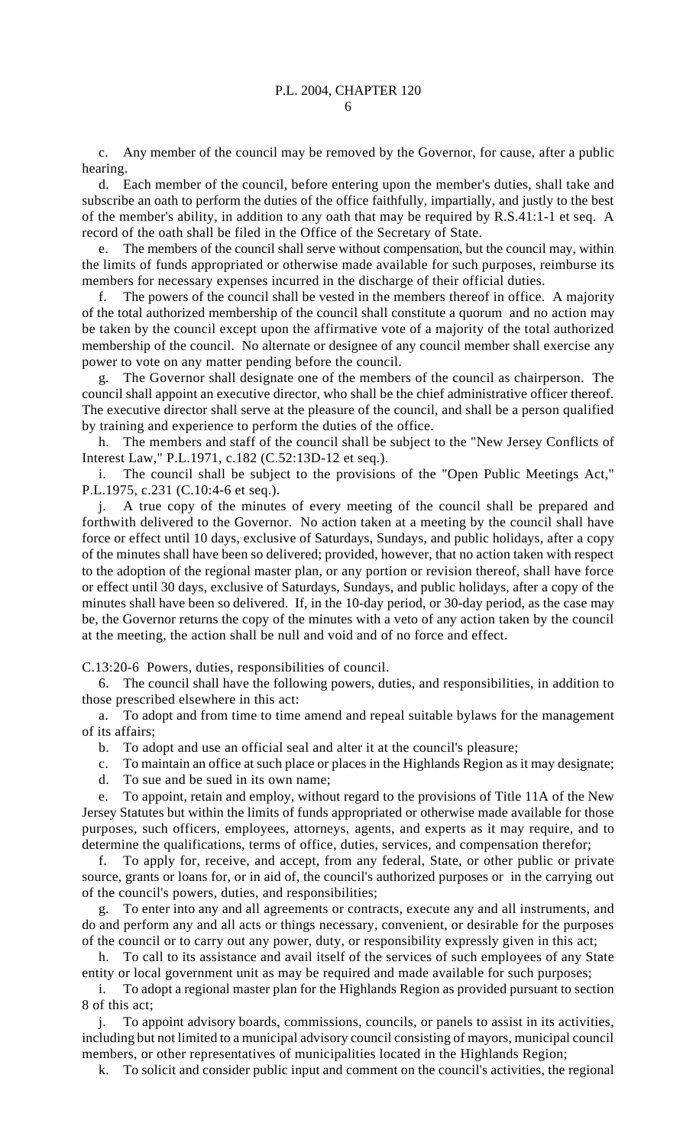c. Any member of the council may be removed by the Governor, for cause, after a public hearing.

d. Each member of the council, before entering upon the member's duties, shall take and subscribe an oath to perform the duties of the office faithfully, impartially, and justly to the best of the member's ability, in addition to any oath that may be required by R.S.41:1-1 et seq. A record of the oath shall be filed in the Office of the Secretary of State.

e. The members of the council shall serve without compensation, but the council may, within the limits of funds appropriated or otherwise made available for such purposes, reimburse its members for necessary expenses incurred in the discharge of their official duties.

f. The powers of the council shall be vested in the members thereof in office. A majority of the total authorized membership of the council shall constitute a quorum and no action may be taken by the council except upon the affirmative vote of a majority of the total authorized membership of the council. No alternate or designee of any council member shall exercise any power to vote on any matter pending before the council.

g. The Governor shall designate one of the members of the council as chairperson. The council shall appoint an executive director, who shall be the chief administrative officer thereof. The executive director shall serve at the pleasure of the council, and shall be a person qualified by training and experience to perform the duties of the office.

h. The members and staff of the council shall be subject to the "New Jersey Conflicts of Interest Law," P.L.1971, c.182 (C.52:13D-12 et seq.).

i. The council shall be subject to the provisions of the "Open Public Meetings Act," P.L.1975, c.231 (C.10:4-6 et seq.).

j. A true copy of the minutes of every meeting of the council shall be prepared and forthwith delivered to the Governor. No action taken at a meeting by the council shall have force or effect until 10 days, exclusive of Saturdays, Sundays, and public holidays, after a copy of the minutes shall have been so delivered; provided, however, that no action taken with respect to the adoption of the regional master plan, or any portion or revision thereof, shall have force or effect until 30 days, exclusive of Saturdays, Sundays, and public holidays, after a copy of the minutes shall have been so delivered. If, in the 10-day period, or 30-day period, as the case may be, the Governor returns the copy of the minutes with a veto of any action taken by the council at the meeting, the action shall be null and void and of no force and effect.

C.13:20-6 Powers, duties, responsibilities of council.

6. The council shall have the following powers, duties, and responsibilities, in addition to those prescribed elsewhere in this act:

a. To adopt and from time to time amend and repeal suitable bylaws for the management of its affairs;

b. To adopt and use an official seal and alter it at the council's pleasure;

- c. To maintain an office at such place or places in the Highlands Region as it may designate;
- d. To sue and be sued in its own name;

e. To appoint, retain and employ, without regard to the provisions of Title 11A of the New Jersey Statutes but within the limits of funds appropriated or otherwise made available for those purposes, such officers, employees, attorneys, agents, and experts as it may require, and to determine the qualifications, terms of office, duties, services, and compensation therefor;

f. To apply for, receive, and accept, from any federal, State, or other public or private source, grants or loans for, or in aid of, the council's authorized purposes or in the carrying out of the council's powers, duties, and responsibilities;

g. To enter into any and all agreements or contracts, execute any and all instruments, and do and perform any and all acts or things necessary, convenient, or desirable for the purposes of the council or to carry out any power, duty, or responsibility expressly given in this act;

h. To call to its assistance and avail itself of the services of such employees of any State entity or local government unit as may be required and made available for such purposes;

i. To adopt a regional master plan for the Highlands Region as provided pursuant to section 8 of this act;

j. To appoint advisory boards, commissions, councils, or panels to assist in its activities, including but not limited to a municipal advisory council consisting of mayors, municipal council members, or other representatives of municipalities located in the Highlands Region;

k. To solicit and consider public input and comment on the council's activities, the regional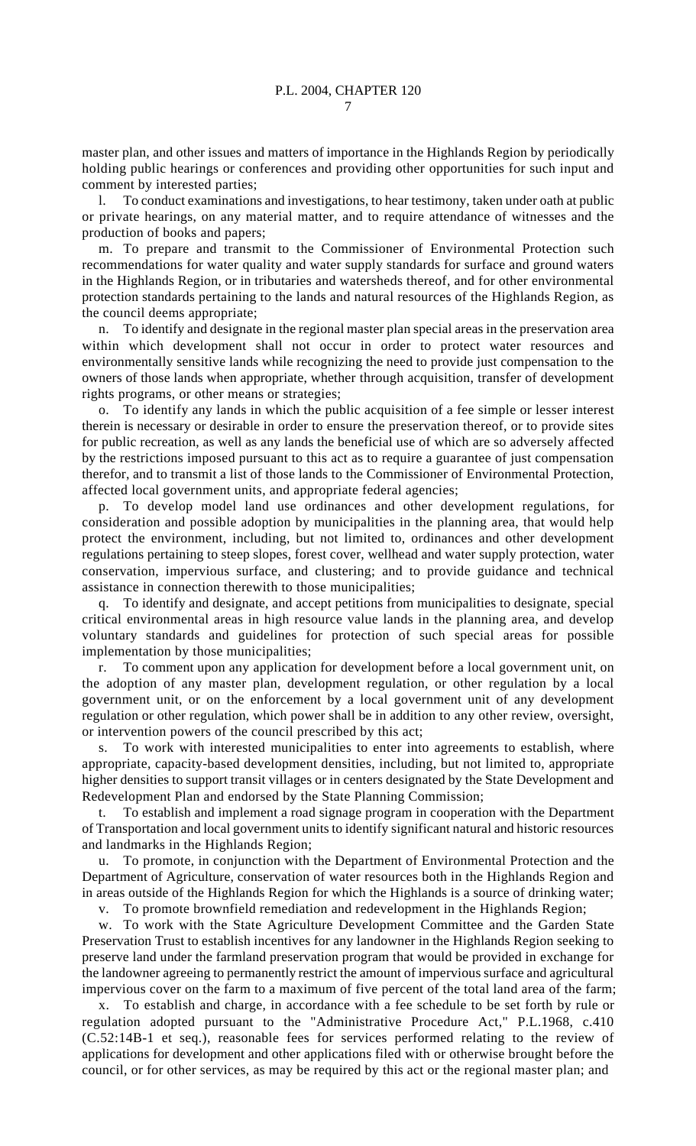master plan, and other issues and matters of importance in the Highlands Region by periodically holding public hearings or conferences and providing other opportunities for such input and comment by interested parties;

l. To conduct examinations and investigations, to hear testimony, taken under oath at public or private hearings, on any material matter, and to require attendance of witnesses and the production of books and papers;

m. To prepare and transmit to the Commissioner of Environmental Protection such recommendations for water quality and water supply standards for surface and ground waters in the Highlands Region, or in tributaries and watersheds thereof, and for other environmental protection standards pertaining to the lands and natural resources of the Highlands Region, as the council deems appropriate;

n. To identify and designate in the regional master plan special areas in the preservation area within which development shall not occur in order to protect water resources and environmentally sensitive lands while recognizing the need to provide just compensation to the owners of those lands when appropriate, whether through acquisition, transfer of development rights programs, or other means or strategies;

o. To identify any lands in which the public acquisition of a fee simple or lesser interest therein is necessary or desirable in order to ensure the preservation thereof, or to provide sites for public recreation, as well as any lands the beneficial use of which are so adversely affected by the restrictions imposed pursuant to this act as to require a guarantee of just compensation therefor, and to transmit a list of those lands to the Commissioner of Environmental Protection, affected local government units, and appropriate federal agencies;

p. To develop model land use ordinances and other development regulations, for consideration and possible adoption by municipalities in the planning area, that would help protect the environment, including, but not limited to, ordinances and other development regulations pertaining to steep slopes, forest cover, wellhead and water supply protection, water conservation, impervious surface, and clustering; and to provide guidance and technical assistance in connection therewith to those municipalities;

To identify and designate, and accept petitions from municipalities to designate, special critical environmental areas in high resource value lands in the planning area, and develop voluntary standards and guidelines for protection of such special areas for possible implementation by those municipalities;

r. To comment upon any application for development before a local government unit, on the adoption of any master plan, development regulation, or other regulation by a local government unit, or on the enforcement by a local government unit of any development regulation or other regulation, which power shall be in addition to any other review, oversight, or intervention powers of the council prescribed by this act;

s. To work with interested municipalities to enter into agreements to establish, where appropriate, capacity-based development densities, including, but not limited to, appropriate higher densities to support transit villages or in centers designated by the State Development and Redevelopment Plan and endorsed by the State Planning Commission;

t. To establish and implement a road signage program in cooperation with the Department of Transportation and local government units to identify significant natural and historic resources and landmarks in the Highlands Region;

u. To promote, in conjunction with the Department of Environmental Protection and the Department of Agriculture, conservation of water resources both in the Highlands Region and in areas outside of the Highlands Region for which the Highlands is a source of drinking water;

v. To promote brownfield remediation and redevelopment in the Highlands Region;

w. To work with the State Agriculture Development Committee and the Garden State Preservation Trust to establish incentives for any landowner in the Highlands Region seeking to preserve land under the farmland preservation program that would be provided in exchange for the landowner agreeing to permanently restrict the amount of impervious surface and agricultural impervious cover on the farm to a maximum of five percent of the total land area of the farm;

x. To establish and charge, in accordance with a fee schedule to be set forth by rule or regulation adopted pursuant to the "Administrative Procedure Act," P.L.1968, c.410 (C.52:14B-1 et seq.), reasonable fees for services performed relating to the review of applications for development and other applications filed with or otherwise brought before the council, or for other services, as may be required by this act or the regional master plan; and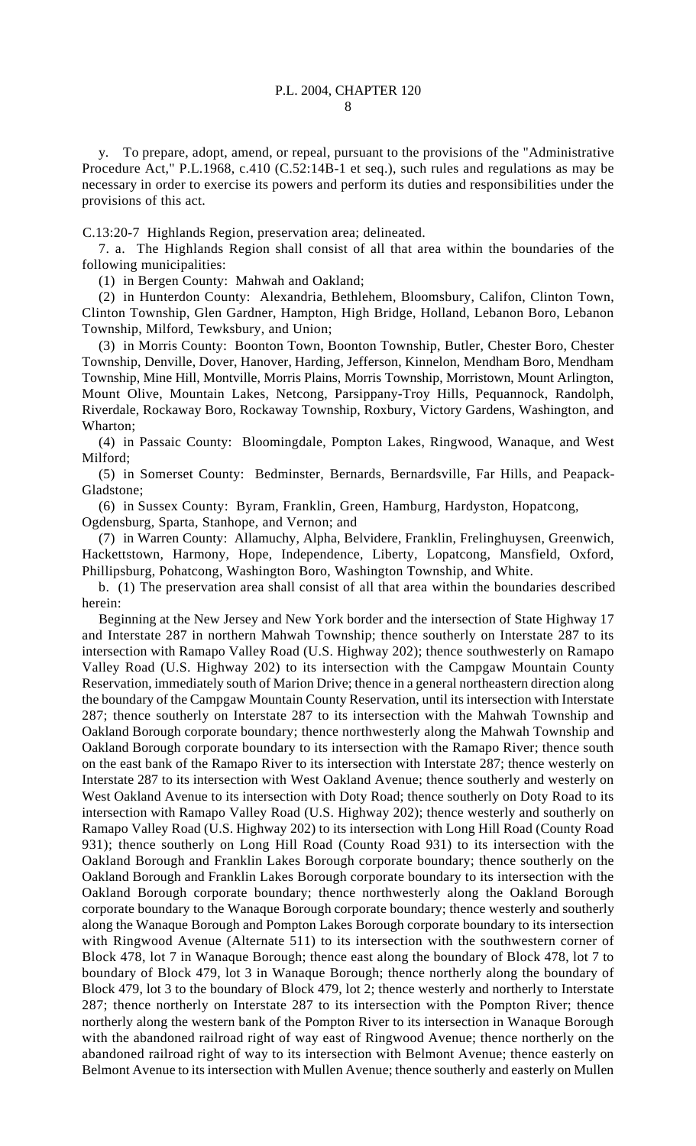y. To prepare, adopt, amend, or repeal, pursuant to the provisions of the "Administrative Procedure Act," P.L.1968, c.410 (C.52:14B-1 et seq.), such rules and regulations as may be necessary in order to exercise its powers and perform its duties and responsibilities under the provisions of this act.

C.13:20-7 Highlands Region, preservation area; delineated.

7. a. The Highlands Region shall consist of all that area within the boundaries of the following municipalities:

(1) in Bergen County: Mahwah and Oakland;

(2) in Hunterdon County: Alexandria, Bethlehem, Bloomsbury, Califon, Clinton Town, Clinton Township, Glen Gardner, Hampton, High Bridge, Holland, Lebanon Boro, Lebanon Township, Milford, Tewksbury, and Union;

(3) in Morris County: Boonton Town, Boonton Township, Butler, Chester Boro, Chester Township, Denville, Dover, Hanover, Harding, Jefferson, Kinnelon, Mendham Boro, Mendham Township, Mine Hill, Montville, Morris Plains, Morris Township, Morristown, Mount Arlington, Mount Olive, Mountain Lakes, Netcong, Parsippany-Troy Hills, Pequannock, Randolph, Riverdale, Rockaway Boro, Rockaway Township, Roxbury, Victory Gardens, Washington, and Wharton;

(4) in Passaic County: Bloomingdale, Pompton Lakes, Ringwood, Wanaque, and West Milford;

(5) in Somerset County: Bedminster, Bernards, Bernardsville, Far Hills, and Peapack-Gladstone;

(6) in Sussex County: Byram, Franklin, Green, Hamburg, Hardyston, Hopatcong,

Ogdensburg, Sparta, Stanhope, and Vernon; and

(7) in Warren County: Allamuchy, Alpha, Belvidere, Franklin, Frelinghuysen, Greenwich, Hackettstown, Harmony, Hope, Independence, Liberty, Lopatcong, Mansfield, Oxford, Phillipsburg, Pohatcong, Washington Boro, Washington Township, and White.

b. (1) The preservation area shall consist of all that area within the boundaries described herein:

Beginning at the New Jersey and New York border and the intersection of State Highway 17 and Interstate 287 in northern Mahwah Township; thence southerly on Interstate 287 to its intersection with Ramapo Valley Road (U.S. Highway 202); thence southwesterly on Ramapo Valley Road (U.S. Highway 202) to its intersection with the Campgaw Mountain County Reservation, immediately south of Marion Drive; thence in a general northeastern direction along the boundary of the Campgaw Mountain County Reservation, until its intersection with Interstate 287; thence southerly on Interstate 287 to its intersection with the Mahwah Township and Oakland Borough corporate boundary; thence northwesterly along the Mahwah Township and Oakland Borough corporate boundary to its intersection with the Ramapo River; thence south on the east bank of the Ramapo River to its intersection with Interstate 287; thence westerly on Interstate 287 to its intersection with West Oakland Avenue; thence southerly and westerly on West Oakland Avenue to its intersection with Doty Road; thence southerly on Doty Road to its intersection with Ramapo Valley Road (U.S. Highway 202); thence westerly and southerly on Ramapo Valley Road (U.S. Highway 202) to its intersection with Long Hill Road (County Road 931); thence southerly on Long Hill Road (County Road 931) to its intersection with the Oakland Borough and Franklin Lakes Borough corporate boundary; thence southerly on the Oakland Borough and Franklin Lakes Borough corporate boundary to its intersection with the Oakland Borough corporate boundary; thence northwesterly along the Oakland Borough corporate boundary to the Wanaque Borough corporate boundary; thence westerly and southerly along the Wanaque Borough and Pompton Lakes Borough corporate boundary to its intersection with Ringwood Avenue (Alternate 511) to its intersection with the southwestern corner of Block 478, lot 7 in Wanaque Borough; thence east along the boundary of Block 478, lot 7 to boundary of Block 479, lot 3 in Wanaque Borough; thence northerly along the boundary of Block 479, lot 3 to the boundary of Block 479, lot 2; thence westerly and northerly to Interstate 287; thence northerly on Interstate 287 to its intersection with the Pompton River; thence northerly along the western bank of the Pompton River to its intersection in Wanaque Borough with the abandoned railroad right of way east of Ringwood Avenue; thence northerly on the abandoned railroad right of way to its intersection with Belmont Avenue; thence easterly on Belmont Avenue to its intersection with Mullen Avenue; thence southerly and easterly on Mullen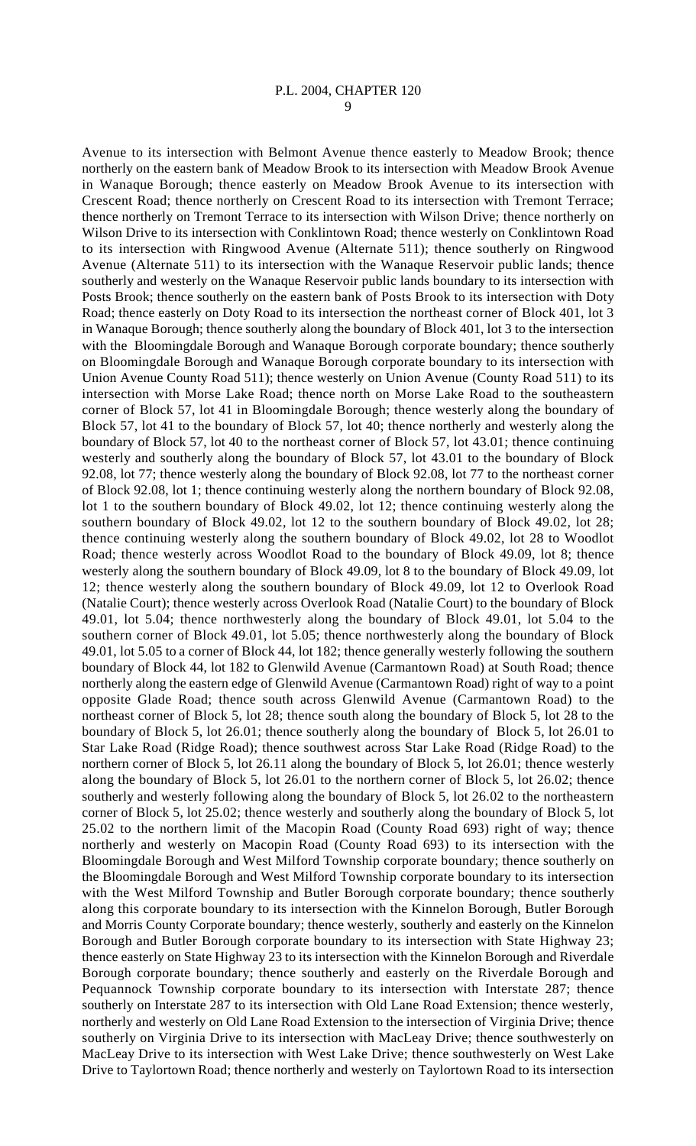Avenue to its intersection with Belmont Avenue thence easterly to Meadow Brook; thence northerly on the eastern bank of Meadow Brook to its intersection with Meadow Brook Avenue in Wanaque Borough; thence easterly on Meadow Brook Avenue to its intersection with Crescent Road; thence northerly on Crescent Road to its intersection with Tremont Terrace; thence northerly on Tremont Terrace to its intersection with Wilson Drive; thence northerly on Wilson Drive to its intersection with Conklintown Road; thence westerly on Conklintown Road to its intersection with Ringwood Avenue (Alternate 511); thence southerly on Ringwood Avenue (Alternate 511) to its intersection with the Wanaque Reservoir public lands; thence southerly and westerly on the Wanaque Reservoir public lands boundary to its intersection with Posts Brook; thence southerly on the eastern bank of Posts Brook to its intersection with Doty Road; thence easterly on Doty Road to its intersection the northeast corner of Block 401, lot 3 in Wanaque Borough; thence southerly along the boundary of Block 401, lot 3 to the intersection with the Bloomingdale Borough and Wanaque Borough corporate boundary; thence southerly on Bloomingdale Borough and Wanaque Borough corporate boundary to its intersection with Union Avenue County Road 511); thence westerly on Union Avenue (County Road 511) to its intersection with Morse Lake Road; thence north on Morse Lake Road to the southeastern corner of Block 57, lot 41 in Bloomingdale Borough; thence westerly along the boundary of Block 57, lot 41 to the boundary of Block 57, lot 40; thence northerly and westerly along the boundary of Block 57, lot 40 to the northeast corner of Block 57, lot 43.01; thence continuing westerly and southerly along the boundary of Block 57, lot 43.01 to the boundary of Block 92.08, lot 77; thence westerly along the boundary of Block 92.08, lot 77 to the northeast corner of Block 92.08, lot 1; thence continuing westerly along the northern boundary of Block 92.08, lot 1 to the southern boundary of Block 49.02, lot 12; thence continuing westerly along the southern boundary of Block 49.02, lot 12 to the southern boundary of Block 49.02, lot 28; thence continuing westerly along the southern boundary of Block 49.02, lot 28 to Woodlot Road; thence westerly across Woodlot Road to the boundary of Block 49.09, lot 8; thence westerly along the southern boundary of Block 49.09, lot 8 to the boundary of Block 49.09, lot 12; thence westerly along the southern boundary of Block 49.09, lot 12 to Overlook Road (Natalie Court); thence westerly across Overlook Road (Natalie Court) to the boundary of Block 49.01, lot 5.04; thence northwesterly along the boundary of Block 49.01, lot 5.04 to the southern corner of Block 49.01, lot 5.05; thence northwesterly along the boundary of Block 49.01, lot 5.05 to a corner of Block 44, lot 182; thence generally westerly following the southern boundary of Block 44, lot 182 to Glenwild Avenue (Carmantown Road) at South Road; thence northerly along the eastern edge of Glenwild Avenue (Carmantown Road) right of way to a point opposite Glade Road; thence south across Glenwild Avenue (Carmantown Road) to the northeast corner of Block 5, lot 28; thence south along the boundary of Block 5, lot 28 to the boundary of Block 5, lot 26.01; thence southerly along the boundary of Block 5, lot 26.01 to Star Lake Road (Ridge Road); thence southwest across Star Lake Road (Ridge Road) to the northern corner of Block 5, lot 26.11 along the boundary of Block 5, lot 26.01; thence westerly along the boundary of Block 5, lot 26.01 to the northern corner of Block 5, lot 26.02; thence southerly and westerly following along the boundary of Block 5, lot 26.02 to the northeastern corner of Block 5, lot 25.02; thence westerly and southerly along the boundary of Block 5, lot 25.02 to the northern limit of the Macopin Road (County Road 693) right of way; thence northerly and westerly on Macopin Road (County Road 693) to its intersection with the Bloomingdale Borough and West Milford Township corporate boundary; thence southerly on the Bloomingdale Borough and West Milford Township corporate boundary to its intersection with the West Milford Township and Butler Borough corporate boundary; thence southerly along this corporate boundary to its intersection with the Kinnelon Borough, Butler Borough and Morris County Corporate boundary; thence westerly, southerly and easterly on the Kinnelon Borough and Butler Borough corporate boundary to its intersection with State Highway 23; thence easterly on State Highway 23 to its intersection with the Kinnelon Borough and Riverdale Borough corporate boundary; thence southerly and easterly on the Riverdale Borough and Pequannock Township corporate boundary to its intersection with Interstate 287; thence southerly on Interstate 287 to its intersection with Old Lane Road Extension; thence westerly, northerly and westerly on Old Lane Road Extension to the intersection of Virginia Drive; thence southerly on Virginia Drive to its intersection with MacLeay Drive; thence southwesterly on MacLeay Drive to its intersection with West Lake Drive; thence southwesterly on West Lake Drive to Taylortown Road; thence northerly and westerly on Taylortown Road to its intersection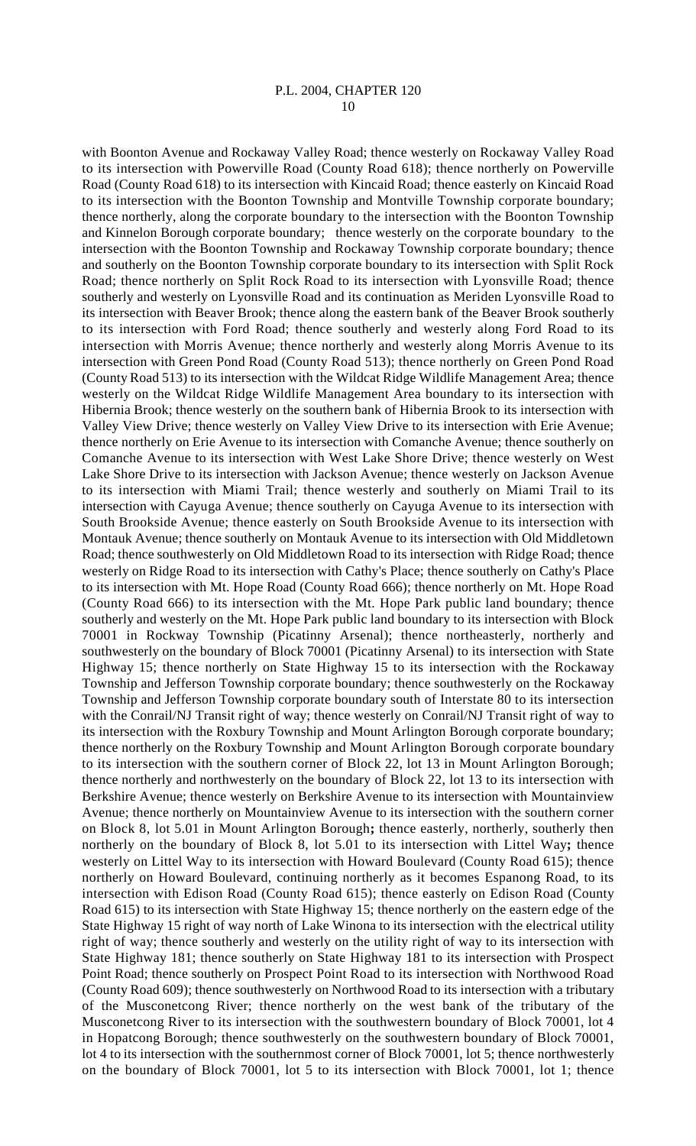with Boonton Avenue and Rockaway Valley Road; thence westerly on Rockaway Valley Road to its intersection with Powerville Road (County Road 618); thence northerly on Powerville Road (County Road 618) to its intersection with Kincaid Road; thence easterly on Kincaid Road to its intersection with the Boonton Township and Montville Township corporate boundary; thence northerly, along the corporate boundary to the intersection with the Boonton Township and Kinnelon Borough corporate boundary; thence westerly on the corporate boundary to the intersection with the Boonton Township and Rockaway Township corporate boundary; thence and southerly on the Boonton Township corporate boundary to its intersection with Split Rock Road; thence northerly on Split Rock Road to its intersection with Lyonsville Road; thence southerly and westerly on Lyonsville Road and its continuation as Meriden Lyonsville Road to its intersection with Beaver Brook; thence along the eastern bank of the Beaver Brook southerly to its intersection with Ford Road; thence southerly and westerly along Ford Road to its intersection with Morris Avenue; thence northerly and westerly along Morris Avenue to its intersection with Green Pond Road (County Road 513); thence northerly on Green Pond Road (County Road 513) to its intersection with the Wildcat Ridge Wildlife Management Area; thence westerly on the Wildcat Ridge Wildlife Management Area boundary to its intersection with Hibernia Brook; thence westerly on the southern bank of Hibernia Brook to its intersection with Valley View Drive; thence westerly on Valley View Drive to its intersection with Erie Avenue; thence northerly on Erie Avenue to its intersection with Comanche Avenue; thence southerly on Comanche Avenue to its intersection with West Lake Shore Drive; thence westerly on West Lake Shore Drive to its intersection with Jackson Avenue; thence westerly on Jackson Avenue to its intersection with Miami Trail; thence westerly and southerly on Miami Trail to its intersection with Cayuga Avenue; thence southerly on Cayuga Avenue to its intersection with South Brookside Avenue; thence easterly on South Brookside Avenue to its intersection with Montauk Avenue; thence southerly on Montauk Avenue to its intersection with Old Middletown Road; thence southwesterly on Old Middletown Road to its intersection with Ridge Road; thence westerly on Ridge Road to its intersection with Cathy's Place; thence southerly on Cathy's Place to its intersection with Mt. Hope Road (County Road 666); thence northerly on Mt. Hope Road (County Road 666) to its intersection with the Mt. Hope Park public land boundary; thence southerly and westerly on the Mt. Hope Park public land boundary to its intersection with Block 70001 in Rockway Township (Picatinny Arsenal); thence northeasterly, northerly and southwesterly on the boundary of Block 70001 (Picatinny Arsenal) to its intersection with State Highway 15; thence northerly on State Highway 15 to its intersection with the Rockaway Township and Jefferson Township corporate boundary; thence southwesterly on the Rockaway Township and Jefferson Township corporate boundary south of Interstate 80 to its intersection with the Conrail/NJ Transit right of way; thence westerly on Conrail/NJ Transit right of way to its intersection with the Roxbury Township and Mount Arlington Borough corporate boundary; thence northerly on the Roxbury Township and Mount Arlington Borough corporate boundary to its intersection with the southern corner of Block 22, lot 13 in Mount Arlington Borough; thence northerly and northwesterly on the boundary of Block 22, lot 13 to its intersection with Berkshire Avenue; thence westerly on Berkshire Avenue to its intersection with Mountainview Avenue; thence northerly on Mountainview Avenue to its intersection with the southern corner on Block 8, lot 5.01 in Mount Arlington Borough**;** thence easterly, northerly, southerly then northerly on the boundary of Block 8, lot 5.01 to its intersection with Littel Way**;** thence westerly on Littel Way to its intersection with Howard Boulevard (County Road 615); thence northerly on Howard Boulevard, continuing northerly as it becomes Espanong Road, to its intersection with Edison Road (County Road 615); thence easterly on Edison Road (County Road 615) to its intersection with State Highway 15; thence northerly on the eastern edge of the State Highway 15 right of way north of Lake Winona to its intersection with the electrical utility right of way; thence southerly and westerly on the utility right of way to its intersection with State Highway 181; thence southerly on State Highway 181 to its intersection with Prospect Point Road; thence southerly on Prospect Point Road to its intersection with Northwood Road (County Road 609); thence southwesterly on Northwood Road to its intersection with a tributary of the Musconetcong River; thence northerly on the west bank of the tributary of the Musconetcong River to its intersection with the southwestern boundary of Block 70001, lot 4 in Hopatcong Borough; thence southwesterly on the southwestern boundary of Block 70001, lot 4 to its intersection with the southernmost corner of Block 70001, lot 5; thence northwesterly on the boundary of Block 70001, lot 5 to its intersection with Block 70001, lot 1; thence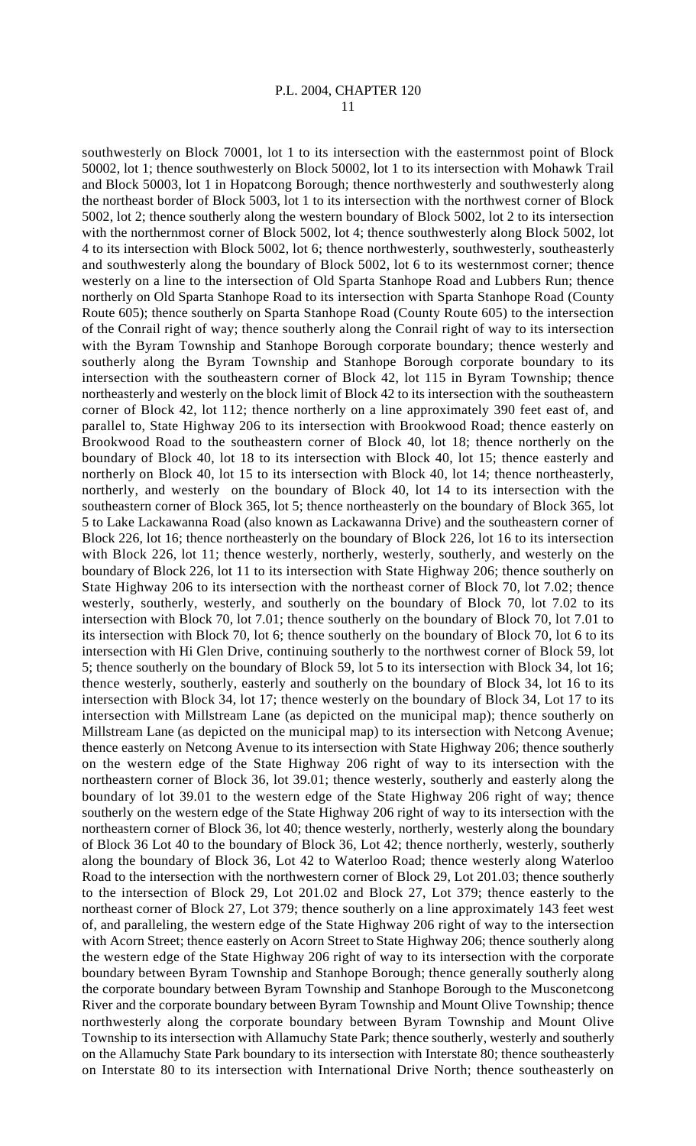southwesterly on Block 70001, lot 1 to its intersection with the easternmost point of Block 50002, lot 1; thence southwesterly on Block 50002, lot 1 to its intersection with Mohawk Trail and Block 50003, lot 1 in Hopatcong Borough; thence northwesterly and southwesterly along the northeast border of Block 5003, lot 1 to its intersection with the northwest corner of Block 5002, lot 2; thence southerly along the western boundary of Block 5002, lot 2 to its intersection with the northernmost corner of Block 5002, lot 4; thence southwesterly along Block 5002, lot 4 to its intersection with Block 5002, lot 6; thence northwesterly, southwesterly, southeasterly and southwesterly along the boundary of Block 5002, lot 6 to its westernmost corner; thence westerly on a line to the intersection of Old Sparta Stanhope Road and Lubbers Run; thence northerly on Old Sparta Stanhope Road to its intersection with Sparta Stanhope Road (County Route 605); thence southerly on Sparta Stanhope Road (County Route 605) to the intersection of the Conrail right of way; thence southerly along the Conrail right of way to its intersection with the Byram Township and Stanhope Borough corporate boundary; thence westerly and southerly along the Byram Township and Stanhope Borough corporate boundary to its intersection with the southeastern corner of Block 42, lot 115 in Byram Township; thence northeasterly and westerly on the block limit of Block 42 to its intersection with the southeastern corner of Block 42, lot 112; thence northerly on a line approximately 390 feet east of, and parallel to, State Highway 206 to its intersection with Brookwood Road; thence easterly on Brookwood Road to the southeastern corner of Block 40, lot 18; thence northerly on the boundary of Block 40, lot 18 to its intersection with Block 40, lot 15; thence easterly and northerly on Block 40, lot 15 to its intersection with Block 40, lot 14; thence northeasterly, northerly, and westerly on the boundary of Block 40, lot 14 to its intersection with the southeastern corner of Block 365, lot 5; thence northeasterly on the boundary of Block 365, lot 5 to Lake Lackawanna Road (also known as Lackawanna Drive) and the southeastern corner of Block 226, lot 16; thence northeasterly on the boundary of Block 226, lot 16 to its intersection with Block 226, lot 11; thence westerly, northerly, westerly, southerly, and westerly on the boundary of Block 226, lot 11 to its intersection with State Highway 206; thence southerly on State Highway 206 to its intersection with the northeast corner of Block 70, lot 7.02; thence westerly, southerly, westerly, and southerly on the boundary of Block 70, lot 7.02 to its intersection with Block 70, lot 7.01; thence southerly on the boundary of Block 70, lot 7.01 to its intersection with Block 70, lot 6; thence southerly on the boundary of Block 70, lot 6 to its intersection with Hi Glen Drive, continuing southerly to the northwest corner of Block 59, lot 5; thence southerly on the boundary of Block 59, lot 5 to its intersection with Block 34, lot 16; thence westerly, southerly, easterly and southerly on the boundary of Block 34, lot 16 to its intersection with Block 34, lot 17; thence westerly on the boundary of Block 34, Lot 17 to its intersection with Millstream Lane (as depicted on the municipal map); thence southerly on Millstream Lane (as depicted on the municipal map) to its intersection with Netcong Avenue; thence easterly on Netcong Avenue to its intersection with State Highway 206; thence southerly on the western edge of the State Highway 206 right of way to its intersection with the northeastern corner of Block 36, lot 39.01; thence westerly, southerly and easterly along the boundary of lot 39.01 to the western edge of the State Highway 206 right of way; thence southerly on the western edge of the State Highway 206 right of way to its intersection with the northeastern corner of Block 36, lot 40; thence westerly, northerly, westerly along the boundary of Block 36 Lot 40 to the boundary of Block 36, Lot 42; thence northerly, westerly, southerly along the boundary of Block 36, Lot 42 to Waterloo Road; thence westerly along Waterloo Road to the intersection with the northwestern corner of Block 29, Lot 201.03; thence southerly to the intersection of Block 29, Lot 201.02 and Block 27, Lot 379; thence easterly to the northeast corner of Block 27, Lot 379; thence southerly on a line approximately 143 feet west of, and paralleling, the western edge of the State Highway 206 right of way to the intersection with Acorn Street; thence easterly on Acorn Street to State Highway 206; thence southerly along the western edge of the State Highway 206 right of way to its intersection with the corporate boundary between Byram Township and Stanhope Borough; thence generally southerly along the corporate boundary between Byram Township and Stanhope Borough to the Musconetcong River and the corporate boundary between Byram Township and Mount Olive Township; thence northwesterly along the corporate boundary between Byram Township and Mount Olive Township to its intersection with Allamuchy State Park; thence southerly, westerly and southerly on the Allamuchy State Park boundary to its intersection with Interstate 80; thence southeasterly on Interstate 80 to its intersection with International Drive North; thence southeasterly on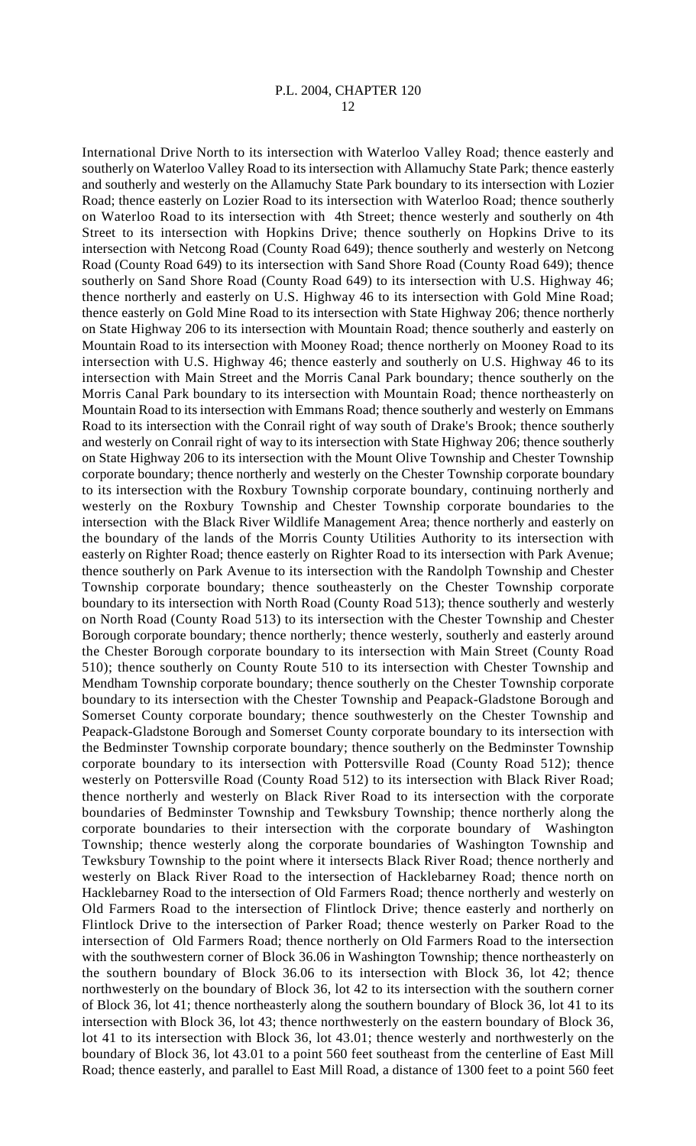International Drive North to its intersection with Waterloo Valley Road; thence easterly and southerly on Waterloo Valley Road to its intersection with Allamuchy State Park; thence easterly and southerly and westerly on the Allamuchy State Park boundary to its intersection with Lozier Road; thence easterly on Lozier Road to its intersection with Waterloo Road; thence southerly on Waterloo Road to its intersection with 4th Street; thence westerly and southerly on 4th Street to its intersection with Hopkins Drive; thence southerly on Hopkins Drive to its intersection with Netcong Road (County Road 649); thence southerly and westerly on Netcong Road (County Road 649) to its intersection with Sand Shore Road (County Road 649); thence southerly on Sand Shore Road (County Road 649) to its intersection with U.S. Highway 46; thence northerly and easterly on U.S. Highway 46 to its intersection with Gold Mine Road; thence easterly on Gold Mine Road to its intersection with State Highway 206; thence northerly on State Highway 206 to its intersection with Mountain Road; thence southerly and easterly on Mountain Road to its intersection with Mooney Road; thence northerly on Mooney Road to its intersection with U.S. Highway 46; thence easterly and southerly on U.S. Highway 46 to its intersection with Main Street and the Morris Canal Park boundary; thence southerly on the Morris Canal Park boundary to its intersection with Mountain Road; thence northeasterly on Mountain Road to its intersection with Emmans Road; thence southerly and westerly on Emmans Road to its intersection with the Conrail right of way south of Drake's Brook; thence southerly and westerly on Conrail right of way to its intersection with State Highway 206; thence southerly on State Highway 206 to its intersection with the Mount Olive Township and Chester Township corporate boundary; thence northerly and westerly on the Chester Township corporate boundary to its intersection with the Roxbury Township corporate boundary, continuing northerly and westerly on the Roxbury Township and Chester Township corporate boundaries to the intersection with the Black River Wildlife Management Area; thence northerly and easterly on the boundary of the lands of the Morris County Utilities Authority to its intersection with easterly on Righter Road; thence easterly on Righter Road to its intersection with Park Avenue; thence southerly on Park Avenue to its intersection with the Randolph Township and Chester Township corporate boundary; thence southeasterly on the Chester Township corporate boundary to its intersection with North Road (County Road 513); thence southerly and westerly on North Road (County Road 513) to its intersection with the Chester Township and Chester Borough corporate boundary; thence northerly; thence westerly, southerly and easterly around the Chester Borough corporate boundary to its intersection with Main Street (County Road 510); thence southerly on County Route 510 to its intersection with Chester Township and Mendham Township corporate boundary; thence southerly on the Chester Township corporate boundary to its intersection with the Chester Township and Peapack-Gladstone Borough and Somerset County corporate boundary; thence southwesterly on the Chester Township and Peapack-Gladstone Borough and Somerset County corporate boundary to its intersection with the Bedminster Township corporate boundary; thence southerly on the Bedminster Township corporate boundary to its intersection with Pottersville Road (County Road 512); thence westerly on Pottersville Road (County Road 512) to its intersection with Black River Road; thence northerly and westerly on Black River Road to its intersection with the corporate boundaries of Bedminster Township and Tewksbury Township; thence northerly along the corporate boundaries to their intersection with the corporate boundary of Washington Township; thence westerly along the corporate boundaries of Washington Township and Tewksbury Township to the point where it intersects Black River Road; thence northerly and westerly on Black River Road to the intersection of Hacklebarney Road; thence north on Hacklebarney Road to the intersection of Old Farmers Road; thence northerly and westerly on Old Farmers Road to the intersection of Flintlock Drive; thence easterly and northerly on Flintlock Drive to the intersection of Parker Road; thence westerly on Parker Road to the intersection of Old Farmers Road; thence northerly on Old Farmers Road to the intersection with the southwestern corner of Block 36.06 in Washington Township; thence northeasterly on the southern boundary of Block 36.06 to its intersection with Block 36, lot 42; thence northwesterly on the boundary of Block 36, lot 42 to its intersection with the southern corner of Block 36, lot 41; thence northeasterly along the southern boundary of Block 36, lot 41 to its intersection with Block 36, lot 43; thence northwesterly on the eastern boundary of Block 36, lot 41 to its intersection with Block 36, lot 43.01; thence westerly and northwesterly on the boundary of Block 36, lot 43.01 to a point 560 feet southeast from the centerline of East Mill Road; thence easterly, and parallel to East Mill Road, a distance of 1300 feet to a point 560 feet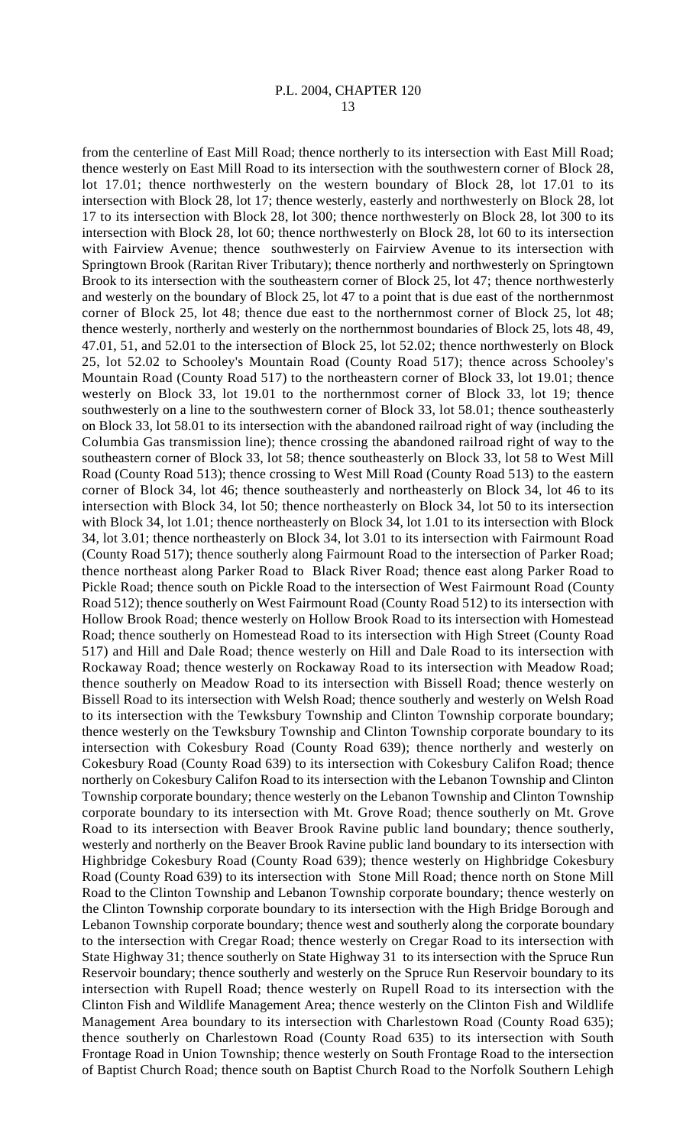from the centerline of East Mill Road; thence northerly to its intersection with East Mill Road; thence westerly on East Mill Road to its intersection with the southwestern corner of Block 28, lot 17.01; thence northwesterly on the western boundary of Block 28, lot 17.01 to its intersection with Block 28, lot 17; thence westerly, easterly and northwesterly on Block 28, lot 17 to its intersection with Block 28, lot 300; thence northwesterly on Block 28, lot 300 to its intersection with Block 28, lot 60; thence northwesterly on Block 28, lot 60 to its intersection with Fairview Avenue; thence southwesterly on Fairview Avenue to its intersection with Springtown Brook (Raritan River Tributary); thence northerly and northwesterly on Springtown Brook to its intersection with the southeastern corner of Block 25, lot 47; thence northwesterly and westerly on the boundary of Block 25, lot 47 to a point that is due east of the northernmost corner of Block 25, lot 48; thence due east to the northernmost corner of Block 25, lot 48; thence westerly, northerly and westerly on the northernmost boundaries of Block 25, lots 48, 49, 47.01, 51, and 52.01 to the intersection of Block 25, lot 52.02; thence northwesterly on Block 25, lot 52.02 to Schooley's Mountain Road (County Road 517); thence across Schooley's Mountain Road (County Road 517) to the northeastern corner of Block 33, lot 19.01; thence westerly on Block 33, lot 19.01 to the northernmost corner of Block 33, lot 19; thence southwesterly on a line to the southwestern corner of Block 33, lot 58.01; thence southeasterly on Block 33, lot 58.01 to its intersection with the abandoned railroad right of way (including the Columbia Gas transmission line); thence crossing the abandoned railroad right of way to the southeastern corner of Block 33, lot 58; thence southeasterly on Block 33, lot 58 to West Mill Road (County Road 513); thence crossing to West Mill Road (County Road 513) to the eastern corner of Block 34, lot 46; thence southeasterly and northeasterly on Block 34, lot 46 to its intersection with Block 34, lot 50; thence northeasterly on Block 34, lot 50 to its intersection with Block 34, lot 1.01; thence northeasterly on Block 34, lot 1.01 to its intersection with Block 34, lot 3.01; thence northeasterly on Block 34, lot 3.01 to its intersection with Fairmount Road (County Road 517); thence southerly along Fairmount Road to the intersection of Parker Road; thence northeast along Parker Road to Black River Road; thence east along Parker Road to Pickle Road; thence south on Pickle Road to the intersection of West Fairmount Road (County Road 512); thence southerly on West Fairmount Road (County Road 512) to its intersection with Hollow Brook Road; thence westerly on Hollow Brook Road to its intersection with Homestead Road; thence southerly on Homestead Road to its intersection with High Street (County Road 517) and Hill and Dale Road; thence westerly on Hill and Dale Road to its intersection with Rockaway Road; thence westerly on Rockaway Road to its intersection with Meadow Road; thence southerly on Meadow Road to its intersection with Bissell Road; thence westerly on Bissell Road to its intersection with Welsh Road; thence southerly and westerly on Welsh Road to its intersection with the Tewksbury Township and Clinton Township corporate boundary; thence westerly on the Tewksbury Township and Clinton Township corporate boundary to its intersection with Cokesbury Road (County Road 639); thence northerly and westerly on Cokesbury Road (County Road 639) to its intersection with Cokesbury Califon Road; thence northerly on Cokesbury Califon Road to its intersection with the Lebanon Township and Clinton Township corporate boundary; thence westerly on the Lebanon Township and Clinton Township corporate boundary to its intersection with Mt. Grove Road; thence southerly on Mt. Grove Road to its intersection with Beaver Brook Ravine public land boundary; thence southerly, westerly and northerly on the Beaver Brook Ravine public land boundary to its intersection with Highbridge Cokesbury Road (County Road 639); thence westerly on Highbridge Cokesbury Road (County Road 639) to its intersection with Stone Mill Road; thence north on Stone Mill Road to the Clinton Township and Lebanon Township corporate boundary; thence westerly on the Clinton Township corporate boundary to its intersection with the High Bridge Borough and Lebanon Township corporate boundary; thence west and southerly along the corporate boundary to the intersection with Cregar Road; thence westerly on Cregar Road to its intersection with State Highway 31; thence southerly on State Highway 31 to its intersection with the Spruce Run Reservoir boundary; thence southerly and westerly on the Spruce Run Reservoir boundary to its intersection with Rupell Road; thence westerly on Rupell Road to its intersection with the Clinton Fish and Wildlife Management Area; thence westerly on the Clinton Fish and Wildlife Management Area boundary to its intersection with Charlestown Road (County Road 635); thence southerly on Charlestown Road (County Road 635) to its intersection with South Frontage Road in Union Township; thence westerly on South Frontage Road to the intersection of Baptist Church Road; thence south on Baptist Church Road to the Norfolk Southern Lehigh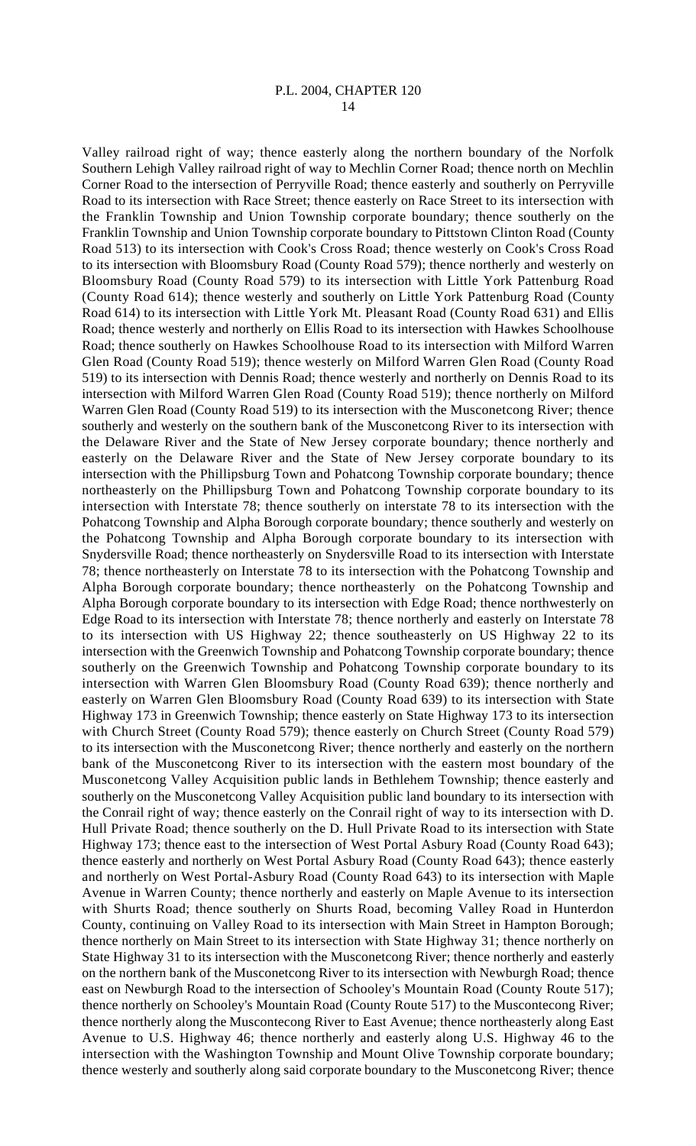Valley railroad right of way; thence easterly along the northern boundary of the Norfolk Southern Lehigh Valley railroad right of way to Mechlin Corner Road; thence north on Mechlin Corner Road to the intersection of Perryville Road; thence easterly and southerly on Perryville Road to its intersection with Race Street; thence easterly on Race Street to its intersection with the Franklin Township and Union Township corporate boundary; thence southerly on the Franklin Township and Union Township corporate boundary to Pittstown Clinton Road (County Road 513) to its intersection with Cook's Cross Road; thence westerly on Cook's Cross Road to its intersection with Bloomsbury Road (County Road 579); thence northerly and westerly on Bloomsbury Road (County Road 579) to its intersection with Little York Pattenburg Road (County Road 614); thence westerly and southerly on Little York Pattenburg Road (County Road 614) to its intersection with Little York Mt. Pleasant Road (County Road 631) and Ellis Road; thence westerly and northerly on Ellis Road to its intersection with Hawkes Schoolhouse Road; thence southerly on Hawkes Schoolhouse Road to its intersection with Milford Warren Glen Road (County Road 519); thence westerly on Milford Warren Glen Road (County Road 519) to its intersection with Dennis Road; thence westerly and northerly on Dennis Road to its intersection with Milford Warren Glen Road (County Road 519); thence northerly on Milford Warren Glen Road (County Road 519) to its intersection with the Musconetcong River; thence southerly and westerly on the southern bank of the Musconetcong River to its intersection with the Delaware River and the State of New Jersey corporate boundary; thence northerly and easterly on the Delaware River and the State of New Jersey corporate boundary to its intersection with the Phillipsburg Town and Pohatcong Township corporate boundary; thence northeasterly on the Phillipsburg Town and Pohatcong Township corporate boundary to its intersection with Interstate 78; thence southerly on interstate 78 to its intersection with the Pohatcong Township and Alpha Borough corporate boundary; thence southerly and westerly on the Pohatcong Township and Alpha Borough corporate boundary to its intersection with Snydersville Road; thence northeasterly on Snydersville Road to its intersection with Interstate 78; thence northeasterly on Interstate 78 to its intersection with the Pohatcong Township and Alpha Borough corporate boundary; thence northeasterly on the Pohatcong Township and Alpha Borough corporate boundary to its intersection with Edge Road; thence northwesterly on Edge Road to its intersection with Interstate 78; thence northerly and easterly on Interstate 78 to its intersection with US Highway 22; thence southeasterly on US Highway 22 to its intersection with the Greenwich Township and Pohatcong Township corporate boundary; thence southerly on the Greenwich Township and Pohatcong Township corporate boundary to its intersection with Warren Glen Bloomsbury Road (County Road 639); thence northerly and easterly on Warren Glen Bloomsbury Road (County Road 639) to its intersection with State Highway 173 in Greenwich Township; thence easterly on State Highway 173 to its intersection with Church Street (County Road 579); thence easterly on Church Street (County Road 579) to its intersection with the Musconetcong River; thence northerly and easterly on the northern bank of the Musconetcong River to its intersection with the eastern most boundary of the Musconetcong Valley Acquisition public lands in Bethlehem Township; thence easterly and southerly on the Musconetcong Valley Acquisition public land boundary to its intersection with the Conrail right of way; thence easterly on the Conrail right of way to its intersection with D. Hull Private Road; thence southerly on the D. Hull Private Road to its intersection with State Highway 173; thence east to the intersection of West Portal Asbury Road (County Road 643); thence easterly and northerly on West Portal Asbury Road (County Road 643); thence easterly and northerly on West Portal-Asbury Road (County Road 643) to its intersection with Maple Avenue in Warren County; thence northerly and easterly on Maple Avenue to its intersection with Shurts Road; thence southerly on Shurts Road, becoming Valley Road in Hunterdon County, continuing on Valley Road to its intersection with Main Street in Hampton Borough; thence northerly on Main Street to its intersection with State Highway 31; thence northerly on State Highway 31 to its intersection with the Musconetcong River; thence northerly and easterly on the northern bank of the Musconetcong River to its intersection with Newburgh Road; thence east on Newburgh Road to the intersection of Schooley's Mountain Road (County Route 517); thence northerly on Schooley's Mountain Road (County Route 517) to the Muscontecong River; thence northerly along the Muscontecong River to East Avenue; thence northeasterly along East Avenue to U.S. Highway 46; thence northerly and easterly along U.S. Highway 46 to the intersection with the Washington Township and Mount Olive Township corporate boundary; thence westerly and southerly along said corporate boundary to the Musconetcong River; thence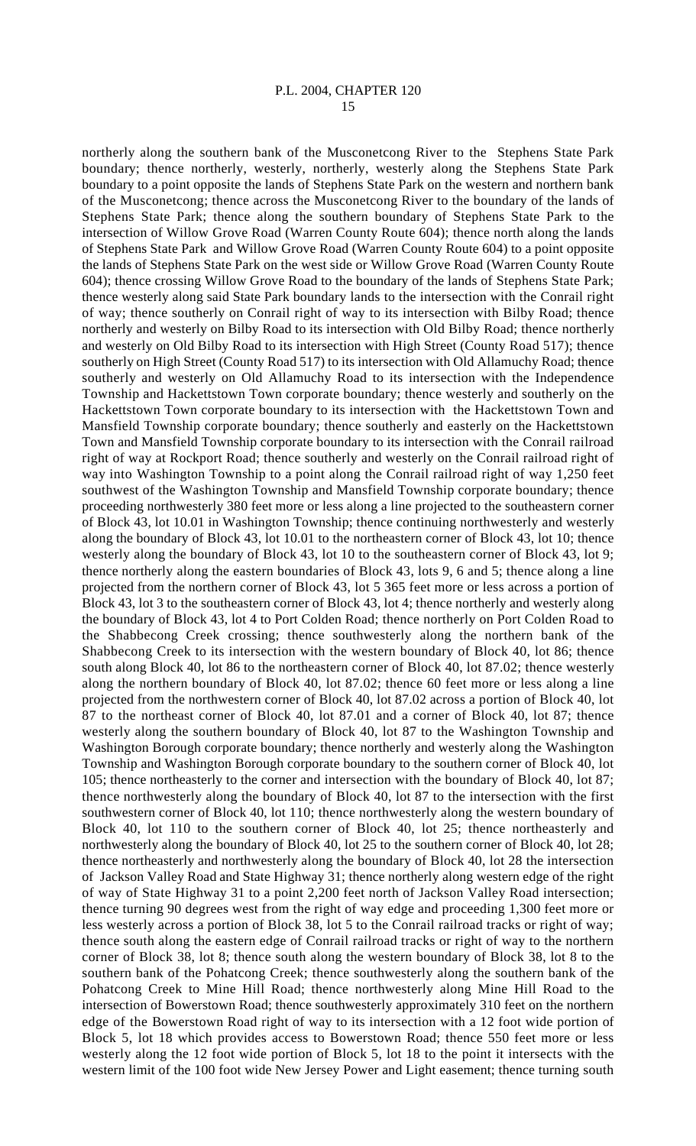northerly along the southern bank of the Musconetcong River to the Stephens State Park boundary; thence northerly, westerly, northerly, westerly along the Stephens State Park boundary to a point opposite the lands of Stephens State Park on the western and northern bank of the Musconetcong; thence across the Musconetcong River to the boundary of the lands of Stephens State Park; thence along the southern boundary of Stephens State Park to the intersection of Willow Grove Road (Warren County Route 604); thence north along the lands of Stephens State Park and Willow Grove Road (Warren County Route 604) to a point opposite the lands of Stephens State Park on the west side or Willow Grove Road (Warren County Route 604); thence crossing Willow Grove Road to the boundary of the lands of Stephens State Park; thence westerly along said State Park boundary lands to the intersection with the Conrail right of way; thence southerly on Conrail right of way to its intersection with Bilby Road; thence northerly and westerly on Bilby Road to its intersection with Old Bilby Road; thence northerly and westerly on Old Bilby Road to its intersection with High Street (County Road 517); thence southerly on High Street (County Road 517) to its intersection with Old Allamuchy Road; thence southerly and westerly on Old Allamuchy Road to its intersection with the Independence Township and Hackettstown Town corporate boundary; thence westerly and southerly on the Hackettstown Town corporate boundary to its intersection with the Hackettstown Town and Mansfield Township corporate boundary; thence southerly and easterly on the Hackettstown Town and Mansfield Township corporate boundary to its intersection with the Conrail railroad right of way at Rockport Road; thence southerly and westerly on the Conrail railroad right of way into Washington Township to a point along the Conrail railroad right of way 1,250 feet southwest of the Washington Township and Mansfield Township corporate boundary; thence proceeding northwesterly 380 feet more or less along a line projected to the southeastern corner of Block 43, lot 10.01 in Washington Township; thence continuing northwesterly and westerly along the boundary of Block 43, lot 10.01 to the northeastern corner of Block 43, lot 10; thence westerly along the boundary of Block 43, lot 10 to the southeastern corner of Block 43, lot 9; thence northerly along the eastern boundaries of Block 43, lots 9, 6 and 5; thence along a line projected from the northern corner of Block 43, lot 5 365 feet more or less across a portion of Block 43, lot 3 to the southeastern corner of Block 43, lot 4; thence northerly and westerly along the boundary of Block 43, lot 4 to Port Colden Road; thence northerly on Port Colden Road to the Shabbecong Creek crossing; thence southwesterly along the northern bank of the Shabbecong Creek to its intersection with the western boundary of Block 40, lot 86; thence south along Block 40, lot 86 to the northeastern corner of Block 40, lot 87.02; thence westerly along the northern boundary of Block 40, lot 87.02; thence 60 feet more or less along a line projected from the northwestern corner of Block 40, lot 87.02 across a portion of Block 40, lot 87 to the northeast corner of Block 40, lot 87.01 and a corner of Block 40, lot 87; thence westerly along the southern boundary of Block 40, lot 87 to the Washington Township and Washington Borough corporate boundary; thence northerly and westerly along the Washington Township and Washington Borough corporate boundary to the southern corner of Block 40, lot 105; thence northeasterly to the corner and intersection with the boundary of Block 40, lot 87; thence northwesterly along the boundary of Block 40, lot 87 to the intersection with the first southwestern corner of Block 40, lot 110; thence northwesterly along the western boundary of Block 40, lot 110 to the southern corner of Block 40, lot 25; thence northeasterly and northwesterly along the boundary of Block 40, lot 25 to the southern corner of Block 40, lot 28; thence northeasterly and northwesterly along the boundary of Block 40, lot 28 the intersection of Jackson Valley Road and State Highway 31; thence northerly along western edge of the right of way of State Highway 31 to a point 2,200 feet north of Jackson Valley Road intersection; thence turning 90 degrees west from the right of way edge and proceeding 1,300 feet more or less westerly across a portion of Block 38, lot 5 to the Conrail railroad tracks or right of way; thence south along the eastern edge of Conrail railroad tracks or right of way to the northern corner of Block 38, lot 8; thence south along the western boundary of Block 38, lot 8 to the southern bank of the Pohatcong Creek; thence southwesterly along the southern bank of the Pohatcong Creek to Mine Hill Road; thence northwesterly along Mine Hill Road to the intersection of Bowerstown Road; thence southwesterly approximately 310 feet on the northern edge of the Bowerstown Road right of way to its intersection with a 12 foot wide portion of Block 5, lot 18 which provides access to Bowerstown Road; thence 550 feet more or less westerly along the 12 foot wide portion of Block 5, lot 18 to the point it intersects with the western limit of the 100 foot wide New Jersey Power and Light easement; thence turning south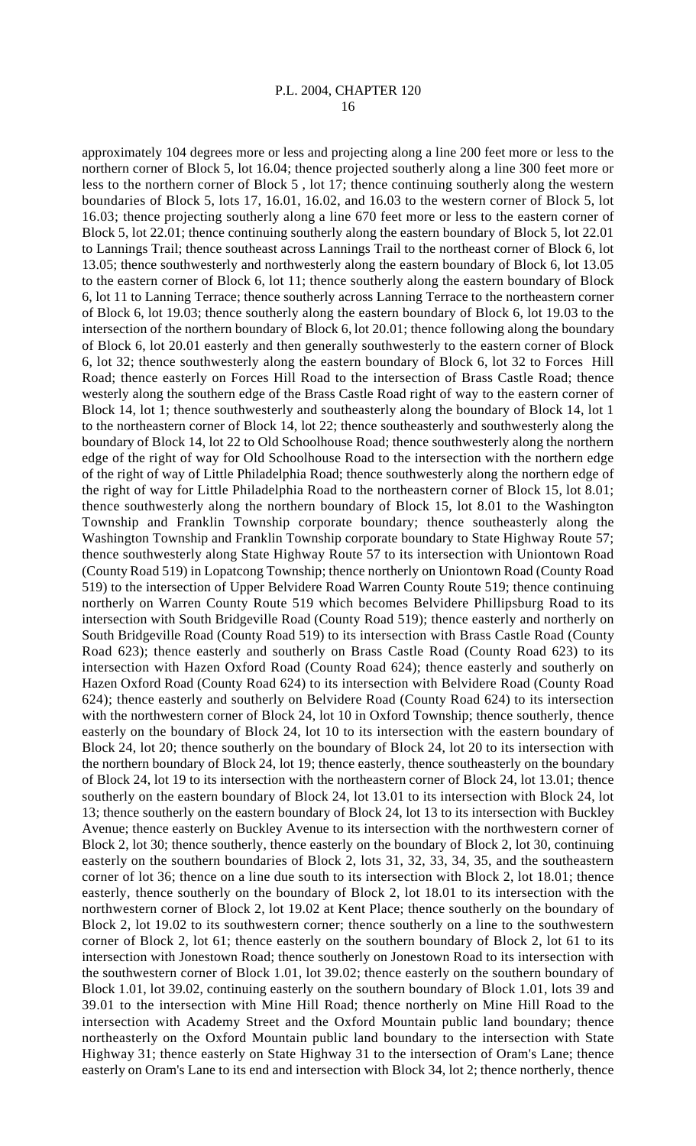approximately 104 degrees more or less and projecting along a line 200 feet more or less to the northern corner of Block 5, lot 16.04; thence projected southerly along a line 300 feet more or less to the northern corner of Block 5 , lot 17; thence continuing southerly along the western boundaries of Block 5, lots 17, 16.01, 16.02, and 16.03 to the western corner of Block 5, lot 16.03; thence projecting southerly along a line 670 feet more or less to the eastern corner of Block 5, lot 22.01; thence continuing southerly along the eastern boundary of Block 5, lot 22.01 to Lannings Trail; thence southeast across Lannings Trail to the northeast corner of Block 6, lot 13.05; thence southwesterly and northwesterly along the eastern boundary of Block 6, lot 13.05 to the eastern corner of Block 6, lot 11; thence southerly along the eastern boundary of Block 6, lot 11 to Lanning Terrace; thence southerly across Lanning Terrace to the northeastern corner of Block 6, lot 19.03; thence southerly along the eastern boundary of Block 6, lot 19.03 to the intersection of the northern boundary of Block 6, lot 20.01; thence following along the boundary of Block 6, lot 20.01 easterly and then generally southwesterly to the eastern corner of Block 6, lot 32; thence southwesterly along the eastern boundary of Block 6, lot 32 to Forces Hill Road; thence easterly on Forces Hill Road to the intersection of Brass Castle Road; thence westerly along the southern edge of the Brass Castle Road right of way to the eastern corner of Block 14, lot 1; thence southwesterly and southeasterly along the boundary of Block 14, lot 1 to the northeastern corner of Block 14, lot 22; thence southeasterly and southwesterly along the boundary of Block 14, lot 22 to Old Schoolhouse Road; thence southwesterly along the northern edge of the right of way for Old Schoolhouse Road to the intersection with the northern edge of the right of way of Little Philadelphia Road; thence southwesterly along the northern edge of the right of way for Little Philadelphia Road to the northeastern corner of Block 15, lot 8.01; thence southwesterly along the northern boundary of Block 15, lot 8.01 to the Washington Township and Franklin Township corporate boundary; thence southeasterly along the Washington Township and Franklin Township corporate boundary to State Highway Route 57; thence southwesterly along State Highway Route 57 to its intersection with Uniontown Road (County Road 519) in Lopatcong Township; thence northerly on Uniontown Road (County Road 519) to the intersection of Upper Belvidere Road Warren County Route 519; thence continuing northerly on Warren County Route 519 which becomes Belvidere Phillipsburg Road to its intersection with South Bridgeville Road (County Road 519); thence easterly and northerly on South Bridgeville Road (County Road 519) to its intersection with Brass Castle Road (County Road 623); thence easterly and southerly on Brass Castle Road (County Road 623) to its intersection with Hazen Oxford Road (County Road 624); thence easterly and southerly on Hazen Oxford Road (County Road 624) to its intersection with Belvidere Road (County Road 624); thence easterly and southerly on Belvidere Road (County Road 624) to its intersection with the northwestern corner of Block 24, lot 10 in Oxford Township; thence southerly, thence easterly on the boundary of Block 24, lot 10 to its intersection with the eastern boundary of Block 24, lot 20; thence southerly on the boundary of Block 24, lot 20 to its intersection with the northern boundary of Block 24, lot 19; thence easterly, thence southeasterly on the boundary of Block 24, lot 19 to its intersection with the northeastern corner of Block 24, lot 13.01; thence southerly on the eastern boundary of Block 24, lot 13.01 to its intersection with Block 24, lot 13; thence southerly on the eastern boundary of Block 24, lot 13 to its intersection with Buckley Avenue; thence easterly on Buckley Avenue to its intersection with the northwestern corner of Block 2, lot 30; thence southerly, thence easterly on the boundary of Block 2, lot 30, continuing easterly on the southern boundaries of Block 2, lots 31, 32, 33, 34, 35, and the southeastern corner of lot 36; thence on a line due south to its intersection with Block 2, lot 18.01; thence easterly, thence southerly on the boundary of Block 2, lot 18.01 to its intersection with the northwestern corner of Block 2, lot 19.02 at Kent Place; thence southerly on the boundary of Block 2, lot 19.02 to its southwestern corner; thence southerly on a line to the southwestern corner of Block 2, lot 61; thence easterly on the southern boundary of Block 2, lot 61 to its intersection with Jonestown Road; thence southerly on Jonestown Road to its intersection with the southwestern corner of Block 1.01, lot 39.02; thence easterly on the southern boundary of Block 1.01, lot 39.02, continuing easterly on the southern boundary of Block 1.01, lots 39 and 39.01 to the intersection with Mine Hill Road; thence northerly on Mine Hill Road to the intersection with Academy Street and the Oxford Mountain public land boundary; thence northeasterly on the Oxford Mountain public land boundary to the intersection with State Highway 31; thence easterly on State Highway 31 to the intersection of Oram's Lane; thence easterly on Oram's Lane to its end and intersection with Block 34, lot 2; thence northerly, thence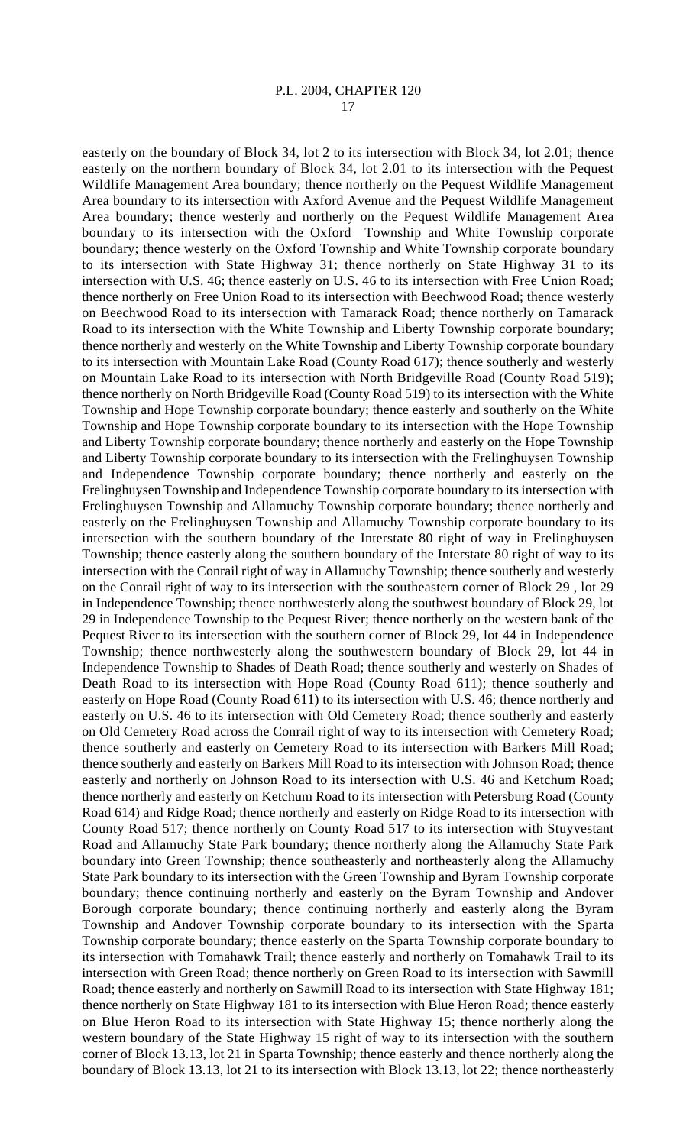easterly on the boundary of Block 34, lot 2 to its intersection with Block 34, lot 2.01; thence easterly on the northern boundary of Block 34, lot 2.01 to its intersection with the Pequest Wildlife Management Area boundary; thence northerly on the Pequest Wildlife Management Area boundary to its intersection with Axford Avenue and the Pequest Wildlife Management Area boundary; thence westerly and northerly on the Pequest Wildlife Management Area boundary to its intersection with the Oxford Township and White Township corporate boundary; thence westerly on the Oxford Township and White Township corporate boundary to its intersection with State Highway 31; thence northerly on State Highway 31 to its intersection with U.S. 46; thence easterly on U.S. 46 to its intersection with Free Union Road; thence northerly on Free Union Road to its intersection with Beechwood Road; thence westerly on Beechwood Road to its intersection with Tamarack Road; thence northerly on Tamarack Road to its intersection with the White Township and Liberty Township corporate boundary; thence northerly and westerly on the White Township and Liberty Township corporate boundary to its intersection with Mountain Lake Road (County Road 617); thence southerly and westerly on Mountain Lake Road to its intersection with North Bridgeville Road (County Road 519); thence northerly on North Bridgeville Road (County Road 519) to its intersection with the White Township and Hope Township corporate boundary; thence easterly and southerly on the White Township and Hope Township corporate boundary to its intersection with the Hope Township and Liberty Township corporate boundary; thence northerly and easterly on the Hope Township and Liberty Township corporate boundary to its intersection with the Frelinghuysen Township and Independence Township corporate boundary; thence northerly and easterly on the Frelinghuysen Township and Independence Township corporate boundary to its intersection with Frelinghuysen Township and Allamuchy Township corporate boundary; thence northerly and easterly on the Frelinghuysen Township and Allamuchy Township corporate boundary to its intersection with the southern boundary of the Interstate 80 right of way in Frelinghuysen Township; thence easterly along the southern boundary of the Interstate 80 right of way to its intersection with the Conrail right of way in Allamuchy Township; thence southerly and westerly on the Conrail right of way to its intersection with the southeastern corner of Block 29 , lot 29 in Independence Township; thence northwesterly along the southwest boundary of Block 29, lot 29 in Independence Township to the Pequest River; thence northerly on the western bank of the Pequest River to its intersection with the southern corner of Block 29, lot 44 in Independence Township; thence northwesterly along the southwestern boundary of Block 29, lot 44 in Independence Township to Shades of Death Road; thence southerly and westerly on Shades of Death Road to its intersection with Hope Road (County Road 611); thence southerly and easterly on Hope Road (County Road 611) to its intersection with U.S. 46; thence northerly and easterly on U.S. 46 to its intersection with Old Cemetery Road; thence southerly and easterly on Old Cemetery Road across the Conrail right of way to its intersection with Cemetery Road; thence southerly and easterly on Cemetery Road to its intersection with Barkers Mill Road; thence southerly and easterly on Barkers Mill Road to its intersection with Johnson Road; thence easterly and northerly on Johnson Road to its intersection with U.S. 46 and Ketchum Road; thence northerly and easterly on Ketchum Road to its intersection with Petersburg Road (County Road 614) and Ridge Road; thence northerly and easterly on Ridge Road to its intersection with County Road 517; thence northerly on County Road 517 to its intersection with Stuyvestant Road and Allamuchy State Park boundary; thence northerly along the Allamuchy State Park boundary into Green Township; thence southeasterly and northeasterly along the Allamuchy State Park boundary to its intersection with the Green Township and Byram Township corporate boundary; thence continuing northerly and easterly on the Byram Township and Andover Borough corporate boundary; thence continuing northerly and easterly along the Byram Township and Andover Township corporate boundary to its intersection with the Sparta Township corporate boundary; thence easterly on the Sparta Township corporate boundary to its intersection with Tomahawk Trail; thence easterly and northerly on Tomahawk Trail to its intersection with Green Road; thence northerly on Green Road to its intersection with Sawmill Road; thence easterly and northerly on Sawmill Road to its intersection with State Highway 181; thence northerly on State Highway 181 to its intersection with Blue Heron Road; thence easterly on Blue Heron Road to its intersection with State Highway 15; thence northerly along the western boundary of the State Highway 15 right of way to its intersection with the southern corner of Block 13.13, lot 21 in Sparta Township; thence easterly and thence northerly along the boundary of Block 13.13, lot 21 to its intersection with Block 13.13, lot 22; thence northeasterly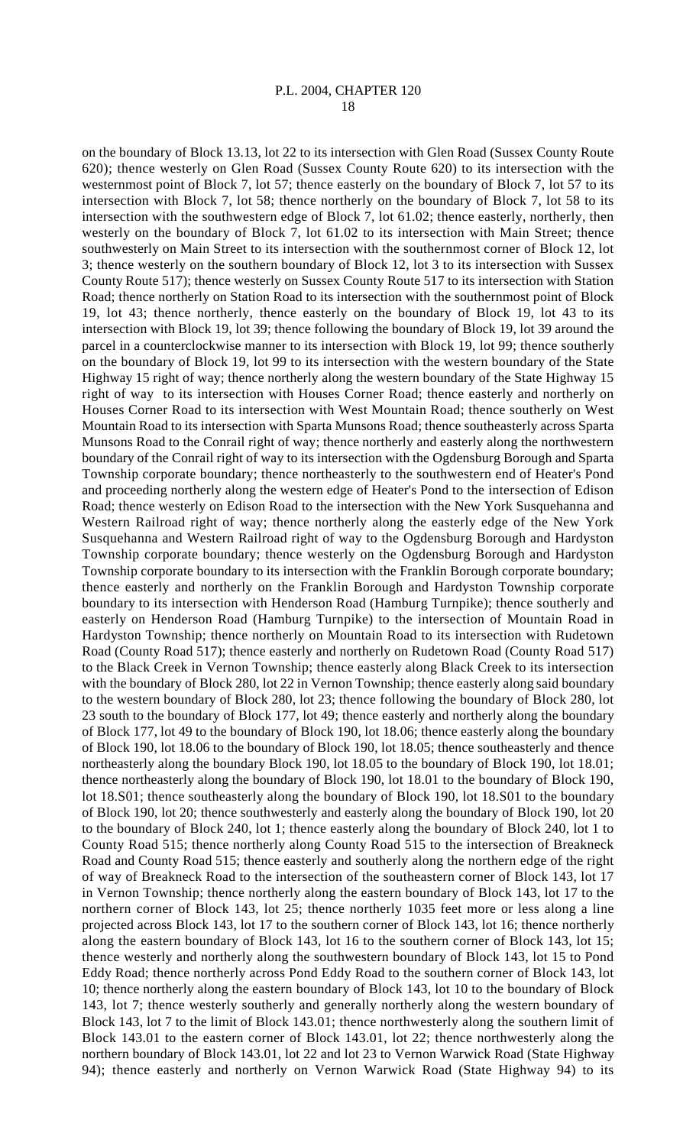P.L. 2004, CHAPTER 120

18

on the boundary of Block 13.13, lot 22 to its intersection with Glen Road (Sussex County Route 620); thence westerly on Glen Road (Sussex County Route 620) to its intersection with the westernmost point of Block 7, lot 57; thence easterly on the boundary of Block 7, lot 57 to its intersection with Block 7, lot 58; thence northerly on the boundary of Block 7, lot 58 to its intersection with the southwestern edge of Block 7, lot 61.02; thence easterly, northerly, then westerly on the boundary of Block 7, lot 61.02 to its intersection with Main Street; thence southwesterly on Main Street to its intersection with the southernmost corner of Block 12, lot 3; thence westerly on the southern boundary of Block 12, lot 3 to its intersection with Sussex County Route 517); thence westerly on Sussex County Route 517 to its intersection with Station Road; thence northerly on Station Road to its intersection with the southernmost point of Block 19, lot 43; thence northerly, thence easterly on the boundary of Block 19, lot 43 to its intersection with Block 19, lot 39; thence following the boundary of Block 19, lot 39 around the parcel in a counterclockwise manner to its intersection with Block 19, lot 99; thence southerly on the boundary of Block 19, lot 99 to its intersection with the western boundary of the State Highway 15 right of way; thence northerly along the western boundary of the State Highway 15 right of way to its intersection with Houses Corner Road; thence easterly and northerly on Houses Corner Road to its intersection with West Mountain Road; thence southerly on West Mountain Road to its intersection with Sparta Munsons Road; thence southeasterly across Sparta Munsons Road to the Conrail right of way; thence northerly and easterly along the northwestern boundary of the Conrail right of way to its intersection with the Ogdensburg Borough and Sparta Township corporate boundary; thence northeasterly to the southwestern end of Heater's Pond and proceeding northerly along the western edge of Heater's Pond to the intersection of Edison Road; thence westerly on Edison Road to the intersection with the New York Susquehanna and Western Railroad right of way; thence northerly along the easterly edge of the New York Susquehanna and Western Railroad right of way to the Ogdensburg Borough and Hardyston Township corporate boundary; thence westerly on the Ogdensburg Borough and Hardyston Township corporate boundary to its intersection with the Franklin Borough corporate boundary; thence easterly and northerly on the Franklin Borough and Hardyston Township corporate boundary to its intersection with Henderson Road (Hamburg Turnpike); thence southerly and easterly on Henderson Road (Hamburg Turnpike) to the intersection of Mountain Road in Hardyston Township; thence northerly on Mountain Road to its intersection with Rudetown Road (County Road 517); thence easterly and northerly on Rudetown Road (County Road 517) to the Black Creek in Vernon Township; thence easterly along Black Creek to its intersection with the boundary of Block 280, lot 22 in Vernon Township; thence easterly along said boundary to the western boundary of Block 280, lot 23; thence following the boundary of Block 280, lot 23 south to the boundary of Block 177, lot 49; thence easterly and northerly along the boundary of Block 177, lot 49 to the boundary of Block 190, lot 18.06; thence easterly along the boundary of Block 190, lot 18.06 to the boundary of Block 190, lot 18.05; thence southeasterly and thence northeasterly along the boundary Block 190, lot 18.05 to the boundary of Block 190, lot 18.01; thence northeasterly along the boundary of Block 190, lot 18.01 to the boundary of Block 190, lot 18.S01; thence southeasterly along the boundary of Block 190, lot 18.S01 to the boundary of Block 190, lot 20; thence southwesterly and easterly along the boundary of Block 190, lot 20 to the boundary of Block 240, lot 1; thence easterly along the boundary of Block 240, lot 1 to County Road 515; thence northerly along County Road 515 to the intersection of Breakneck Road and County Road 515; thence easterly and southerly along the northern edge of the right of way of Breakneck Road to the intersection of the southeastern corner of Block 143, lot 17 in Vernon Township; thence northerly along the eastern boundary of Block 143, lot 17 to the northern corner of Block 143, lot 25; thence northerly 1035 feet more or less along a line projected across Block 143, lot 17 to the southern corner of Block 143, lot 16; thence northerly along the eastern boundary of Block 143, lot 16 to the southern corner of Block 143, lot 15; thence westerly and northerly along the southwestern boundary of Block 143, lot 15 to Pond Eddy Road; thence northerly across Pond Eddy Road to the southern corner of Block 143, lot 10; thence northerly along the eastern boundary of Block 143, lot 10 to the boundary of Block 143, lot 7; thence westerly southerly and generally northerly along the western boundary of Block 143, lot 7 to the limit of Block 143.01; thence northwesterly along the southern limit of Block 143.01 to the eastern corner of Block 143.01, lot 22; thence northwesterly along the northern boundary of Block 143.01, lot 22 and lot 23 to Vernon Warwick Road (State Highway 94); thence easterly and northerly on Vernon Warwick Road (State Highway 94) to its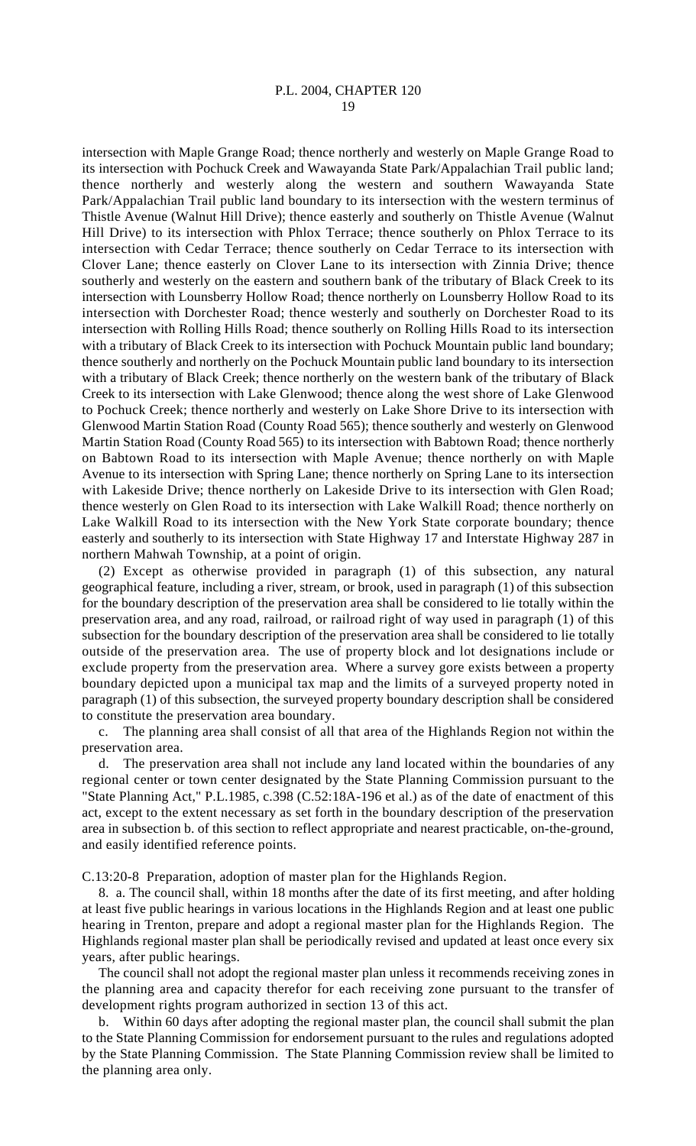intersection with Maple Grange Road; thence northerly and westerly on Maple Grange Road to its intersection with Pochuck Creek and Wawayanda State Park/Appalachian Trail public land; thence northerly and westerly along the western and southern Wawayanda State Park/Appalachian Trail public land boundary to its intersection with the western terminus of Thistle Avenue (Walnut Hill Drive); thence easterly and southerly on Thistle Avenue (Walnut Hill Drive) to its intersection with Phlox Terrace; thence southerly on Phlox Terrace to its intersection with Cedar Terrace; thence southerly on Cedar Terrace to its intersection with Clover Lane; thence easterly on Clover Lane to its intersection with Zinnia Drive; thence southerly and westerly on the eastern and southern bank of the tributary of Black Creek to its intersection with Lounsberry Hollow Road; thence northerly on Lounsberry Hollow Road to its intersection with Dorchester Road; thence westerly and southerly on Dorchester Road to its intersection with Rolling Hills Road; thence southerly on Rolling Hills Road to its intersection with a tributary of Black Creek to its intersection with Pochuck Mountain public land boundary; thence southerly and northerly on the Pochuck Mountain public land boundary to its intersection with a tributary of Black Creek; thence northerly on the western bank of the tributary of Black Creek to its intersection with Lake Glenwood; thence along the west shore of Lake Glenwood to Pochuck Creek; thence northerly and westerly on Lake Shore Drive to its intersection with Glenwood Martin Station Road (County Road 565); thence southerly and westerly on Glenwood Martin Station Road (County Road 565) to its intersection with Babtown Road; thence northerly on Babtown Road to its intersection with Maple Avenue; thence northerly on with Maple Avenue to its intersection with Spring Lane; thence northerly on Spring Lane to its intersection with Lakeside Drive; thence northerly on Lakeside Drive to its intersection with Glen Road; thence westerly on Glen Road to its intersection with Lake Walkill Road; thence northerly on Lake Walkill Road to its intersection with the New York State corporate boundary; thence easterly and southerly to its intersection with State Highway 17 and Interstate Highway 287 in northern Mahwah Township, at a point of origin.

(2) Except as otherwise provided in paragraph (1) of this subsection, any natural geographical feature, including a river, stream, or brook, used in paragraph (1) of this subsection for the boundary description of the preservation area shall be considered to lie totally within the preservation area, and any road, railroad, or railroad right of way used in paragraph (1) of this subsection for the boundary description of the preservation area shall be considered to lie totally outside of the preservation area. The use of property block and lot designations include or exclude property from the preservation area. Where a survey gore exists between a property boundary depicted upon a municipal tax map and the limits of a surveyed property noted in paragraph (1) of this subsection, the surveyed property boundary description shall be considered to constitute the preservation area boundary.

c. The planning area shall consist of all that area of the Highlands Region not within the preservation area.

d. The preservation area shall not include any land located within the boundaries of any regional center or town center designated by the State Planning Commission pursuant to the "State Planning Act," P.L.1985, c.398 (C.52:18A-196 et al.) as of the date of enactment of this act, except to the extent necessary as set forth in the boundary description of the preservation area in subsection b. of this section to reflect appropriate and nearest practicable, on-the-ground, and easily identified reference points.

C.13:20-8 Preparation, adoption of master plan for the Highlands Region.

8. a. The council shall, within 18 months after the date of its first meeting, and after holding at least five public hearings in various locations in the Highlands Region and at least one public hearing in Trenton, prepare and adopt a regional master plan for the Highlands Region. The Highlands regional master plan shall be periodically revised and updated at least once every six years, after public hearings.

The council shall not adopt the regional master plan unless it recommends receiving zones in the planning area and capacity therefor for each receiving zone pursuant to the transfer of development rights program authorized in section 13 of this act.

b. Within 60 days after adopting the regional master plan, the council shall submit the plan to the State Planning Commission for endorsement pursuant to the rules and regulations adopted by the State Planning Commission. The State Planning Commission review shall be limited to the planning area only.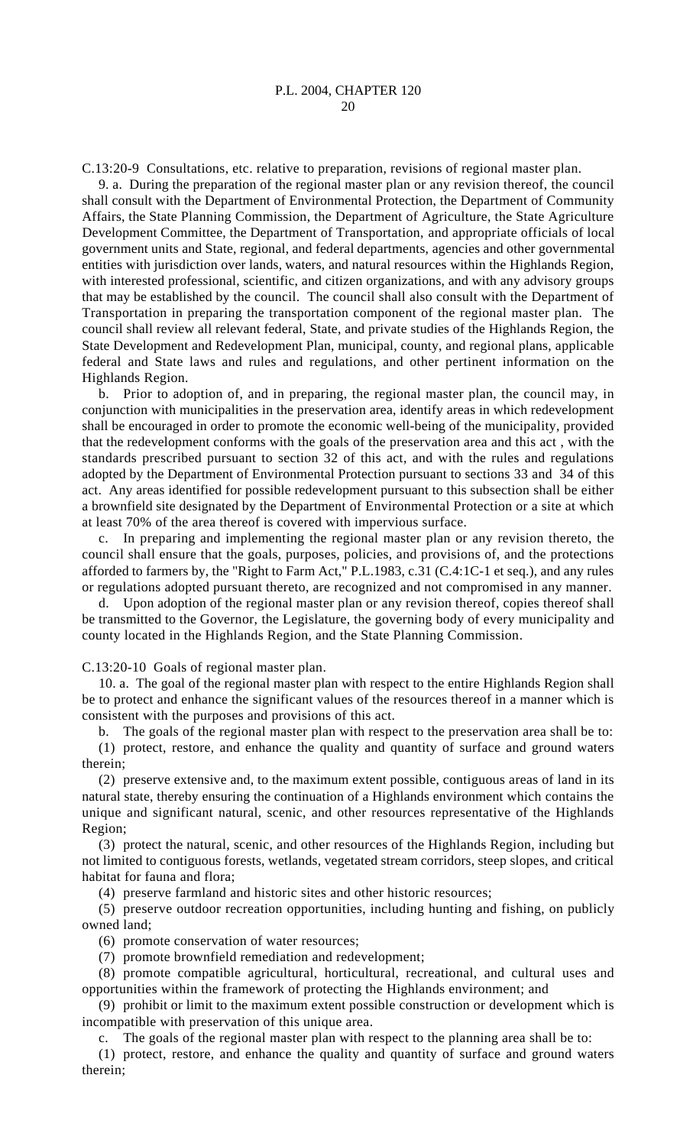C.13:20-9 Consultations, etc. relative to preparation, revisions of regional master plan.

9. a. During the preparation of the regional master plan or any revision thereof, the council shall consult with the Department of Environmental Protection, the Department of Community Affairs, the State Planning Commission, the Department of Agriculture, the State Agriculture Development Committee, the Department of Transportation, and appropriate officials of local government units and State, regional, and federal departments, agencies and other governmental entities with jurisdiction over lands, waters, and natural resources within the Highlands Region, with interested professional, scientific, and citizen organizations, and with any advisory groups that may be established by the council. The council shall also consult with the Department of Transportation in preparing the transportation component of the regional master plan. The council shall review all relevant federal, State, and private studies of the Highlands Region, the State Development and Redevelopment Plan, municipal, county, and regional plans, applicable federal and State laws and rules and regulations, and other pertinent information on the Highlands Region.

b. Prior to adoption of, and in preparing, the regional master plan, the council may, in conjunction with municipalities in the preservation area, identify areas in which redevelopment shall be encouraged in order to promote the economic well-being of the municipality, provided that the redevelopment conforms with the goals of the preservation area and this act , with the standards prescribed pursuant to section 32 of this act, and with the rules and regulations adopted by the Department of Environmental Protection pursuant to sections 33 and 34 of this act. Any areas identified for possible redevelopment pursuant to this subsection shall be either a brownfield site designated by the Department of Environmental Protection or a site at which at least 70% of the area thereof is covered with impervious surface.

c. In preparing and implementing the regional master plan or any revision thereto, the council shall ensure that the goals, purposes, policies, and provisions of, and the protections afforded to farmers by, the "Right to Farm Act," P.L.1983, c.31 (C.4:1C-1 et seq.), and any rules or regulations adopted pursuant thereto, are recognized and not compromised in any manner.

d. Upon adoption of the regional master plan or any revision thereof, copies thereof shall be transmitted to the Governor, the Legislature, the governing body of every municipality and county located in the Highlands Region, and the State Planning Commission.

C.13:20-10 Goals of regional master plan.

10. a. The goal of the regional master plan with respect to the entire Highlands Region shall be to protect and enhance the significant values of the resources thereof in a manner which is consistent with the purposes and provisions of this act.

b. The goals of the regional master plan with respect to the preservation area shall be to: (1) protect, restore, and enhance the quality and quantity of surface and ground waters therein;

(2) preserve extensive and, to the maximum extent possible, contiguous areas of land in its natural state, thereby ensuring the continuation of a Highlands environment which contains the unique and significant natural, scenic, and other resources representative of the Highlands Region;

(3) protect the natural, scenic, and other resources of the Highlands Region, including but not limited to contiguous forests, wetlands, vegetated stream corridors, steep slopes, and critical habitat for fauna and flora;

(4) preserve farmland and historic sites and other historic resources;

(5) preserve outdoor recreation opportunities, including hunting and fishing, on publicly owned land;

(6) promote conservation of water resources;

(7) promote brownfield remediation and redevelopment;

(8) promote compatible agricultural, horticultural, recreational, and cultural uses and opportunities within the framework of protecting the Highlands environment; and

(9) prohibit or limit to the maximum extent possible construction or development which is incompatible with preservation of this unique area.

c. The goals of the regional master plan with respect to the planning area shall be to:

(1) protect, restore, and enhance the quality and quantity of surface and ground waters therein;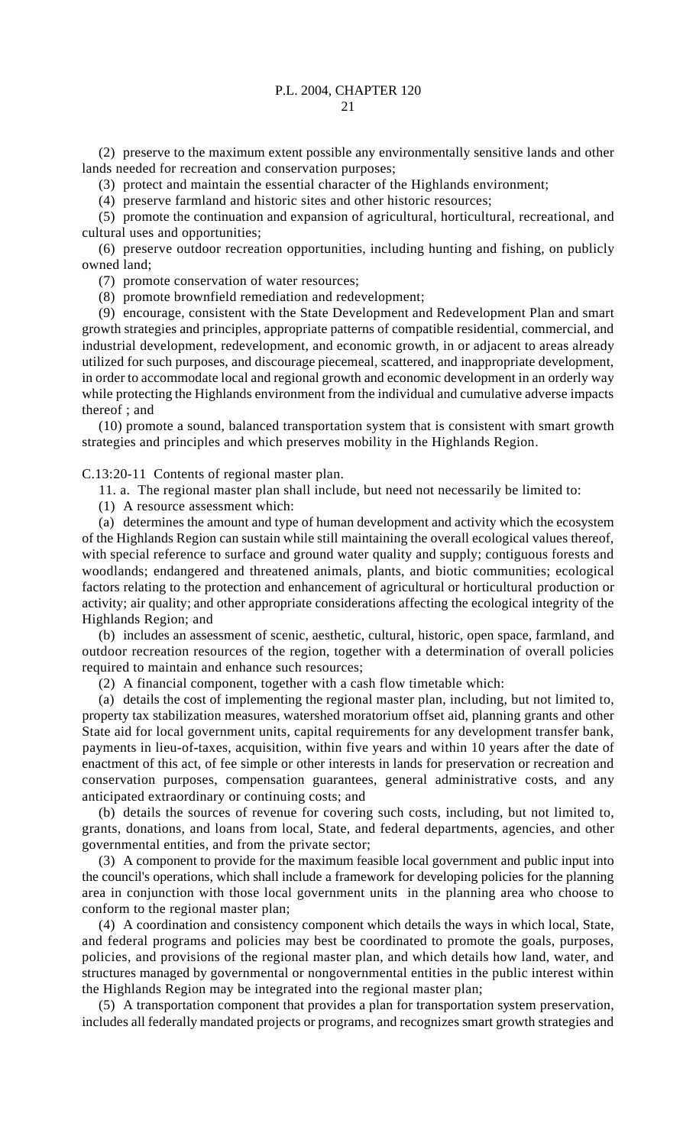# P.L. 2004, CHAPTER 120

 $21$ 

(2) preserve to the maximum extent possible any environmentally sensitive lands and other lands needed for recreation and conservation purposes;

(3) protect and maintain the essential character of the Highlands environment;

(4) preserve farmland and historic sites and other historic resources;

(5) promote the continuation and expansion of agricultural, horticultural, recreational, and cultural uses and opportunities;

(6) preserve outdoor recreation opportunities, including hunting and fishing, on publicly owned land;

(7) promote conservation of water resources;

(8) promote brownfield remediation and redevelopment;

(9) encourage, consistent with the State Development and Redevelopment Plan and smart growth strategies and principles, appropriate patterns of compatible residential, commercial, and industrial development, redevelopment, and economic growth, in or adjacent to areas already utilized for such purposes, and discourage piecemeal, scattered, and inappropriate development, in order to accommodate local and regional growth and economic development in an orderly way while protecting the Highlands environment from the individual and cumulative adverse impacts thereof ; and

(10) promote a sound, balanced transportation system that is consistent with smart growth strategies and principles and which preserves mobility in the Highlands Region.

C.13:20-11 Contents of regional master plan.

11. a. The regional master plan shall include, but need not necessarily be limited to:

(1) A resource assessment which:

(a) determines the amount and type of human development and activity which the ecosystem of the Highlands Region can sustain while still maintaining the overall ecological values thereof, with special reference to surface and ground water quality and supply; contiguous forests and woodlands; endangered and threatened animals, plants, and biotic communities; ecological factors relating to the protection and enhancement of agricultural or horticultural production or activity; air quality; and other appropriate considerations affecting the ecological integrity of the Highlands Region; and

(b) includes an assessment of scenic, aesthetic, cultural, historic, open space, farmland, and outdoor recreation resources of the region, together with a determination of overall policies required to maintain and enhance such resources;

(2) A financial component, together with a cash flow timetable which:

(a) details the cost of implementing the regional master plan, including, but not limited to, property tax stabilization measures, watershed moratorium offset aid, planning grants and other State aid for local government units, capital requirements for any development transfer bank, payments in lieu-of-taxes, acquisition, within five years and within 10 years after the date of enactment of this act, of fee simple or other interests in lands for preservation or recreation and conservation purposes, compensation guarantees, general administrative costs, and any anticipated extraordinary or continuing costs; and

(b) details the sources of revenue for covering such costs, including, but not limited to, grants, donations, and loans from local, State, and federal departments, agencies, and other governmental entities, and from the private sector;

(3) A component to provide for the maximum feasible local government and public input into the council's operations, which shall include a framework for developing policies for the planning area in conjunction with those local government units in the planning area who choose to conform to the regional master plan;

(4) A coordination and consistency component which details the ways in which local, State, and federal programs and policies may best be coordinated to promote the goals, purposes, policies, and provisions of the regional master plan, and which details how land, water, and structures managed by governmental or nongovernmental entities in the public interest within the Highlands Region may be integrated into the regional master plan;

(5) A transportation component that provides a plan for transportation system preservation, includes all federally mandated projects or programs, and recognizes smart growth strategies and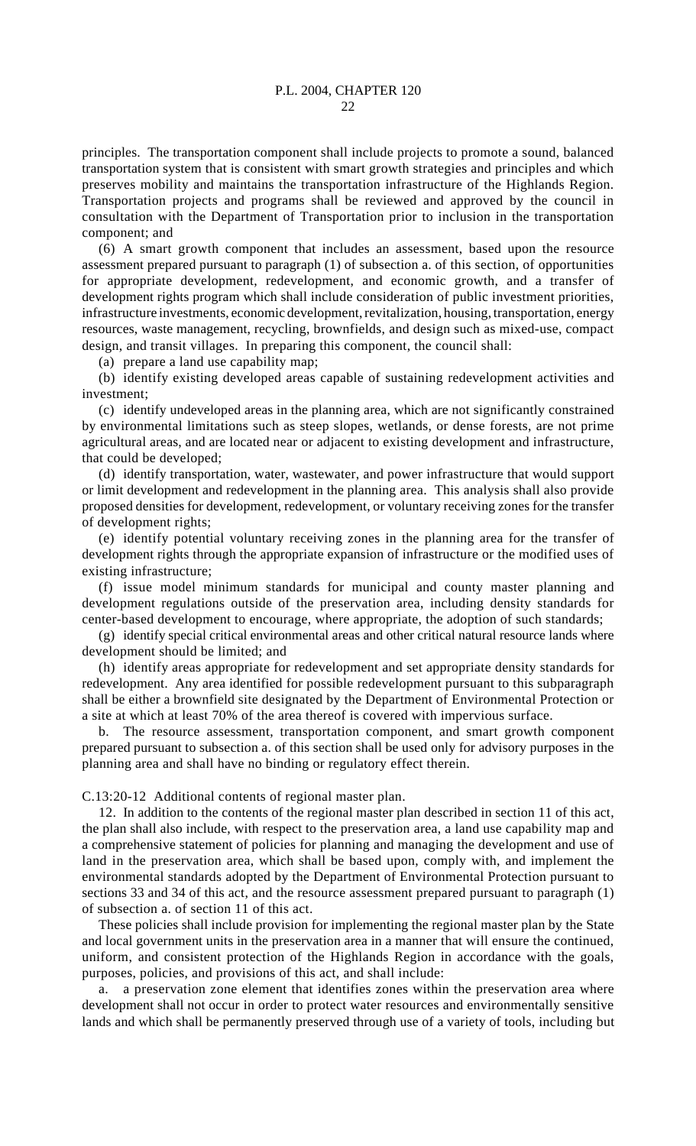principles. The transportation component shall include projects to promote a sound, balanced transportation system that is consistent with smart growth strategies and principles and which preserves mobility and maintains the transportation infrastructure of the Highlands Region. Transportation projects and programs shall be reviewed and approved by the council in consultation with the Department of Transportation prior to inclusion in the transportation component; and

(6) A smart growth component that includes an assessment, based upon the resource assessment prepared pursuant to paragraph (1) of subsection a. of this section, of opportunities for appropriate development, redevelopment, and economic growth, and a transfer of development rights program which shall include consideration of public investment priorities, infrastructure investments, economic development, revitalization, housing, transportation, energy resources, waste management, recycling, brownfields, and design such as mixed-use, compact design, and transit villages. In preparing this component, the council shall:

(a) prepare a land use capability map;

(b) identify existing developed areas capable of sustaining redevelopment activities and investment;

(c) identify undeveloped areas in the planning area, which are not significantly constrained by environmental limitations such as steep slopes, wetlands, or dense forests, are not prime agricultural areas, and are located near or adjacent to existing development and infrastructure, that could be developed;

(d) identify transportation, water, wastewater, and power infrastructure that would support or limit development and redevelopment in the planning area. This analysis shall also provide proposed densities for development, redevelopment, or voluntary receiving zones for the transfer of development rights;

(e) identify potential voluntary receiving zones in the planning area for the transfer of development rights through the appropriate expansion of infrastructure or the modified uses of existing infrastructure;

(f) issue model minimum standards for municipal and county master planning and development regulations outside of the preservation area, including density standards for center-based development to encourage, where appropriate, the adoption of such standards;

(g) identify special critical environmental areas and other critical natural resource lands where development should be limited; and

(h) identify areas appropriate for redevelopment and set appropriate density standards for redevelopment. Any area identified for possible redevelopment pursuant to this subparagraph shall be either a brownfield site designated by the Department of Environmental Protection or a site at which at least 70% of the area thereof is covered with impervious surface.

b. The resource assessment, transportation component, and smart growth component prepared pursuant to subsection a. of this section shall be used only for advisory purposes in the planning area and shall have no binding or regulatory effect therein.

C.13:20-12 Additional contents of regional master plan.

12. In addition to the contents of the regional master plan described in section 11 of this act, the plan shall also include, with respect to the preservation area, a land use capability map and a comprehensive statement of policies for planning and managing the development and use of land in the preservation area, which shall be based upon, comply with, and implement the environmental standards adopted by the Department of Environmental Protection pursuant to sections 33 and 34 of this act, and the resource assessment prepared pursuant to paragraph (1) of subsection a. of section 11 of this act.

These policies shall include provision for implementing the regional master plan by the State and local government units in the preservation area in a manner that will ensure the continued, uniform, and consistent protection of the Highlands Region in accordance with the goals, purposes, policies, and provisions of this act, and shall include:

a. a preservation zone element that identifies zones within the preservation area where development shall not occur in order to protect water resources and environmentally sensitive lands and which shall be permanently preserved through use of a variety of tools, including but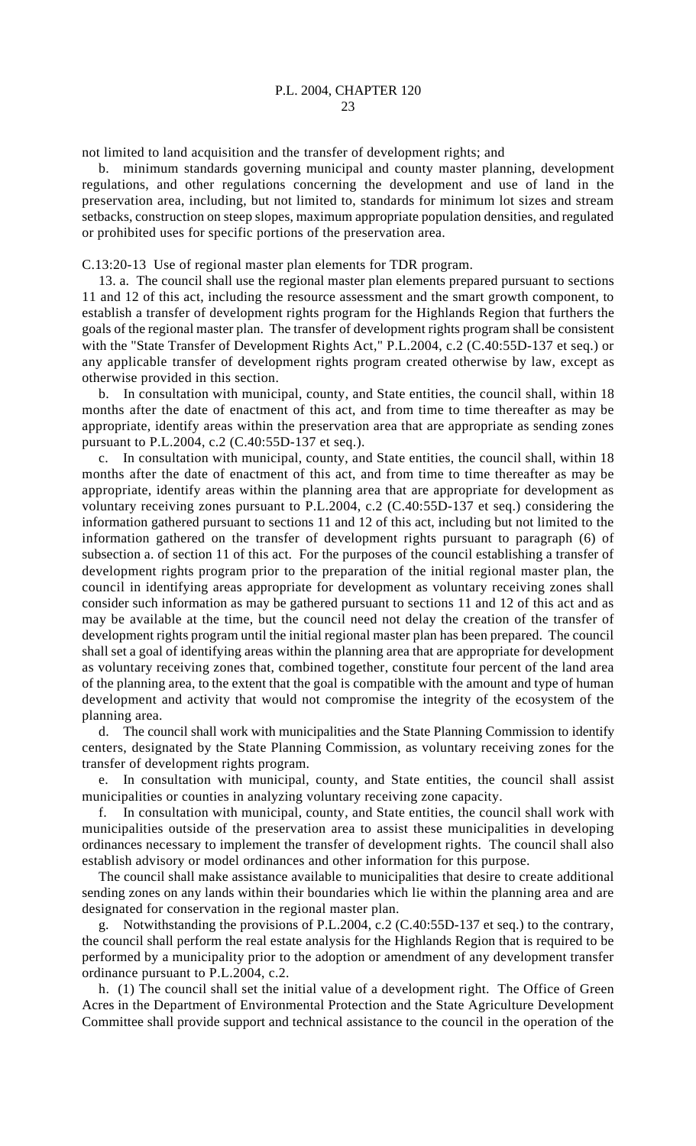not limited to land acquisition and the transfer of development rights; and

b. minimum standards governing municipal and county master planning, development regulations, and other regulations concerning the development and use of land in the preservation area, including, but not limited to, standards for minimum lot sizes and stream setbacks, construction on steep slopes, maximum appropriate population densities, and regulated or prohibited uses for specific portions of the preservation area.

C.13:20-13 Use of regional master plan elements for TDR program.

13. a. The council shall use the regional master plan elements prepared pursuant to sections 11 and 12 of this act, including the resource assessment and the smart growth component, to establish a transfer of development rights program for the Highlands Region that furthers the goals of the regional master plan. The transfer of development rights program shall be consistent with the "State Transfer of Development Rights Act," P.L.2004, c.2 (C.40:55D-137 et seq.) or any applicable transfer of development rights program created otherwise by law, except as otherwise provided in this section.

b. In consultation with municipal, county, and State entities, the council shall, within 18 months after the date of enactment of this act, and from time to time thereafter as may be appropriate, identify areas within the preservation area that are appropriate as sending zones pursuant to P.L.2004, c.2 (C.40:55D-137 et seq.).

c. In consultation with municipal, county, and State entities, the council shall, within 18 months after the date of enactment of this act, and from time to time thereafter as may be appropriate, identify areas within the planning area that are appropriate for development as voluntary receiving zones pursuant to P.L.2004, c.2 (C.40:55D-137 et seq.) considering the information gathered pursuant to sections 11 and 12 of this act, including but not limited to the information gathered on the transfer of development rights pursuant to paragraph (6) of subsection a. of section 11 of this act. For the purposes of the council establishing a transfer of development rights program prior to the preparation of the initial regional master plan, the council in identifying areas appropriate for development as voluntary receiving zones shall consider such information as may be gathered pursuant to sections 11 and 12 of this act and as may be available at the time, but the council need not delay the creation of the transfer of development rights program until the initial regional master plan has been prepared. The council shall set a goal of identifying areas within the planning area that are appropriate for development as voluntary receiving zones that, combined together, constitute four percent of the land area of the planning area, to the extent that the goal is compatible with the amount and type of human development and activity that would not compromise the integrity of the ecosystem of the planning area.

d. The council shall work with municipalities and the State Planning Commission to identify centers, designated by the State Planning Commission, as voluntary receiving zones for the transfer of development rights program.

e. In consultation with municipal, county, and State entities, the council shall assist municipalities or counties in analyzing voluntary receiving zone capacity.

f. In consultation with municipal, county, and State entities, the council shall work with municipalities outside of the preservation area to assist these municipalities in developing ordinances necessary to implement the transfer of development rights. The council shall also establish advisory or model ordinances and other information for this purpose.

The council shall make assistance available to municipalities that desire to create additional sending zones on any lands within their boundaries which lie within the planning area and are designated for conservation in the regional master plan.

g. Notwithstanding the provisions of P.L.2004, c.2 (C.40:55D-137 et seq.) to the contrary, the council shall perform the real estate analysis for the Highlands Region that is required to be performed by a municipality prior to the adoption or amendment of any development transfer ordinance pursuant to P.L.2004, c.2.

h. (1) The council shall set the initial value of a development right. The Office of Green Acres in the Department of Environmental Protection and the State Agriculture Development Committee shall provide support and technical assistance to the council in the operation of the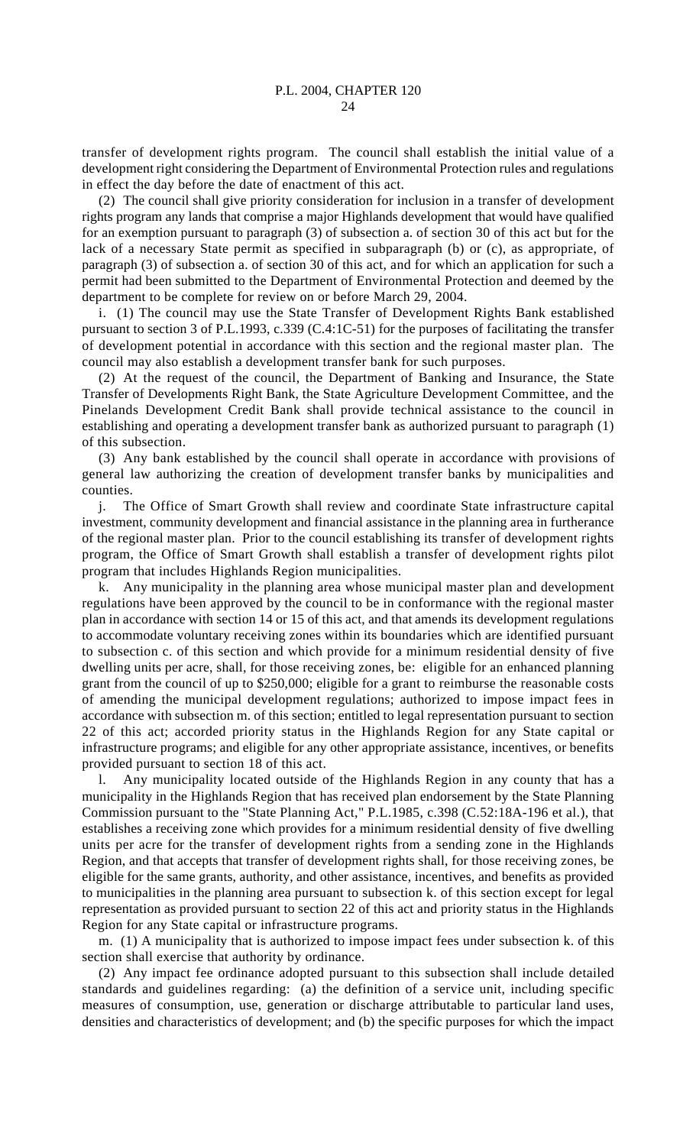transfer of development rights program. The council shall establish the initial value of a development right considering the Department of Environmental Protection rules and regulations in effect the day before the date of enactment of this act.

(2) The council shall give priority consideration for inclusion in a transfer of development rights program any lands that comprise a major Highlands development that would have qualified for an exemption pursuant to paragraph (3) of subsection a. of section 30 of this act but for the lack of a necessary State permit as specified in subparagraph (b) or (c), as appropriate, of paragraph (3) of subsection a. of section 30 of this act, and for which an application for such a permit had been submitted to the Department of Environmental Protection and deemed by the department to be complete for review on or before March 29, 2004.

i. (1) The council may use the State Transfer of Development Rights Bank established pursuant to section 3 of P.L.1993, c.339 (C.4:1C-51) for the purposes of facilitating the transfer of development potential in accordance with this section and the regional master plan. The council may also establish a development transfer bank for such purposes.

(2) At the request of the council, the Department of Banking and Insurance, the State Transfer of Developments Right Bank, the State Agriculture Development Committee, and the Pinelands Development Credit Bank shall provide technical assistance to the council in establishing and operating a development transfer bank as authorized pursuant to paragraph (1) of this subsection.

(3) Any bank established by the council shall operate in accordance with provisions of general law authorizing the creation of development transfer banks by municipalities and counties.

j. The Office of Smart Growth shall review and coordinate State infrastructure capital investment, community development and financial assistance in the planning area in furtherance of the regional master plan. Prior to the council establishing its transfer of development rights program, the Office of Smart Growth shall establish a transfer of development rights pilot program that includes Highlands Region municipalities.

k. Any municipality in the planning area whose municipal master plan and development regulations have been approved by the council to be in conformance with the regional master plan in accordance with section 14 or 15 of this act, and that amends its development regulations to accommodate voluntary receiving zones within its boundaries which are identified pursuant to subsection c. of this section and which provide for a minimum residential density of five dwelling units per acre, shall, for those receiving zones, be: eligible for an enhanced planning grant from the council of up to \$250,000; eligible for a grant to reimburse the reasonable costs of amending the municipal development regulations; authorized to impose impact fees in accordance with subsection m. of this section; entitled to legal representation pursuant to section 22 of this act; accorded priority status in the Highlands Region for any State capital or infrastructure programs; and eligible for any other appropriate assistance, incentives, or benefits provided pursuant to section 18 of this act.

l. Any municipality located outside of the Highlands Region in any county that has a municipality in the Highlands Region that has received plan endorsement by the State Planning Commission pursuant to the "State Planning Act," P.L.1985, c.398 (C.52:18A-196 et al.), that establishes a receiving zone which provides for a minimum residential density of five dwelling units per acre for the transfer of development rights from a sending zone in the Highlands Region, and that accepts that transfer of development rights shall, for those receiving zones, be eligible for the same grants, authority, and other assistance, incentives, and benefits as provided to municipalities in the planning area pursuant to subsection k. of this section except for legal representation as provided pursuant to section 22 of this act and priority status in the Highlands Region for any State capital or infrastructure programs.

m. (1) A municipality that is authorized to impose impact fees under subsection k. of this section shall exercise that authority by ordinance.

(2) Any impact fee ordinance adopted pursuant to this subsection shall include detailed standards and guidelines regarding: (a) the definition of a service unit, including specific measures of consumption, use, generation or discharge attributable to particular land uses, densities and characteristics of development; and (b) the specific purposes for which the impact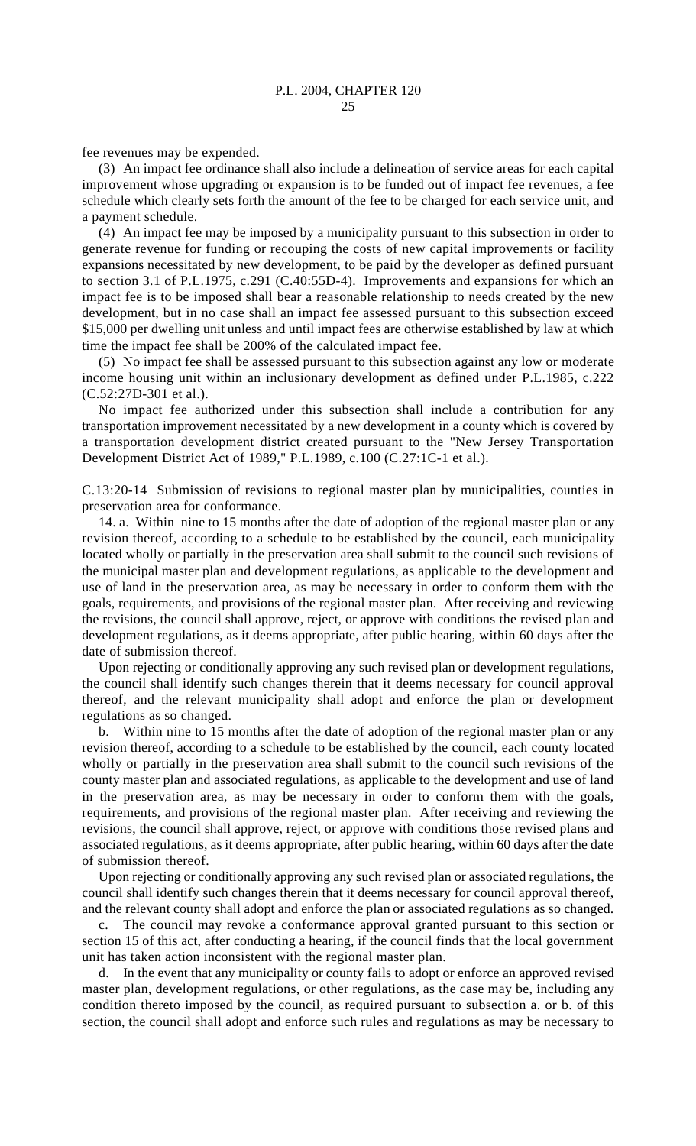fee revenues may be expended.

(3) An impact fee ordinance shall also include a delineation of service areas for each capital improvement whose upgrading or expansion is to be funded out of impact fee revenues, a fee schedule which clearly sets forth the amount of the fee to be charged for each service unit, and a payment schedule.

(4) An impact fee may be imposed by a municipality pursuant to this subsection in order to generate revenue for funding or recouping the costs of new capital improvements or facility expansions necessitated by new development, to be paid by the developer as defined pursuant to section 3.1 of P.L.1975, c.291 (C.40:55D-4). Improvements and expansions for which an impact fee is to be imposed shall bear a reasonable relationship to needs created by the new development, but in no case shall an impact fee assessed pursuant to this subsection exceed \$15,000 per dwelling unit unless and until impact fees are otherwise established by law at which time the impact fee shall be 200% of the calculated impact fee.

(5) No impact fee shall be assessed pursuant to this subsection against any low or moderate income housing unit within an inclusionary development as defined under P.L.1985, c.222 (C.52:27D-301 et al.).

No impact fee authorized under this subsection shall include a contribution for any transportation improvement necessitated by a new development in a county which is covered by a transportation development district created pursuant to the "New Jersey Transportation Development District Act of 1989," P.L.1989, c.100 (C.27:1C-1 et al.).

C.13:20-14 Submission of revisions to regional master plan by municipalities, counties in preservation area for conformance.

14. a. Within nine to 15 months after the date of adoption of the regional master plan or any revision thereof, according to a schedule to be established by the council, each municipality located wholly or partially in the preservation area shall submit to the council such revisions of the municipal master plan and development regulations, as applicable to the development and use of land in the preservation area, as may be necessary in order to conform them with the goals, requirements, and provisions of the regional master plan. After receiving and reviewing the revisions, the council shall approve, reject, or approve with conditions the revised plan and development regulations, as it deems appropriate, after public hearing, within 60 days after the date of submission thereof.

Upon rejecting or conditionally approving any such revised plan or development regulations, the council shall identify such changes therein that it deems necessary for council approval thereof, and the relevant municipality shall adopt and enforce the plan or development regulations as so changed.

b. Within nine to 15 months after the date of adoption of the regional master plan or any revision thereof, according to a schedule to be established by the council, each county located wholly or partially in the preservation area shall submit to the council such revisions of the county master plan and associated regulations, as applicable to the development and use of land in the preservation area, as may be necessary in order to conform them with the goals, requirements, and provisions of the regional master plan. After receiving and reviewing the revisions, the council shall approve, reject, or approve with conditions those revised plans and associated regulations, as it deems appropriate, after public hearing, within 60 days after the date of submission thereof.

Upon rejecting or conditionally approving any such revised plan or associated regulations, the council shall identify such changes therein that it deems necessary for council approval thereof, and the relevant county shall adopt and enforce the plan or associated regulations as so changed.

c. The council may revoke a conformance approval granted pursuant to this section or section 15 of this act, after conducting a hearing, if the council finds that the local government unit has taken action inconsistent with the regional master plan.

In the event that any municipality or county fails to adopt or enforce an approved revised master plan, development regulations, or other regulations, as the case may be, including any condition thereto imposed by the council, as required pursuant to subsection a. or b. of this section, the council shall adopt and enforce such rules and regulations as may be necessary to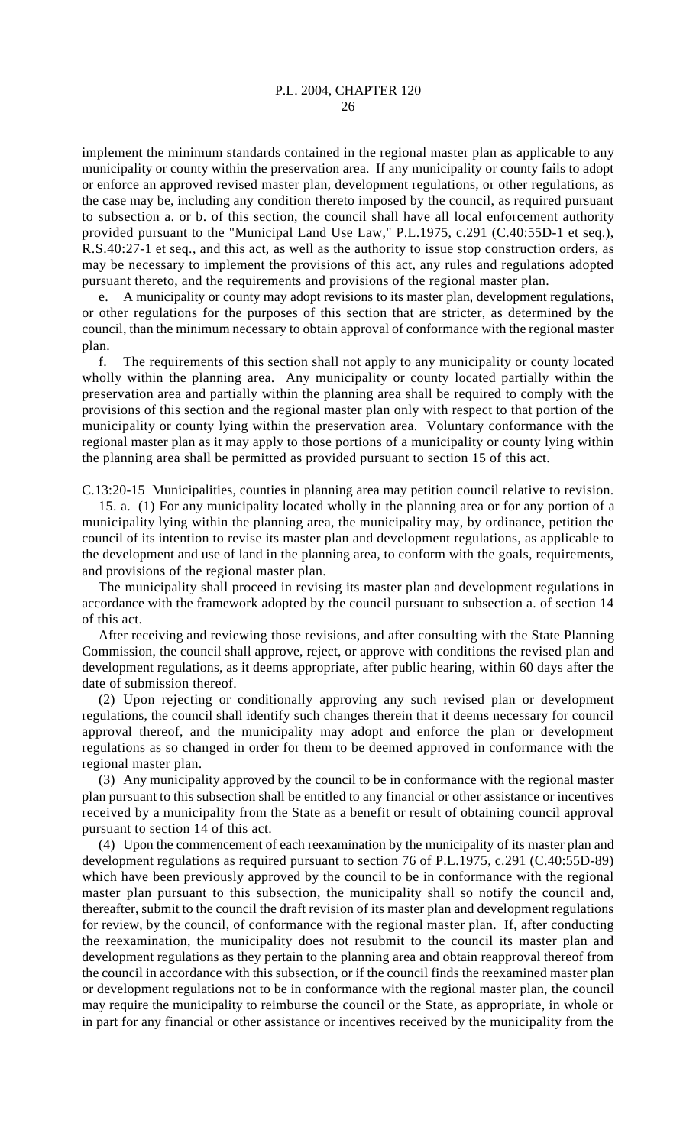implement the minimum standards contained in the regional master plan as applicable to any municipality or county within the preservation area. If any municipality or county fails to adopt or enforce an approved revised master plan, development regulations, or other regulations, as the case may be, including any condition thereto imposed by the council, as required pursuant to subsection a. or b. of this section, the council shall have all local enforcement authority provided pursuant to the "Municipal Land Use Law," P.L.1975, c.291 (C.40:55D-1 et seq.), R.S.40:27-1 et seq., and this act, as well as the authority to issue stop construction orders, as may be necessary to implement the provisions of this act, any rules and regulations adopted pursuant thereto, and the requirements and provisions of the regional master plan.

e. A municipality or county may adopt revisions to its master plan, development regulations, or other regulations for the purposes of this section that are stricter, as determined by the council, than the minimum necessary to obtain approval of conformance with the regional master plan.

f. The requirements of this section shall not apply to any municipality or county located wholly within the planning area. Any municipality or county located partially within the preservation area and partially within the planning area shall be required to comply with the provisions of this section and the regional master plan only with respect to that portion of the municipality or county lying within the preservation area. Voluntary conformance with the regional master plan as it may apply to those portions of a municipality or county lying within the planning area shall be permitted as provided pursuant to section 15 of this act.

C.13:20-15 Municipalities, counties in planning area may petition council relative to revision.

15. a. (1) For any municipality located wholly in the planning area or for any portion of a municipality lying within the planning area, the municipality may, by ordinance, petition the council of its intention to revise its master plan and development regulations, as applicable to the development and use of land in the planning area, to conform with the goals, requirements, and provisions of the regional master plan.

The municipality shall proceed in revising its master plan and development regulations in accordance with the framework adopted by the council pursuant to subsection a. of section 14 of this act.

After receiving and reviewing those revisions, and after consulting with the State Planning Commission, the council shall approve, reject, or approve with conditions the revised plan and development regulations, as it deems appropriate, after public hearing, within 60 days after the date of submission thereof.

(2) Upon rejecting or conditionally approving any such revised plan or development regulations, the council shall identify such changes therein that it deems necessary for council approval thereof, and the municipality may adopt and enforce the plan or development regulations as so changed in order for them to be deemed approved in conformance with the regional master plan.

(3) Any municipality approved by the council to be in conformance with the regional master plan pursuant to this subsection shall be entitled to any financial or other assistance or incentives received by a municipality from the State as a benefit or result of obtaining council approval pursuant to section 14 of this act.

(4) Upon the commencement of each reexamination by the municipality of its master plan and development regulations as required pursuant to section 76 of P.L.1975, c.291 (C.40:55D-89) which have been previously approved by the council to be in conformance with the regional master plan pursuant to this subsection, the municipality shall so notify the council and, thereafter, submit to the council the draft revision of its master plan and development regulations for review, by the council, of conformance with the regional master plan. If, after conducting the reexamination, the municipality does not resubmit to the council its master plan and development regulations as they pertain to the planning area and obtain reapproval thereof from the council in accordance with this subsection, or if the council finds the reexamined master plan or development regulations not to be in conformance with the regional master plan, the council may require the municipality to reimburse the council or the State, as appropriate, in whole or in part for any financial or other assistance or incentives received by the municipality from the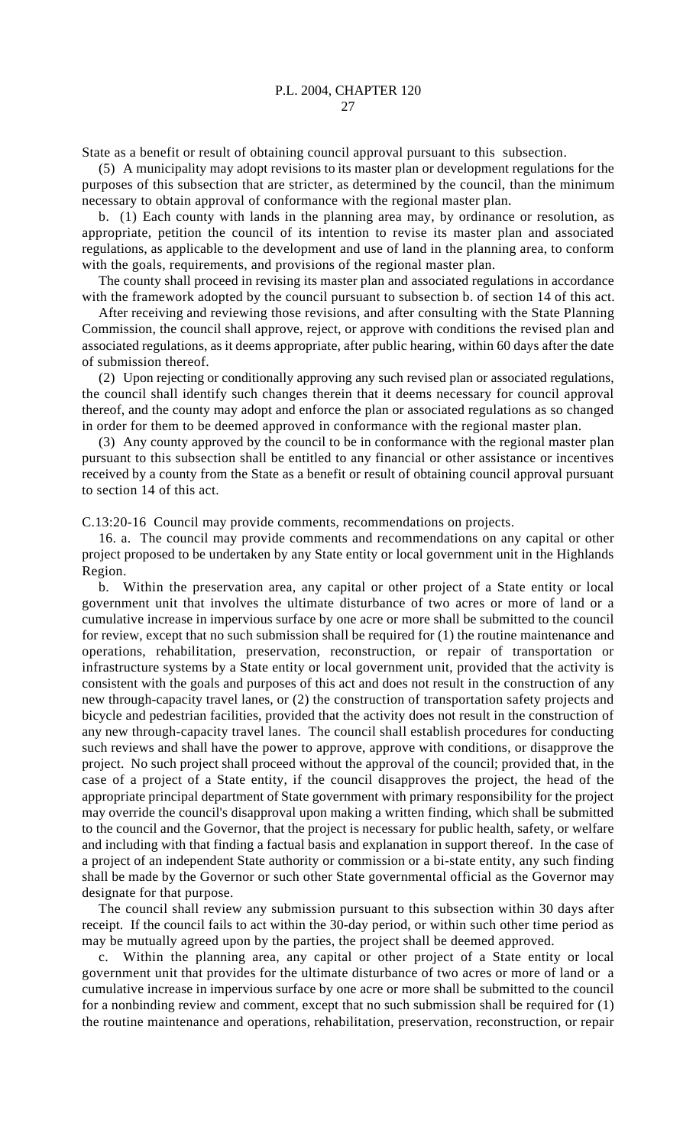State as a benefit or result of obtaining council approval pursuant to this subsection.

(5) A municipality may adopt revisions to its master plan or development regulations for the purposes of this subsection that are stricter, as determined by the council, than the minimum necessary to obtain approval of conformance with the regional master plan.

b. (1) Each county with lands in the planning area may, by ordinance or resolution, as appropriate, petition the council of its intention to revise its master plan and associated regulations, as applicable to the development and use of land in the planning area, to conform with the goals, requirements, and provisions of the regional master plan.

The county shall proceed in revising its master plan and associated regulations in accordance with the framework adopted by the council pursuant to subsection b. of section 14 of this act.

After receiving and reviewing those revisions, and after consulting with the State Planning Commission, the council shall approve, reject, or approve with conditions the revised plan and associated regulations, as it deems appropriate, after public hearing, within 60 days after the date of submission thereof.

(2) Upon rejecting or conditionally approving any such revised plan or associated regulations, the council shall identify such changes therein that it deems necessary for council approval thereof, and the county may adopt and enforce the plan or associated regulations as so changed in order for them to be deemed approved in conformance with the regional master plan.

(3) Any county approved by the council to be in conformance with the regional master plan pursuant to this subsection shall be entitled to any financial or other assistance or incentives received by a county from the State as a benefit or result of obtaining council approval pursuant to section 14 of this act.

C.13:20-16 Council may provide comments, recommendations on projects.

16. a. The council may provide comments and recommendations on any capital or other project proposed to be undertaken by any State entity or local government unit in the Highlands Region.

b. Within the preservation area, any capital or other project of a State entity or local government unit that involves the ultimate disturbance of two acres or more of land or a cumulative increase in impervious surface by one acre or more shall be submitted to the council for review, except that no such submission shall be required for (1) the routine maintenance and operations, rehabilitation, preservation, reconstruction, or repair of transportation or infrastructure systems by a State entity or local government unit, provided that the activity is consistent with the goals and purposes of this act and does not result in the construction of any new through-capacity travel lanes, or (2) the construction of transportation safety projects and bicycle and pedestrian facilities, provided that the activity does not result in the construction of any new through-capacity travel lanes. The council shall establish procedures for conducting such reviews and shall have the power to approve, approve with conditions, or disapprove the project. No such project shall proceed without the approval of the council; provided that, in the case of a project of a State entity, if the council disapproves the project, the head of the appropriate principal department of State government with primary responsibility for the project may override the council's disapproval upon making a written finding, which shall be submitted to the council and the Governor, that the project is necessary for public health, safety, or welfare and including with that finding a factual basis and explanation in support thereof. In the case of a project of an independent State authority or commission or a bi-state entity, any such finding shall be made by the Governor or such other State governmental official as the Governor may designate for that purpose.

The council shall review any submission pursuant to this subsection within 30 days after receipt. If the council fails to act within the 30-day period, or within such other time period as may be mutually agreed upon by the parties, the project shall be deemed approved.

c. Within the planning area, any capital or other project of a State entity or local government unit that provides for the ultimate disturbance of two acres or more of land or a cumulative increase in impervious surface by one acre or more shall be submitted to the council for a nonbinding review and comment, except that no such submission shall be required for (1) the routine maintenance and operations, rehabilitation, preservation, reconstruction, or repair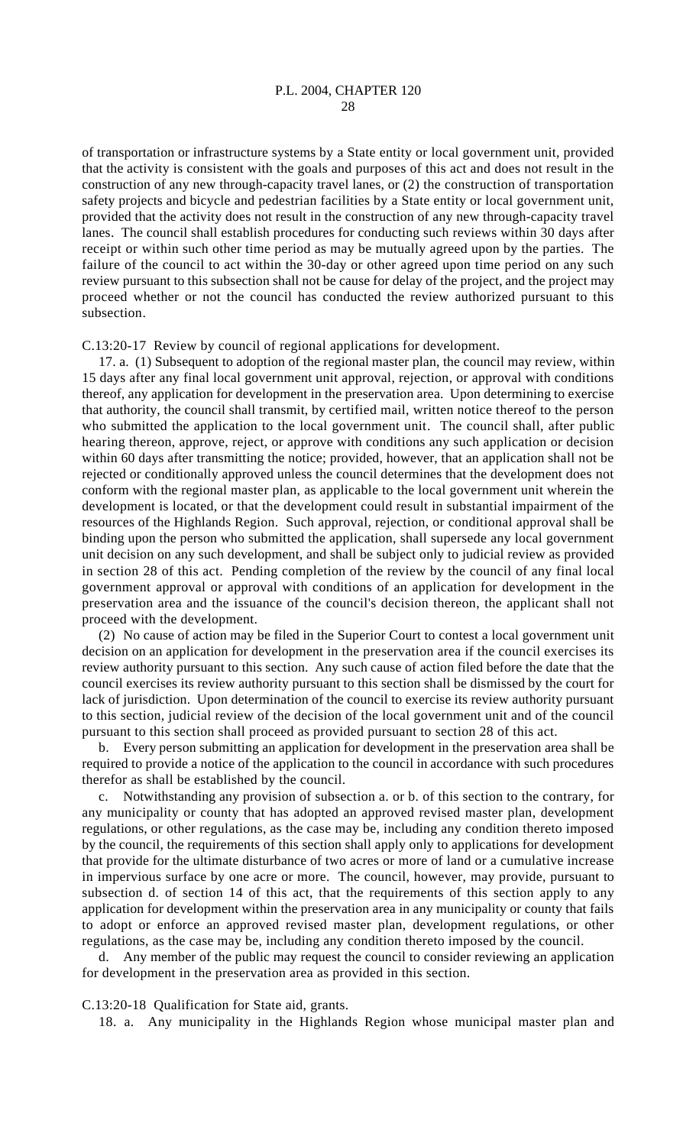of transportation or infrastructure systems by a State entity or local government unit, provided that the activity is consistent with the goals and purposes of this act and does not result in the construction of any new through-capacity travel lanes, or (2) the construction of transportation safety projects and bicycle and pedestrian facilities by a State entity or local government unit, provided that the activity does not result in the construction of any new through-capacity travel lanes. The council shall establish procedures for conducting such reviews within 30 days after receipt or within such other time period as may be mutually agreed upon by the parties. The failure of the council to act within the 30-day or other agreed upon time period on any such review pursuant to this subsection shall not be cause for delay of the project, and the project may proceed whether or not the council has conducted the review authorized pursuant to this subsection.

C.13:20-17 Review by council of regional applications for development.

17. a. (1) Subsequent to adoption of the regional master plan, the council may review, within 15 days after any final local government unit approval, rejection, or approval with conditions thereof, any application for development in the preservation area. Upon determining to exercise that authority, the council shall transmit, by certified mail, written notice thereof to the person who submitted the application to the local government unit. The council shall, after public hearing thereon, approve, reject, or approve with conditions any such application or decision within 60 days after transmitting the notice; provided, however, that an application shall not be rejected or conditionally approved unless the council determines that the development does not conform with the regional master plan, as applicable to the local government unit wherein the development is located, or that the development could result in substantial impairment of the resources of the Highlands Region. Such approval, rejection, or conditional approval shall be binding upon the person who submitted the application, shall supersede any local government unit decision on any such development, and shall be subject only to judicial review as provided in section 28 of this act. Pending completion of the review by the council of any final local government approval or approval with conditions of an application for development in the preservation area and the issuance of the council's decision thereon, the applicant shall not proceed with the development.

(2) No cause of action may be filed in the Superior Court to contest a local government unit decision on an application for development in the preservation area if the council exercises its review authority pursuant to this section. Any such cause of action filed before the date that the council exercises its review authority pursuant to this section shall be dismissed by the court for lack of jurisdiction. Upon determination of the council to exercise its review authority pursuant to this section, judicial review of the decision of the local government unit and of the council pursuant to this section shall proceed as provided pursuant to section 28 of this act.

b. Every person submitting an application for development in the preservation area shall be required to provide a notice of the application to the council in accordance with such procedures therefor as shall be established by the council.

c. Notwithstanding any provision of subsection a. or b. of this section to the contrary, for any municipality or county that has adopted an approved revised master plan, development regulations, or other regulations, as the case may be, including any condition thereto imposed by the council, the requirements of this section shall apply only to applications for development that provide for the ultimate disturbance of two acres or more of land or a cumulative increase in impervious surface by one acre or more. The council, however, may provide, pursuant to subsection d. of section 14 of this act, that the requirements of this section apply to any application for development within the preservation area in any municipality or county that fails to adopt or enforce an approved revised master plan, development regulations, or other regulations, as the case may be, including any condition thereto imposed by the council.

d. Any member of the public may request the council to consider reviewing an application for development in the preservation area as provided in this section.

C.13:20-18 Qualification for State aid, grants.

18. a. Any municipality in the Highlands Region whose municipal master plan and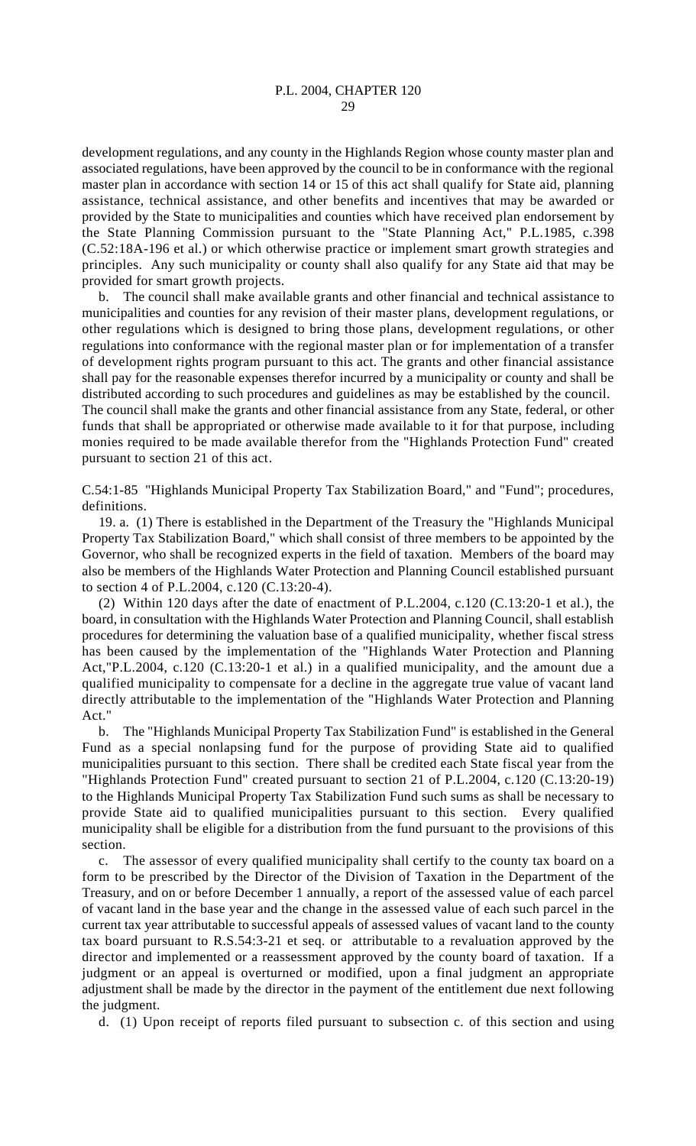development regulations, and any county in the Highlands Region whose county master plan and associated regulations, have been approved by the council to be in conformance with the regional master plan in accordance with section 14 or 15 of this act shall qualify for State aid, planning assistance, technical assistance, and other benefits and incentives that may be awarded or provided by the State to municipalities and counties which have received plan endorsement by the State Planning Commission pursuant to the "State Planning Act," P.L.1985, c.398 (C.52:18A-196 et al.) or which otherwise practice or implement smart growth strategies and principles. Any such municipality or county shall also qualify for any State aid that may be provided for smart growth projects.

b. The council shall make available grants and other financial and technical assistance to municipalities and counties for any revision of their master plans, development regulations, or other regulations which is designed to bring those plans, development regulations, or other regulations into conformance with the regional master plan or for implementation of a transfer of development rights program pursuant to this act. The grants and other financial assistance shall pay for the reasonable expenses therefor incurred by a municipality or county and shall be distributed according to such procedures and guidelines as may be established by the council. The council shall make the grants and other financial assistance from any State, federal, or other funds that shall be appropriated or otherwise made available to it for that purpose, including monies required to be made available therefor from the "Highlands Protection Fund" created pursuant to section 21 of this act.

C.54:1-85 "Highlands Municipal Property Tax Stabilization Board," and "Fund"; procedures, definitions.

19. a. (1) There is established in the Department of the Treasury the "Highlands Municipal Property Tax Stabilization Board," which shall consist of three members to be appointed by the Governor, who shall be recognized experts in the field of taxation. Members of the board may also be members of the Highlands Water Protection and Planning Council established pursuant to section 4 of P.L.2004, c.120 (C.13:20-4).

(2) Within 120 days after the date of enactment of P.L.2004, c.120 (C.13:20-1 et al.), the board, in consultation with the Highlands Water Protection and Planning Council, shall establish procedures for determining the valuation base of a qualified municipality, whether fiscal stress has been caused by the implementation of the "Highlands Water Protection and Planning Act,"P.L.2004, c.120 (C.13:20-1 et al.) in a qualified municipality, and the amount due a qualified municipality to compensate for a decline in the aggregate true value of vacant land directly attributable to the implementation of the "Highlands Water Protection and Planning Act."

b. The "Highlands Municipal Property Tax Stabilization Fund" is established in the General Fund as a special nonlapsing fund for the purpose of providing State aid to qualified municipalities pursuant to this section. There shall be credited each State fiscal year from the "Highlands Protection Fund" created pursuant to section 21 of P.L.2004, c.120 (C.13:20-19) to the Highlands Municipal Property Tax Stabilization Fund such sums as shall be necessary to provide State aid to qualified municipalities pursuant to this section. Every qualified municipality shall be eligible for a distribution from the fund pursuant to the provisions of this section.

c. The assessor of every qualified municipality shall certify to the county tax board on a form to be prescribed by the Director of the Division of Taxation in the Department of the Treasury, and on or before December 1 annually, a report of the assessed value of each parcel of vacant land in the base year and the change in the assessed value of each such parcel in the current tax year attributable to successful appeals of assessed values of vacant land to the county tax board pursuant to R.S.54:3-21 et seq. or attributable to a revaluation approved by the director and implemented or a reassessment approved by the county board of taxation. If a judgment or an appeal is overturned or modified, upon a final judgment an appropriate adjustment shall be made by the director in the payment of the entitlement due next following the judgment.

d. (1) Upon receipt of reports filed pursuant to subsection c. of this section and using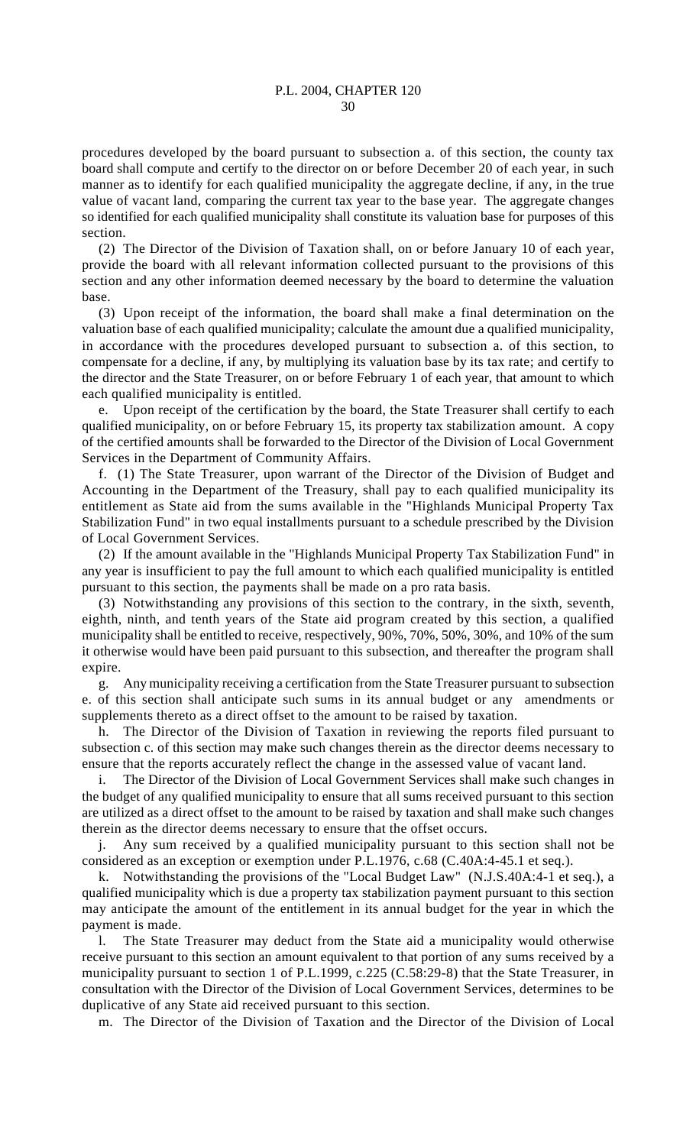procedures developed by the board pursuant to subsection a. of this section, the county tax board shall compute and certify to the director on or before December 20 of each year, in such manner as to identify for each qualified municipality the aggregate decline, if any, in the true value of vacant land, comparing the current tax year to the base year. The aggregate changes so identified for each qualified municipality shall constitute its valuation base for purposes of this section.

(2) The Director of the Division of Taxation shall, on or before January 10 of each year, provide the board with all relevant information collected pursuant to the provisions of this section and any other information deemed necessary by the board to determine the valuation base.

(3) Upon receipt of the information, the board shall make a final determination on the valuation base of each qualified municipality; calculate the amount due a qualified municipality, in accordance with the procedures developed pursuant to subsection a. of this section, to compensate for a decline, if any, by multiplying its valuation base by its tax rate; and certify to the director and the State Treasurer, on or before February 1 of each year, that amount to which each qualified municipality is entitled.

e. Upon receipt of the certification by the board, the State Treasurer shall certify to each qualified municipality, on or before February 15, its property tax stabilization amount. A copy of the certified amounts shall be forwarded to the Director of the Division of Local Government Services in the Department of Community Affairs.

f. (1) The State Treasurer, upon warrant of the Director of the Division of Budget and Accounting in the Department of the Treasury, shall pay to each qualified municipality its entitlement as State aid from the sums available in the "Highlands Municipal Property Tax Stabilization Fund" in two equal installments pursuant to a schedule prescribed by the Division of Local Government Services.

(2) If the amount available in the "Highlands Municipal Property Tax Stabilization Fund" in any year is insufficient to pay the full amount to which each qualified municipality is entitled pursuant to this section, the payments shall be made on a pro rata basis.

(3) Notwithstanding any provisions of this section to the contrary, in the sixth, seventh, eighth, ninth, and tenth years of the State aid program created by this section, a qualified municipality shall be entitled to receive, respectively, 90%, 70%, 50%, 30%, and 10% of the sum it otherwise would have been paid pursuant to this subsection, and thereafter the program shall expire.

g. Any municipality receiving a certification from the State Treasurer pursuant to subsection e. of this section shall anticipate such sums in its annual budget or any amendments or supplements thereto as a direct offset to the amount to be raised by taxation.

h. The Director of the Division of Taxation in reviewing the reports filed pursuant to subsection c. of this section may make such changes therein as the director deems necessary to ensure that the reports accurately reflect the change in the assessed value of vacant land.

i. The Director of the Division of Local Government Services shall make such changes in the budget of any qualified municipality to ensure that all sums received pursuant to this section are utilized as a direct offset to the amount to be raised by taxation and shall make such changes therein as the director deems necessary to ensure that the offset occurs.

j. Any sum received by a qualified municipality pursuant to this section shall not be considered as an exception or exemption under P.L.1976, c.68 (C.40A:4-45.1 et seq.).

k. Notwithstanding the provisions of the "Local Budget Law" (N.J.S.40A:4-1 et seq.), a qualified municipality which is due a property tax stabilization payment pursuant to this section may anticipate the amount of the entitlement in its annual budget for the year in which the payment is made.

l. The State Treasurer may deduct from the State aid a municipality would otherwise receive pursuant to this section an amount equivalent to that portion of any sums received by a municipality pursuant to section 1 of P.L.1999, c.225 (C.58:29-8) that the State Treasurer, in consultation with the Director of the Division of Local Government Services, determines to be duplicative of any State aid received pursuant to this section.

m. The Director of the Division of Taxation and the Director of the Division of Local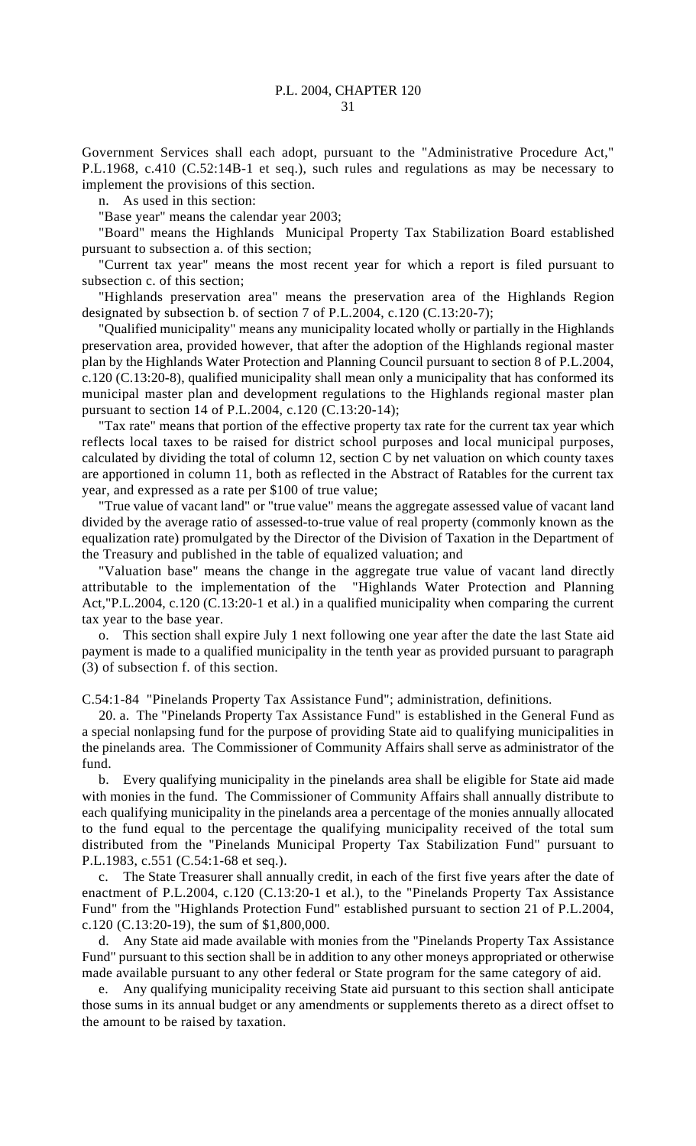Government Services shall each adopt, pursuant to the "Administrative Procedure Act," P.L.1968, c.410 (C.52:14B-1 et seq.), such rules and regulations as may be necessary to implement the provisions of this section.

n. As used in this section:

"Base year" means the calendar year 2003;

"Board" means the Highlands Municipal Property Tax Stabilization Board established pursuant to subsection a. of this section;

"Current tax year" means the most recent year for which a report is filed pursuant to subsection c. of this section;

"Highlands preservation area" means the preservation area of the Highlands Region designated by subsection b. of section 7 of P.L.2004, c.120 (C.13:20-7);

"Qualified municipality" means any municipality located wholly or partially in the Highlands preservation area, provided however, that after the adoption of the Highlands regional master plan by the Highlands Water Protection and Planning Council pursuant to section 8 of P.L.2004, c.120 (C.13:20-8), qualified municipality shall mean only a municipality that has conformed its municipal master plan and development regulations to the Highlands regional master plan pursuant to section 14 of P.L.2004, c.120 (C.13:20-14);

"Tax rate" means that portion of the effective property tax rate for the current tax year which reflects local taxes to be raised for district school purposes and local municipal purposes, calculated by dividing the total of column 12, section C by net valuation on which county taxes are apportioned in column 11, both as reflected in the Abstract of Ratables for the current tax year, and expressed as a rate per \$100 of true value;

"True value of vacant land" or "true value" means the aggregate assessed value of vacant land divided by the average ratio of assessed-to-true value of real property (commonly known as the equalization rate) promulgated by the Director of the Division of Taxation in the Department of the Treasury and published in the table of equalized valuation; and

"Valuation base" means the change in the aggregate true value of vacant land directly attributable to the implementation of the "Highlands Water Protection and Planning Act,"P.L.2004, c.120 (C.13:20-1 et al.) in a qualified municipality when comparing the current tax year to the base year.

o. This section shall expire July 1 next following one year after the date the last State aid payment is made to a qualified municipality in the tenth year as provided pursuant to paragraph (3) of subsection f. of this section.

C.54:1-84 "Pinelands Property Tax Assistance Fund"; administration, definitions.

20. a. The "Pinelands Property Tax Assistance Fund" is established in the General Fund as a special nonlapsing fund for the purpose of providing State aid to qualifying municipalities in the pinelands area. The Commissioner of Community Affairs shall serve as administrator of the fund.

b. Every qualifying municipality in the pinelands area shall be eligible for State aid made with monies in the fund. The Commissioner of Community Affairs shall annually distribute to each qualifying municipality in the pinelands area a percentage of the monies annually allocated to the fund equal to the percentage the qualifying municipality received of the total sum distributed from the "Pinelands Municipal Property Tax Stabilization Fund" pursuant to P.L.1983, c.551 (C.54:1-68 et seq.).

c. The State Treasurer shall annually credit, in each of the first five years after the date of enactment of P.L.2004, c.120 (C.13:20-1 et al.), to the "Pinelands Property Tax Assistance Fund" from the "Highlands Protection Fund" established pursuant to section 21 of P.L.2004, c.120 (C.13:20-19), the sum of \$1,800,000.

d. Any State aid made available with monies from the "Pinelands Property Tax Assistance Fund" pursuant to this section shall be in addition to any other moneys appropriated or otherwise made available pursuant to any other federal or State program for the same category of aid.

e. Any qualifying municipality receiving State aid pursuant to this section shall anticipate those sums in its annual budget or any amendments or supplements thereto as a direct offset to the amount to be raised by taxation.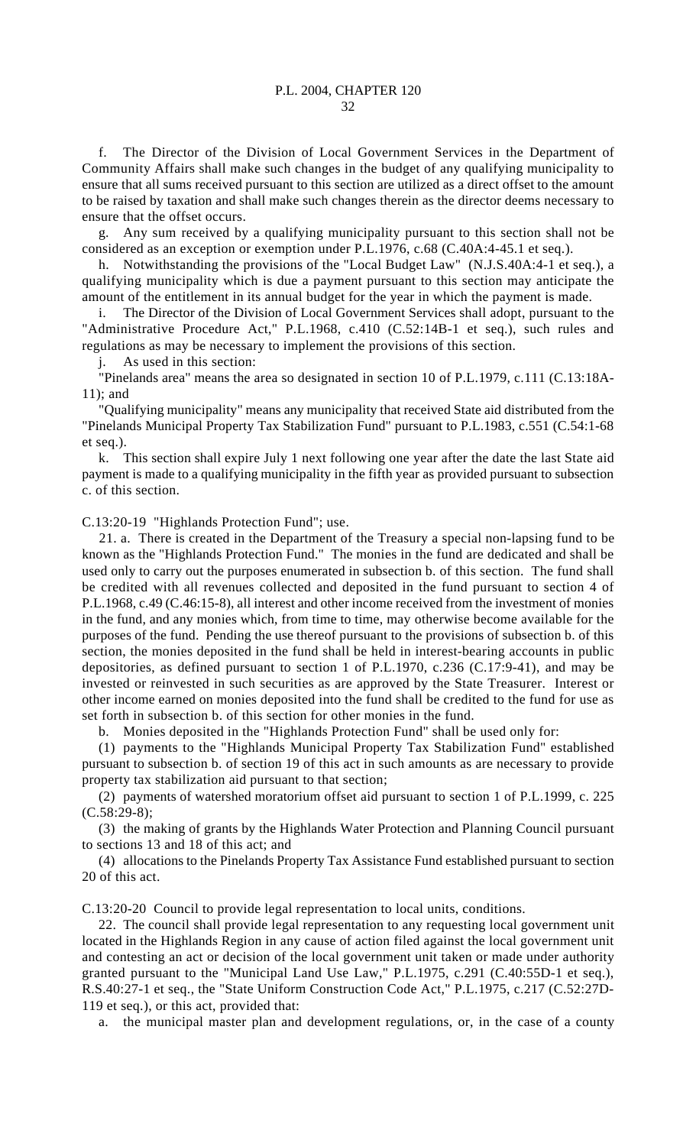f. The Director of the Division of Local Government Services in the Department of Community Affairs shall make such changes in the budget of any qualifying municipality to ensure that all sums received pursuant to this section are utilized as a direct offset to the amount to be raised by taxation and shall make such changes therein as the director deems necessary to ensure that the offset occurs.

g. Any sum received by a qualifying municipality pursuant to this section shall not be considered as an exception or exemption under P.L.1976, c.68 (C.40A:4-45.1 et seq.).

h. Notwithstanding the provisions of the "Local Budget Law" (N.J.S.40A:4-1 et seq.), a qualifying municipality which is due a payment pursuant to this section may anticipate the amount of the entitlement in its annual budget for the year in which the payment is made.

i. The Director of the Division of Local Government Services shall adopt, pursuant to the "Administrative Procedure Act," P.L.1968, c.410 (C.52:14B-1 et seq.), such rules and regulations as may be necessary to implement the provisions of this section.

j. As used in this section:

"Pinelands area" means the area so designated in section 10 of P.L.1979, c.111 (C.13:18A-11); and

"Qualifying municipality" means any municipality that received State aid distributed from the "Pinelands Municipal Property Tax Stabilization Fund" pursuant to P.L.1983, c.551 (C.54:1-68 et seq.).

k. This section shall expire July 1 next following one year after the date the last State aid payment is made to a qualifying municipality in the fifth year as provided pursuant to subsection c. of this section.

C.13:20-19 "Highlands Protection Fund"; use.

21. a. There is created in the Department of the Treasury a special non-lapsing fund to be known as the "Highlands Protection Fund." The monies in the fund are dedicated and shall be used only to carry out the purposes enumerated in subsection b. of this section. The fund shall be credited with all revenues collected and deposited in the fund pursuant to section 4 of P.L.1968, c.49 (C.46:15-8), all interest and other income received from the investment of monies in the fund, and any monies which, from time to time, may otherwise become available for the purposes of the fund. Pending the use thereof pursuant to the provisions of subsection b. of this section, the monies deposited in the fund shall be held in interest-bearing accounts in public depositories, as defined pursuant to section 1 of P.L.1970, c.236 (C.17:9-41), and may be invested or reinvested in such securities as are approved by the State Treasurer. Interest or other income earned on monies deposited into the fund shall be credited to the fund for use as set forth in subsection b. of this section for other monies in the fund.

b. Monies deposited in the "Highlands Protection Fund" shall be used only for:

(1) payments to the "Highlands Municipal Property Tax Stabilization Fund" established pursuant to subsection b. of section 19 of this act in such amounts as are necessary to provide property tax stabilization aid pursuant to that section;

(2) payments of watershed moratorium offset aid pursuant to section 1 of P.L.1999, c. 225  $(C.58:29-8);$ 

(3) the making of grants by the Highlands Water Protection and Planning Council pursuant to sections 13 and 18 of this act; and

(4) allocations to the Pinelands Property Tax Assistance Fund established pursuant to section 20 of this act.

C.13:20-20 Council to provide legal representation to local units, conditions.

22. The council shall provide legal representation to any requesting local government unit located in the Highlands Region in any cause of action filed against the local government unit and contesting an act or decision of the local government unit taken or made under authority granted pursuant to the "Municipal Land Use Law," P.L.1975, c.291 (C.40:55D-1 et seq.), R.S.40:27-1 et seq., the "State Uniform Construction Code Act," P.L.1975, c.217 (C.52:27D-119 et seq.), or this act, provided that:

a. the municipal master plan and development regulations, or, in the case of a county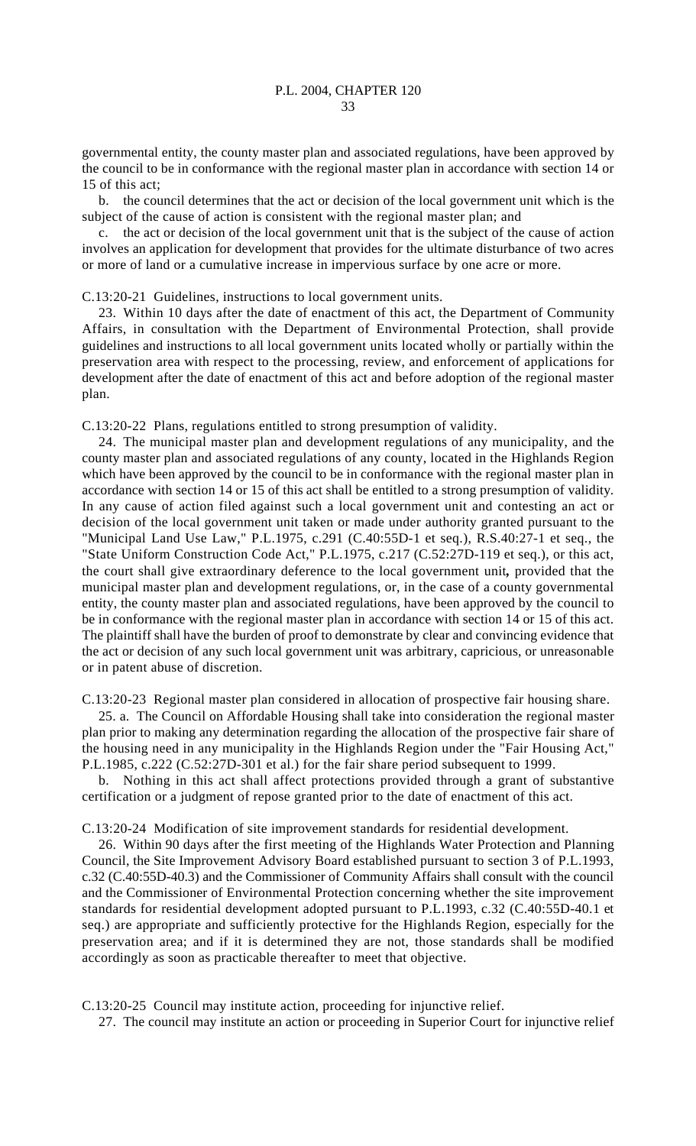governmental entity, the county master plan and associated regulations, have been approved by the council to be in conformance with the regional master plan in accordance with section 14 or 15 of this act;

b. the council determines that the act or decision of the local government unit which is the subject of the cause of action is consistent with the regional master plan; and

c. the act or decision of the local government unit that is the subject of the cause of action involves an application for development that provides for the ultimate disturbance of two acres or more of land or a cumulative increase in impervious surface by one acre or more.

C.13:20-21 Guidelines, instructions to local government units.

23. Within 10 days after the date of enactment of this act, the Department of Community Affairs, in consultation with the Department of Environmental Protection, shall provide guidelines and instructions to all local government units located wholly or partially within the preservation area with respect to the processing, review, and enforcement of applications for development after the date of enactment of this act and before adoption of the regional master plan.

C.13:20-22 Plans, regulations entitled to strong presumption of validity.

24. The municipal master plan and development regulations of any municipality, and the county master plan and associated regulations of any county, located in the Highlands Region which have been approved by the council to be in conformance with the regional master plan in accordance with section 14 or 15 of this act shall be entitled to a strong presumption of validity. In any cause of action filed against such a local government unit and contesting an act or decision of the local government unit taken or made under authority granted pursuant to the "Municipal Land Use Law," P.L.1975, c.291 (C.40:55D-1 et seq.), R.S.40:27-1 et seq., the "State Uniform Construction Code Act," P.L.1975, c.217 (C.52:27D-119 et seq.), or this act, the court shall give extraordinary deference to the local government unit*,* provided that the municipal master plan and development regulations, or, in the case of a county governmental entity, the county master plan and associated regulations, have been approved by the council to be in conformance with the regional master plan in accordance with section 14 or 15 of this act. The plaintiff shall have the burden of proof to demonstrate by clear and convincing evidence that the act or decision of any such local government unit was arbitrary, capricious, or unreasonable or in patent abuse of discretion.

C.13:20-23 Regional master plan considered in allocation of prospective fair housing share.

25. a. The Council on Affordable Housing shall take into consideration the regional master plan prior to making any determination regarding the allocation of the prospective fair share of the housing need in any municipality in the Highlands Region under the "Fair Housing Act," P.L.1985, c.222 (C.52:27D-301 et al.) for the fair share period subsequent to 1999.

b. Nothing in this act shall affect protections provided through a grant of substantive certification or a judgment of repose granted prior to the date of enactment of this act.

C.13:20-24 Modification of site improvement standards for residential development.

26. Within 90 days after the first meeting of the Highlands Water Protection and Planning Council, the Site Improvement Advisory Board established pursuant to section 3 of P.L.1993, c.32 (C.40:55D-40.3) and the Commissioner of Community Affairs shall consult with the council and the Commissioner of Environmental Protection concerning whether the site improvement standards for residential development adopted pursuant to P.L.1993, c.32 (C.40:55D-40.1 et seq.) are appropriate and sufficiently protective for the Highlands Region, especially for the preservation area; and if it is determined they are not, those standards shall be modified accordingly as soon as practicable thereafter to meet that objective.

C.13:20-25 Council may institute action, proceeding for injunctive relief.

27. The council may institute an action or proceeding in Superior Court for injunctive relief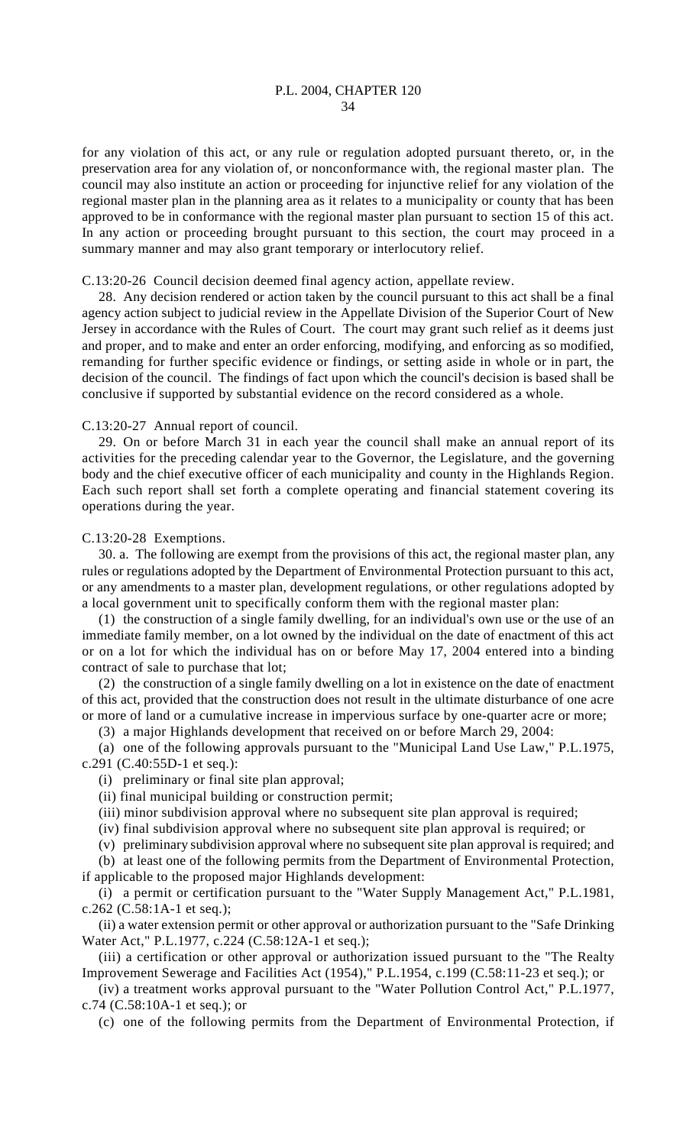for any violation of this act, or any rule or regulation adopted pursuant thereto, or, in the preservation area for any violation of, or nonconformance with, the regional master plan. The council may also institute an action or proceeding for injunctive relief for any violation of the regional master plan in the planning area as it relates to a municipality or county that has been approved to be in conformance with the regional master plan pursuant to section 15 of this act. In any action or proceeding brought pursuant to this section, the court may proceed in a summary manner and may also grant temporary or interlocutory relief.

### C.13:20-26 Council decision deemed final agency action, appellate review.

28. Any decision rendered or action taken by the council pursuant to this act shall be a final agency action subject to judicial review in the Appellate Division of the Superior Court of New Jersey in accordance with the Rules of Court. The court may grant such relief as it deems just and proper, and to make and enter an order enforcing, modifying, and enforcing as so modified, remanding for further specific evidence or findings, or setting aside in whole or in part, the decision of the council. The findings of fact upon which the council's decision is based shall be conclusive if supported by substantial evidence on the record considered as a whole.

## C.13:20-27 Annual report of council.

29. On or before March 31 in each year the council shall make an annual report of its activities for the preceding calendar year to the Governor, the Legislature, and the governing body and the chief executive officer of each municipality and county in the Highlands Region. Each such report shall set forth a complete operating and financial statement covering its operations during the year.

### C.13:20-28 Exemptions.

30. a. The following are exempt from the provisions of this act, the regional master plan, any rules or regulations adopted by the Department of Environmental Protection pursuant to this act, or any amendments to a master plan, development regulations, or other regulations adopted by a local government unit to specifically conform them with the regional master plan:

(1) the construction of a single family dwelling, for an individual's own use or the use of an immediate family member, on a lot owned by the individual on the date of enactment of this act or on a lot for which the individual has on or before May 17, 2004 entered into a binding contract of sale to purchase that lot;

(2) the construction of a single family dwelling on a lot in existence on the date of enactment of this act, provided that the construction does not result in the ultimate disturbance of one acre or more of land or a cumulative increase in impervious surface by one-quarter acre or more;

(3) a major Highlands development that received on or before March 29, 2004:

(a) one of the following approvals pursuant to the "Municipal Land Use Law," P.L.1975, c.291 (C.40:55D-1 et seq.):

(i) preliminary or final site plan approval;

(ii) final municipal building or construction permit;

(iii) minor subdivision approval where no subsequent site plan approval is required;

(iv) final subdivision approval where no subsequent site plan approval is required; or

(v) preliminary subdivision approval where no subsequent site plan approval is required; and

(b) at least one of the following permits from the Department of Environmental Protection, if applicable to the proposed major Highlands development:

(i) a permit or certification pursuant to the "Water Supply Management Act," P.L.1981, c.262 (C.58:1A-1 et seq.);

(ii) a water extension permit or other approval or authorization pursuant to the "Safe Drinking Water Act," P.L.1977, c.224 (C.58:12A-1 et seq.);

(iii) a certification or other approval or authorization issued pursuant to the "The Realty Improvement Sewerage and Facilities Act (1954)," P.L.1954, c.199 (C.58:11-23 et seq.); or

(iv) a treatment works approval pursuant to the "Water Pollution Control Act," P.L.1977, c.74 (C.58:10A-1 et seq.); or

(c) one of the following permits from the Department of Environmental Protection, if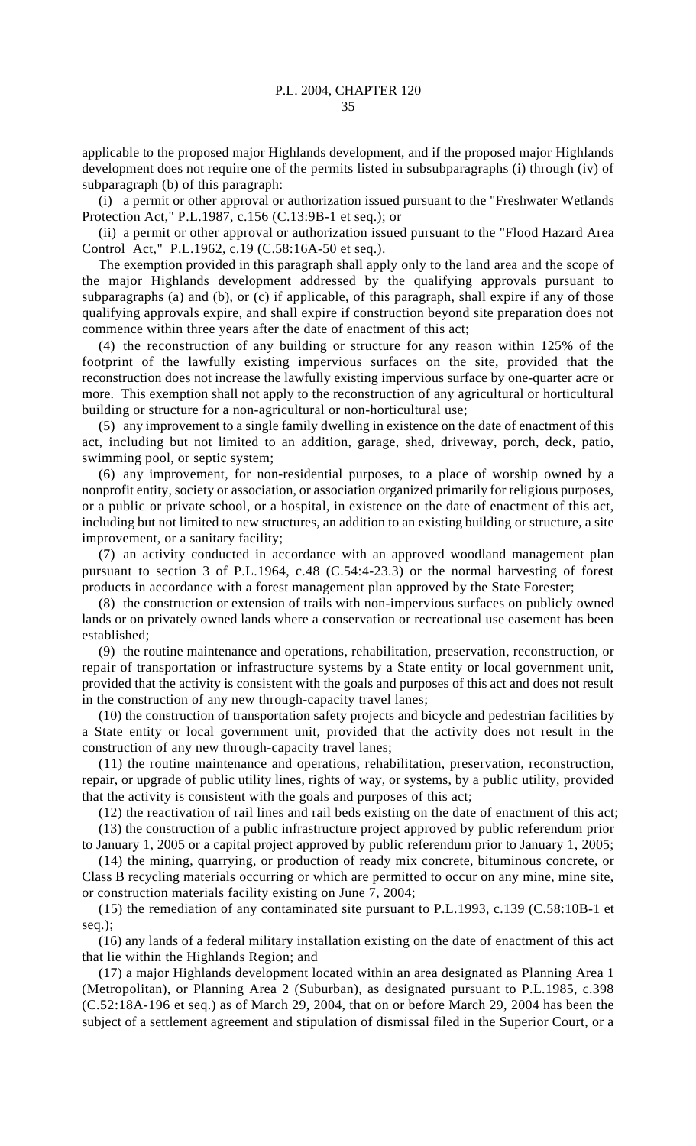applicable to the proposed major Highlands development, and if the proposed major Highlands development does not require one of the permits listed in subsubparagraphs (i) through (iv) of subparagraph (b) of this paragraph:

(i) a permit or other approval or authorization issued pursuant to the "Freshwater Wetlands Protection Act," P.L.1987, c.156 (C.13:9B-1 et seq.); or

(ii) a permit or other approval or authorization issued pursuant to the "Flood Hazard Area Control Act," P.L.1962, c.19 (C.58:16A-50 et seq.).

The exemption provided in this paragraph shall apply only to the land area and the scope of the major Highlands development addressed by the qualifying approvals pursuant to subparagraphs (a) and (b), or (c) if applicable, of this paragraph, shall expire if any of those qualifying approvals expire, and shall expire if construction beyond site preparation does not commence within three years after the date of enactment of this act;

(4) the reconstruction of any building or structure for any reason within 125% of the footprint of the lawfully existing impervious surfaces on the site, provided that the reconstruction does not increase the lawfully existing impervious surface by one-quarter acre or more. This exemption shall not apply to the reconstruction of any agricultural or horticultural building or structure for a non-agricultural or non-horticultural use;

(5) any improvement to a single family dwelling in existence on the date of enactment of this act, including but not limited to an addition, garage, shed, driveway, porch, deck, patio, swimming pool, or septic system;

(6) any improvement, for non-residential purposes, to a place of worship owned by a nonprofit entity, society or association, or association organized primarily for religious purposes, or a public or private school, or a hospital, in existence on the date of enactment of this act, including but not limited to new structures, an addition to an existing building or structure, a site improvement, or a sanitary facility;

(7) an activity conducted in accordance with an approved woodland management plan pursuant to section 3 of P.L.1964, c.48 (C.54:4-23.3) or the normal harvesting of forest products in accordance with a forest management plan approved by the State Forester;

(8) the construction or extension of trails with non-impervious surfaces on publicly owned lands or on privately owned lands where a conservation or recreational use easement has been established;

(9) the routine maintenance and operations, rehabilitation, preservation, reconstruction, or repair of transportation or infrastructure systems by a State entity or local government unit, provided that the activity is consistent with the goals and purposes of this act and does not result in the construction of any new through-capacity travel lanes;

(10) the construction of transportation safety projects and bicycle and pedestrian facilities by a State entity or local government unit, provided that the activity does not result in the construction of any new through-capacity travel lanes;

(11) the routine maintenance and operations, rehabilitation, preservation, reconstruction, repair, or upgrade of public utility lines, rights of way, or systems, by a public utility, provided that the activity is consistent with the goals and purposes of this act;

(12) the reactivation of rail lines and rail beds existing on the date of enactment of this act;

(13) the construction of a public infrastructure project approved by public referendum prior to January 1, 2005 or a capital project approved by public referendum prior to January 1, 2005;

(14) the mining, quarrying, or production of ready mix concrete, bituminous concrete, or Class B recycling materials occurring or which are permitted to occur on any mine, mine site, or construction materials facility existing on June 7, 2004;

(15) the remediation of any contaminated site pursuant to P.L.1993, c.139 (C.58:10B-1 et seq.);

(16) any lands of a federal military installation existing on the date of enactment of this act that lie within the Highlands Region; and

(17) a major Highlands development located within an area designated as Planning Area 1 (Metropolitan), or Planning Area 2 (Suburban), as designated pursuant to P.L.1985, c.398 (C.52:18A-196 et seq.) as of March 29, 2004, that on or before March 29, 2004 has been the subject of a settlement agreement and stipulation of dismissal filed in the Superior Court, or a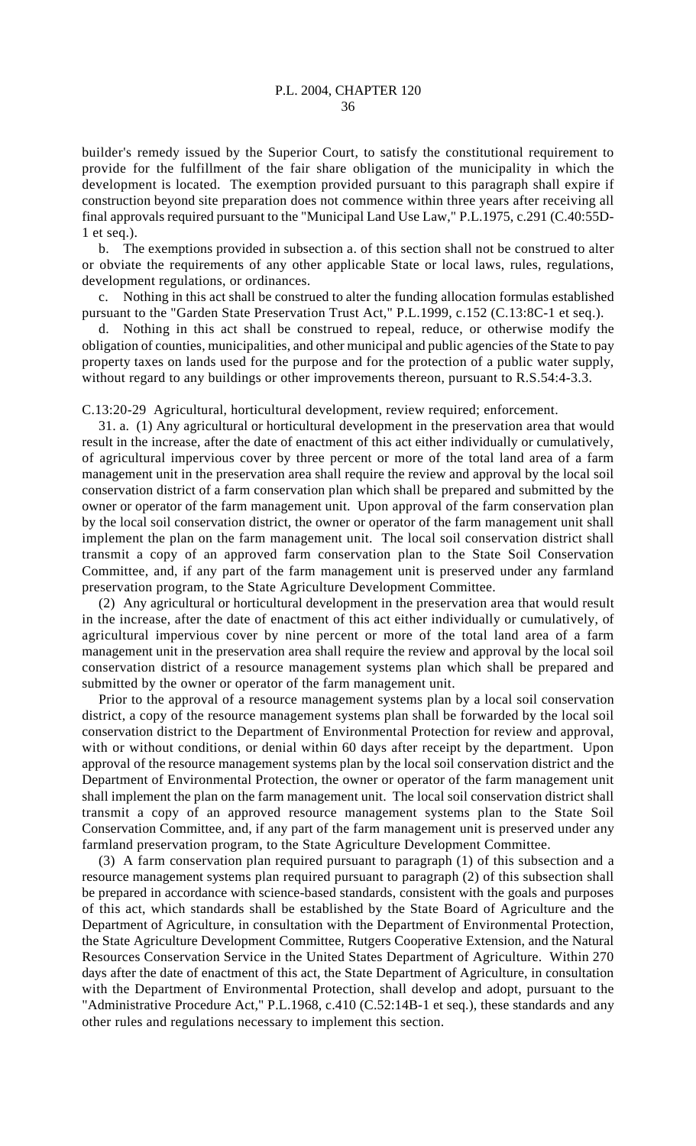builder's remedy issued by the Superior Court, to satisfy the constitutional requirement to provide for the fulfillment of the fair share obligation of the municipality in which the development is located. The exemption provided pursuant to this paragraph shall expire if construction beyond site preparation does not commence within three years after receiving all final approvals required pursuant to the "Municipal Land Use Law," P.L.1975, c.291 (C.40:55D-1 et seq.).

b. The exemptions provided in subsection a. of this section shall not be construed to alter or obviate the requirements of any other applicable State or local laws, rules, regulations, development regulations, or ordinances.

c. Nothing in this act shall be construed to alter the funding allocation formulas established pursuant to the "Garden State Preservation Trust Act," P.L.1999, c.152 (C.13:8C-1 et seq.).

d. Nothing in this act shall be construed to repeal, reduce, or otherwise modify the obligation of counties, municipalities, and other municipal and public agencies of the State to pay property taxes on lands used for the purpose and for the protection of a public water supply, without regard to any buildings or other improvements thereon, pursuant to R.S.54:4-3.3.

C.13:20-29 Agricultural, horticultural development, review required; enforcement.

31. a. (1) Any agricultural or horticultural development in the preservation area that would result in the increase, after the date of enactment of this act either individually or cumulatively, of agricultural impervious cover by three percent or more of the total land area of a farm management unit in the preservation area shall require the review and approval by the local soil conservation district of a farm conservation plan which shall be prepared and submitted by the owner or operator of the farm management unit. Upon approval of the farm conservation plan by the local soil conservation district, the owner or operator of the farm management unit shall implement the plan on the farm management unit. The local soil conservation district shall transmit a copy of an approved farm conservation plan to the State Soil Conservation Committee, and, if any part of the farm management unit is preserved under any farmland preservation program, to the State Agriculture Development Committee.

(2) Any agricultural or horticultural development in the preservation area that would result in the increase, after the date of enactment of this act either individually or cumulatively, of agricultural impervious cover by nine percent or more of the total land area of a farm management unit in the preservation area shall require the review and approval by the local soil conservation district of a resource management systems plan which shall be prepared and submitted by the owner or operator of the farm management unit.

Prior to the approval of a resource management systems plan by a local soil conservation district, a copy of the resource management systems plan shall be forwarded by the local soil conservation district to the Department of Environmental Protection for review and approval, with or without conditions, or denial within 60 days after receipt by the department. Upon approval of the resource management systems plan by the local soil conservation district and the Department of Environmental Protection, the owner or operator of the farm management unit shall implement the plan on the farm management unit. The local soil conservation district shall transmit a copy of an approved resource management systems plan to the State Soil Conservation Committee, and, if any part of the farm management unit is preserved under any farmland preservation program, to the State Agriculture Development Committee.

(3) A farm conservation plan required pursuant to paragraph (1) of this subsection and a resource management systems plan required pursuant to paragraph (2) of this subsection shall be prepared in accordance with science-based standards, consistent with the goals and purposes of this act, which standards shall be established by the State Board of Agriculture and the Department of Agriculture, in consultation with the Department of Environmental Protection, the State Agriculture Development Committee, Rutgers Cooperative Extension, and the Natural Resources Conservation Service in the United States Department of Agriculture. Within 270 days after the date of enactment of this act, the State Department of Agriculture, in consultation with the Department of Environmental Protection, shall develop and adopt, pursuant to the "Administrative Procedure Act," P.L.1968, c.410 (C.52:14B-1 et seq.), these standards and any other rules and regulations necessary to implement this section.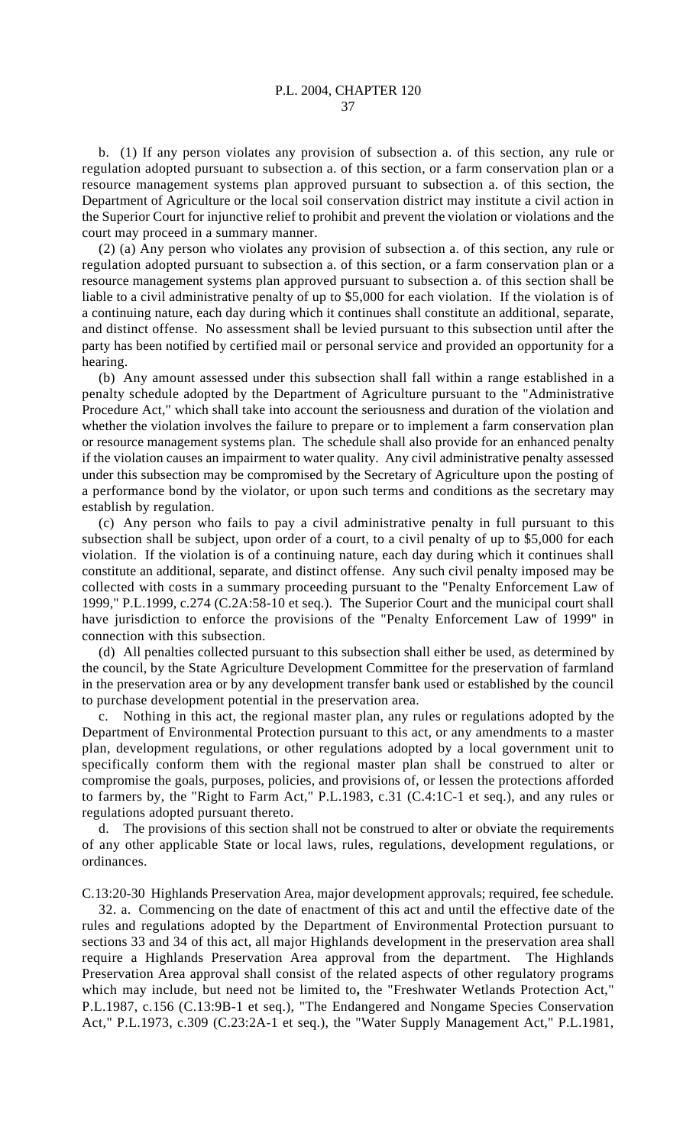b. (1) If any person violates any provision of subsection a. of this section, any rule or regulation adopted pursuant to subsection a. of this section, or a farm conservation plan or a resource management systems plan approved pursuant to subsection a. of this section, the Department of Agriculture or the local soil conservation district may institute a civil action in the Superior Court for injunctive relief to prohibit and prevent the violation or violations and the court may proceed in a summary manner.

(2) (a) Any person who violates any provision of subsection a. of this section, any rule or regulation adopted pursuant to subsection a. of this section, or a farm conservation plan or a resource management systems plan approved pursuant to subsection a. of this section shall be liable to a civil administrative penalty of up to \$5,000 for each violation. If the violation is of a continuing nature, each day during which it continues shall constitute an additional, separate, and distinct offense. No assessment shall be levied pursuant to this subsection until after the party has been notified by certified mail or personal service and provided an opportunity for a hearing.

(b) Any amount assessed under this subsection shall fall within a range established in a penalty schedule adopted by the Department of Agriculture pursuant to the "Administrative Procedure Act," which shall take into account the seriousness and duration of the violation and whether the violation involves the failure to prepare or to implement a farm conservation plan or resource management systems plan. The schedule shall also provide for an enhanced penalty if the violation causes an impairment to water quality. Any civil administrative penalty assessed under this subsection may be compromised by the Secretary of Agriculture upon the posting of a performance bond by the violator, or upon such terms and conditions as the secretary may establish by regulation.

(c) Any person who fails to pay a civil administrative penalty in full pursuant to this subsection shall be subject, upon order of a court, to a civil penalty of up to \$5,000 for each violation. If the violation is of a continuing nature, each day during which it continues shall constitute an additional, separate, and distinct offense. Any such civil penalty imposed may be collected with costs in a summary proceeding pursuant to the "Penalty Enforcement Law of 1999," P.L.1999, c.274 (C.2A:58-10 et seq.). The Superior Court and the municipal court shall have jurisdiction to enforce the provisions of the "Penalty Enforcement Law of 1999" in connection with this subsection.

(d) All penalties collected pursuant to this subsection shall either be used, as determined by the council, by the State Agriculture Development Committee for the preservation of farmland in the preservation area or by any development transfer bank used or established by the council to purchase development potential in the preservation area.

c. Nothing in this act, the regional master plan, any rules or regulations adopted by the Department of Environmental Protection pursuant to this act, or any amendments to a master plan, development regulations, or other regulations adopted by a local government unit to specifically conform them with the regional master plan shall be construed to alter or compromise the goals, purposes, policies, and provisions of, or lessen the protections afforded to farmers by, the "Right to Farm Act," P.L.1983, c.31 (C.4:1C-1 et seq.), and any rules or regulations adopted pursuant thereto.

d. The provisions of this section shall not be construed to alter or obviate the requirements of any other applicable State or local laws, rules, regulations, development regulations, or ordinances.

C.13:20-30 Highlands Preservation Area, major development approvals; required, fee schedule.

32. a. Commencing on the date of enactment of this act and until the effective date of the rules and regulations adopted by the Department of Environmental Protection pursuant to sections 33 and 34 of this act, all major Highlands development in the preservation area shall require a Highlands Preservation Area approval from the department. The Highlands Preservation Area approval shall consist of the related aspects of other regulatory programs which may include, but need not be limited to**,** the "Freshwater Wetlands Protection Act," P.L.1987, c.156 (C.13:9B-1 et seq.), "The Endangered and Nongame Species Conservation Act," P.L.1973, c.309 (C.23:2A-1 et seq.), the "Water Supply Management Act," P.L.1981,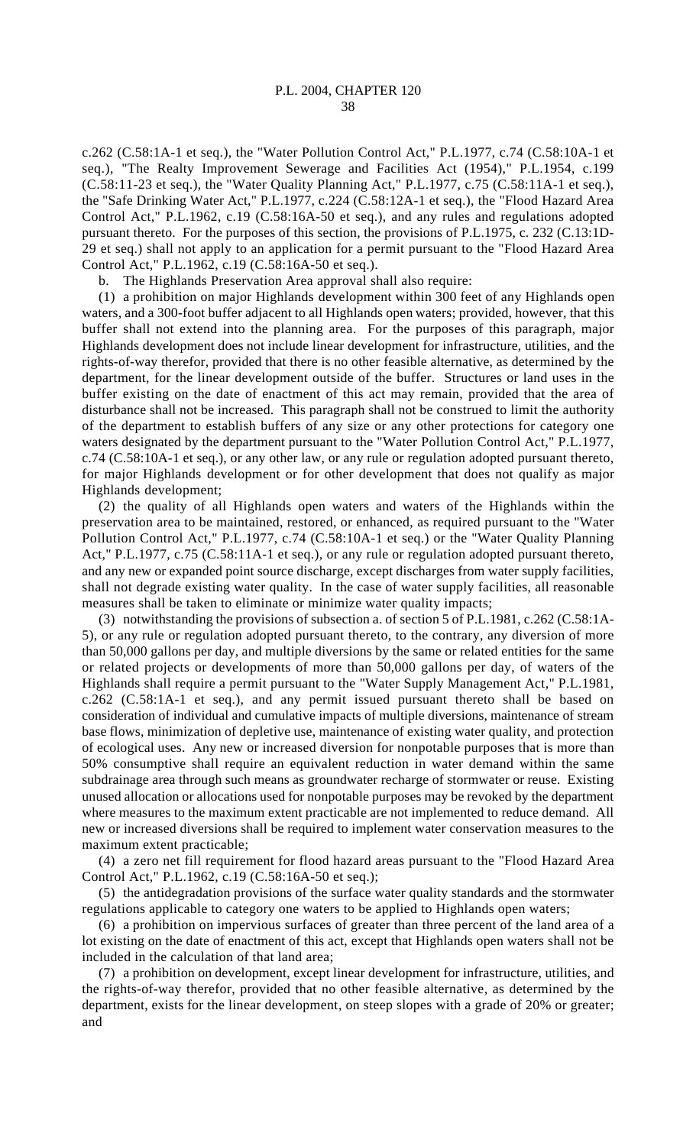c.262 (C.58:1A-1 et seq.), the "Water Pollution Control Act," P.L.1977, c.74 (C.58:10A-1 et seq.), "The Realty Improvement Sewerage and Facilities Act (1954)," P.L.1954, c.199 (C.58:11-23 et seq.), the "Water Quality Planning Act," P.L.1977, c.75 (C.58:11A-1 et seq.), the "Safe Drinking Water Act," P.L.1977, c.224 (C.58:12A-1 et seq.), the "Flood Hazard Area Control Act," P.L.1962, c.19 (C.58:16A-50 et seq.), and any rules and regulations adopted pursuant thereto. For the purposes of this section, the provisions of P.L.1975, c. 232 (C.13:1D-29 et seq.) shall not apply to an application for a permit pursuant to the "Flood Hazard Area Control Act," P.L.1962, c.19 (C.58:16A-50 et seq.).

b. The Highlands Preservation Area approval shall also require:

(1) a prohibition on major Highlands development within 300 feet of any Highlands open waters, and a 300-foot buffer adjacent to all Highlands open waters; provided, however, that this buffer shall not extend into the planning area. For the purposes of this paragraph, major Highlands development does not include linear development for infrastructure, utilities, and the rights-of-way therefor, provided that there is no other feasible alternative, as determined by the department, for the linear development outside of the buffer. Structures or land uses in the buffer existing on the date of enactment of this act may remain, provided that the area of disturbance shall not be increased. This paragraph shall not be construed to limit the authority of the department to establish buffers of any size or any other protections for category one waters designated by the department pursuant to the "Water Pollution Control Act," P.L.1977, c.74 (C.58:10A-1 et seq.), or any other law, or any rule or regulation adopted pursuant thereto, for major Highlands development or for other development that does not qualify as major Highlands development;

(2) the quality of all Highlands open waters and waters of the Highlands within the preservation area to be maintained, restored, or enhanced, as required pursuant to the "Water Pollution Control Act," P.L.1977, c.74 (C.58:10A-1 et seq.) or the "Water Quality Planning Act," P.L.1977, c.75 (C.58:11A-1 et seq.), or any rule or regulation adopted pursuant thereto, and any new or expanded point source discharge, except discharges from water supply facilities, shall not degrade existing water quality. In the case of water supply facilities, all reasonable measures shall be taken to eliminate or minimize water quality impacts;

(3) notwithstanding the provisions of subsection a. of section 5 of P.L.1981, c.262 (C.58:1A-5), or any rule or regulation adopted pursuant thereto, to the contrary, any diversion of more than 50,000 gallons per day, and multiple diversions by the same or related entities for the same or related projects or developments of more than 50,000 gallons per day, of waters of the Highlands shall require a permit pursuant to the "Water Supply Management Act," P.L.1981, c.262 (C.58:1A-1 et seq.), and any permit issued pursuant thereto shall be based on consideration of individual and cumulative impacts of multiple diversions, maintenance of stream base flows, minimization of depletive use, maintenance of existing water quality, and protection of ecological uses. Any new or increased diversion for nonpotable purposes that is more than 50% consumptive shall require an equivalent reduction in water demand within the same subdrainage area through such means as groundwater recharge of stormwater or reuse. Existing unused allocation or allocations used for nonpotable purposes may be revoked by the department where measures to the maximum extent practicable are not implemented to reduce demand. All new or increased diversions shall be required to implement water conservation measures to the maximum extent practicable;

(4) a zero net fill requirement for flood hazard areas pursuant to the "Flood Hazard Area Control Act," P.L.1962, c.19 (C.58:16A-50 et seq.);

(5) the antidegradation provisions of the surface water quality standards and the stormwater regulations applicable to category one waters to be applied to Highlands open waters;

(6) a prohibition on impervious surfaces of greater than three percent of the land area of a lot existing on the date of enactment of this act, except that Highlands open waters shall not be included in the calculation of that land area;

(7) a prohibition on development, except linear development for infrastructure, utilities, and the rights-of-way therefor, provided that no other feasible alternative, as determined by the department, exists for the linear development, on steep slopes with a grade of 20% or greater; and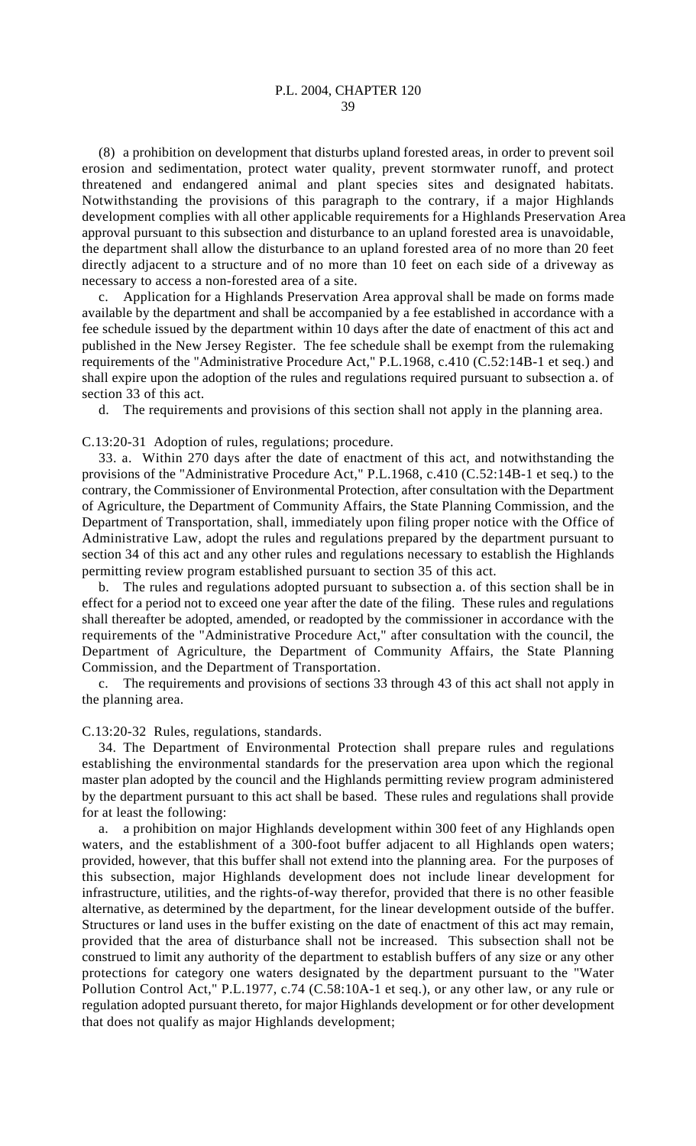(8) a prohibition on development that disturbs upland forested areas, in order to prevent soil erosion and sedimentation, protect water quality, prevent stormwater runoff, and protect threatened and endangered animal and plant species sites and designated habitats. Notwithstanding the provisions of this paragraph to the contrary, if a major Highlands development complies with all other applicable requirements for a Highlands Preservation Area approval pursuant to this subsection and disturbance to an upland forested area is unavoidable, the department shall allow the disturbance to an upland forested area of no more than 20 feet directly adjacent to a structure and of no more than 10 feet on each side of a driveway as necessary to access a non-forested area of a site.

c. Application for a Highlands Preservation Area approval shall be made on forms made available by the department and shall be accompanied by a fee established in accordance with a fee schedule issued by the department within 10 days after the date of enactment of this act and published in the New Jersey Register. The fee schedule shall be exempt from the rulemaking requirements of the "Administrative Procedure Act," P.L.1968, c.410 (C.52:14B-1 et seq.) and shall expire upon the adoption of the rules and regulations required pursuant to subsection a. of section 33 of this act.

d. The requirements and provisions of this section shall not apply in the planning area.

C.13:20-31 Adoption of rules, regulations; procedure.

33. a. Within 270 days after the date of enactment of this act, and notwithstanding the provisions of the "Administrative Procedure Act," P.L.1968, c.410 (C.52:14B-1 et seq.) to the contrary, the Commissioner of Environmental Protection, after consultation with the Department of Agriculture, the Department of Community Affairs, the State Planning Commission, and the Department of Transportation, shall, immediately upon filing proper notice with the Office of Administrative Law, adopt the rules and regulations prepared by the department pursuant to section 34 of this act and any other rules and regulations necessary to establish the Highlands permitting review program established pursuant to section 35 of this act.

b. The rules and regulations adopted pursuant to subsection a. of this section shall be in effect for a period not to exceed one year after the date of the filing. These rules and regulations shall thereafter be adopted, amended, or readopted by the commissioner in accordance with the requirements of the "Administrative Procedure Act," after consultation with the council, the Department of Agriculture, the Department of Community Affairs, the State Planning Commission, and the Department of Transportation.

c. The requirements and provisions of sections 33 through 43 of this act shall not apply in the planning area.

C.13:20-32 Rules, regulations, standards.

34. The Department of Environmental Protection shall prepare rules and regulations establishing the environmental standards for the preservation area upon which the regional master plan adopted by the council and the Highlands permitting review program administered by the department pursuant to this act shall be based. These rules and regulations shall provide for at least the following:

a. a prohibition on major Highlands development within 300 feet of any Highlands open waters, and the establishment of a 300-foot buffer adjacent to all Highlands open waters; provided, however, that this buffer shall not extend into the planning area. For the purposes of this subsection, major Highlands development does not include linear development for infrastructure, utilities, and the rights-of-way therefor, provided that there is no other feasible alternative, as determined by the department, for the linear development outside of the buffer. Structures or land uses in the buffer existing on the date of enactment of this act may remain, provided that the area of disturbance shall not be increased. This subsection shall not be construed to limit any authority of the department to establish buffers of any size or any other protections for category one waters designated by the department pursuant to the "Water Pollution Control Act," P.L.1977, c.74 (C.58:10A-1 et seq.), or any other law, or any rule or regulation adopted pursuant thereto, for major Highlands development or for other development that does not qualify as major Highlands development;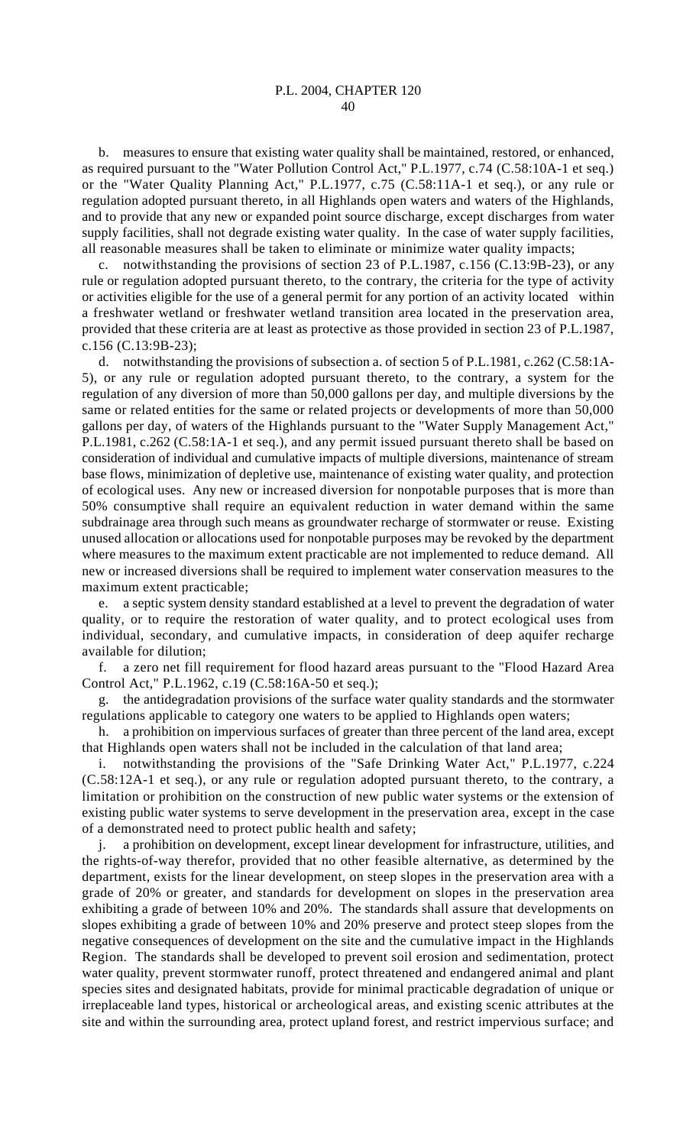b. measures to ensure that existing water quality shall be maintained, restored, or enhanced, as required pursuant to the "Water Pollution Control Act," P.L.1977, c.74 (C.58:10A-1 et seq.) or the "Water Quality Planning Act," P.L.1977, c.75 (C.58:11A-1 et seq.), or any rule or regulation adopted pursuant thereto, in all Highlands open waters and waters of the Highlands, and to provide that any new or expanded point source discharge, except discharges from water supply facilities, shall not degrade existing water quality. In the case of water supply facilities, all reasonable measures shall be taken to eliminate or minimize water quality impacts;

c. notwithstanding the provisions of section 23 of P.L.1987, c.156 (C.13:9B-23), or any rule or regulation adopted pursuant thereto, to the contrary, the criteria for the type of activity or activities eligible for the use of a general permit for any portion of an activity located within a freshwater wetland or freshwater wetland transition area located in the preservation area, provided that these criteria are at least as protective as those provided in section 23 of P.L.1987, c.156 (C.13:9B-23);

d. notwithstanding the provisions of subsection a. of section 5 of P.L.1981, c.262 (C.58:1A-5), or any rule or regulation adopted pursuant thereto, to the contrary, a system for the regulation of any diversion of more than 50,000 gallons per day, and multiple diversions by the same or related entities for the same or related projects or developments of more than 50,000 gallons per day, of waters of the Highlands pursuant to the "Water Supply Management Act," P.L.1981, c.262 (C.58:1A-1 et seq.), and any permit issued pursuant thereto shall be based on consideration of individual and cumulative impacts of multiple diversions, maintenance of stream base flows, minimization of depletive use, maintenance of existing water quality, and protection of ecological uses. Any new or increased diversion for nonpotable purposes that is more than 50% consumptive shall require an equivalent reduction in water demand within the same subdrainage area through such means as groundwater recharge of stormwater or reuse. Existing unused allocation or allocations used for nonpotable purposes may be revoked by the department where measures to the maximum extent practicable are not implemented to reduce demand. All new or increased diversions shall be required to implement water conservation measures to the maximum extent practicable;

e. a septic system density standard established at a level to prevent the degradation of water quality, or to require the restoration of water quality, and to protect ecological uses from individual, secondary, and cumulative impacts, in consideration of deep aquifer recharge available for dilution;

f. a zero net fill requirement for flood hazard areas pursuant to the "Flood Hazard Area Control Act," P.L.1962, c.19 (C.58:16A-50 et seq.);

g. the antidegradation provisions of the surface water quality standards and the stormwater regulations applicable to category one waters to be applied to Highlands open waters;

h. a prohibition on impervious surfaces of greater than three percent of the land area, except that Highlands open waters shall not be included in the calculation of that land area;

i. notwithstanding the provisions of the "Safe Drinking Water Act," P.L.1977, c.224 (C.58:12A-1 et seq.), or any rule or regulation adopted pursuant thereto, to the contrary, a limitation or prohibition on the construction of new public water systems or the extension of existing public water systems to serve development in the preservation area, except in the case of a demonstrated need to protect public health and safety;

j. a prohibition on development, except linear development for infrastructure, utilities, and the rights-of-way therefor, provided that no other feasible alternative, as determined by the department, exists for the linear development, on steep slopes in the preservation area with a grade of 20% or greater, and standards for development on slopes in the preservation area exhibiting a grade of between 10% and 20%. The standards shall assure that developments on slopes exhibiting a grade of between 10% and 20% preserve and protect steep slopes from the negative consequences of development on the site and the cumulative impact in the Highlands Region. The standards shall be developed to prevent soil erosion and sedimentation, protect water quality, prevent stormwater runoff, protect threatened and endangered animal and plant species sites and designated habitats, provide for minimal practicable degradation of unique or irreplaceable land types, historical or archeological areas, and existing scenic attributes at the site and within the surrounding area, protect upland forest, and restrict impervious surface; and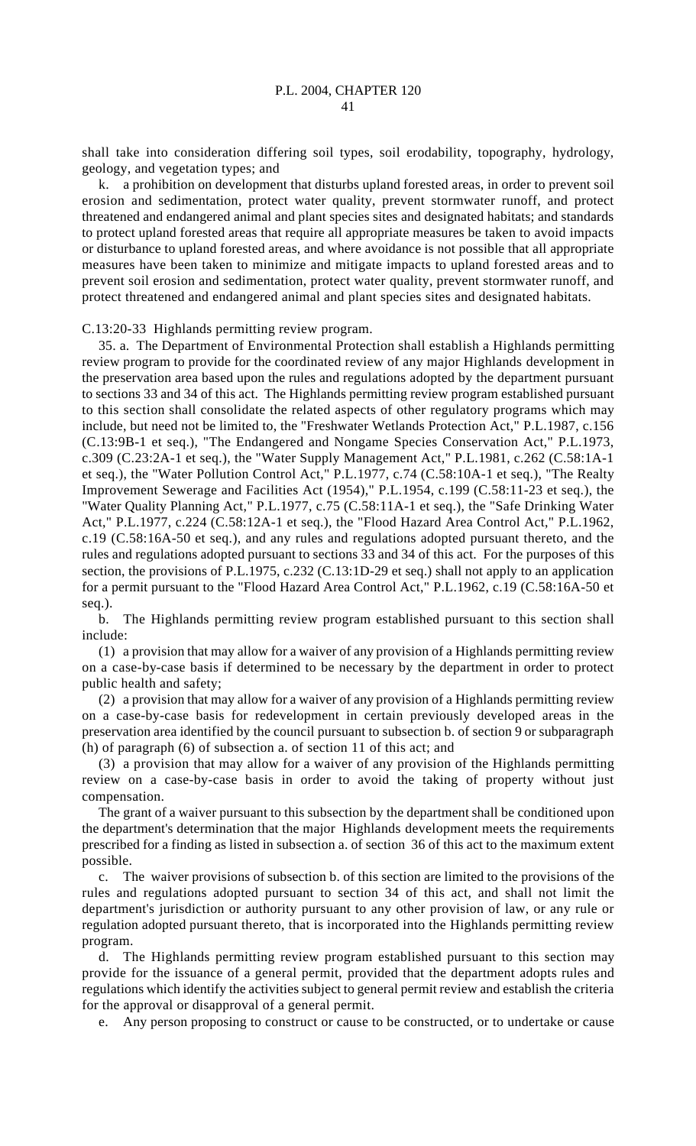shall take into consideration differing soil types, soil erodability, topography, hydrology, geology, and vegetation types; and

k. a prohibition on development that disturbs upland forested areas, in order to prevent soil erosion and sedimentation, protect water quality, prevent stormwater runoff, and protect threatened and endangered animal and plant species sites and designated habitats; and standards to protect upland forested areas that require all appropriate measures be taken to avoid impacts or disturbance to upland forested areas, and where avoidance is not possible that all appropriate measures have been taken to minimize and mitigate impacts to upland forested areas and to prevent soil erosion and sedimentation, protect water quality, prevent stormwater runoff, and protect threatened and endangered animal and plant species sites and designated habitats.

C.13:20-33 Highlands permitting review program.

35. a. The Department of Environmental Protection shall establish a Highlands permitting review program to provide for the coordinated review of any major Highlands development in the preservation area based upon the rules and regulations adopted by the department pursuant to sections 33 and 34 of this act. The Highlands permitting review program established pursuant to this section shall consolidate the related aspects of other regulatory programs which may include, but need not be limited to, the "Freshwater Wetlands Protection Act," P.L.1987, c.156 (C.13:9B-1 et seq.), "The Endangered and Nongame Species Conservation Act," P.L.1973, c.309 (C.23:2A-1 et seq.), the "Water Supply Management Act," P.L.1981, c.262 (C.58:1A-1 et seq.), the "Water Pollution Control Act," P.L.1977, c.74 (C.58:10A-1 et seq.), "The Realty Improvement Sewerage and Facilities Act (1954)," P.L.1954, c.199 (C.58:11-23 et seq.), the "Water Quality Planning Act," P.L.1977, c.75 (C.58:11A-1 et seq.), the "Safe Drinking Water Act," P.L.1977, c.224 (C.58:12A-1 et seq.), the "Flood Hazard Area Control Act," P.L.1962, c.19 (C.58:16A-50 et seq.), and any rules and regulations adopted pursuant thereto, and the rules and regulations adopted pursuant to sections 33 and 34 of this act. For the purposes of this section, the provisions of P.L.1975, c.232 (C.13:1D-29 et seq.) shall not apply to an application for a permit pursuant to the "Flood Hazard Area Control Act," P.L.1962, c.19 (C.58:16A-50 et seq.).

b. The Highlands permitting review program established pursuant to this section shall include:

(1) a provision that may allow for a waiver of any provision of a Highlands permitting review on a case-by-case basis if determined to be necessary by the department in order to protect public health and safety;

(2) a provision that may allow for a waiver of any provision of a Highlands permitting review on a case-by-case basis for redevelopment in certain previously developed areas in the preservation area identified by the council pursuant to subsection b. of section 9 or subparagraph (h) of paragraph (6) of subsection a. of section 11 of this act; and

(3) a provision that may allow for a waiver of any provision of the Highlands permitting review on a case-by-case basis in order to avoid the taking of property without just compensation.

The grant of a waiver pursuant to this subsection by the department shall be conditioned upon the department's determination that the major Highlands development meets the requirements prescribed for a finding as listed in subsection a. of section 36 of this act to the maximum extent possible.

c. The waiver provisions of subsection b. of this section are limited to the provisions of the rules and regulations adopted pursuant to section 34 of this act, and shall not limit the department's jurisdiction or authority pursuant to any other provision of law, or any rule or regulation adopted pursuant thereto, that is incorporated into the Highlands permitting review program.

d. The Highlands permitting review program established pursuant to this section may provide for the issuance of a general permit, provided that the department adopts rules and regulations which identify the activities subject to general permit review and establish the criteria for the approval or disapproval of a general permit.

e. Any person proposing to construct or cause to be constructed, or to undertake or cause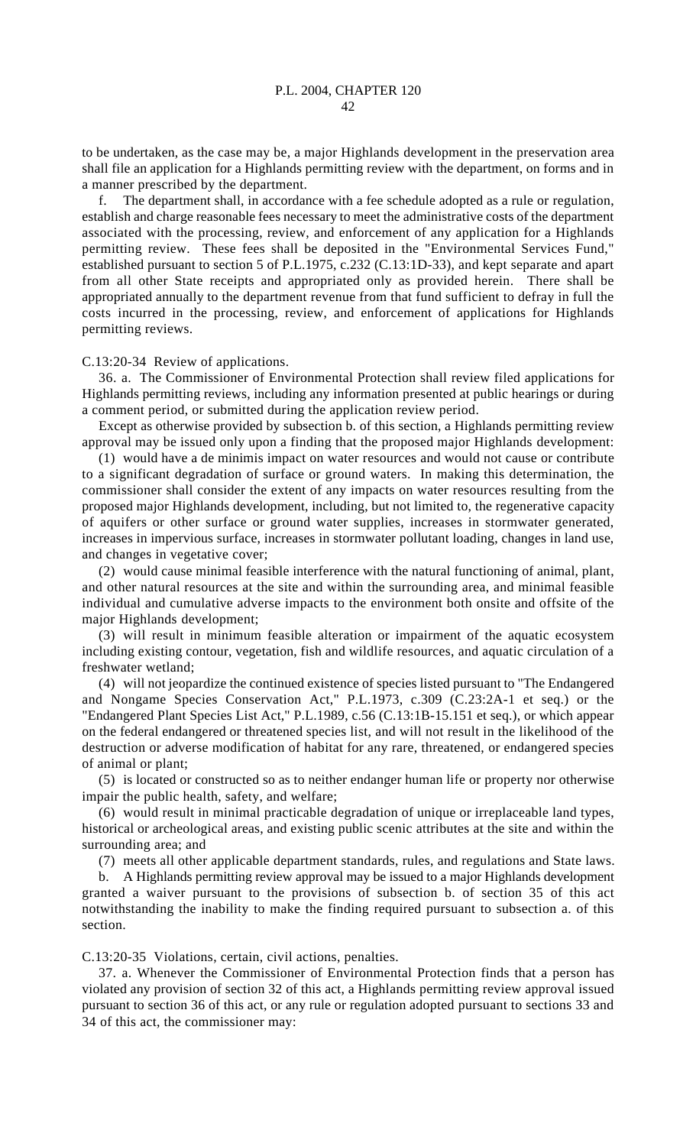to be undertaken, as the case may be, a major Highlands development in the preservation area shall file an application for a Highlands permitting review with the department, on forms and in a manner prescribed by the department.

f. The department shall, in accordance with a fee schedule adopted as a rule or regulation, establish and charge reasonable fees necessary to meet the administrative costs of the department associated with the processing, review, and enforcement of any application for a Highlands permitting review. These fees shall be deposited in the "Environmental Services Fund," established pursuant to section 5 of P.L.1975, c.232 (C.13:1D-33), and kept separate and apart from all other State receipts and appropriated only as provided herein. There shall be appropriated annually to the department revenue from that fund sufficient to defray in full the costs incurred in the processing, review, and enforcement of applications for Highlands permitting reviews.

## C.13:20-34 Review of applications.

36. a. The Commissioner of Environmental Protection shall review filed applications for Highlands permitting reviews, including any information presented at public hearings or during a comment period, or submitted during the application review period.

Except as otherwise provided by subsection b. of this section, a Highlands permitting review approval may be issued only upon a finding that the proposed major Highlands development:

(1) would have a de minimis impact on water resources and would not cause or contribute to a significant degradation of surface or ground waters. In making this determination, the commissioner shall consider the extent of any impacts on water resources resulting from the proposed major Highlands development, including, but not limited to, the regenerative capacity of aquifers or other surface or ground water supplies, increases in stormwater generated, increases in impervious surface, increases in stormwater pollutant loading, changes in land use, and changes in vegetative cover;

(2) would cause minimal feasible interference with the natural functioning of animal, plant, and other natural resources at the site and within the surrounding area, and minimal feasible individual and cumulative adverse impacts to the environment both onsite and offsite of the major Highlands development;

(3) will result in minimum feasible alteration or impairment of the aquatic ecosystem including existing contour, vegetation, fish and wildlife resources, and aquatic circulation of a freshwater wetland;

(4) will not jeopardize the continued existence of species listed pursuant to "The Endangered and Nongame Species Conservation Act," P.L.1973, c.309 (C.23:2A-1 et seq.) or the "Endangered Plant Species List Act," P.L.1989, c.56 (C.13:1B-15.151 et seq.), or which appear on the federal endangered or threatened species list, and will not result in the likelihood of the destruction or adverse modification of habitat for any rare, threatened, or endangered species of animal or plant;

(5) is located or constructed so as to neither endanger human life or property nor otherwise impair the public health, safety, and welfare;

(6) would result in minimal practicable degradation of unique or irreplaceable land types, historical or archeological areas, and existing public scenic attributes at the site and within the surrounding area; and

(7) meets all other applicable department standards, rules, and regulations and State laws.

b. A Highlands permitting review approval may be issued to a major Highlands development granted a waiver pursuant to the provisions of subsection b. of section 35 of this act notwithstanding the inability to make the finding required pursuant to subsection a. of this section.

C.13:20-35 Violations, certain, civil actions, penalties.

37. a. Whenever the Commissioner of Environmental Protection finds that a person has violated any provision of section 32 of this act, a Highlands permitting review approval issued pursuant to section 36 of this act, or any rule or regulation adopted pursuant to sections 33 and 34 of this act, the commissioner may: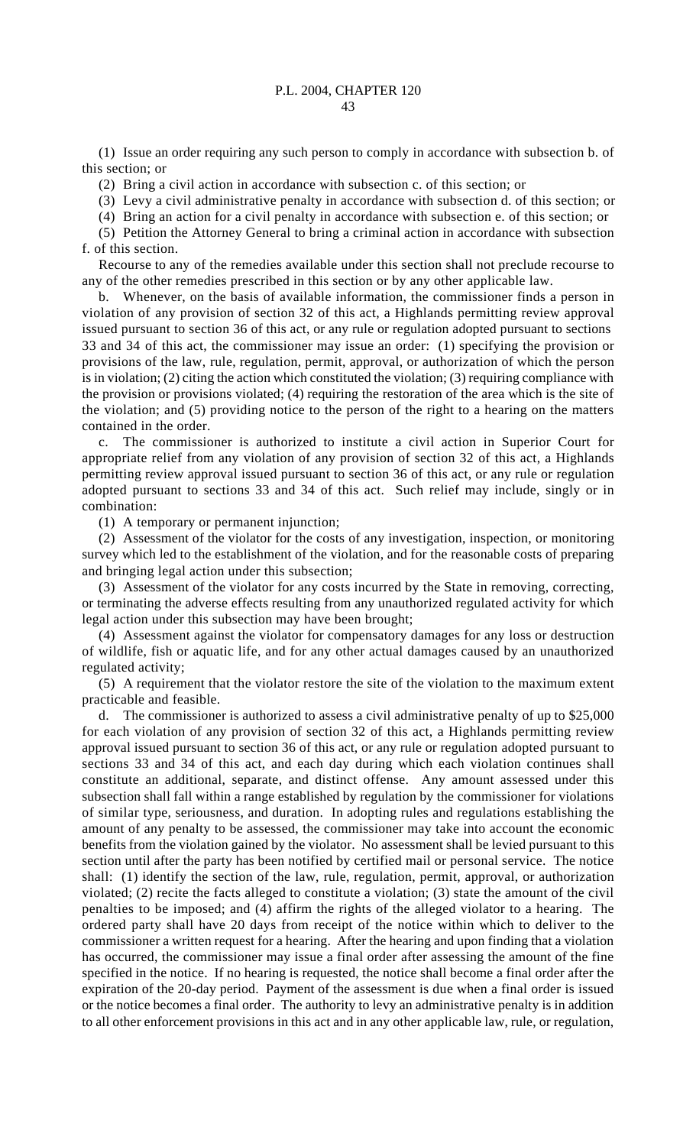(1) Issue an order requiring any such person to comply in accordance with subsection b. of this section; or

(2) Bring a civil action in accordance with subsection c. of this section; or

(3) Levy a civil administrative penalty in accordance with subsection d. of this section; or

(4) Bring an action for a civil penalty in accordance with subsection e. of this section; or

(5) Petition the Attorney General to bring a criminal action in accordance with subsection f. of this section.

Recourse to any of the remedies available under this section shall not preclude recourse to any of the other remedies prescribed in this section or by any other applicable law.

b. Whenever, on the basis of available information, the commissioner finds a person in violation of any provision of section 32 of this act, a Highlands permitting review approval issued pursuant to section 36 of this act, or any rule or regulation adopted pursuant to sections 33 and 34 of this act, the commissioner may issue an order: (1) specifying the provision or provisions of the law, rule, regulation, permit, approval, or authorization of which the person is in violation; (2) citing the action which constituted the violation; (3) requiring compliance with the provision or provisions violated; (4) requiring the restoration of the area which is the site of the violation; and (5) providing notice to the person of the right to a hearing on the matters contained in the order.

c. The commissioner is authorized to institute a civil action in Superior Court for appropriate relief from any violation of any provision of section 32 of this act, a Highlands permitting review approval issued pursuant to section 36 of this act, or any rule or regulation adopted pursuant to sections 33 and 34 of this act. Such relief may include, singly or in combination:

(1) A temporary or permanent injunction;

(2) Assessment of the violator for the costs of any investigation, inspection, or monitoring survey which led to the establishment of the violation, and for the reasonable costs of preparing and bringing legal action under this subsection;

(3) Assessment of the violator for any costs incurred by the State in removing, correcting, or terminating the adverse effects resulting from any unauthorized regulated activity for which legal action under this subsection may have been brought;

(4) Assessment against the violator for compensatory damages for any loss or destruction of wildlife, fish or aquatic life, and for any other actual damages caused by an unauthorized regulated activity;

(5) A requirement that the violator restore the site of the violation to the maximum extent practicable and feasible.

d. The commissioner is authorized to assess a civil administrative penalty of up to \$25,000 for each violation of any provision of section 32 of this act, a Highlands permitting review approval issued pursuant to section 36 of this act, or any rule or regulation adopted pursuant to sections 33 and 34 of this act, and each day during which each violation continues shall constitute an additional, separate, and distinct offense. Any amount assessed under this subsection shall fall within a range established by regulation by the commissioner for violations of similar type, seriousness, and duration. In adopting rules and regulations establishing the amount of any penalty to be assessed, the commissioner may take into account the economic benefits from the violation gained by the violator. No assessment shall be levied pursuant to this section until after the party has been notified by certified mail or personal service. The notice shall: (1) identify the section of the law, rule, regulation, permit, approval, or authorization violated; (2) recite the facts alleged to constitute a violation; (3) state the amount of the civil penalties to be imposed; and (4) affirm the rights of the alleged violator to a hearing. The ordered party shall have 20 days from receipt of the notice within which to deliver to the commissioner a written request for a hearing. After the hearing and upon finding that a violation has occurred, the commissioner may issue a final order after assessing the amount of the fine specified in the notice. If no hearing is requested, the notice shall become a final order after the expiration of the 20-day period. Payment of the assessment is due when a final order is issued or the notice becomes a final order. The authority to levy an administrative penalty is in addition to all other enforcement provisions in this act and in any other applicable law, rule, or regulation,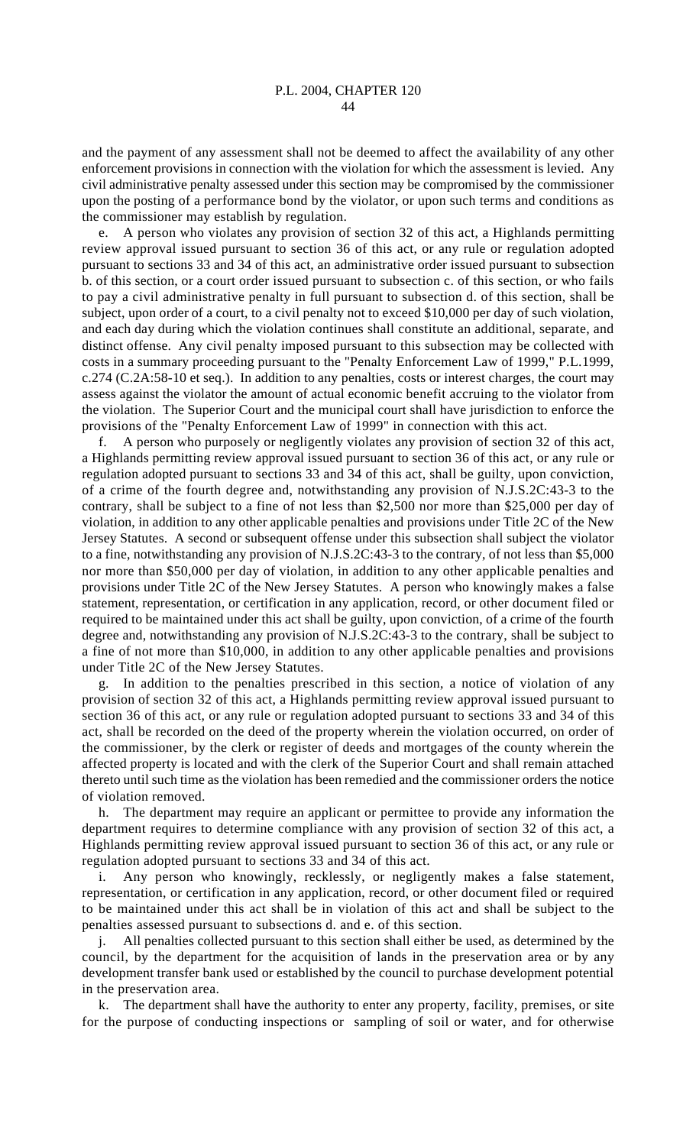and the payment of any assessment shall not be deemed to affect the availability of any other enforcement provisions in connection with the violation for which the assessment is levied. Any civil administrative penalty assessed under this section may be compromised by the commissioner upon the posting of a performance bond by the violator, or upon such terms and conditions as the commissioner may establish by regulation.

e. A person who violates any provision of section 32 of this act, a Highlands permitting review approval issued pursuant to section 36 of this act, or any rule or regulation adopted pursuant to sections 33 and 34 of this act, an administrative order issued pursuant to subsection b. of this section, or a court order issued pursuant to subsection c. of this section, or who fails to pay a civil administrative penalty in full pursuant to subsection d. of this section, shall be subject, upon order of a court, to a civil penalty not to exceed \$10,000 per day of such violation, and each day during which the violation continues shall constitute an additional, separate, and distinct offense. Any civil penalty imposed pursuant to this subsection may be collected with costs in a summary proceeding pursuant to the "Penalty Enforcement Law of 1999," P.L.1999, c.274 (C.2A:58-10 et seq.). In addition to any penalties, costs or interest charges, the court may assess against the violator the amount of actual economic benefit accruing to the violator from the violation. The Superior Court and the municipal court shall have jurisdiction to enforce the provisions of the "Penalty Enforcement Law of 1999" in connection with this act.

f. A person who purposely or negligently violates any provision of section 32 of this act, a Highlands permitting review approval issued pursuant to section 36 of this act, or any rule or regulation adopted pursuant to sections 33 and 34 of this act, shall be guilty, upon conviction, of a crime of the fourth degree and, notwithstanding any provision of N.J.S.2C:43-3 to the contrary, shall be subject to a fine of not less than \$2,500 nor more than \$25,000 per day of violation, in addition to any other applicable penalties and provisions under Title 2C of the New Jersey Statutes. A second or subsequent offense under this subsection shall subject the violator to a fine, notwithstanding any provision of N.J.S.2C:43-3 to the contrary, of not less than \$5,000 nor more than \$50,000 per day of violation, in addition to any other applicable penalties and provisions under Title 2C of the New Jersey Statutes. A person who knowingly makes a false statement, representation, or certification in any application, record, or other document filed or required to be maintained under this act shall be guilty, upon conviction, of a crime of the fourth degree and, notwithstanding any provision of N.J.S.2C:43-3 to the contrary, shall be subject to a fine of not more than \$10,000, in addition to any other applicable penalties and provisions under Title 2C of the New Jersey Statutes.

g. In addition to the penalties prescribed in this section, a notice of violation of any provision of section 32 of this act, a Highlands permitting review approval issued pursuant to section 36 of this act, or any rule or regulation adopted pursuant to sections 33 and 34 of this act, shall be recorded on the deed of the property wherein the violation occurred, on order of the commissioner, by the clerk or register of deeds and mortgages of the county wherein the affected property is located and with the clerk of the Superior Court and shall remain attached thereto until such time as the violation has been remedied and the commissioner orders the notice of violation removed.

h. The department may require an applicant or permittee to provide any information the department requires to determine compliance with any provision of section 32 of this act, a Highlands permitting review approval issued pursuant to section 36 of this act, or any rule or regulation adopted pursuant to sections 33 and 34 of this act.

i. Any person who knowingly, recklessly, or negligently makes a false statement, representation, or certification in any application, record, or other document filed or required to be maintained under this act shall be in violation of this act and shall be subject to the penalties assessed pursuant to subsections d. and e. of this section.

j. All penalties collected pursuant to this section shall either be used, as determined by the council, by the department for the acquisition of lands in the preservation area or by any development transfer bank used or established by the council to purchase development potential in the preservation area.

k. The department shall have the authority to enter any property, facility, premises, or site for the purpose of conducting inspections or sampling of soil or water, and for otherwise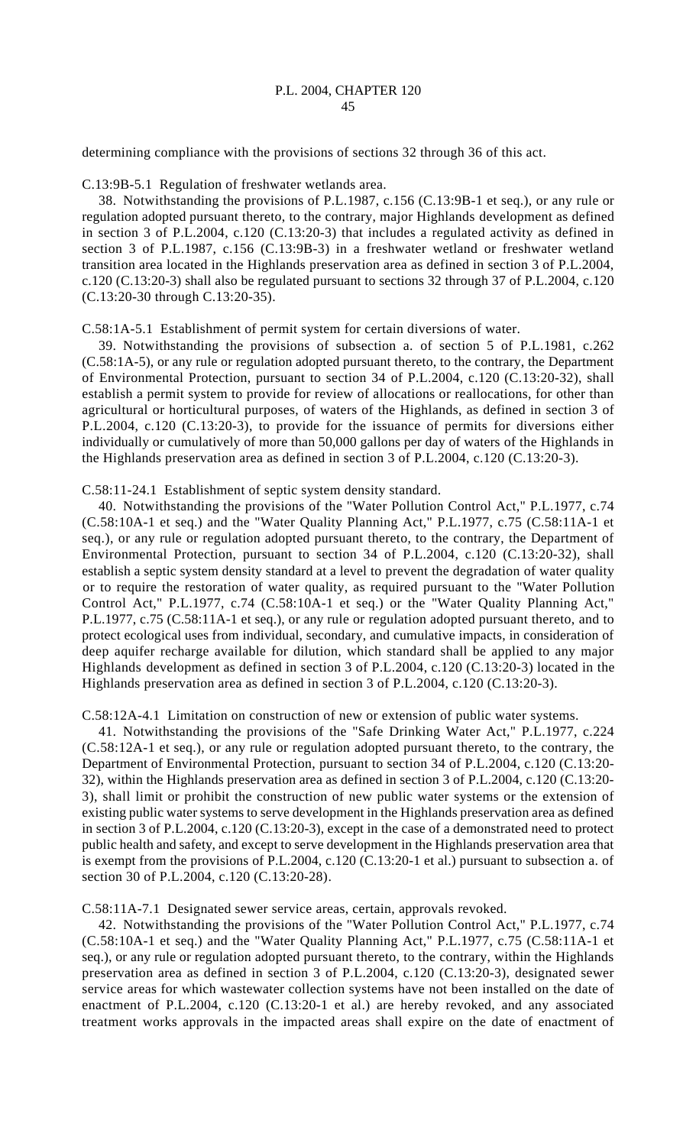determining compliance with the provisions of sections 32 through 36 of this act.

C.13:9B-5.1 Regulation of freshwater wetlands area.

38. Notwithstanding the provisions of P.L.1987, c.156 (C.13:9B-1 et seq.), or any rule or regulation adopted pursuant thereto, to the contrary, major Highlands development as defined in section 3 of P.L.2004, c.120 (C.13:20-3) that includes a regulated activity as defined in section 3 of P.L.1987, c.156 (C.13:9B-3) in a freshwater wetland or freshwater wetland transition area located in the Highlands preservation area as defined in section 3 of P.L.2004, c.120 (C.13:20-3) shall also be regulated pursuant to sections 32 through 37 of P.L.2004, c.120 (C.13:20-30 through C.13:20-35).

C.58:1A-5.1 Establishment of permit system for certain diversions of water.

39. Notwithstanding the provisions of subsection a. of section 5 of P.L.1981, c.262 (C.58:1A-5), or any rule or regulation adopted pursuant thereto, to the contrary, the Department of Environmental Protection, pursuant to section 34 of P.L.2004, c.120 (C.13:20-32), shall establish a permit system to provide for review of allocations or reallocations, for other than agricultural or horticultural purposes, of waters of the Highlands, as defined in section 3 of P.L.2004, c.120 (C.13:20-3), to provide for the issuance of permits for diversions either individually or cumulatively of more than 50,000 gallons per day of waters of the Highlands in the Highlands preservation area as defined in section 3 of P.L.2004, c.120 (C.13:20-3).

C.58:11-24.1 Establishment of septic system density standard.

40. Notwithstanding the provisions of the "Water Pollution Control Act," P.L.1977, c.74 (C.58:10A-1 et seq.) and the "Water Quality Planning Act," P.L.1977, c.75 (C.58:11A-1 et seq.), or any rule or regulation adopted pursuant thereto, to the contrary, the Department of Environmental Protection, pursuant to section 34 of P.L.2004, c.120 (C.13:20-32), shall establish a septic system density standard at a level to prevent the degradation of water quality or to require the restoration of water quality, as required pursuant to the "Water Pollution Control Act," P.L.1977, c.74 (C.58:10A-1 et seq.) or the "Water Quality Planning Act," P.L.1977, c.75 (C.58:11A-1 et seq.), or any rule or regulation adopted pursuant thereto, and to protect ecological uses from individual, secondary, and cumulative impacts, in consideration of deep aquifer recharge available for dilution, which standard shall be applied to any major Highlands development as defined in section 3 of P.L.2004, c.120 (C.13:20-3) located in the Highlands preservation area as defined in section 3 of P.L.2004, c.120 (C.13:20-3).

C.58:12A-4.1 Limitation on construction of new or extension of public water systems.

41. Notwithstanding the provisions of the "Safe Drinking Water Act," P.L.1977, c.224 (C.58:12A-1 et seq.), or any rule or regulation adopted pursuant thereto, to the contrary, the Department of Environmental Protection, pursuant to section 34 of P.L.2004, c.120 (C.13:20- 32), within the Highlands preservation area as defined in section 3 of P.L.2004, c.120 (C.13:20- 3), shall limit or prohibit the construction of new public water systems or the extension of existing public water systems to serve development in the Highlands preservation area as defined in section 3 of P.L.2004, c.120 (C.13:20-3), except in the case of a demonstrated need to protect public health and safety, and except to serve development in the Highlands preservation area that is exempt from the provisions of P.L.2004, c.120 (C.13:20-1 et al.) pursuant to subsection a. of section 30 of P.L.2004, c.120 (C.13:20-28).

C.58:11A-7.1 Designated sewer service areas, certain, approvals revoked.

42. Notwithstanding the provisions of the "Water Pollution Control Act," P.L.1977, c.74 (C.58:10A-1 et seq.) and the "Water Quality Planning Act," P.L.1977, c.75 (C.58:11A-1 et seq.), or any rule or regulation adopted pursuant thereto, to the contrary, within the Highlands preservation area as defined in section 3 of P.L.2004, c.120 (C.13:20-3), designated sewer service areas for which wastewater collection systems have not been installed on the date of enactment of P.L.2004, c.120 (C.13:20-1 et al.) are hereby revoked, and any associated treatment works approvals in the impacted areas shall expire on the date of enactment of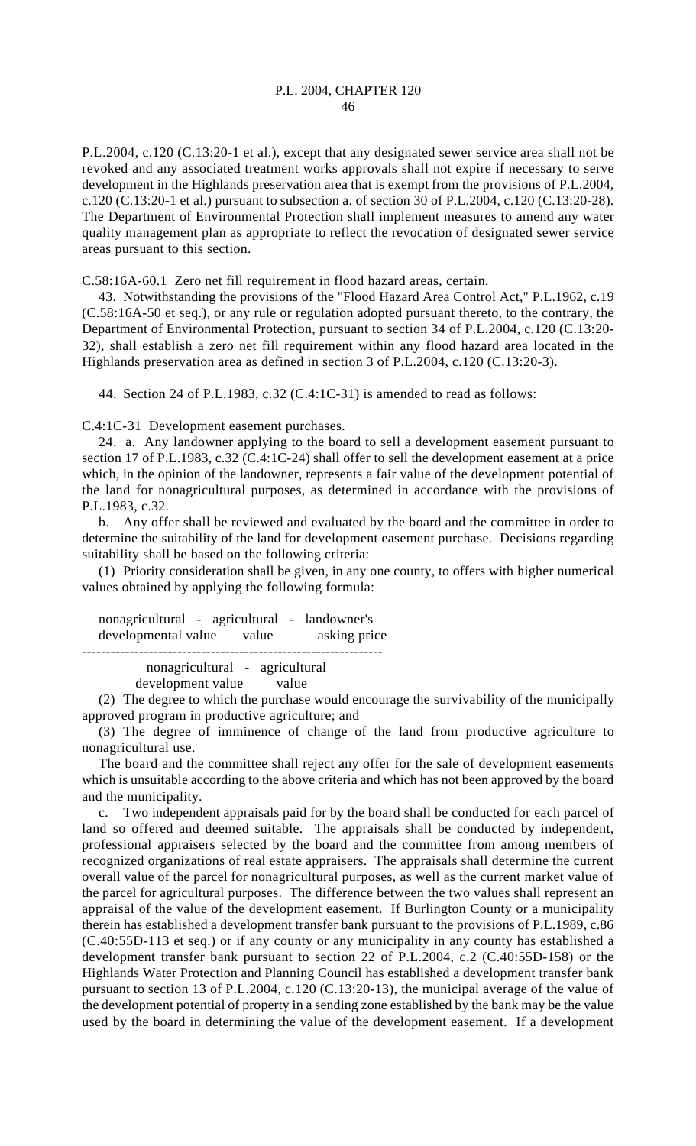P.L.2004, c.120 (C.13:20-1 et al.), except that any designated sewer service area shall not be revoked and any associated treatment works approvals shall not expire if necessary to serve development in the Highlands preservation area that is exempt from the provisions of P.L.2004, c.120 (C.13:20-1 et al.) pursuant to subsection a. of section 30 of P.L.2004, c.120 (C.13:20-28). The Department of Environmental Protection shall implement measures to amend any water quality management plan as appropriate to reflect the revocation of designated sewer service areas pursuant to this section.

C.58:16A-60.1 Zero net fill requirement in flood hazard areas, certain.

43. Notwithstanding the provisions of the "Flood Hazard Area Control Act," P.L.1962, c.19 (C.58:16A-50 et seq.), or any rule or regulation adopted pursuant thereto, to the contrary, the Department of Environmental Protection, pursuant to section 34 of P.L.2004, c.120 (C.13:20- 32), shall establish a zero net fill requirement within any flood hazard area located in the Highlands preservation area as defined in section 3 of P.L.2004, c.120 (C.13:20-3).

44. Section 24 of P.L.1983, c.32 (C.4:1C-31) is amended to read as follows:

C.4:1C-31 Development easement purchases.

24. a. Any landowner applying to the board to sell a development easement pursuant to section 17 of P.L.1983, c.32 (C.4:1C-24) shall offer to sell the development easement at a price which, in the opinion of the landowner, represents a fair value of the development potential of the land for nonagricultural purposes, as determined in accordance with the provisions of P.L.1983, c.32.

b. Any offer shall be reviewed and evaluated by the board and the committee in order to determine the suitability of the land for development easement purchase. Decisions regarding suitability shall be based on the following criteria:

(1) Priority consideration shall be given, in any one county, to offers with higher numerical values obtained by applying the following formula:

nonagricultural - agricultural - landowner's developmental value value asking price -------------------------------------------------------------- nonagricultural - agricultural development value value

(2) The degree to which the purchase would encourage the survivability of the municipally approved program in productive agriculture; and

(3) The degree of imminence of change of the land from productive agriculture to nonagricultural use.

The board and the committee shall reject any offer for the sale of development easements which is unsuitable according to the above criteria and which has not been approved by the board and the municipality.

c. Two independent appraisals paid for by the board shall be conducted for each parcel of land so offered and deemed suitable. The appraisals shall be conducted by independent, professional appraisers selected by the board and the committee from among members of recognized organizations of real estate appraisers. The appraisals shall determine the current overall value of the parcel for nonagricultural purposes, as well as the current market value of the parcel for agricultural purposes. The difference between the two values shall represent an appraisal of the value of the development easement. If Burlington County or a municipality therein has established a development transfer bank pursuant to the provisions of P.L.1989, c.86 (C.40:55D-113 et seq.) or if any county or any municipality in any county has established a development transfer bank pursuant to section 22 of P.L.2004, c.2 (C.40:55D-158) or the Highlands Water Protection and Planning Council has established a development transfer bank pursuant to section 13 of P.L.2004, c.120 (C.13:20-13), the municipal average of the value of the development potential of property in a sending zone established by the bank may be the value used by the board in determining the value of the development easement. If a development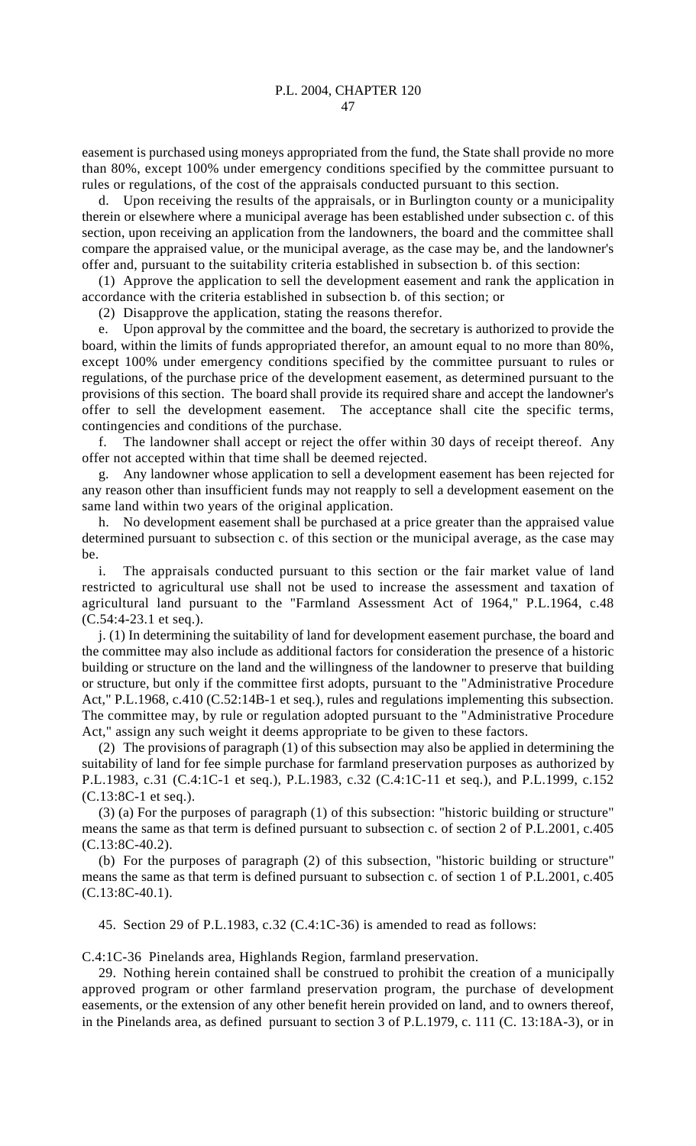easement is purchased using moneys appropriated from the fund, the State shall provide no more than 80%, except 100% under emergency conditions specified by the committee pursuant to rules or regulations, of the cost of the appraisals conducted pursuant to this section.

d. Upon receiving the results of the appraisals, or in Burlington county or a municipality therein or elsewhere where a municipal average has been established under subsection c. of this section, upon receiving an application from the landowners, the board and the committee shall compare the appraised value, or the municipal average, as the case may be, and the landowner's offer and, pursuant to the suitability criteria established in subsection b. of this section:

(1) Approve the application to sell the development easement and rank the application in accordance with the criteria established in subsection b. of this section; or

(2) Disapprove the application, stating the reasons therefor.

e. Upon approval by the committee and the board, the secretary is authorized to provide the board, within the limits of funds appropriated therefor, an amount equal to no more than 80%, except 100% under emergency conditions specified by the committee pursuant to rules or regulations, of the purchase price of the development easement, as determined pursuant to the provisions of this section. The board shall provide its required share and accept the landowner's offer to sell the development easement. The acceptance shall cite the specific terms, contingencies and conditions of the purchase.

f. The landowner shall accept or reject the offer within 30 days of receipt thereof. Any offer not accepted within that time shall be deemed rejected.

g. Any landowner whose application to sell a development easement has been rejected for any reason other than insufficient funds may not reapply to sell a development easement on the same land within two years of the original application.

h. No development easement shall be purchased at a price greater than the appraised value determined pursuant to subsection c. of this section or the municipal average, as the case may be.

i. The appraisals conducted pursuant to this section or the fair market value of land restricted to agricultural use shall not be used to increase the assessment and taxation of agricultural land pursuant to the "Farmland Assessment Act of 1964," P.L.1964, c.48 (C.54:4-23.1 et seq.).

j. (1) In determining the suitability of land for development easement purchase, the board and the committee may also include as additional factors for consideration the presence of a historic building or structure on the land and the willingness of the landowner to preserve that building or structure, but only if the committee first adopts, pursuant to the "Administrative Procedure Act," P.L.1968, c.410 (C.52:14B-1 et seq.), rules and regulations implementing this subsection. The committee may, by rule or regulation adopted pursuant to the "Administrative Procedure Act," assign any such weight it deems appropriate to be given to these factors.

(2) The provisions of paragraph (1) of this subsection may also be applied in determining the suitability of land for fee simple purchase for farmland preservation purposes as authorized by P.L.1983, c.31 (C.4:1C-1 et seq.), P.L.1983, c.32 (C.4:1C-11 et seq.), and P.L.1999, c.152 (C.13:8C-1 et seq.).

(3) (a) For the purposes of paragraph (1) of this subsection: "historic building or structure" means the same as that term is defined pursuant to subsection c. of section 2 of P.L.2001, c.405 (C.13:8C-40.2).

(b) For the purposes of paragraph (2) of this subsection, "historic building or structure" means the same as that term is defined pursuant to subsection c. of section 1 of P.L.2001, c.405 (C.13:8C-40.1).

45. Section 29 of P.L.1983, c.32 (C.4:1C-36) is amended to read as follows:

C.4:1C-36 Pinelands area, Highlands Region, farmland preservation.

29. Nothing herein contained shall be construed to prohibit the creation of a municipally approved program or other farmland preservation program, the purchase of development easements, or the extension of any other benefit herein provided on land, and to owners thereof, in the Pinelands area, as defined pursuant to section 3 of P.L.1979, c. 111 (C. 13:18A-3), or in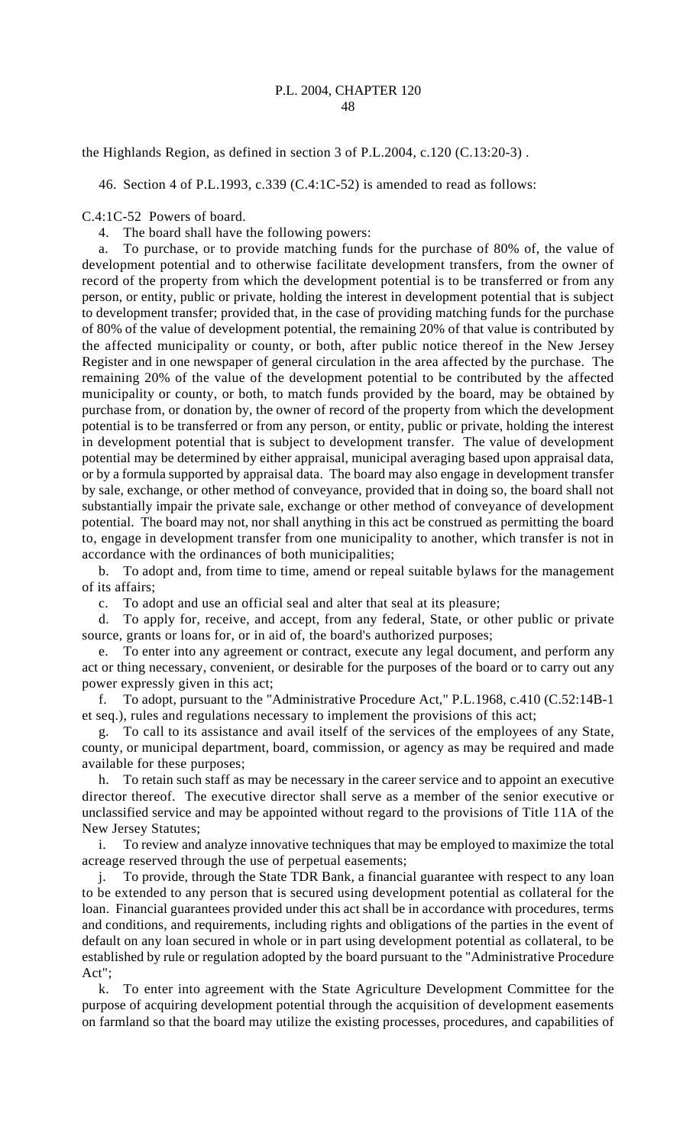the Highlands Region, as defined in section 3 of P.L.2004, c.120 (C.13:20-3) .

46. Section 4 of P.L.1993, c.339 (C.4:1C-52) is amended to read as follows:

C.4:1C-52 Powers of board.

4. The board shall have the following powers:

a. To purchase, or to provide matching funds for the purchase of 80% of, the value of development potential and to otherwise facilitate development transfers, from the owner of record of the property from which the development potential is to be transferred or from any person, or entity, public or private, holding the interest in development potential that is subject to development transfer; provided that, in the case of providing matching funds for the purchase of 80% of the value of development potential, the remaining 20% of that value is contributed by the affected municipality or county, or both, after public notice thereof in the New Jersey Register and in one newspaper of general circulation in the area affected by the purchase. The remaining 20% of the value of the development potential to be contributed by the affected municipality or county, or both, to match funds provided by the board, may be obtained by purchase from, or donation by, the owner of record of the property from which the development potential is to be transferred or from any person, or entity, public or private, holding the interest in development potential that is subject to development transfer. The value of development potential may be determined by either appraisal, municipal averaging based upon appraisal data, or by a formula supported by appraisal data. The board may also engage in development transfer by sale, exchange, or other method of conveyance, provided that in doing so, the board shall not substantially impair the private sale, exchange or other method of conveyance of development potential. The board may not, nor shall anything in this act be construed as permitting the board to, engage in development transfer from one municipality to another, which transfer is not in accordance with the ordinances of both municipalities;

b. To adopt and, from time to time, amend or repeal suitable bylaws for the management of its affairs;

c. To adopt and use an official seal and alter that seal at its pleasure;

To apply for, receive, and accept, from any federal, State, or other public or private source, grants or loans for, or in aid of, the board's authorized purposes;

e. To enter into any agreement or contract, execute any legal document, and perform any act or thing necessary, convenient, or desirable for the purposes of the board or to carry out any power expressly given in this act;

f. To adopt, pursuant to the "Administrative Procedure Act," P.L.1968, c.410 (C.52:14B-1 et seq.), rules and regulations necessary to implement the provisions of this act;

g. To call to its assistance and avail itself of the services of the employees of any State, county, or municipal department, board, commission, or agency as may be required and made available for these purposes;

h. To retain such staff as may be necessary in the career service and to appoint an executive director thereof. The executive director shall serve as a member of the senior executive or unclassified service and may be appointed without regard to the provisions of Title 11A of the New Jersey Statutes;

i. To review and analyze innovative techniques that may be employed to maximize the total acreage reserved through the use of perpetual easements;

j. To provide, through the State TDR Bank, a financial guarantee with respect to any loan to be extended to any person that is secured using development potential as collateral for the loan. Financial guarantees provided under this act shall be in accordance with procedures, terms and conditions, and requirements, including rights and obligations of the parties in the event of default on any loan secured in whole or in part using development potential as collateral, to be established by rule or regulation adopted by the board pursuant to the "Administrative Procedure Act";

k. To enter into agreement with the State Agriculture Development Committee for the purpose of acquiring development potential through the acquisition of development easements on farmland so that the board may utilize the existing processes, procedures, and capabilities of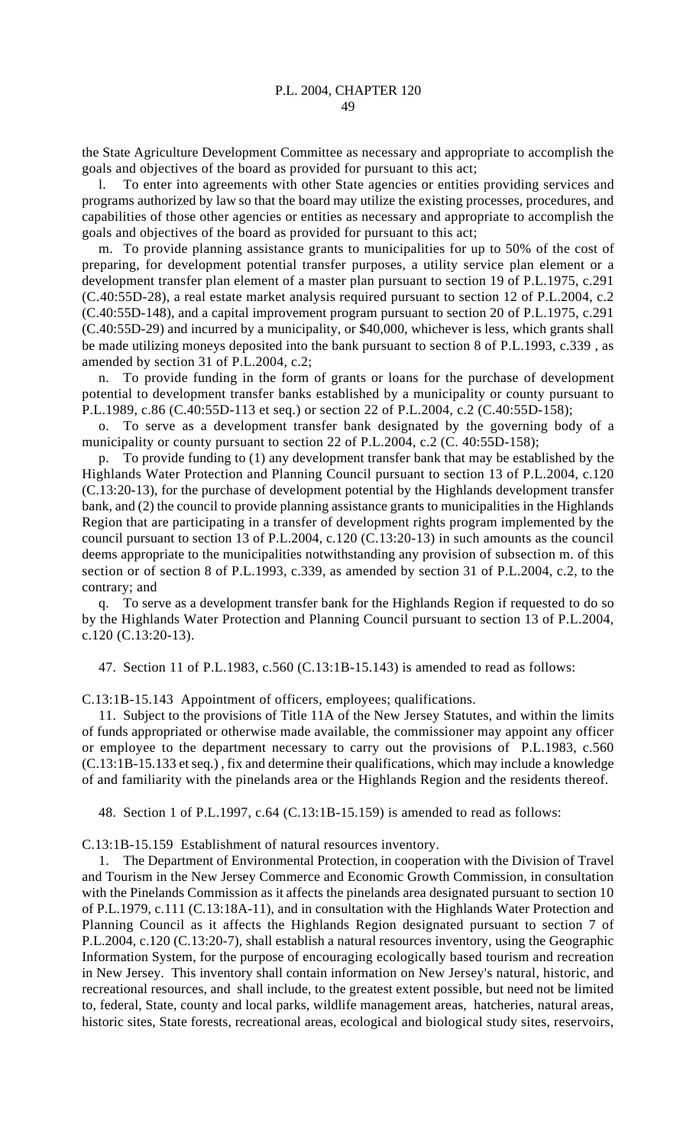the State Agriculture Development Committee as necessary and appropriate to accomplish the goals and objectives of the board as provided for pursuant to this act;

l. To enter into agreements with other State agencies or entities providing services and programs authorized by law so that the board may utilize the existing processes, procedures, and capabilities of those other agencies or entities as necessary and appropriate to accomplish the goals and objectives of the board as provided for pursuant to this act;

m. To provide planning assistance grants to municipalities for up to 50% of the cost of preparing, for development potential transfer purposes, a utility service plan element or a development transfer plan element of a master plan pursuant to section 19 of P.L.1975, c.291 (C.40:55D-28), a real estate market analysis required pursuant to section 12 of P.L.2004, c.2 (C.40:55D-148), and a capital improvement program pursuant to section 20 of P.L.1975, c.291 (C.40:55D-29) and incurred by a municipality, or \$40,000, whichever is less, which grants shall be made utilizing moneys deposited into the bank pursuant to section 8 of P.L.1993, c.339 , as amended by section 31 of P.L.2004, c.2;

n. To provide funding in the form of grants or loans for the purchase of development potential to development transfer banks established by a municipality or county pursuant to P.L.1989, c.86 (C.40:55D-113 et seq.) or section 22 of P.L.2004, c.2 (C.40:55D-158);

o. To serve as a development transfer bank designated by the governing body of a municipality or county pursuant to section 22 of P.L.2004, c.2 (C. 40:55D-158);

p. To provide funding to (1) any development transfer bank that may be established by the Highlands Water Protection and Planning Council pursuant to section 13 of P.L.2004, c.120 (C.13:20-13), for the purchase of development potential by the Highlands development transfer bank, and (2) the council to provide planning assistance grants to municipalities in the Highlands Region that are participating in a transfer of development rights program implemented by the council pursuant to section 13 of P.L.2004, c.120 (C.13:20-13) in such amounts as the council deems appropriate to the municipalities notwithstanding any provision of subsection m. of this section or of section 8 of P.L.1993, c.339, as amended by section 31 of P.L.2004, c.2, to the contrary; and

q. To serve as a development transfer bank for the Highlands Region if requested to do so by the Highlands Water Protection and Planning Council pursuant to section 13 of P.L.2004, c.120 (C.13:20-13).

47. Section 11 of P.L.1983, c.560 (C.13:1B-15.143) is amended to read as follows:

C.13:1B-15.143 Appointment of officers, employees; qualifications.

11. Subject to the provisions of Title 11A of the New Jersey Statutes, and within the limits of funds appropriated or otherwise made available, the commissioner may appoint any officer or employee to the department necessary to carry out the provisions of P.L.1983, c.560 (C.13:1B-15.133 et seq.) , fix and determine their qualifications, which may include a knowledge of and familiarity with the pinelands area or the Highlands Region and the residents thereof.

48. Section 1 of P.L.1997, c.64 (C.13:1B-15.159) is amended to read as follows:

C.13:1B-15.159 Establishment of natural resources inventory.

1. The Department of Environmental Protection, in cooperation with the Division of Travel and Tourism in the New Jersey Commerce and Economic Growth Commission, in consultation with the Pinelands Commission as it affects the pinelands area designated pursuant to section 10 of P.L.1979, c.111 (C.13:18A-11), and in consultation with the Highlands Water Protection and Planning Council as it affects the Highlands Region designated pursuant to section 7 of P.L.2004, c.120 (C.13:20-7), shall establish a natural resources inventory, using the Geographic Information System, for the purpose of encouraging ecologically based tourism and recreation in New Jersey. This inventory shall contain information on New Jersey's natural, historic, and recreational resources, and shall include, to the greatest extent possible, but need not be limited to, federal, State, county and local parks, wildlife management areas, hatcheries, natural areas, historic sites, State forests, recreational areas, ecological and biological study sites, reservoirs,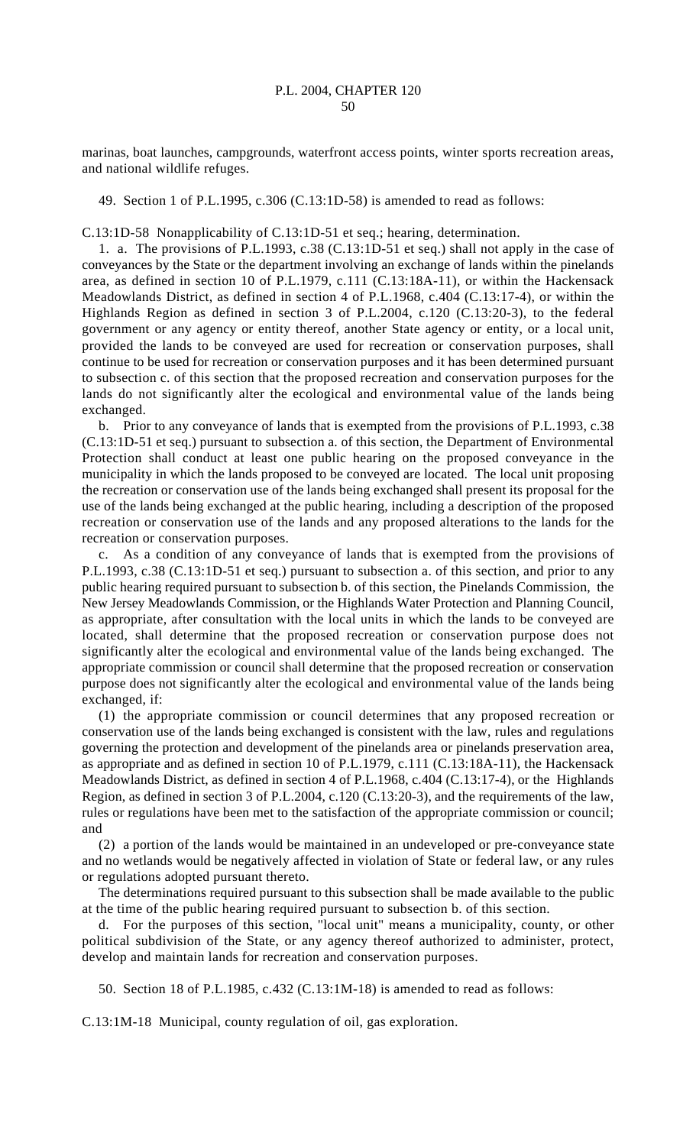marinas, boat launches, campgrounds, waterfront access points, winter sports recreation areas, and national wildlife refuges.

49. Section 1 of P.L.1995, c.306 (C.13:1D-58) is amended to read as follows:

C.13:1D-58 Nonapplicability of C.13:1D-51 et seq.; hearing, determination.

1. a. The provisions of P.L.1993, c.38 (C.13:1D-51 et seq.) shall not apply in the case of conveyances by the State or the department involving an exchange of lands within the pinelands area, as defined in section 10 of P.L.1979, c.111 (C.13:18A-11), or within the Hackensack Meadowlands District, as defined in section 4 of P.L.1968, c.404 (C.13:17-4), or within the Highlands Region as defined in section 3 of P.L.2004, c.120 (C.13:20-3), to the federal government or any agency or entity thereof, another State agency or entity, or a local unit, provided the lands to be conveyed are used for recreation or conservation purposes, shall continue to be used for recreation or conservation purposes and it has been determined pursuant to subsection c. of this section that the proposed recreation and conservation purposes for the lands do not significantly alter the ecological and environmental value of the lands being exchanged.

b. Prior to any conveyance of lands that is exempted from the provisions of P.L.1993, c.38 (C.13:1D-51 et seq.) pursuant to subsection a. of this section, the Department of Environmental Protection shall conduct at least one public hearing on the proposed conveyance in the municipality in which the lands proposed to be conveyed are located. The local unit proposing the recreation or conservation use of the lands being exchanged shall present its proposal for the use of the lands being exchanged at the public hearing, including a description of the proposed recreation or conservation use of the lands and any proposed alterations to the lands for the recreation or conservation purposes.

c. As a condition of any conveyance of lands that is exempted from the provisions of P.L.1993, c.38 (C.13:1D-51 et seq.) pursuant to subsection a. of this section, and prior to any public hearing required pursuant to subsection b. of this section, the Pinelands Commission, the New Jersey Meadowlands Commission, or the Highlands Water Protection and Planning Council, as appropriate, after consultation with the local units in which the lands to be conveyed are located, shall determine that the proposed recreation or conservation purpose does not significantly alter the ecological and environmental value of the lands being exchanged. The appropriate commission or council shall determine that the proposed recreation or conservation purpose does not significantly alter the ecological and environmental value of the lands being exchanged, if:

(1) the appropriate commission or council determines that any proposed recreation or conservation use of the lands being exchanged is consistent with the law, rules and regulations governing the protection and development of the pinelands area or pinelands preservation area, as appropriate and as defined in section 10 of P.L.1979, c.111 (C.13:18A-11), the Hackensack Meadowlands District, as defined in section 4 of P.L.1968, c.404 (C.13:17-4), or the Highlands Region, as defined in section 3 of P.L.2004, c.120 (C.13:20-3), and the requirements of the law, rules or regulations have been met to the satisfaction of the appropriate commission or council; and

(2) a portion of the lands would be maintained in an undeveloped or pre-conveyance state and no wetlands would be negatively affected in violation of State or federal law, or any rules or regulations adopted pursuant thereto.

The determinations required pursuant to this subsection shall be made available to the public at the time of the public hearing required pursuant to subsection b. of this section.

d. For the purposes of this section, "local unit" means a municipality, county, or other political subdivision of the State, or any agency thereof authorized to administer, protect, develop and maintain lands for recreation and conservation purposes.

50. Section 18 of P.L.1985, c.432 (C.13:1M-18) is amended to read as follows:

C.13:1M-18 Municipal, county regulation of oil, gas exploration.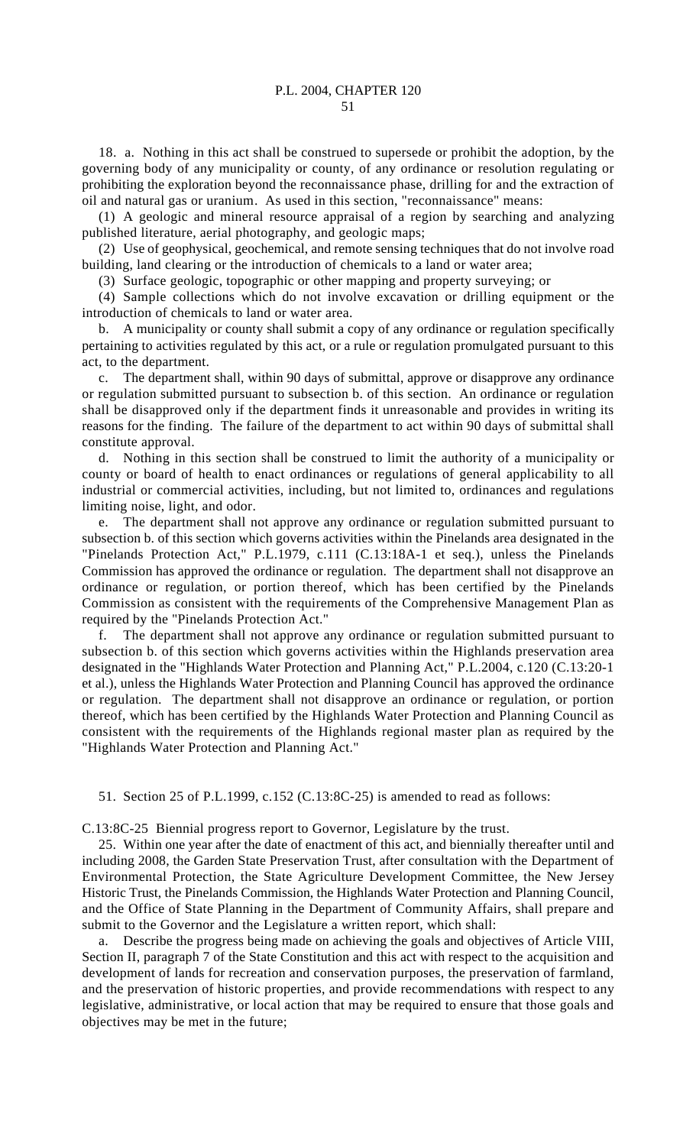18. a. Nothing in this act shall be construed to supersede or prohibit the adoption, by the governing body of any municipality or county, of any ordinance or resolution regulating or prohibiting the exploration beyond the reconnaissance phase, drilling for and the extraction of oil and natural gas or uranium. As used in this section, "reconnaissance" means:

(1) A geologic and mineral resource appraisal of a region by searching and analyzing published literature, aerial photography, and geologic maps;

(2) Use of geophysical, geochemical, and remote sensing techniques that do not involve road building, land clearing or the introduction of chemicals to a land or water area;

(3) Surface geologic, topographic or other mapping and property surveying; or

(4) Sample collections which do not involve excavation or drilling equipment or the introduction of chemicals to land or water area.

b. A municipality or county shall submit a copy of any ordinance or regulation specifically pertaining to activities regulated by this act, or a rule or regulation promulgated pursuant to this act, to the department.

c. The department shall, within 90 days of submittal, approve or disapprove any ordinance or regulation submitted pursuant to subsection b. of this section. An ordinance or regulation shall be disapproved only if the department finds it unreasonable and provides in writing its reasons for the finding. The failure of the department to act within 90 days of submittal shall constitute approval.

d. Nothing in this section shall be construed to limit the authority of a municipality or county or board of health to enact ordinances or regulations of general applicability to all industrial or commercial activities, including, but not limited to, ordinances and regulations limiting noise, light, and odor.

e. The department shall not approve any ordinance or regulation submitted pursuant to subsection b. of this section which governs activities within the Pinelands area designated in the "Pinelands Protection Act," P.L.1979, c.111 (C.13:18A-1 et seq.), unless the Pinelands Commission has approved the ordinance or regulation. The department shall not disapprove an ordinance or regulation, or portion thereof, which has been certified by the Pinelands Commission as consistent with the requirements of the Comprehensive Management Plan as required by the "Pinelands Protection Act."

f. The department shall not approve any ordinance or regulation submitted pursuant to subsection b. of this section which governs activities within the Highlands preservation area designated in the "Highlands Water Protection and Planning Act," P.L.2004, c.120 (C.13:20-1 et al.), unless the Highlands Water Protection and Planning Council has approved the ordinance or regulation. The department shall not disapprove an ordinance or regulation, or portion thereof, which has been certified by the Highlands Water Protection and Planning Council as consistent with the requirements of the Highlands regional master plan as required by the "Highlands Water Protection and Planning Act."

51. Section 25 of P.L.1999, c.152 (C.13:8C-25) is amended to read as follows:

C.13:8C-25 Biennial progress report to Governor, Legislature by the trust.

25. Within one year after the date of enactment of this act, and biennially thereafter until and including 2008, the Garden State Preservation Trust, after consultation with the Department of Environmental Protection, the State Agriculture Development Committee, the New Jersey Historic Trust, the Pinelands Commission, the Highlands Water Protection and Planning Council, and the Office of State Planning in the Department of Community Affairs, shall prepare and submit to the Governor and the Legislature a written report, which shall:

a. Describe the progress being made on achieving the goals and objectives of Article VIII, Section II, paragraph 7 of the State Constitution and this act with respect to the acquisition and development of lands for recreation and conservation purposes, the preservation of farmland, and the preservation of historic properties, and provide recommendations with respect to any legislative, administrative, or local action that may be required to ensure that those goals and objectives may be met in the future;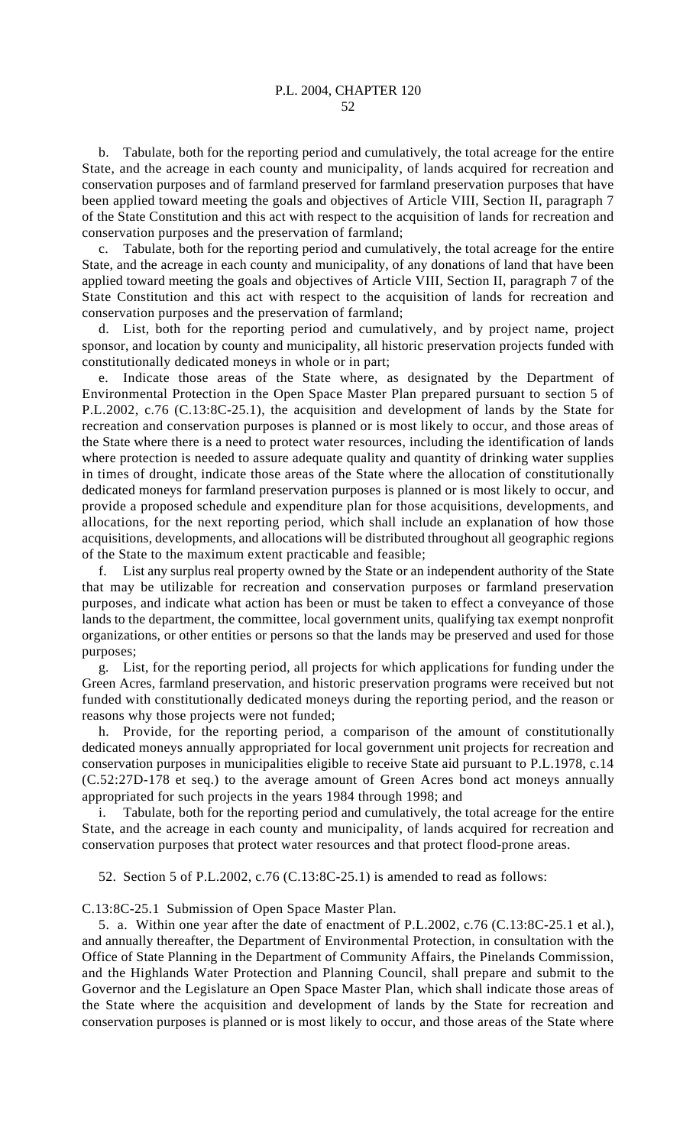b. Tabulate, both for the reporting period and cumulatively, the total acreage for the entire State, and the acreage in each county and municipality, of lands acquired for recreation and conservation purposes and of farmland preserved for farmland preservation purposes that have been applied toward meeting the goals and objectives of Article VIII, Section II, paragraph 7 of the State Constitution and this act with respect to the acquisition of lands for recreation and conservation purposes and the preservation of farmland;

c. Tabulate, both for the reporting period and cumulatively, the total acreage for the entire State, and the acreage in each county and municipality, of any donations of land that have been applied toward meeting the goals and objectives of Article VIII, Section II, paragraph 7 of the State Constitution and this act with respect to the acquisition of lands for recreation and conservation purposes and the preservation of farmland;

List, both for the reporting period and cumulatively, and by project name, project sponsor, and location by county and municipality, all historic preservation projects funded with constitutionally dedicated moneys in whole or in part;

Indicate those areas of the State where, as designated by the Department of Environmental Protection in the Open Space Master Plan prepared pursuant to section 5 of P.L.2002, c.76 (C.13:8C-25.1), the acquisition and development of lands by the State for recreation and conservation purposes is planned or is most likely to occur, and those areas of the State where there is a need to protect water resources, including the identification of lands where protection is needed to assure adequate quality and quantity of drinking water supplies in times of drought, indicate those areas of the State where the allocation of constitutionally dedicated moneys for farmland preservation purposes is planned or is most likely to occur, and provide a proposed schedule and expenditure plan for those acquisitions, developments, and allocations, for the next reporting period, which shall include an explanation of how those acquisitions, developments, and allocations will be distributed throughout all geographic regions of the State to the maximum extent practicable and feasible;

f. List any surplus real property owned by the State or an independent authority of the State that may be utilizable for recreation and conservation purposes or farmland preservation purposes, and indicate what action has been or must be taken to effect a conveyance of those lands to the department, the committee, local government units, qualifying tax exempt nonprofit organizations, or other entities or persons so that the lands may be preserved and used for those purposes;

g. List, for the reporting period, all projects for which applications for funding under the Green Acres, farmland preservation, and historic preservation programs were received but not funded with constitutionally dedicated moneys during the reporting period, and the reason or reasons why those projects were not funded;

h. Provide, for the reporting period, a comparison of the amount of constitutionally dedicated moneys annually appropriated for local government unit projects for recreation and conservation purposes in municipalities eligible to receive State aid pursuant to P.L.1978, c.14 (C.52:27D-178 et seq.) to the average amount of Green Acres bond act moneys annually appropriated for such projects in the years 1984 through 1998; and

i. Tabulate, both for the reporting period and cumulatively, the total acreage for the entire State, and the acreage in each county and municipality, of lands acquired for recreation and conservation purposes that protect water resources and that protect flood-prone areas.

52. Section 5 of P.L.2002, c.76 (C.13:8C-25.1) is amended to read as follows:

C.13:8C-25.1 Submission of Open Space Master Plan.

5. a. Within one year after the date of enactment of P.L.2002, c.76 (C.13:8C-25.1 et al.), and annually thereafter, the Department of Environmental Protection, in consultation with the Office of State Planning in the Department of Community Affairs, the Pinelands Commission, and the Highlands Water Protection and Planning Council, shall prepare and submit to the Governor and the Legislature an Open Space Master Plan, which shall indicate those areas of the State where the acquisition and development of lands by the State for recreation and conservation purposes is planned or is most likely to occur, and those areas of the State where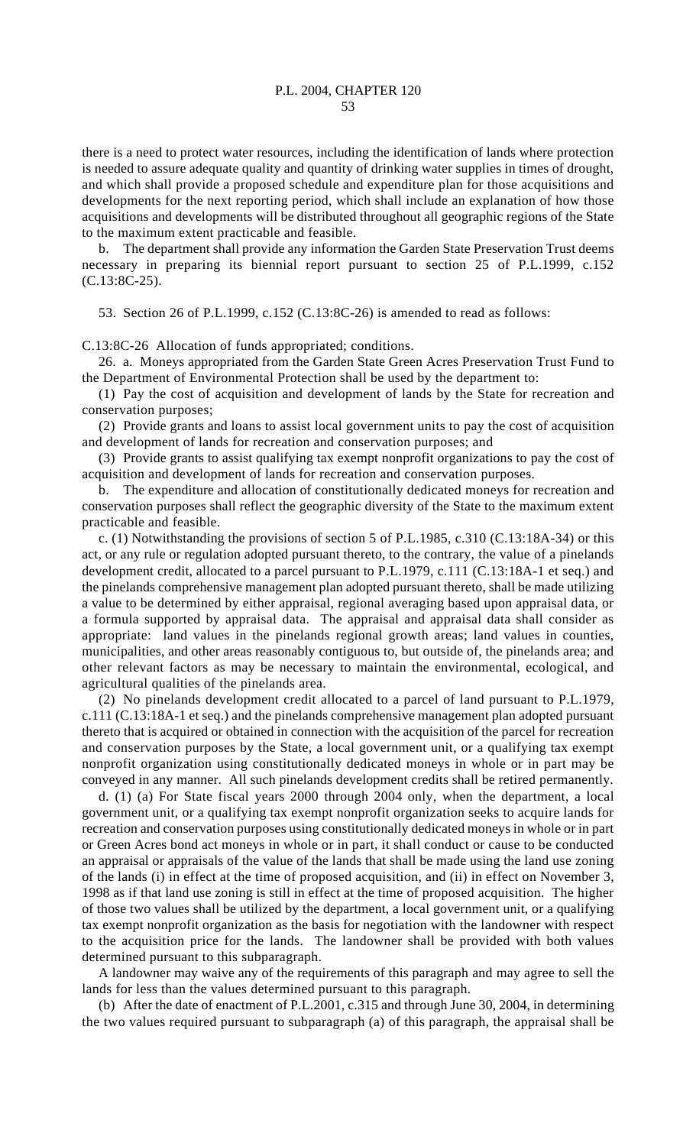there is a need to protect water resources, including the identification of lands where protection is needed to assure adequate quality and quantity of drinking water supplies in times of drought, and which shall provide a proposed schedule and expenditure plan for those acquisitions and developments for the next reporting period, which shall include an explanation of how those acquisitions and developments will be distributed throughout all geographic regions of the State to the maximum extent practicable and feasible.

b. The department shall provide any information the Garden State Preservation Trust deems necessary in preparing its biennial report pursuant to section 25 of P.L.1999, c.152 (C.13:8C-25).

53. Section 26 of P.L.1999, c.152 (C.13:8C-26) is amended to read as follows:

C.13:8C-26 Allocation of funds appropriated; conditions.

26. a. Moneys appropriated from the Garden State Green Acres Preservation Trust Fund to the Department of Environmental Protection shall be used by the department to:

(1) Pay the cost of acquisition and development of lands by the State for recreation and conservation purposes;

(2) Provide grants and loans to assist local government units to pay the cost of acquisition and development of lands for recreation and conservation purposes; and

(3) Provide grants to assist qualifying tax exempt nonprofit organizations to pay the cost of acquisition and development of lands for recreation and conservation purposes.

b. The expenditure and allocation of constitutionally dedicated moneys for recreation and conservation purposes shall reflect the geographic diversity of the State to the maximum extent practicable and feasible.

c. (1) Notwithstanding the provisions of section 5 of P.L.1985, c.310 (C.13:18A-34) or this act, or any rule or regulation adopted pursuant thereto, to the contrary, the value of a pinelands development credit, allocated to a parcel pursuant to P.L.1979, c.111 (C.13:18A-1 et seq.) and the pinelands comprehensive management plan adopted pursuant thereto, shall be made utilizing a value to be determined by either appraisal, regional averaging based upon appraisal data, or a formula supported by appraisal data. The appraisal and appraisal data shall consider as appropriate: land values in the pinelands regional growth areas; land values in counties, municipalities, and other areas reasonably contiguous to, but outside of, the pinelands area; and other relevant factors as may be necessary to maintain the environmental, ecological, and agricultural qualities of the pinelands area.

(2) No pinelands development credit allocated to a parcel of land pursuant to P.L.1979, c.111 (C.13:18A-1 et seq.) and the pinelands comprehensive management plan adopted pursuant thereto that is acquired or obtained in connection with the acquisition of the parcel for recreation and conservation purposes by the State, a local government unit, or a qualifying tax exempt nonprofit organization using constitutionally dedicated moneys in whole or in part may be conveyed in any manner. All such pinelands development credits shall be retired permanently.

d. (1) (a) For State fiscal years 2000 through 2004 only, when the department, a local government unit, or a qualifying tax exempt nonprofit organization seeks to acquire lands for recreation and conservation purposes using constitutionally dedicated moneys in whole or in part or Green Acres bond act moneys in whole or in part, it shall conduct or cause to be conducted an appraisal or appraisals of the value of the lands that shall be made using the land use zoning of the lands (i) in effect at the time of proposed acquisition, and (ii) in effect on November 3, 1998 as if that land use zoning is still in effect at the time of proposed acquisition. The higher of those two values shall be utilized by the department, a local government unit, or a qualifying tax exempt nonprofit organization as the basis for negotiation with the landowner with respect to the acquisition price for the lands. The landowner shall be provided with both values determined pursuant to this subparagraph.

A landowner may waive any of the requirements of this paragraph and may agree to sell the lands for less than the values determined pursuant to this paragraph.

(b) After the date of enactment of P.L.2001, c.315 and through June 30, 2004, in determining the two values required pursuant to subparagraph (a) of this paragraph, the appraisal shall be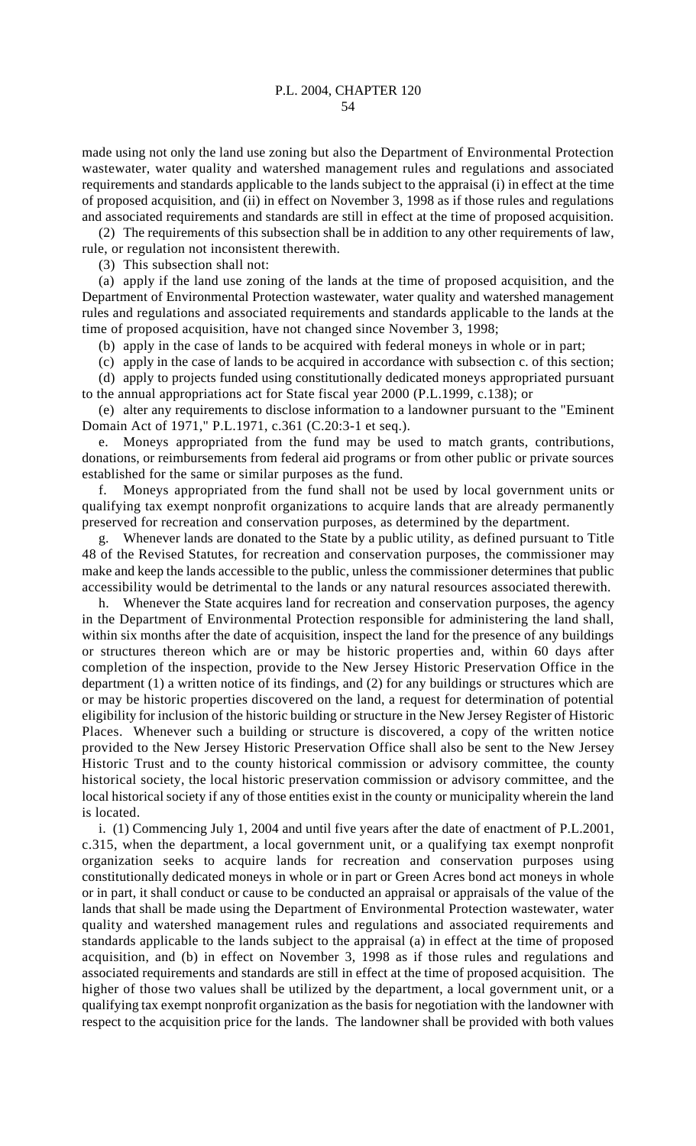made using not only the land use zoning but also the Department of Environmental Protection wastewater, water quality and watershed management rules and regulations and associated requirements and standards applicable to the lands subject to the appraisal (i) in effect at the time of proposed acquisition, and (ii) in effect on November 3, 1998 as if those rules and regulations and associated requirements and standards are still in effect at the time of proposed acquisition.

(2) The requirements of this subsection shall be in addition to any other requirements of law, rule, or regulation not inconsistent therewith.

(3) This subsection shall not:

(a) apply if the land use zoning of the lands at the time of proposed acquisition, and the Department of Environmental Protection wastewater, water quality and watershed management rules and regulations and associated requirements and standards applicable to the lands at the time of proposed acquisition, have not changed since November 3, 1998;

(b) apply in the case of lands to be acquired with federal moneys in whole or in part;

(c) apply in the case of lands to be acquired in accordance with subsection c. of this section; (d) apply to projects funded using constitutionally dedicated moneys appropriated pursuant to the annual appropriations act for State fiscal year 2000 (P.L.1999, c.138); or

(e) alter any requirements to disclose information to a landowner pursuant to the "Eminent Domain Act of 1971," P.L.1971, c.361 (C.20:3-1 et seq.).

e. Moneys appropriated from the fund may be used to match grants, contributions, donations, or reimbursements from federal aid programs or from other public or private sources established for the same or similar purposes as the fund.

f. Moneys appropriated from the fund shall not be used by local government units or qualifying tax exempt nonprofit organizations to acquire lands that are already permanently preserved for recreation and conservation purposes, as determined by the department.

g. Whenever lands are donated to the State by a public utility, as defined pursuant to Title 48 of the Revised Statutes, for recreation and conservation purposes, the commissioner may make and keep the lands accessible to the public, unless the commissioner determines that public accessibility would be detrimental to the lands or any natural resources associated therewith.

h. Whenever the State acquires land for recreation and conservation purposes, the agency in the Department of Environmental Protection responsible for administering the land shall, within six months after the date of acquisition, inspect the land for the presence of any buildings or structures thereon which are or may be historic properties and, within 60 days after completion of the inspection, provide to the New Jersey Historic Preservation Office in the department (1) a written notice of its findings, and (2) for any buildings or structures which are or may be historic properties discovered on the land, a request for determination of potential eligibility for inclusion of the historic building or structure in the New Jersey Register of Historic Places. Whenever such a building or structure is discovered, a copy of the written notice provided to the New Jersey Historic Preservation Office shall also be sent to the New Jersey Historic Trust and to the county historical commission or advisory committee, the county historical society, the local historic preservation commission or advisory committee, and the local historical society if any of those entities exist in the county or municipality wherein the land is located.

i. (1) Commencing July 1, 2004 and until five years after the date of enactment of P.L.2001, c.315, when the department, a local government unit, or a qualifying tax exempt nonprofit organization seeks to acquire lands for recreation and conservation purposes using constitutionally dedicated moneys in whole or in part or Green Acres bond act moneys in whole or in part, it shall conduct or cause to be conducted an appraisal or appraisals of the value of the lands that shall be made using the Department of Environmental Protection wastewater, water quality and watershed management rules and regulations and associated requirements and standards applicable to the lands subject to the appraisal (a) in effect at the time of proposed acquisition, and (b) in effect on November 3, 1998 as if those rules and regulations and associated requirements and standards are still in effect at the time of proposed acquisition. The higher of those two values shall be utilized by the department, a local government unit, or a qualifying tax exempt nonprofit organization as the basis for negotiation with the landowner with respect to the acquisition price for the lands. The landowner shall be provided with both values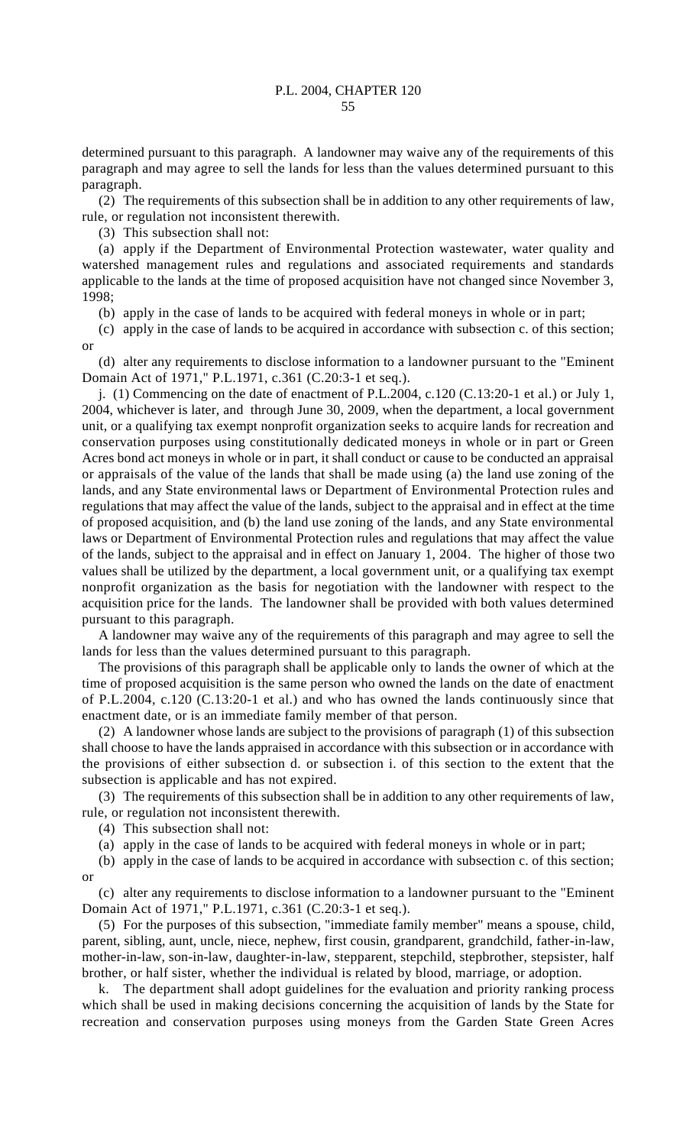determined pursuant to this paragraph. A landowner may waive any of the requirements of this paragraph and may agree to sell the lands for less than the values determined pursuant to this paragraph.

(2) The requirements of this subsection shall be in addition to any other requirements of law, rule, or regulation not inconsistent therewith.

(3) This subsection shall not:

(a) apply if the Department of Environmental Protection wastewater, water quality and watershed management rules and regulations and associated requirements and standards applicable to the lands at the time of proposed acquisition have not changed since November 3, 1998;

(b) apply in the case of lands to be acquired with federal moneys in whole or in part;

(c) apply in the case of lands to be acquired in accordance with subsection c. of this section; or

(d) alter any requirements to disclose information to a landowner pursuant to the "Eminent Domain Act of 1971," P.L.1971, c.361 (C.20:3-1 et seq.).

j. (1) Commencing on the date of enactment of P.L.2004, c.120 (C.13:20-1 et al.) or July 1, 2004, whichever is later, and through June 30, 2009, when the department, a local government unit, or a qualifying tax exempt nonprofit organization seeks to acquire lands for recreation and conservation purposes using constitutionally dedicated moneys in whole or in part or Green Acres bond act moneys in whole or in part, it shall conduct or cause to be conducted an appraisal or appraisals of the value of the lands that shall be made using (a) the land use zoning of the lands, and any State environmental laws or Department of Environmental Protection rules and regulations that may affect the value of the lands, subject to the appraisal and in effect at the time of proposed acquisition, and (b) the land use zoning of the lands, and any State environmental laws or Department of Environmental Protection rules and regulations that may affect the value of the lands, subject to the appraisal and in effect on January 1, 2004. The higher of those two values shall be utilized by the department, a local government unit, or a qualifying tax exempt nonprofit organization as the basis for negotiation with the landowner with respect to the acquisition price for the lands. The landowner shall be provided with both values determined pursuant to this paragraph.

A landowner may waive any of the requirements of this paragraph and may agree to sell the lands for less than the values determined pursuant to this paragraph.

The provisions of this paragraph shall be applicable only to lands the owner of which at the time of proposed acquisition is the same person who owned the lands on the date of enactment of P.L.2004, c.120 (C.13:20-1 et al.) and who has owned the lands continuously since that enactment date, or is an immediate family member of that person.

(2) A landowner whose lands are subject to the provisions of paragraph (1) of this subsection shall choose to have the lands appraised in accordance with this subsection or in accordance with the provisions of either subsection d. or subsection i. of this section to the extent that the subsection is applicable and has not expired.

(3) The requirements of this subsection shall be in addition to any other requirements of law, rule, or regulation not inconsistent therewith.

(4) This subsection shall not:

(a) apply in the case of lands to be acquired with federal moneys in whole or in part;

(b) apply in the case of lands to be acquired in accordance with subsection c. of this section; or

(c) alter any requirements to disclose information to a landowner pursuant to the "Eminent Domain Act of 1971," P.L.1971, c.361 (C.20:3-1 et seq.).

(5) For the purposes of this subsection, "immediate family member" means a spouse, child, parent, sibling, aunt, uncle, niece, nephew, first cousin, grandparent, grandchild, father-in-law, mother-in-law, son-in-law, daughter-in-law, stepparent, stepchild, stepbrother, stepsister, half brother, or half sister, whether the individual is related by blood, marriage, or adoption.

k. The department shall adopt guidelines for the evaluation and priority ranking process which shall be used in making decisions concerning the acquisition of lands by the State for recreation and conservation purposes using moneys from the Garden State Green Acres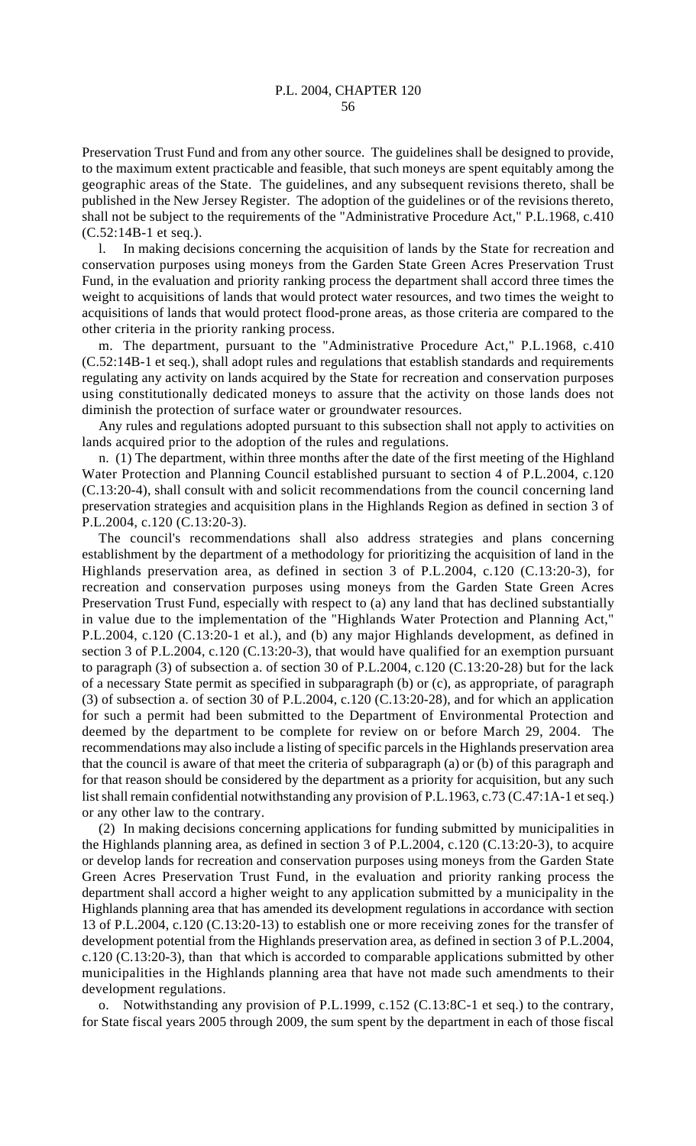56

Preservation Trust Fund and from any other source. The guidelines shall be designed to provide, to the maximum extent practicable and feasible, that such moneys are spent equitably among the geographic areas of the State. The guidelines, and any subsequent revisions thereto, shall be published in the New Jersey Register. The adoption of the guidelines or of the revisions thereto, shall not be subject to the requirements of the "Administrative Procedure Act," P.L.1968, c.410 (C.52:14B-1 et seq.).

l. In making decisions concerning the acquisition of lands by the State for recreation and conservation purposes using moneys from the Garden State Green Acres Preservation Trust Fund, in the evaluation and priority ranking process the department shall accord three times the weight to acquisitions of lands that would protect water resources, and two times the weight to acquisitions of lands that would protect flood-prone areas, as those criteria are compared to the other criteria in the priority ranking process.

m. The department, pursuant to the "Administrative Procedure Act," P.L.1968, c.410 (C.52:14B-1 et seq.), shall adopt rules and regulations that establish standards and requirements regulating any activity on lands acquired by the State for recreation and conservation purposes using constitutionally dedicated moneys to assure that the activity on those lands does not diminish the protection of surface water or groundwater resources.

Any rules and regulations adopted pursuant to this subsection shall not apply to activities on lands acquired prior to the adoption of the rules and regulations.

n. (1) The department, within three months after the date of the first meeting of the Highland Water Protection and Planning Council established pursuant to section 4 of P.L.2004, c.120 (C.13:20-4), shall consult with and solicit recommendations from the council concerning land preservation strategies and acquisition plans in the Highlands Region as defined in section 3 of P.L.2004, c.120 (C.13:20-3).

The council's recommendations shall also address strategies and plans concerning establishment by the department of a methodology for prioritizing the acquisition of land in the Highlands preservation area, as defined in section 3 of P.L.2004, c.120 (C.13:20-3), for recreation and conservation purposes using moneys from the Garden State Green Acres Preservation Trust Fund, especially with respect to (a) any land that has declined substantially in value due to the implementation of the "Highlands Water Protection and Planning Act," P.L.2004, c.120 (C.13:20-1 et al.), and (b) any major Highlands development, as defined in section 3 of P.L.2004, c.120 (C.13:20-3), that would have qualified for an exemption pursuant to paragraph (3) of subsection a. of section 30 of P.L.2004, c.120 (C.13:20-28) but for the lack of a necessary State permit as specified in subparagraph (b) or (c), as appropriate, of paragraph (3) of subsection a. of section 30 of P.L.2004, c.120 (C.13:20-28), and for which an application for such a permit had been submitted to the Department of Environmental Protection and deemed by the department to be complete for review on or before March 29, 2004. The recommendations may also include a listing of specific parcels in the Highlands preservation area that the council is aware of that meet the criteria of subparagraph (a) or (b) of this paragraph and for that reason should be considered by the department as a priority for acquisition, but any such list shall remain confidential notwithstanding any provision of P.L.1963, c.73 (C.47:1A-1 et seq.) or any other law to the contrary.

(2) In making decisions concerning applications for funding submitted by municipalities in the Highlands planning area, as defined in section 3 of P.L.2004, c.120 (C.13:20-3), to acquire or develop lands for recreation and conservation purposes using moneys from the Garden State Green Acres Preservation Trust Fund, in the evaluation and priority ranking process the department shall accord a higher weight to any application submitted by a municipality in the Highlands planning area that has amended its development regulations in accordance with section 13 of P.L.2004, c.120 (C.13:20-13) to establish one or more receiving zones for the transfer of development potential from the Highlands preservation area, as defined in section 3 of P.L.2004, c.120 (C.13:20-3), than that which is accorded to comparable applications submitted by other municipalities in the Highlands planning area that have not made such amendments to their development regulations.

o. Notwithstanding any provision of P.L.1999, c.152 (C.13:8C-1 et seq.) to the contrary, for State fiscal years 2005 through 2009, the sum spent by the department in each of those fiscal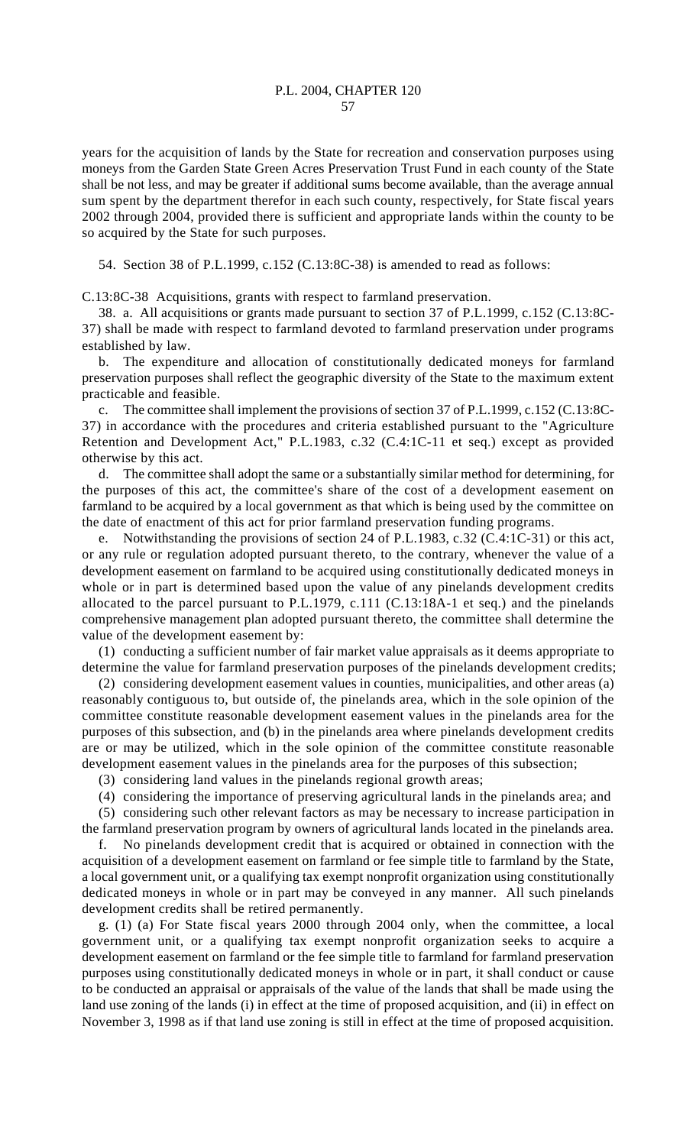years for the acquisition of lands by the State for recreation and conservation purposes using moneys from the Garden State Green Acres Preservation Trust Fund in each county of the State shall be not less, and may be greater if additional sums become available, than the average annual sum spent by the department therefor in each such county, respectively, for State fiscal years 2002 through 2004, provided there is sufficient and appropriate lands within the county to be so acquired by the State for such purposes.

54. Section 38 of P.L.1999, c.152 (C.13:8C-38) is amended to read as follows:

C.13:8C-38 Acquisitions, grants with respect to farmland preservation.

38. a. All acquisitions or grants made pursuant to section 37 of P.L.1999, c.152 (C.13:8C-37) shall be made with respect to farmland devoted to farmland preservation under programs established by law.

b. The expenditure and allocation of constitutionally dedicated moneys for farmland preservation purposes shall reflect the geographic diversity of the State to the maximum extent practicable and feasible.

c. The committee shall implement the provisions of section 37 of P.L.1999, c.152 (C.13:8C-37) in accordance with the procedures and criteria established pursuant to the "Agriculture Retention and Development Act," P.L.1983, c.32 (C.4:1C-11 et seq.) except as provided otherwise by this act.

d. The committee shall adopt the same or a substantially similar method for determining, for the purposes of this act, the committee's share of the cost of a development easement on farmland to be acquired by a local government as that which is being used by the committee on the date of enactment of this act for prior farmland preservation funding programs.

e. Notwithstanding the provisions of section 24 of P.L.1983, c.32 (C.4:1C-31) or this act, or any rule or regulation adopted pursuant thereto, to the contrary, whenever the value of a development easement on farmland to be acquired using constitutionally dedicated moneys in whole or in part is determined based upon the value of any pinelands development credits allocated to the parcel pursuant to P.L.1979, c.111 (C.13:18A-1 et seq.) and the pinelands comprehensive management plan adopted pursuant thereto, the committee shall determine the value of the development easement by:

(1) conducting a sufficient number of fair market value appraisals as it deems appropriate to determine the value for farmland preservation purposes of the pinelands development credits;

(2) considering development easement values in counties, municipalities, and other areas (a) reasonably contiguous to, but outside of, the pinelands area, which in the sole opinion of the committee constitute reasonable development easement values in the pinelands area for the purposes of this subsection, and (b) in the pinelands area where pinelands development credits are or may be utilized, which in the sole opinion of the committee constitute reasonable development easement values in the pinelands area for the purposes of this subsection;

(3) considering land values in the pinelands regional growth areas;

(4) considering the importance of preserving agricultural lands in the pinelands area; and (5) considering such other relevant factors as may be necessary to increase participation in

the farmland preservation program by owners of agricultural lands located in the pinelands area. f. No pinelands development credit that is acquired or obtained in connection with the

acquisition of a development easement on farmland or fee simple title to farmland by the State, a local government unit, or a qualifying tax exempt nonprofit organization using constitutionally dedicated moneys in whole or in part may be conveyed in any manner. All such pinelands development credits shall be retired permanently.

g. (1) (a) For State fiscal years 2000 through 2004 only, when the committee, a local government unit, or a qualifying tax exempt nonprofit organization seeks to acquire a development easement on farmland or the fee simple title to farmland for farmland preservation purposes using constitutionally dedicated moneys in whole or in part, it shall conduct or cause to be conducted an appraisal or appraisals of the value of the lands that shall be made using the land use zoning of the lands (i) in effect at the time of proposed acquisition, and (ii) in effect on November 3, 1998 as if that land use zoning is still in effect at the time of proposed acquisition.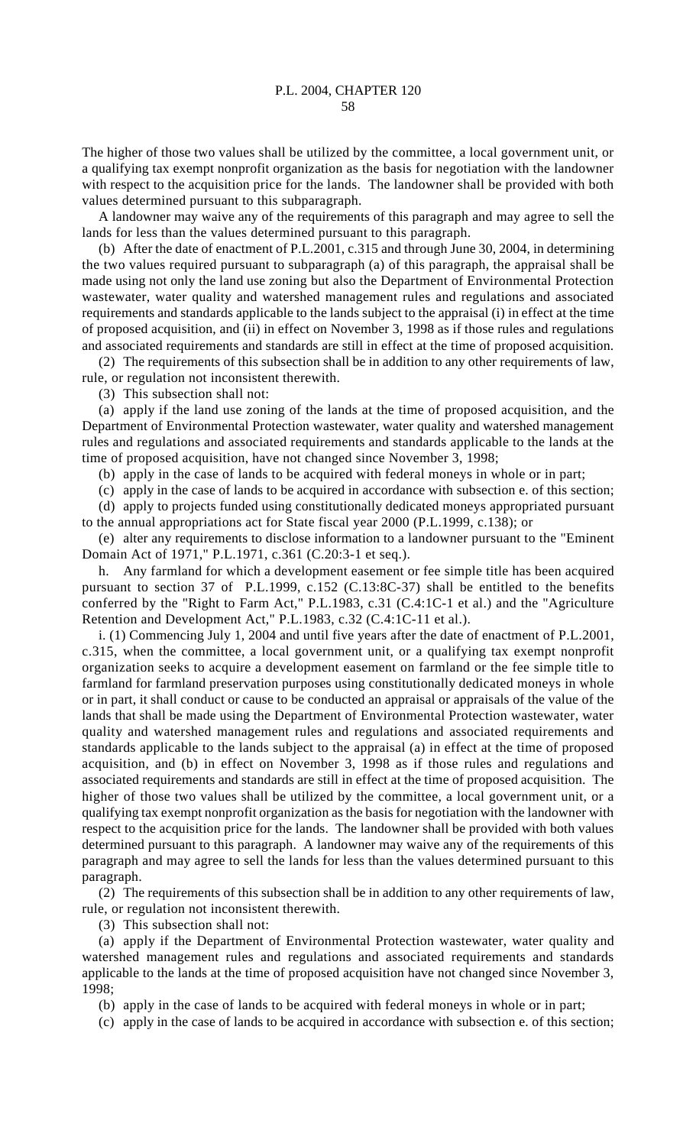The higher of those two values shall be utilized by the committee, a local government unit, or a qualifying tax exempt nonprofit organization as the basis for negotiation with the landowner with respect to the acquisition price for the lands. The landowner shall be provided with both values determined pursuant to this subparagraph.

A landowner may waive any of the requirements of this paragraph and may agree to sell the lands for less than the values determined pursuant to this paragraph.

(b) After the date of enactment of P.L.2001, c.315 and through June 30, 2004, in determining the two values required pursuant to subparagraph (a) of this paragraph, the appraisal shall be made using not only the land use zoning but also the Department of Environmental Protection wastewater, water quality and watershed management rules and regulations and associated requirements and standards applicable to the lands subject to the appraisal (i) in effect at the time of proposed acquisition, and (ii) in effect on November 3, 1998 as if those rules and regulations and associated requirements and standards are still in effect at the time of proposed acquisition.

(2) The requirements of this subsection shall be in addition to any other requirements of law, rule, or regulation not inconsistent therewith.

(3) This subsection shall not:

(a) apply if the land use zoning of the lands at the time of proposed acquisition, and the Department of Environmental Protection wastewater, water quality and watershed management rules and regulations and associated requirements and standards applicable to the lands at the time of proposed acquisition, have not changed since November 3, 1998;

(b) apply in the case of lands to be acquired with federal moneys in whole or in part;

(c) apply in the case of lands to be acquired in accordance with subsection e. of this section; (d) apply to projects funded using constitutionally dedicated moneys appropriated pursuant to the annual appropriations act for State fiscal year 2000 (P.L.1999, c.138); or

(e) alter any requirements to disclose information to a landowner pursuant to the "Eminent Domain Act of 1971," P.L.1971, c.361 (C.20:3-1 et seq.).

h. Any farmland for which a development easement or fee simple title has been acquired pursuant to section 37 of P.L.1999, c.152 (C.13:8C-37) shall be entitled to the benefits conferred by the "Right to Farm Act," P.L.1983, c.31 (C.4:1C-1 et al.) and the "Agriculture Retention and Development Act," P.L.1983, c.32 (C.4:1C-11 et al.).

i. (1) Commencing July 1, 2004 and until five years after the date of enactment of P.L.2001, c.315, when the committee, a local government unit, or a qualifying tax exempt nonprofit organization seeks to acquire a development easement on farmland or the fee simple title to farmland for farmland preservation purposes using constitutionally dedicated moneys in whole or in part, it shall conduct or cause to be conducted an appraisal or appraisals of the value of the lands that shall be made using the Department of Environmental Protection wastewater, water quality and watershed management rules and regulations and associated requirements and standards applicable to the lands subject to the appraisal (a) in effect at the time of proposed acquisition, and (b) in effect on November 3, 1998 as if those rules and regulations and associated requirements and standards are still in effect at the time of proposed acquisition. The higher of those two values shall be utilized by the committee, a local government unit, or a qualifying tax exempt nonprofit organization as the basis for negotiation with the landowner with respect to the acquisition price for the lands. The landowner shall be provided with both values determined pursuant to this paragraph. A landowner may waive any of the requirements of this paragraph and may agree to sell the lands for less than the values determined pursuant to this paragraph.

(2) The requirements of this subsection shall be in addition to any other requirements of law, rule, or regulation not inconsistent therewith.

(3) This subsection shall not:

(a) apply if the Department of Environmental Protection wastewater, water quality and watershed management rules and regulations and associated requirements and standards applicable to the lands at the time of proposed acquisition have not changed since November 3, 1998;

(b) apply in the case of lands to be acquired with federal moneys in whole or in part;

(c) apply in the case of lands to be acquired in accordance with subsection e. of this section;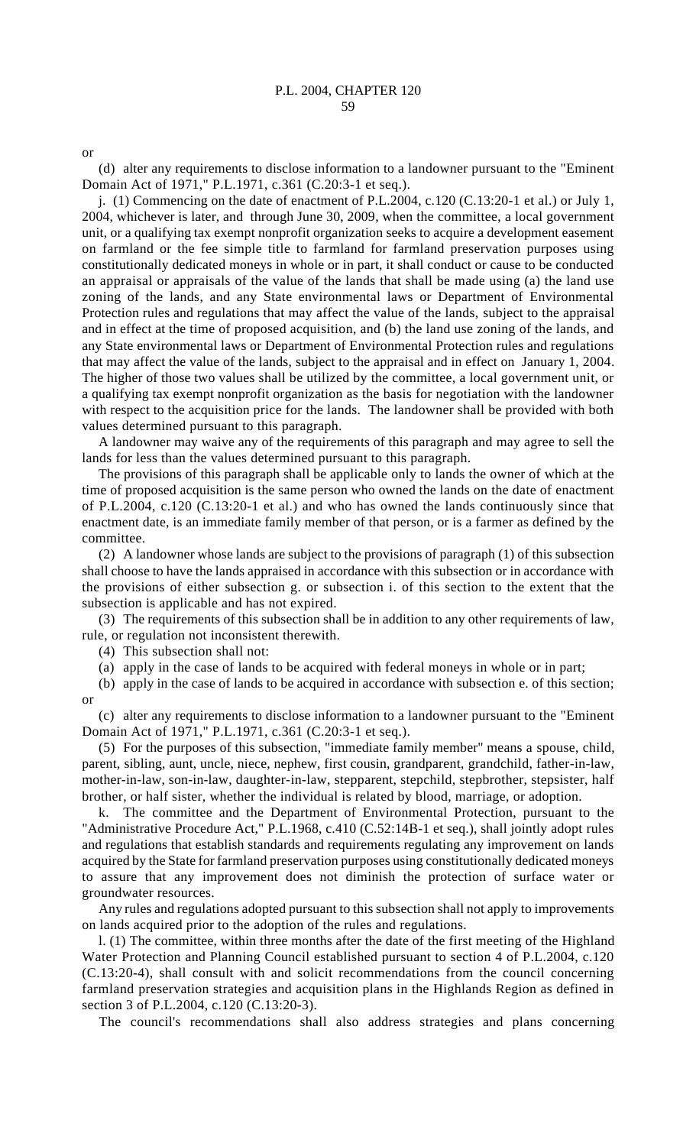or

(d) alter any requirements to disclose information to a landowner pursuant to the "Eminent Domain Act of 1971," P.L.1971, c.361 (C.20:3-1 et seq.).

j. (1) Commencing on the date of enactment of P.L.2004, c.120 (C.13:20-1 et al.) or July 1, 2004, whichever is later, and through June 30, 2009, when the committee, a local government unit, or a qualifying tax exempt nonprofit organization seeks to acquire a development easement on farmland or the fee simple title to farmland for farmland preservation purposes using constitutionally dedicated moneys in whole or in part, it shall conduct or cause to be conducted an appraisal or appraisals of the value of the lands that shall be made using (a) the land use zoning of the lands, and any State environmental laws or Department of Environmental Protection rules and regulations that may affect the value of the lands, subject to the appraisal and in effect at the time of proposed acquisition, and (b) the land use zoning of the lands, and any State environmental laws or Department of Environmental Protection rules and regulations that may affect the value of the lands, subject to the appraisal and in effect on January 1, 2004. The higher of those two values shall be utilized by the committee, a local government unit, or a qualifying tax exempt nonprofit organization as the basis for negotiation with the landowner with respect to the acquisition price for the lands. The landowner shall be provided with both values determined pursuant to this paragraph.

A landowner may waive any of the requirements of this paragraph and may agree to sell the lands for less than the values determined pursuant to this paragraph.

The provisions of this paragraph shall be applicable only to lands the owner of which at the time of proposed acquisition is the same person who owned the lands on the date of enactment of P.L.2004, c.120 (C.13:20-1 et al.) and who has owned the lands continuously since that enactment date, is an immediate family member of that person, or is a farmer as defined by the committee.

(2) A landowner whose lands are subject to the provisions of paragraph (1) of this subsection shall choose to have the lands appraised in accordance with this subsection or in accordance with the provisions of either subsection g. or subsection i. of this section to the extent that the subsection is applicable and has not expired.

(3) The requirements of this subsection shall be in addition to any other requirements of law, rule, or regulation not inconsistent therewith.

(4) This subsection shall not:

(a) apply in the case of lands to be acquired with federal moneys in whole or in part;

(b) apply in the case of lands to be acquired in accordance with subsection e. of this section; or

(c) alter any requirements to disclose information to a landowner pursuant to the "Eminent Domain Act of 1971," P.L.1971, c.361 (C.20:3-1 et seq.).

(5) For the purposes of this subsection, "immediate family member" means a spouse, child, parent, sibling, aunt, uncle, niece, nephew, first cousin, grandparent, grandchild, father-in-law, mother-in-law, son-in-law, daughter-in-law, stepparent, stepchild, stepbrother, stepsister, half brother, or half sister, whether the individual is related by blood, marriage, or adoption.

k. The committee and the Department of Environmental Protection, pursuant to the "Administrative Procedure Act," P.L.1968, c.410 (C.52:14B-1 et seq.), shall jointly adopt rules and regulations that establish standards and requirements regulating any improvement on lands acquired by the State for farmland preservation purposes using constitutionally dedicated moneys to assure that any improvement does not diminish the protection of surface water or groundwater resources.

Any rules and regulations adopted pursuant to this subsection shall not apply to improvements on lands acquired prior to the adoption of the rules and regulations.

l. (1) The committee, within three months after the date of the first meeting of the Highland Water Protection and Planning Council established pursuant to section 4 of P.L.2004, c.120 (C.13:20-4), shall consult with and solicit recommendations from the council concerning farmland preservation strategies and acquisition plans in the Highlands Region as defined in section 3 of P.L.2004, c.120 (C.13:20-3).

The council's recommendations shall also address strategies and plans concerning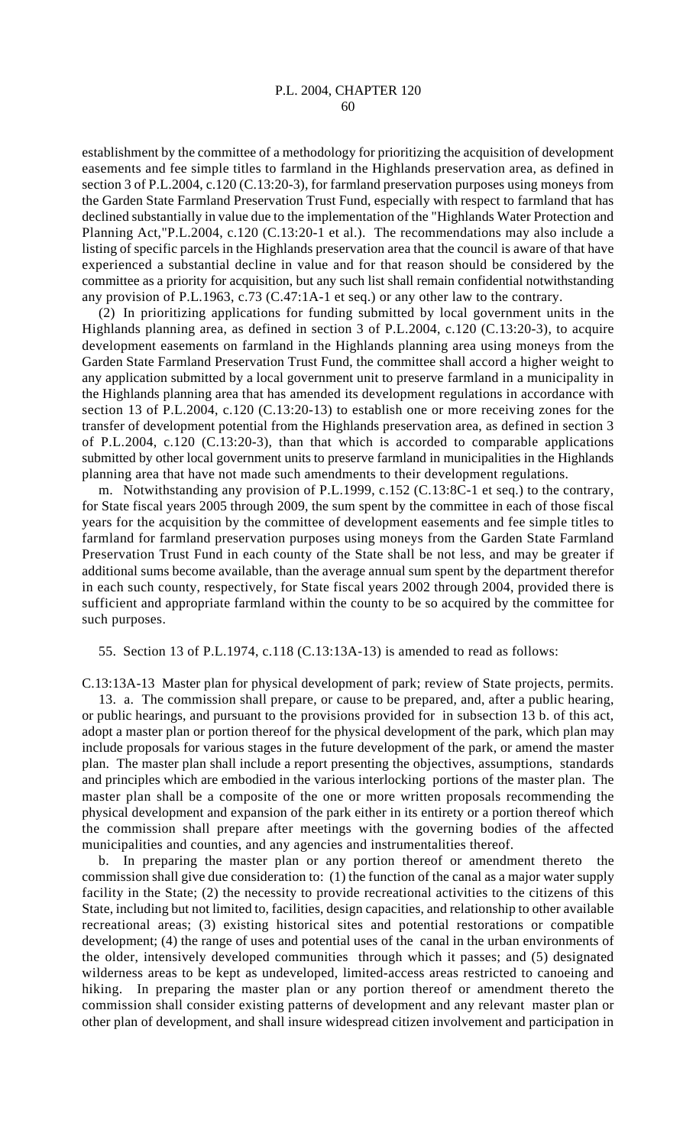establishment by the committee of a methodology for prioritizing the acquisition of development easements and fee simple titles to farmland in the Highlands preservation area, as defined in section 3 of P.L.2004, c.120 (C.13:20-3), for farmland preservation purposes using moneys from the Garden State Farmland Preservation Trust Fund, especially with respect to farmland that has declined substantially in value due to the implementation of the "Highlands Water Protection and Planning Act,"P.L.2004, c.120 (C.13:20-1 et al.). The recommendations may also include a listing of specific parcels in the Highlands preservation area that the council is aware of that have experienced a substantial decline in value and for that reason should be considered by the committee as a priority for acquisition, but any such list shall remain confidential notwithstanding any provision of P.L.1963, c.73 (C.47:1A-1 et seq.) or any other law to the contrary.

(2) In prioritizing applications for funding submitted by local government units in the Highlands planning area, as defined in section 3 of P.L.2004, c.120 (C.13:20-3), to acquire development easements on farmland in the Highlands planning area using moneys from the Garden State Farmland Preservation Trust Fund, the committee shall accord a higher weight to any application submitted by a local government unit to preserve farmland in a municipality in the Highlands planning area that has amended its development regulations in accordance with section 13 of P.L.2004, c.120 (C.13:20-13) to establish one or more receiving zones for the transfer of development potential from the Highlands preservation area, as defined in section 3 of P.L.2004, c.120 (C.13:20-3), than that which is accorded to comparable applications submitted by other local government units to preserve farmland in municipalities in the Highlands planning area that have not made such amendments to their development regulations.

m. Notwithstanding any provision of P.L.1999, c.152 (C.13:8C-1 et seq.) to the contrary, for State fiscal years 2005 through 2009, the sum spent by the committee in each of those fiscal years for the acquisition by the committee of development easements and fee simple titles to farmland for farmland preservation purposes using moneys from the Garden State Farmland Preservation Trust Fund in each county of the State shall be not less, and may be greater if additional sums become available, than the average annual sum spent by the department therefor in each such county, respectively, for State fiscal years 2002 through 2004, provided there is sufficient and appropriate farmland within the county to be so acquired by the committee for such purposes.

55. Section 13 of P.L.1974, c.118 (C.13:13A-13) is amended to read as follows:

C.13:13A-13 Master plan for physical development of park; review of State projects, permits.

13. a. The commission shall prepare, or cause to be prepared, and, after a public hearing, or public hearings, and pursuant to the provisions provided for in subsection 13 b. of this act, adopt a master plan or portion thereof for the physical development of the park, which plan may include proposals for various stages in the future development of the park, or amend the master plan. The master plan shall include a report presenting the objectives, assumptions, standards and principles which are embodied in the various interlocking portions of the master plan. The master plan shall be a composite of the one or more written proposals recommending the physical development and expansion of the park either in its entirety or a portion thereof which the commission shall prepare after meetings with the governing bodies of the affected municipalities and counties, and any agencies and instrumentalities thereof.

b. In preparing the master plan or any portion thereof or amendment thereto the commission shall give due consideration to: (1) the function of the canal as a major water supply facility in the State; (2) the necessity to provide recreational activities to the citizens of this State, including but not limited to, facilities, design capacities, and relationship to other available recreational areas; (3) existing historical sites and potential restorations or compatible development; (4) the range of uses and potential uses of the canal in the urban environments of the older, intensively developed communities through which it passes; and (5) designated wilderness areas to be kept as undeveloped, limited-access areas restricted to canoeing and hiking. In preparing the master plan or any portion thereof or amendment thereto the commission shall consider existing patterns of development and any relevant master plan or other plan of development, and shall insure widespread citizen involvement and participation in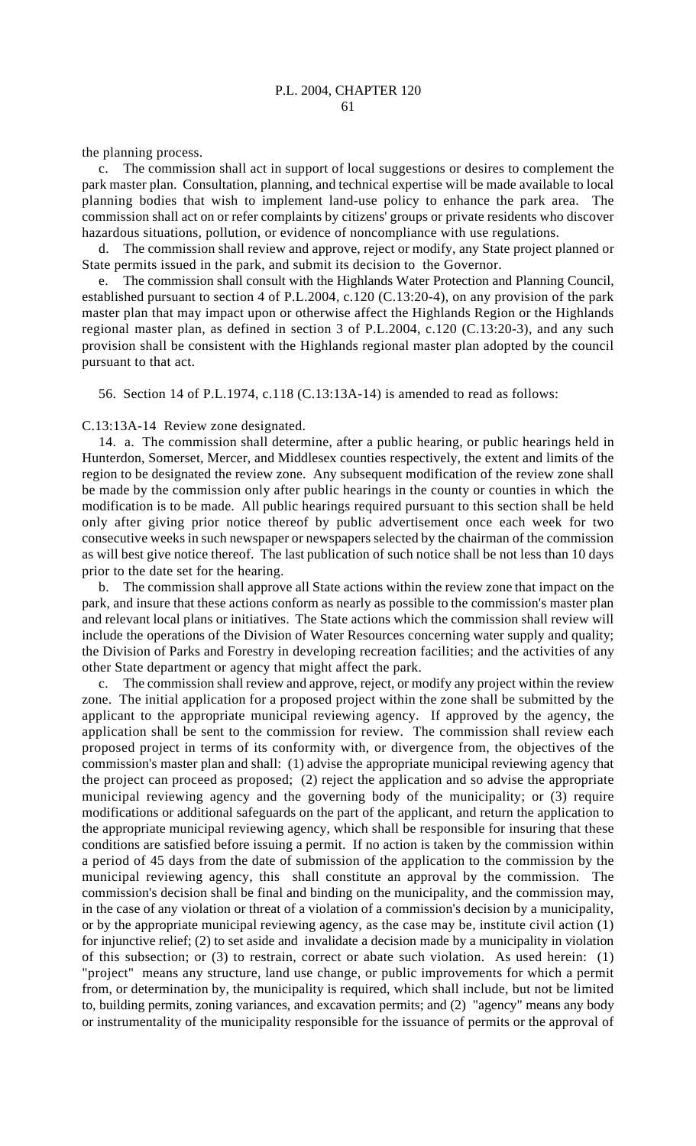the planning process.

c. The commission shall act in support of local suggestions or desires to complement the park master plan. Consultation, planning, and technical expertise will be made available to local planning bodies that wish to implement land-use policy to enhance the park area. The commission shall act on or refer complaints by citizens' groups or private residents who discover hazardous situations, pollution, or evidence of noncompliance with use regulations.

d. The commission shall review and approve, reject or modify, any State project planned or State permits issued in the park, and submit its decision to the Governor.

e. The commission shall consult with the Highlands Water Protection and Planning Council, established pursuant to section 4 of P.L.2004, c.120 (C.13:20-4), on any provision of the park master plan that may impact upon or otherwise affect the Highlands Region or the Highlands regional master plan, as defined in section 3 of P.L.2004, c.120 (C.13:20-3), and any such provision shall be consistent with the Highlands regional master plan adopted by the council pursuant to that act.

56. Section 14 of P.L.1974, c.118 (C.13:13A-14) is amended to read as follows:

C.13:13A-14 Review zone designated.

14. a. The commission shall determine, after a public hearing, or public hearings held in Hunterdon, Somerset, Mercer, and Middlesex counties respectively, the extent and limits of the region to be designated the review zone. Any subsequent modification of the review zone shall be made by the commission only after public hearings in the county or counties in which the modification is to be made. All public hearings required pursuant to this section shall be held only after giving prior notice thereof by public advertisement once each week for two consecutive weeks in such newspaper or newspapers selected by the chairman of the commission as will best give notice thereof. The last publication of such notice shall be not less than 10 days prior to the date set for the hearing.

b. The commission shall approve all State actions within the review zone that impact on the park, and insure that these actions conform as nearly as possible to the commission's master plan and relevant local plans or initiatives. The State actions which the commission shall review will include the operations of the Division of Water Resources concerning water supply and quality; the Division of Parks and Forestry in developing recreation facilities; and the activities of any other State department or agency that might affect the park.

c. The commission shall review and approve, reject, or modify any project within the review zone. The initial application for a proposed project within the zone shall be submitted by the applicant to the appropriate municipal reviewing agency. If approved by the agency, the application shall be sent to the commission for review. The commission shall review each proposed project in terms of its conformity with, or divergence from, the objectives of the commission's master plan and shall: (1) advise the appropriate municipal reviewing agency that the project can proceed as proposed; (2) reject the application and so advise the appropriate municipal reviewing agency and the governing body of the municipality; or (3) require modifications or additional safeguards on the part of the applicant, and return the application to the appropriate municipal reviewing agency, which shall be responsible for insuring that these conditions are satisfied before issuing a permit. If no action is taken by the commission within a period of 45 days from the date of submission of the application to the commission by the municipal reviewing agency, this shall constitute an approval by the commission. The commission's decision shall be final and binding on the municipality, and the commission may, in the case of any violation or threat of a violation of a commission's decision by a municipality, or by the appropriate municipal reviewing agency, as the case may be, institute civil action (1) for injunctive relief; (2) to set aside and invalidate a decision made by a municipality in violation of this subsection; or (3) to restrain, correct or abate such violation. As used herein: (1) "project" means any structure, land use change, or public improvements for which a permit from, or determination by, the municipality is required, which shall include, but not be limited to, building permits, zoning variances, and excavation permits; and (2) "agency" means any body or instrumentality of the municipality responsible for the issuance of permits or the approval of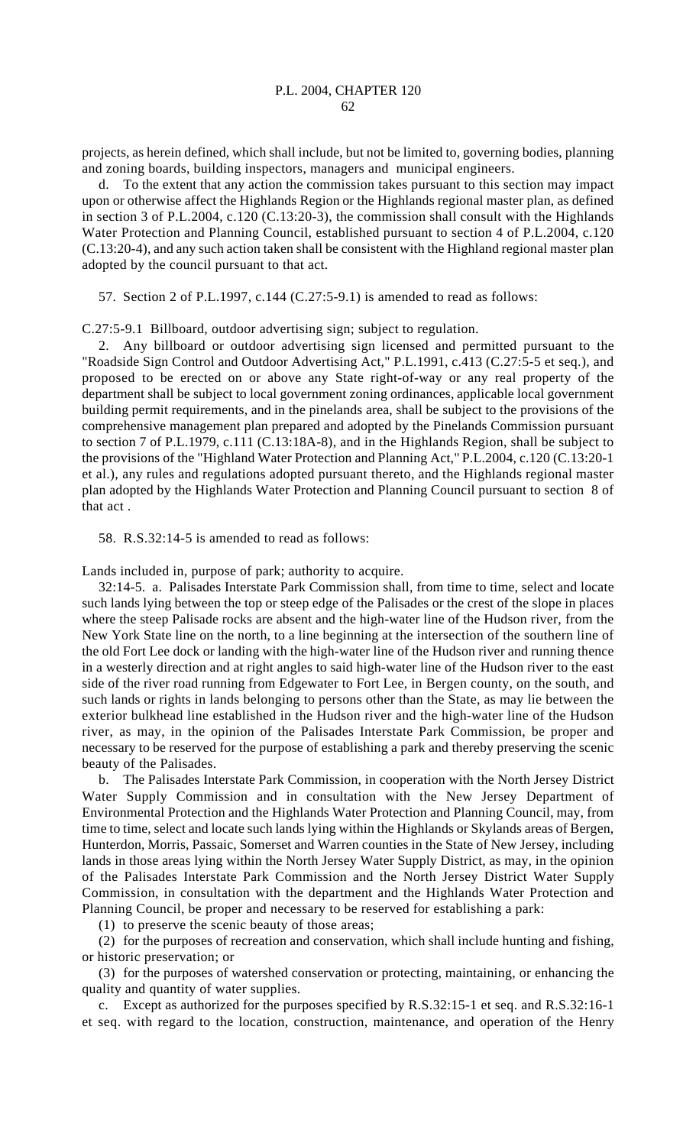projects, as herein defined, which shall include, but not be limited to, governing bodies, planning and zoning boards, building inspectors, managers and municipal engineers.

d. To the extent that any action the commission takes pursuant to this section may impact upon or otherwise affect the Highlands Region or the Highlands regional master plan, as defined in section 3 of P.L.2004, c.120 (C.13:20-3), the commission shall consult with the Highlands Water Protection and Planning Council, established pursuant to section 4 of P.L.2004, c.120 (C.13:20-4), and any such action taken shall be consistent with the Highland regional master plan adopted by the council pursuant to that act.

57. Section 2 of P.L.1997, c.144 (C.27:5-9.1) is amended to read as follows:

C.27:5-9.1 Billboard, outdoor advertising sign; subject to regulation.

2. Any billboard or outdoor advertising sign licensed and permitted pursuant to the "Roadside Sign Control and Outdoor Advertising Act," P.L.1991, c.413 (C.27:5-5 et seq.), and proposed to be erected on or above any State right-of-way or any real property of the department shall be subject to local government zoning ordinances, applicable local government building permit requirements, and in the pinelands area, shall be subject to the provisions of the comprehensive management plan prepared and adopted by the Pinelands Commission pursuant to section 7 of P.L.1979, c.111 (C.13:18A-8), and in the Highlands Region, shall be subject to the provisions of the "Highland Water Protection and Planning Act," P.L.2004, c.120 (C.13:20-1 et al.), any rules and regulations adopted pursuant thereto, and the Highlands regional master plan adopted by the Highlands Water Protection and Planning Council pursuant to section 8 of that act .

58. R.S.32:14-5 is amended to read as follows:

Lands included in, purpose of park; authority to acquire.

32:14-5. a. Palisades Interstate Park Commission shall, from time to time, select and locate such lands lying between the top or steep edge of the Palisades or the crest of the slope in places where the steep Palisade rocks are absent and the high-water line of the Hudson river, from the New York State line on the north, to a line beginning at the intersection of the southern line of the old Fort Lee dock or landing with the high-water line of the Hudson river and running thence in a westerly direction and at right angles to said high-water line of the Hudson river to the east side of the river road running from Edgewater to Fort Lee, in Bergen county, on the south, and such lands or rights in lands belonging to persons other than the State, as may lie between the exterior bulkhead line established in the Hudson river and the high-water line of the Hudson river, as may, in the opinion of the Palisades Interstate Park Commission, be proper and necessary to be reserved for the purpose of establishing a park and thereby preserving the scenic beauty of the Palisades.

b. The Palisades Interstate Park Commission, in cooperation with the North Jersey District Water Supply Commission and in consultation with the New Jersey Department of Environmental Protection and the Highlands Water Protection and Planning Council, may, from time to time, select and locate such lands lying within the Highlands or Skylands areas of Bergen, Hunterdon, Morris, Passaic, Somerset and Warren counties in the State of New Jersey, including lands in those areas lying within the North Jersey Water Supply District, as may, in the opinion of the Palisades Interstate Park Commission and the North Jersey District Water Supply Commission, in consultation with the department and the Highlands Water Protection and Planning Council, be proper and necessary to be reserved for establishing a park:

(1) to preserve the scenic beauty of those areas;

(2) for the purposes of recreation and conservation, which shall include hunting and fishing, or historic preservation; or

(3) for the purposes of watershed conservation or protecting, maintaining, or enhancing the quality and quantity of water supplies.

c. Except as authorized for the purposes specified by R.S.32:15-1 et seq. and R.S.32:16-1 et seq. with regard to the location, construction, maintenance, and operation of the Henry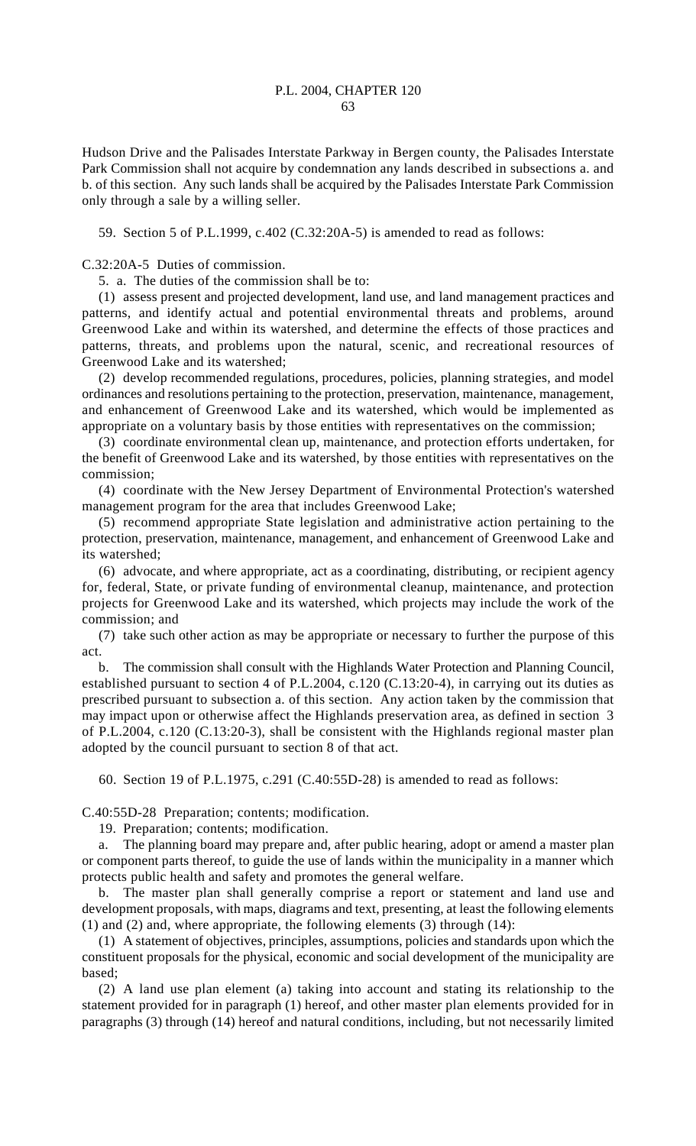Hudson Drive and the Palisades Interstate Parkway in Bergen county, the Palisades Interstate Park Commission shall not acquire by condemnation any lands described in subsections a. and b. of this section. Any such lands shall be acquired by the Palisades Interstate Park Commission only through a sale by a willing seller.

59. Section 5 of P.L.1999, c.402 (C.32:20A-5) is amended to read as follows:

C.32:20A-5 Duties of commission.

5. a. The duties of the commission shall be to:

(1) assess present and projected development, land use, and land management practices and patterns, and identify actual and potential environmental threats and problems, around Greenwood Lake and within its watershed, and determine the effects of those practices and patterns, threats, and problems upon the natural, scenic, and recreational resources of Greenwood Lake and its watershed;

(2) develop recommended regulations, procedures, policies, planning strategies, and model ordinances and resolutions pertaining to the protection, preservation, maintenance, management, and enhancement of Greenwood Lake and its watershed, which would be implemented as appropriate on a voluntary basis by those entities with representatives on the commission;

(3) coordinate environmental clean up, maintenance, and protection efforts undertaken, for the benefit of Greenwood Lake and its watershed, by those entities with representatives on the commission;

(4) coordinate with the New Jersey Department of Environmental Protection's watershed management program for the area that includes Greenwood Lake;

(5) recommend appropriate State legislation and administrative action pertaining to the protection, preservation, maintenance, management, and enhancement of Greenwood Lake and its watershed;

(6) advocate, and where appropriate, act as a coordinating, distributing, or recipient agency for, federal, State, or private funding of environmental cleanup, maintenance, and protection projects for Greenwood Lake and its watershed, which projects may include the work of the commission; and

(7) take such other action as may be appropriate or necessary to further the purpose of this act.

b. The commission shall consult with the Highlands Water Protection and Planning Council, established pursuant to section 4 of P.L.2004, c.120 (C.13:20-4), in carrying out its duties as prescribed pursuant to subsection a. of this section. Any action taken by the commission that may impact upon or otherwise affect the Highlands preservation area, as defined in section 3 of P.L.2004, c.120 (C.13:20-3), shall be consistent with the Highlands regional master plan adopted by the council pursuant to section 8 of that act.

60. Section 19 of P.L.1975, c.291 (C.40:55D-28) is amended to read as follows:

C.40:55D-28 Preparation; contents; modification.

19. Preparation; contents; modification.

a. The planning board may prepare and, after public hearing, adopt or amend a master plan or component parts thereof, to guide the use of lands within the municipality in a manner which protects public health and safety and promotes the general welfare.

b. The master plan shall generally comprise a report or statement and land use and development proposals, with maps, diagrams and text, presenting, at least the following elements (1) and (2) and, where appropriate, the following elements (3) through (14):

(1) A statement of objectives, principles, assumptions, policies and standards upon which the constituent proposals for the physical, economic and social development of the municipality are based;

(2) A land use plan element (a) taking into account and stating its relationship to the statement provided for in paragraph (1) hereof, and other master plan elements provided for in paragraphs (3) through (14) hereof and natural conditions, including, but not necessarily limited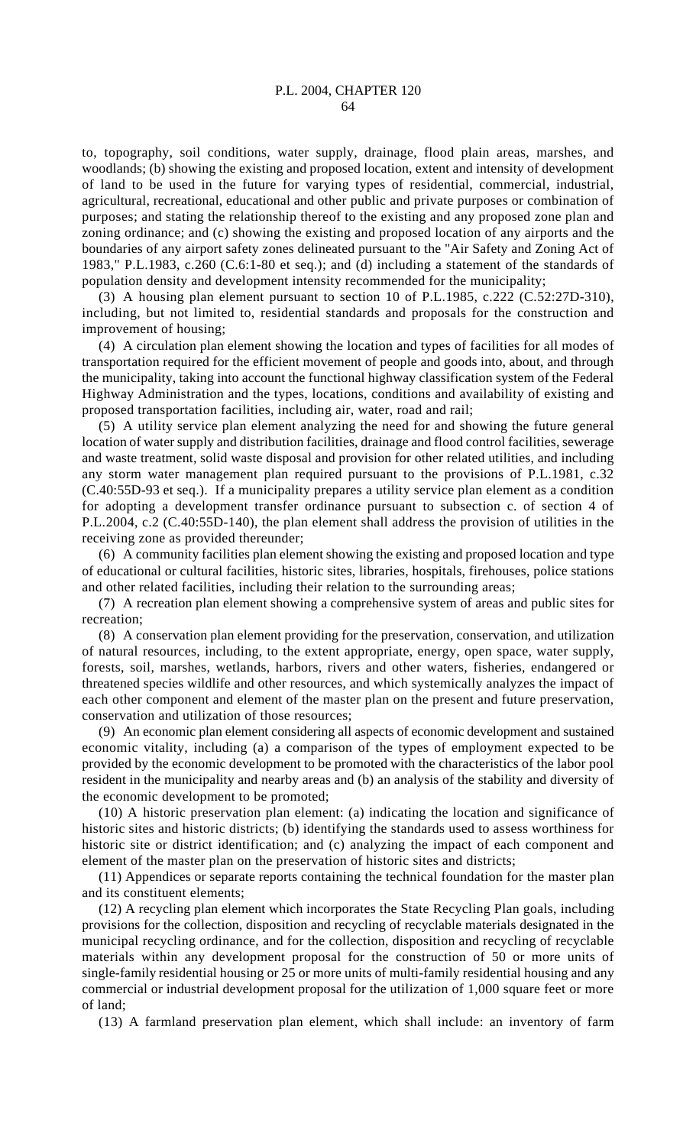to, topography, soil conditions, water supply, drainage, flood plain areas, marshes, and woodlands; (b) showing the existing and proposed location, extent and intensity of development of land to be used in the future for varying types of residential, commercial, industrial, agricultural, recreational, educational and other public and private purposes or combination of purposes; and stating the relationship thereof to the existing and any proposed zone plan and zoning ordinance; and (c) showing the existing and proposed location of any airports and the boundaries of any airport safety zones delineated pursuant to the "Air Safety and Zoning Act of 1983," P.L.1983, c.260 (C.6:1-80 et seq.); and (d) including a statement of the standards of population density and development intensity recommended for the municipality;

(3) A housing plan element pursuant to section 10 of P.L.1985, c.222 (C.52:27D-310), including, but not limited to, residential standards and proposals for the construction and improvement of housing;

(4) A circulation plan element showing the location and types of facilities for all modes of transportation required for the efficient movement of people and goods into, about, and through the municipality, taking into account the functional highway classification system of the Federal Highway Administration and the types, locations, conditions and availability of existing and proposed transportation facilities, including air, water, road and rail;

(5) A utility service plan element analyzing the need for and showing the future general location of water supply and distribution facilities, drainage and flood control facilities, sewerage and waste treatment, solid waste disposal and provision for other related utilities, and including any storm water management plan required pursuant to the provisions of P.L.1981, c.32 (C.40:55D-93 et seq.). If a municipality prepares a utility service plan element as a condition for adopting a development transfer ordinance pursuant to subsection c. of section 4 of P.L.2004, c.2 (C.40:55D-140), the plan element shall address the provision of utilities in the receiving zone as provided thereunder;

(6) A community facilities plan element showing the existing and proposed location and type of educational or cultural facilities, historic sites, libraries, hospitals, firehouses, police stations and other related facilities, including their relation to the surrounding areas;

(7) A recreation plan element showing a comprehensive system of areas and public sites for recreation;

(8) A conservation plan element providing for the preservation, conservation, and utilization of natural resources, including, to the extent appropriate, energy, open space, water supply, forests, soil, marshes, wetlands, harbors, rivers and other waters, fisheries, endangered or threatened species wildlife and other resources, and which systemically analyzes the impact of each other component and element of the master plan on the present and future preservation, conservation and utilization of those resources;

(9) An economic plan element considering all aspects of economic development and sustained economic vitality, including (a) a comparison of the types of employment expected to be provided by the economic development to be promoted with the characteristics of the labor pool resident in the municipality and nearby areas and (b) an analysis of the stability and diversity of the economic development to be promoted;

(10) A historic preservation plan element: (a) indicating the location and significance of historic sites and historic districts; (b) identifying the standards used to assess worthiness for historic site or district identification; and (c) analyzing the impact of each component and element of the master plan on the preservation of historic sites and districts;

(11) Appendices or separate reports containing the technical foundation for the master plan and its constituent elements;

(12) A recycling plan element which incorporates the State Recycling Plan goals, including provisions for the collection, disposition and recycling of recyclable materials designated in the municipal recycling ordinance, and for the collection, disposition and recycling of recyclable materials within any development proposal for the construction of 50 or more units of single-family residential housing or 25 or more units of multi-family residential housing and any commercial or industrial development proposal for the utilization of 1,000 square feet or more of land;

(13) A farmland preservation plan element, which shall include: an inventory of farm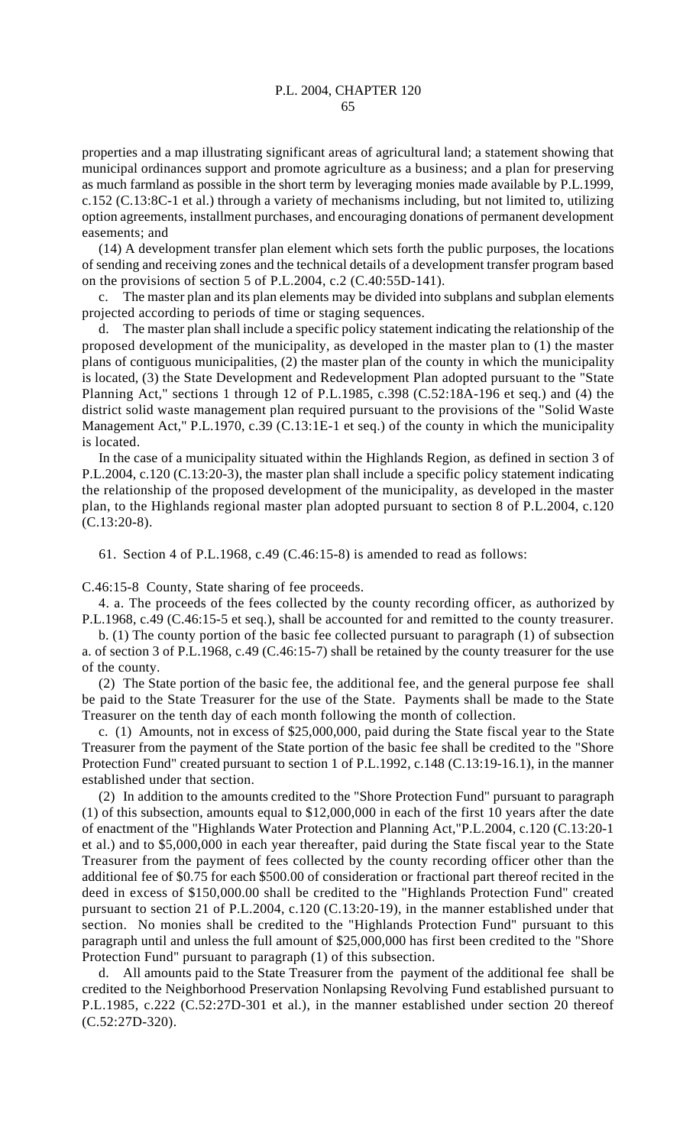properties and a map illustrating significant areas of agricultural land; a statement showing that municipal ordinances support and promote agriculture as a business; and a plan for preserving as much farmland as possible in the short term by leveraging monies made available by P.L.1999, c.152 (C.13:8C-1 et al.) through a variety of mechanisms including, but not limited to, utilizing option agreements, installment purchases, and encouraging donations of permanent development easements; and

(14) A development transfer plan element which sets forth the public purposes, the locations of sending and receiving zones and the technical details of a development transfer program based on the provisions of section 5 of P.L.2004, c.2 (C.40:55D-141).

The master plan and its plan elements may be divided into subplans and subplan elements projected according to periods of time or staging sequences.

d. The master plan shall include a specific policy statement indicating the relationship of the proposed development of the municipality, as developed in the master plan to (1) the master plans of contiguous municipalities, (2) the master plan of the county in which the municipality is located, (3) the State Development and Redevelopment Plan adopted pursuant to the "State Planning Act," sections 1 through 12 of P.L.1985, c.398 (C.52:18A-196 et seq.) and (4) the district solid waste management plan required pursuant to the provisions of the "Solid Waste Management Act," P.L.1970, c.39 (C.13:1E-1 et seq.) of the county in which the municipality is located.

In the case of a municipality situated within the Highlands Region, as defined in section 3 of P.L.2004, c.120 (C.13:20-3), the master plan shall include a specific policy statement indicating the relationship of the proposed development of the municipality, as developed in the master plan, to the Highlands regional master plan adopted pursuant to section 8 of P.L.2004, c.120 (C.13:20-8).

61. Section 4 of P.L.1968, c.49 (C.46:15-8) is amended to read as follows:

C.46:15-8 County, State sharing of fee proceeds.

4. a. The proceeds of the fees collected by the county recording officer, as authorized by P.L.1968, c.49 (C.46:15-5 et seq.), shall be accounted for and remitted to the county treasurer.

b. (1) The county portion of the basic fee collected pursuant to paragraph (1) of subsection a. of section 3 of P.L.1968, c.49 (C.46:15-7) shall be retained by the county treasurer for the use of the county.

(2) The State portion of the basic fee, the additional fee, and the general purpose fee shall be paid to the State Treasurer for the use of the State. Payments shall be made to the State Treasurer on the tenth day of each month following the month of collection.

c. (1) Amounts, not in excess of \$25,000,000, paid during the State fiscal year to the State Treasurer from the payment of the State portion of the basic fee shall be credited to the "Shore Protection Fund" created pursuant to section 1 of P.L.1992, c.148 (C.13:19-16.1), in the manner established under that section.

(2) In addition to the amounts credited to the "Shore Protection Fund" pursuant to paragraph (1) of this subsection, amounts equal to \$12,000,000 in each of the first 10 years after the date of enactment of the "Highlands Water Protection and Planning Act,"P.L.2004, c.120 (C.13:20-1 et al.) and to \$5,000,000 in each year thereafter, paid during the State fiscal year to the State Treasurer from the payment of fees collected by the county recording officer other than the additional fee of \$0.75 for each \$500.00 of consideration or fractional part thereof recited in the deed in excess of \$150,000.00 shall be credited to the "Highlands Protection Fund" created pursuant to section 21 of P.L.2004, c.120 (C.13:20-19), in the manner established under that section. No monies shall be credited to the "Highlands Protection Fund" pursuant to this paragraph until and unless the full amount of \$25,000,000 has first been credited to the "Shore Protection Fund" pursuant to paragraph (1) of this subsection.

d. All amounts paid to the State Treasurer from the payment of the additional fee shall be credited to the Neighborhood Preservation Nonlapsing Revolving Fund established pursuant to P.L.1985, c.222 (C.52:27D-301 et al.), in the manner established under section 20 thereof (C.52:27D-320).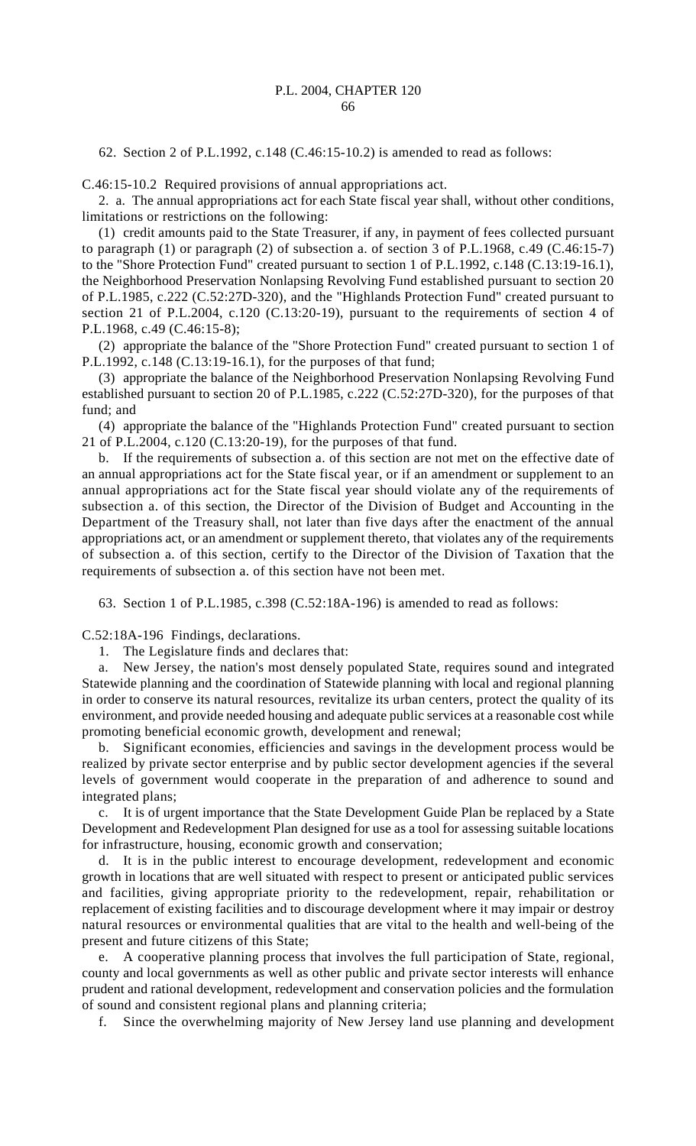62. Section 2 of P.L.1992, c.148 (C.46:15-10.2) is amended to read as follows:

C.46:15-10.2 Required provisions of annual appropriations act.

2. a. The annual appropriations act for each State fiscal year shall, without other conditions, limitations or restrictions on the following:

(1) credit amounts paid to the State Treasurer, if any, in payment of fees collected pursuant to paragraph (1) or paragraph (2) of subsection a. of section 3 of P.L.1968, c.49 (C.46:15-7) to the "Shore Protection Fund" created pursuant to section 1 of P.L.1992, c.148 (C.13:19-16.1), the Neighborhood Preservation Nonlapsing Revolving Fund established pursuant to section 20 of P.L.1985, c.222 (C.52:27D-320), and the "Highlands Protection Fund" created pursuant to section 21 of P.L.2004, c.120 (C.13:20-19), pursuant to the requirements of section 4 of P.L.1968, c.49 (C.46:15-8);

(2) appropriate the balance of the "Shore Protection Fund" created pursuant to section 1 of P.L.1992, c.148 (C.13:19-16.1), for the purposes of that fund;

(3) appropriate the balance of the Neighborhood Preservation Nonlapsing Revolving Fund established pursuant to section 20 of P.L.1985, c.222 (C.52:27D-320), for the purposes of that fund; and

(4) appropriate the balance of the "Highlands Protection Fund" created pursuant to section 21 of P.L.2004, c.120 (C.13:20-19), for the purposes of that fund.

b. If the requirements of subsection a. of this section are not met on the effective date of an annual appropriations act for the State fiscal year, or if an amendment or supplement to an annual appropriations act for the State fiscal year should violate any of the requirements of subsection a. of this section, the Director of the Division of Budget and Accounting in the Department of the Treasury shall, not later than five days after the enactment of the annual appropriations act, or an amendment or supplement thereto, that violates any of the requirements of subsection a. of this section, certify to the Director of the Division of Taxation that the requirements of subsection a. of this section have not been met.

63. Section 1 of P.L.1985, c.398 (C.52:18A-196) is amended to read as follows:

C.52:18A-196 Findings, declarations.

1. The Legislature finds and declares that:

a. New Jersey, the nation's most densely populated State, requires sound and integrated Statewide planning and the coordination of Statewide planning with local and regional planning in order to conserve its natural resources, revitalize its urban centers, protect the quality of its environment, and provide needed housing and adequate public services at a reasonable cost while promoting beneficial economic growth, development and renewal;

b. Significant economies, efficiencies and savings in the development process would be realized by private sector enterprise and by public sector development agencies if the several levels of government would cooperate in the preparation of and adherence to sound and integrated plans;

c. It is of urgent importance that the State Development Guide Plan be replaced by a State Development and Redevelopment Plan designed for use as a tool for assessing suitable locations for infrastructure, housing, economic growth and conservation;

d. It is in the public interest to encourage development, redevelopment and economic growth in locations that are well situated with respect to present or anticipated public services and facilities, giving appropriate priority to the redevelopment, repair, rehabilitation or replacement of existing facilities and to discourage development where it may impair or destroy natural resources or environmental qualities that are vital to the health and well-being of the present and future citizens of this State;

e. A cooperative planning process that involves the full participation of State, regional, county and local governments as well as other public and private sector interests will enhance prudent and rational development, redevelopment and conservation policies and the formulation of sound and consistent regional plans and planning criteria;

f. Since the overwhelming majority of New Jersey land use planning and development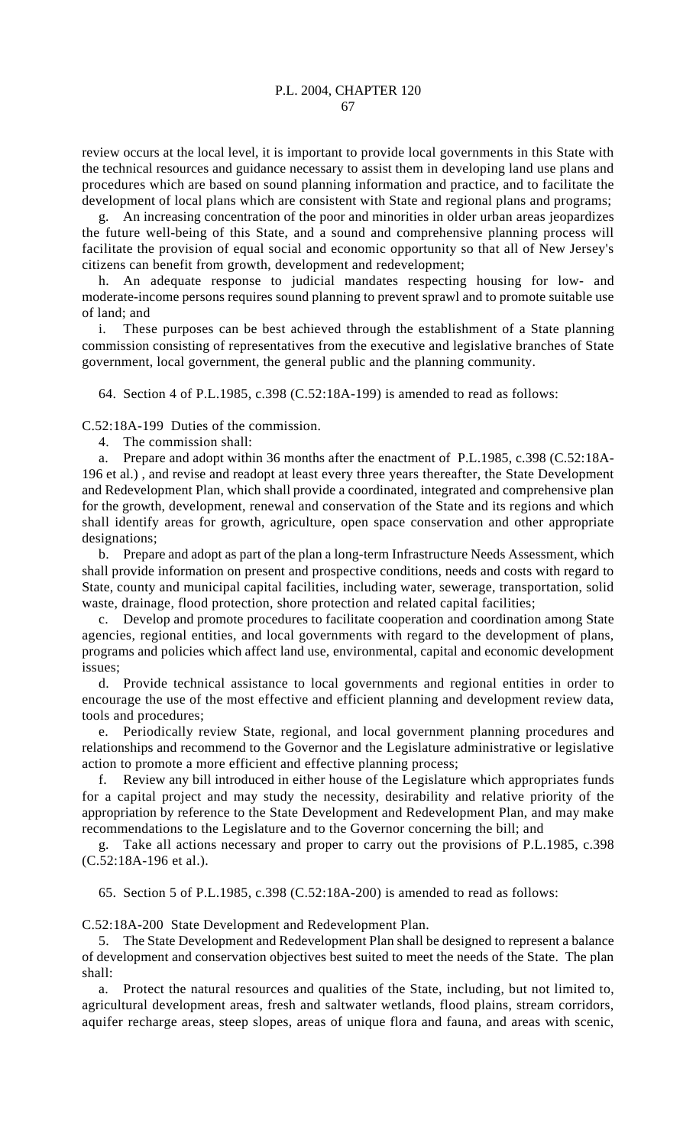review occurs at the local level, it is important to provide local governments in this State with the technical resources and guidance necessary to assist them in developing land use plans and procedures which are based on sound planning information and practice, and to facilitate the development of local plans which are consistent with State and regional plans and programs;

g. An increasing concentration of the poor and minorities in older urban areas jeopardizes the future well-being of this State, and a sound and comprehensive planning process will facilitate the provision of equal social and economic opportunity so that all of New Jersey's citizens can benefit from growth, development and redevelopment;

h. An adequate response to judicial mandates respecting housing for low- and moderate-income persons requires sound planning to prevent sprawl and to promote suitable use of land; and

i. These purposes can be best achieved through the establishment of a State planning commission consisting of representatives from the executive and legislative branches of State government, local government, the general public and the planning community.

64. Section 4 of P.L.1985, c.398 (C.52:18A-199) is amended to read as follows:

C.52:18A-199 Duties of the commission.

4. The commission shall:

a. Prepare and adopt within 36 months after the enactment of P.L.1985, c.398 (C.52:18A-196 et al.) , and revise and readopt at least every three years thereafter, the State Development and Redevelopment Plan, which shall provide a coordinated, integrated and comprehensive plan for the growth, development, renewal and conservation of the State and its regions and which shall identify areas for growth, agriculture, open space conservation and other appropriate designations;

b. Prepare and adopt as part of the plan a long-term Infrastructure Needs Assessment, which shall provide information on present and prospective conditions, needs and costs with regard to State, county and municipal capital facilities, including water, sewerage, transportation, solid waste, drainage, flood protection, shore protection and related capital facilities;

c. Develop and promote procedures to facilitate cooperation and coordination among State agencies, regional entities, and local governments with regard to the development of plans, programs and policies which affect land use, environmental, capital and economic development issues;

d. Provide technical assistance to local governments and regional entities in order to encourage the use of the most effective and efficient planning and development review data, tools and procedures;

e. Periodically review State, regional, and local government planning procedures and relationships and recommend to the Governor and the Legislature administrative or legislative action to promote a more efficient and effective planning process;

f. Review any bill introduced in either house of the Legislature which appropriates funds for a capital project and may study the necessity, desirability and relative priority of the appropriation by reference to the State Development and Redevelopment Plan, and may make recommendations to the Legislature and to the Governor concerning the bill; and

g. Take all actions necessary and proper to carry out the provisions of P.L.1985, c.398 (C.52:18A-196 et al.).

65. Section 5 of P.L.1985, c.398 (C.52:18A-200) is amended to read as follows:

C.52:18A-200 State Development and Redevelopment Plan.

5. The State Development and Redevelopment Plan shall be designed to represent a balance of development and conservation objectives best suited to meet the needs of the State. The plan shall:

a. Protect the natural resources and qualities of the State, including, but not limited to, agricultural development areas, fresh and saltwater wetlands, flood plains, stream corridors, aquifer recharge areas, steep slopes, areas of unique flora and fauna, and areas with scenic,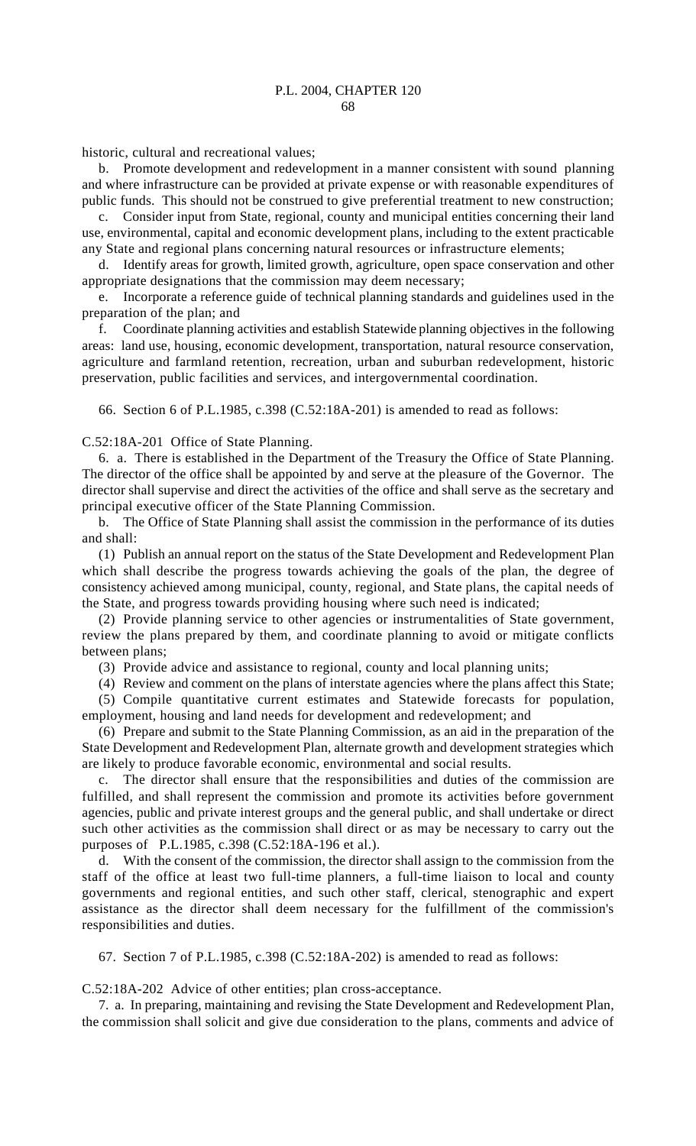historic, cultural and recreational values;

b. Promote development and redevelopment in a manner consistent with sound planning and where infrastructure can be provided at private expense or with reasonable expenditures of public funds. This should not be construed to give preferential treatment to new construction;

c. Consider input from State, regional, county and municipal entities concerning their land use, environmental, capital and economic development plans, including to the extent practicable any State and regional plans concerning natural resources or infrastructure elements;

d. Identify areas for growth, limited growth, agriculture, open space conservation and other appropriate designations that the commission may deem necessary;

e. Incorporate a reference guide of technical planning standards and guidelines used in the preparation of the plan; and

f. Coordinate planning activities and establish Statewide planning objectives in the following areas: land use, housing, economic development, transportation, natural resource conservation, agriculture and farmland retention, recreation, urban and suburban redevelopment, historic preservation, public facilities and services, and intergovernmental coordination.

66. Section 6 of P.L.1985, c.398 (C.52:18A-201) is amended to read as follows:

C.52:18A-201 Office of State Planning.

6. a. There is established in the Department of the Treasury the Office of State Planning. The director of the office shall be appointed by and serve at the pleasure of the Governor. The director shall supervise and direct the activities of the office and shall serve as the secretary and principal executive officer of the State Planning Commission.

b. The Office of State Planning shall assist the commission in the performance of its duties and shall:

(1) Publish an annual report on the status of the State Development and Redevelopment Plan which shall describe the progress towards achieving the goals of the plan, the degree of consistency achieved among municipal, county, regional, and State plans, the capital needs of the State, and progress towards providing housing where such need is indicated;

(2) Provide planning service to other agencies or instrumentalities of State government, review the plans prepared by them, and coordinate planning to avoid or mitigate conflicts between plans;

(3) Provide advice and assistance to regional, county and local planning units;

(4) Review and comment on the plans of interstate agencies where the plans affect this State; (5) Compile quantitative current estimates and Statewide forecasts for population, employment, housing and land needs for development and redevelopment; and

(6) Prepare and submit to the State Planning Commission, as an aid in the preparation of the State Development and Redevelopment Plan, alternate growth and development strategies which are likely to produce favorable economic, environmental and social results.

c. The director shall ensure that the responsibilities and duties of the commission are fulfilled, and shall represent the commission and promote its activities before government agencies, public and private interest groups and the general public, and shall undertake or direct such other activities as the commission shall direct or as may be necessary to carry out the purposes of P.L.1985, c.398 (C.52:18A-196 et al.).

d. With the consent of the commission, the director shall assign to the commission from the staff of the office at least two full-time planners, a full-time liaison to local and county governments and regional entities, and such other staff, clerical, stenographic and expert assistance as the director shall deem necessary for the fulfillment of the commission's responsibilities and duties.

67. Section 7 of P.L.1985, c.398 (C.52:18A-202) is amended to read as follows:

C.52:18A-202 Advice of other entities; plan cross-acceptance.

7. a. In preparing, maintaining and revising the State Development and Redevelopment Plan, the commission shall solicit and give due consideration to the plans, comments and advice of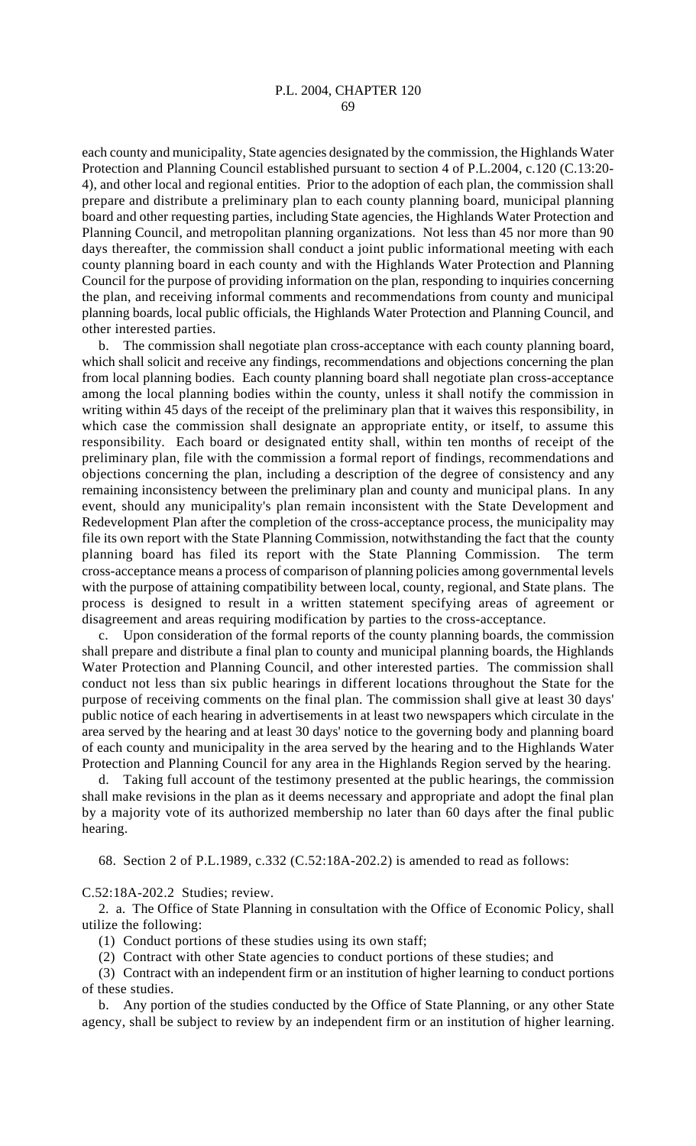each county and municipality, State agencies designated by the commission, the Highlands Water Protection and Planning Council established pursuant to section 4 of P.L.2004, c.120 (C.13:20- 4), and other local and regional entities. Prior to the adoption of each plan, the commission shall prepare and distribute a preliminary plan to each county planning board, municipal planning board and other requesting parties, including State agencies, the Highlands Water Protection and Planning Council, and metropolitan planning organizations. Not less than 45 nor more than 90 days thereafter, the commission shall conduct a joint public informational meeting with each county planning board in each county and with the Highlands Water Protection and Planning Council for the purpose of providing information on the plan, responding to inquiries concerning the plan, and receiving informal comments and recommendations from county and municipal planning boards, local public officials, the Highlands Water Protection and Planning Council, and other interested parties.

b. The commission shall negotiate plan cross-acceptance with each county planning board, which shall solicit and receive any findings, recommendations and objections concerning the plan from local planning bodies. Each county planning board shall negotiate plan cross-acceptance among the local planning bodies within the county, unless it shall notify the commission in writing within 45 days of the receipt of the preliminary plan that it waives this responsibility, in which case the commission shall designate an appropriate entity, or itself, to assume this responsibility. Each board or designated entity shall, within ten months of receipt of the preliminary plan, file with the commission a formal report of findings, recommendations and objections concerning the plan, including a description of the degree of consistency and any remaining inconsistency between the preliminary plan and county and municipal plans. In any event, should any municipality's plan remain inconsistent with the State Development and Redevelopment Plan after the completion of the cross-acceptance process, the municipality may file its own report with the State Planning Commission, notwithstanding the fact that the county planning board has filed its report with the State Planning Commission. The term cross-acceptance means a process of comparison of planning policies among governmental levels with the purpose of attaining compatibility between local, county, regional, and State plans. The process is designed to result in a written statement specifying areas of agreement or disagreement and areas requiring modification by parties to the cross-acceptance.

c. Upon consideration of the formal reports of the county planning boards, the commission shall prepare and distribute a final plan to county and municipal planning boards, the Highlands Water Protection and Planning Council, and other interested parties. The commission shall conduct not less than six public hearings in different locations throughout the State for the purpose of receiving comments on the final plan. The commission shall give at least 30 days' public notice of each hearing in advertisements in at least two newspapers which circulate in the area served by the hearing and at least 30 days' notice to the governing body and planning board of each county and municipality in the area served by the hearing and to the Highlands Water Protection and Planning Council for any area in the Highlands Region served by the hearing.

d. Taking full account of the testimony presented at the public hearings, the commission shall make revisions in the plan as it deems necessary and appropriate and adopt the final plan by a majority vote of its authorized membership no later than 60 days after the final public hearing.

68. Section 2 of P.L.1989, c.332 (C.52:18A-202.2) is amended to read as follows:

C.52:18A-202.2 Studies; review.

2. a. The Office of State Planning in consultation with the Office of Economic Policy, shall utilize the following:

(1) Conduct portions of these studies using its own staff;

(2) Contract with other State agencies to conduct portions of these studies; and

(3) Contract with an independent firm or an institution of higher learning to conduct portions of these studies.

b. Any portion of the studies conducted by the Office of State Planning, or any other State agency, shall be subject to review by an independent firm or an institution of higher learning.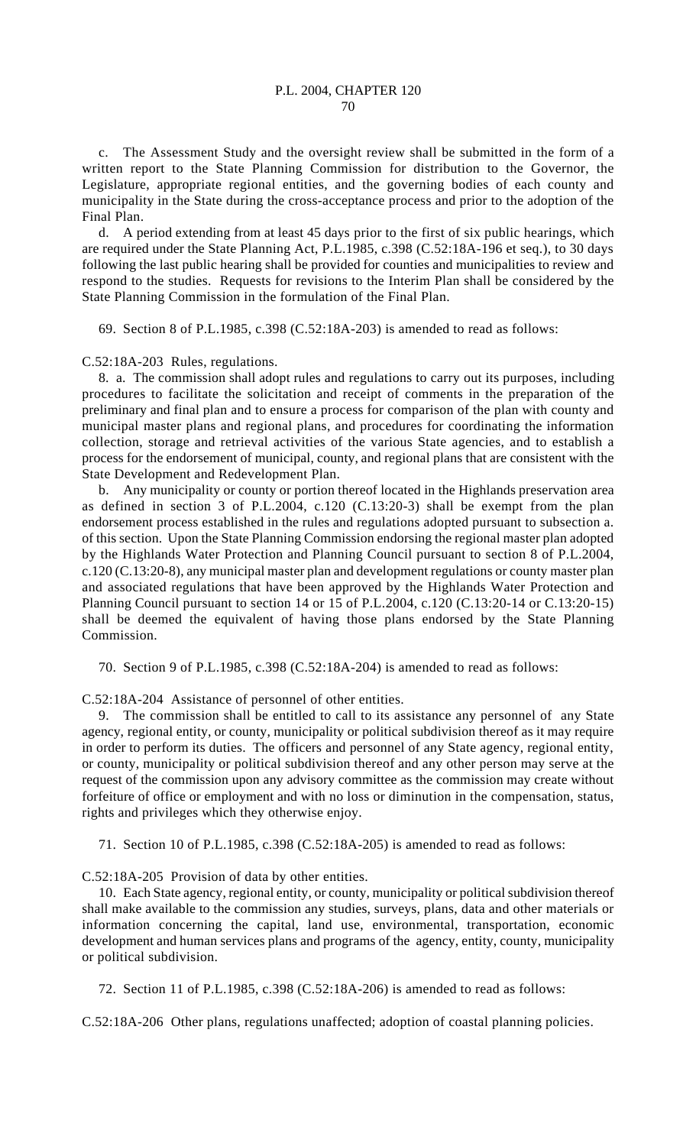c. The Assessment Study and the oversight review shall be submitted in the form of a written report to the State Planning Commission for distribution to the Governor, the Legislature, appropriate regional entities, and the governing bodies of each county and municipality in the State during the cross-acceptance process and prior to the adoption of the Final Plan.

d. A period extending from at least 45 days prior to the first of six public hearings, which are required under the State Planning Act, P.L.1985, c.398 (C.52:18A-196 et seq.), to 30 days following the last public hearing shall be provided for counties and municipalities to review and respond to the studies. Requests for revisions to the Interim Plan shall be considered by the State Planning Commission in the formulation of the Final Plan.

69. Section 8 of P.L.1985, c.398 (C.52:18A-203) is amended to read as follows:

C.52:18A-203 Rules, regulations.

8. a. The commission shall adopt rules and regulations to carry out its purposes, including procedures to facilitate the solicitation and receipt of comments in the preparation of the preliminary and final plan and to ensure a process for comparison of the plan with county and municipal master plans and regional plans, and procedures for coordinating the information collection, storage and retrieval activities of the various State agencies, and to establish a process for the endorsement of municipal, county, and regional plans that are consistent with the State Development and Redevelopment Plan.

b. Any municipality or county or portion thereof located in the Highlands preservation area as defined in section 3 of P.L.2004, c.120 (C.13:20-3) shall be exempt from the plan endorsement process established in the rules and regulations adopted pursuant to subsection a. of this section. Upon the State Planning Commission endorsing the regional master plan adopted by the Highlands Water Protection and Planning Council pursuant to section 8 of P.L.2004, c.120 (C.13:20-8), any municipal master plan and development regulations or county master plan and associated regulations that have been approved by the Highlands Water Protection and Planning Council pursuant to section 14 or 15 of P.L.2004, c.120 (C.13:20-14 or C.13:20-15) shall be deemed the equivalent of having those plans endorsed by the State Planning Commission.

70. Section 9 of P.L.1985, c.398 (C.52:18A-204) is amended to read as follows:

C.52:18A-204 Assistance of personnel of other entities.

9. The commission shall be entitled to call to its assistance any personnel of any State agency, regional entity, or county, municipality or political subdivision thereof as it may require in order to perform its duties. The officers and personnel of any State agency, regional entity, or county, municipality or political subdivision thereof and any other person may serve at the request of the commission upon any advisory committee as the commission may create without forfeiture of office or employment and with no loss or diminution in the compensation, status, rights and privileges which they otherwise enjoy.

71. Section 10 of P.L.1985, c.398 (C.52:18A-205) is amended to read as follows:

C.52:18A-205 Provision of data by other entities.

10. Each State agency, regional entity, or county, municipality or political subdivision thereof shall make available to the commission any studies, surveys, plans, data and other materials or information concerning the capital, land use, environmental, transportation, economic development and human services plans and programs of the agency, entity, county, municipality or political subdivision.

72. Section 11 of P.L.1985, c.398 (C.52:18A-206) is amended to read as follows:

C.52:18A-206 Other plans, regulations unaffected; adoption of coastal planning policies.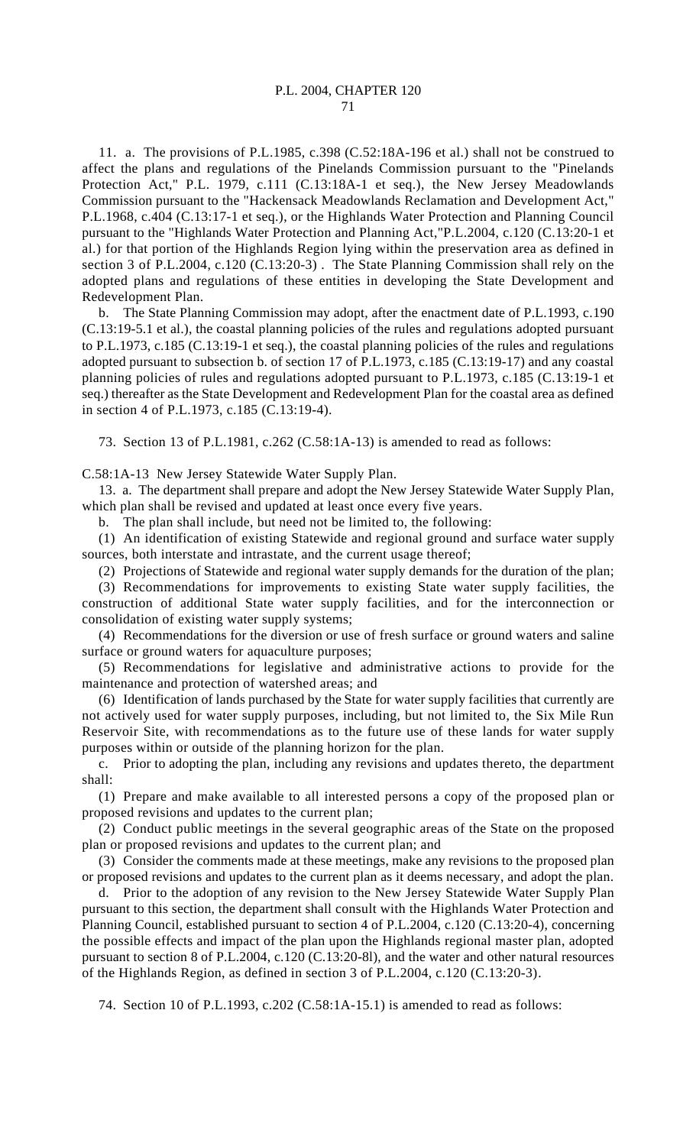## P.L. 2004, CHAPTER 120 71

11. a. The provisions of P.L.1985, c.398 (C.52:18A-196 et al.) shall not be construed to affect the plans and regulations of the Pinelands Commission pursuant to the "Pinelands Protection Act," P.L. 1979, c.111 (C.13:18A-1 et seq.), the New Jersey Meadowlands Commission pursuant to the "Hackensack Meadowlands Reclamation and Development Act," P.L.1968, c.404 (C.13:17-1 et seq.), or the Highlands Water Protection and Planning Council pursuant to the "Highlands Water Protection and Planning Act,"P.L.2004, c.120 (C.13:20-1 et al.) for that portion of the Highlands Region lying within the preservation area as defined in section 3 of P.L.2004, c.120 (C.13:20-3) . The State Planning Commission shall rely on the adopted plans and regulations of these entities in developing the State Development and Redevelopment Plan.

b. The State Planning Commission may adopt, after the enactment date of P.L.1993, c.190 (C.13:19-5.1 et al.), the coastal planning policies of the rules and regulations adopted pursuant to P.L.1973, c.185 (C.13:19-1 et seq.), the coastal planning policies of the rules and regulations adopted pursuant to subsection b. of section 17 of P.L.1973, c.185 (C.13:19-17) and any coastal planning policies of rules and regulations adopted pursuant to P.L.1973, c.185 (C.13:19-1 et seq.) thereafter as the State Development and Redevelopment Plan for the coastal area as defined in section 4 of P.L.1973, c.185 (C.13:19-4).

73. Section 13 of P.L.1981, c.262 (C.58:1A-13) is amended to read as follows:

C.58:1A-13 New Jersey Statewide Water Supply Plan.

13. a. The department shall prepare and adopt the New Jersey Statewide Water Supply Plan, which plan shall be revised and updated at least once every five years.

b. The plan shall include, but need not be limited to, the following:

(1) An identification of existing Statewide and regional ground and surface water supply sources, both interstate and intrastate, and the current usage thereof;

(2) Projections of Statewide and regional water supply demands for the duration of the plan;

(3) Recommendations for improvements to existing State water supply facilities, the construction of additional State water supply facilities, and for the interconnection or consolidation of existing water supply systems;

(4) Recommendations for the diversion or use of fresh surface or ground waters and saline surface or ground waters for aquaculture purposes;

(5) Recommendations for legislative and administrative actions to provide for the maintenance and protection of watershed areas; and

(6) Identification of lands purchased by the State for water supply facilities that currently are not actively used for water supply purposes, including, but not limited to, the Six Mile Run Reservoir Site, with recommendations as to the future use of these lands for water supply purposes within or outside of the planning horizon for the plan.

c. Prior to adopting the plan, including any revisions and updates thereto, the department shall:

(1) Prepare and make available to all interested persons a copy of the proposed plan or proposed revisions and updates to the current plan;

(2) Conduct public meetings in the several geographic areas of the State on the proposed plan or proposed revisions and updates to the current plan; and

(3) Consider the comments made at these meetings, make any revisions to the proposed plan or proposed revisions and updates to the current plan as it deems necessary, and adopt the plan.

d. Prior to the adoption of any revision to the New Jersey Statewide Water Supply Plan pursuant to this section, the department shall consult with the Highlands Water Protection and Planning Council, established pursuant to section 4 of P.L.2004, c.120 (C.13:20-4), concerning the possible effects and impact of the plan upon the Highlands regional master plan, adopted pursuant to section 8 of P.L.2004, c.120 (C.13:20-8l), and the water and other natural resources of the Highlands Region, as defined in section 3 of P.L.2004, c.120 (C.13:20-3).

74. Section 10 of P.L.1993, c.202 (C.58:1A-15.1) is amended to read as follows: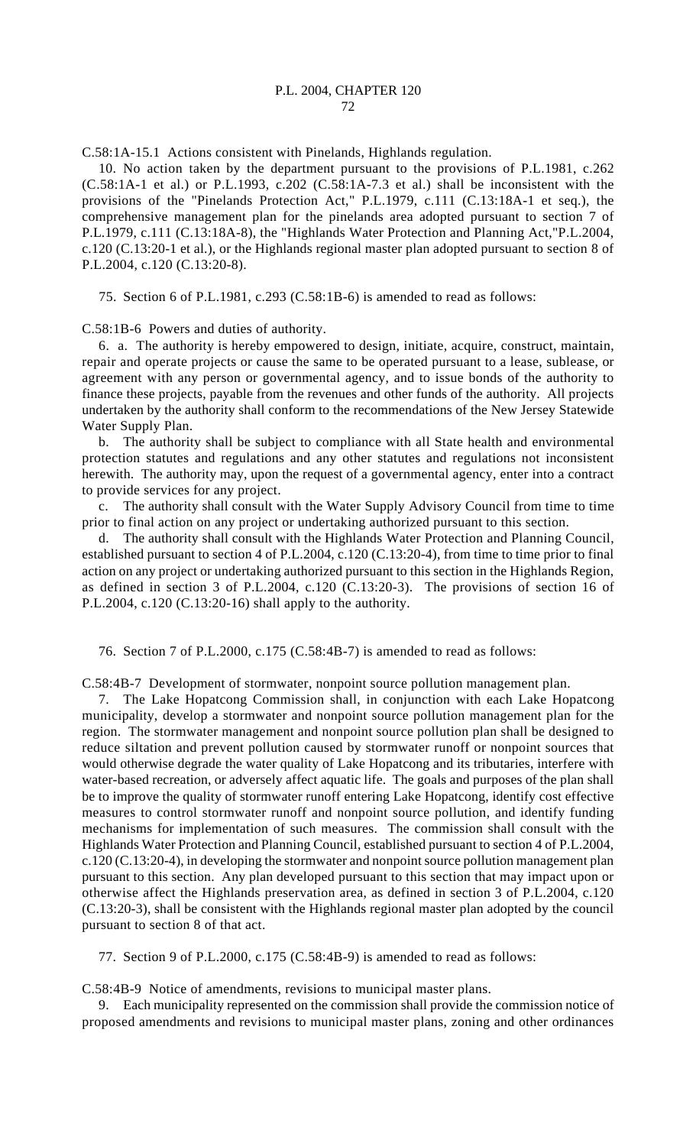C.58:1A-15.1 Actions consistent with Pinelands, Highlands regulation.

10. No action taken by the department pursuant to the provisions of P.L.1981, c.262 (C.58:1A-1 et al.) or P.L.1993, c.202 (C.58:1A-7.3 et al.) shall be inconsistent with the provisions of the "Pinelands Protection Act," P.L.1979, c.111 (C.13:18A-1 et seq.), the comprehensive management plan for the pinelands area adopted pursuant to section 7 of P.L.1979, c.111 (C.13:18A-8), the "Highlands Water Protection and Planning Act,"P.L.2004, c.120 (C.13:20-1 et al.), or the Highlands regional master plan adopted pursuant to section 8 of P.L.2004, c.120 (C.13:20-8).

75. Section 6 of P.L.1981, c.293 (C.58:1B-6) is amended to read as follows:

C.58:1B-6 Powers and duties of authority.

6. a. The authority is hereby empowered to design, initiate, acquire, construct, maintain, repair and operate projects or cause the same to be operated pursuant to a lease, sublease, or agreement with any person or governmental agency, and to issue bonds of the authority to finance these projects, payable from the revenues and other funds of the authority. All projects undertaken by the authority shall conform to the recommendations of the New Jersey Statewide Water Supply Plan.

b. The authority shall be subject to compliance with all State health and environmental protection statutes and regulations and any other statutes and regulations not inconsistent herewith. The authority may, upon the request of a governmental agency, enter into a contract to provide services for any project.

c. The authority shall consult with the Water Supply Advisory Council from time to time prior to final action on any project or undertaking authorized pursuant to this section.

d. The authority shall consult with the Highlands Water Protection and Planning Council, established pursuant to section 4 of P.L.2004, c.120 (C.13:20-4), from time to time prior to final action on any project or undertaking authorized pursuant to this section in the Highlands Region, as defined in section 3 of P.L.2004, c.120 (C.13:20-3). The provisions of section 16 of P.L.2004, c.120 (C.13:20-16) shall apply to the authority.

76. Section 7 of P.L.2000, c.175 (C.58:4B-7) is amended to read as follows:

C.58:4B-7 Development of stormwater, nonpoint source pollution management plan.

7. The Lake Hopatcong Commission shall, in conjunction with each Lake Hopatcong municipality, develop a stormwater and nonpoint source pollution management plan for the region. The stormwater management and nonpoint source pollution plan shall be designed to reduce siltation and prevent pollution caused by stormwater runoff or nonpoint sources that would otherwise degrade the water quality of Lake Hopatcong and its tributaries, interfere with water-based recreation, or adversely affect aquatic life. The goals and purposes of the plan shall be to improve the quality of stormwater runoff entering Lake Hopatcong, identify cost effective measures to control stormwater runoff and nonpoint source pollution, and identify funding mechanisms for implementation of such measures. The commission shall consult with the Highlands Water Protection and Planning Council, established pursuant to section 4 of P.L.2004, c.120 (C.13:20-4), in developing the stormwater and nonpoint source pollution management plan pursuant to this section. Any plan developed pursuant to this section that may impact upon or otherwise affect the Highlands preservation area, as defined in section 3 of P.L.2004, c.120 (C.13:20-3), shall be consistent with the Highlands regional master plan adopted by the council pursuant to section 8 of that act.

77. Section 9 of P.L.2000, c.175 (C.58:4B-9) is amended to read as follows:

C.58:4B-9 Notice of amendments, revisions to municipal master plans.

9. Each municipality represented on the commission shall provide the commission notice of proposed amendments and revisions to municipal master plans, zoning and other ordinances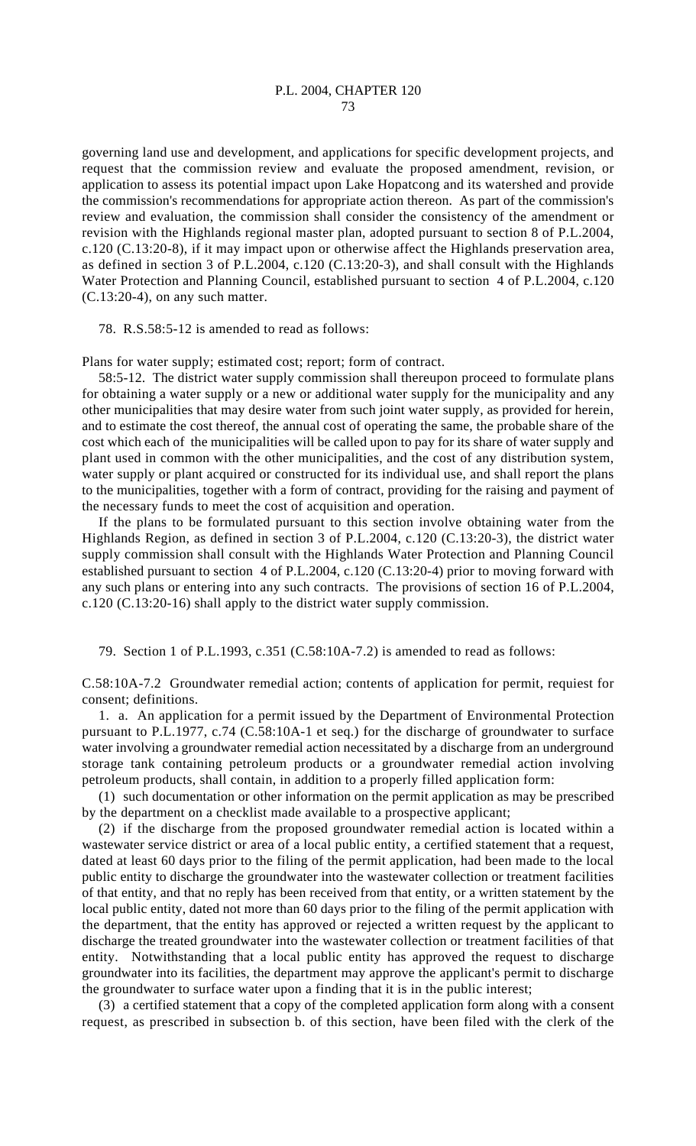governing land use and development, and applications for specific development projects, and request that the commission review and evaluate the proposed amendment, revision, or application to assess its potential impact upon Lake Hopatcong and its watershed and provide the commission's recommendations for appropriate action thereon. As part of the commission's review and evaluation, the commission shall consider the consistency of the amendment or revision with the Highlands regional master plan, adopted pursuant to section 8 of P.L.2004, c.120 (C.13:20-8), if it may impact upon or otherwise affect the Highlands preservation area, as defined in section 3 of P.L.2004, c.120 (C.13:20-3), and shall consult with the Highlands Water Protection and Planning Council, established pursuant to section 4 of P.L.2004, c.120 (C.13:20-4), on any such matter.

78. R.S.58:5-12 is amended to read as follows:

Plans for water supply; estimated cost; report; form of contract.

58:5-12. The district water supply commission shall thereupon proceed to formulate plans for obtaining a water supply or a new or additional water supply for the municipality and any other municipalities that may desire water from such joint water supply, as provided for herein, and to estimate the cost thereof, the annual cost of operating the same, the probable share of the cost which each of the municipalities will be called upon to pay for its share of water supply and plant used in common with the other municipalities, and the cost of any distribution system, water supply or plant acquired or constructed for its individual use, and shall report the plans to the municipalities, together with a form of contract, providing for the raising and payment of the necessary funds to meet the cost of acquisition and operation.

If the plans to be formulated pursuant to this section involve obtaining water from the Highlands Region, as defined in section 3 of P.L.2004, c.120 (C.13:20-3), the district water supply commission shall consult with the Highlands Water Protection and Planning Council established pursuant to section 4 of P.L.2004, c.120 (C.13:20-4) prior to moving forward with any such plans or entering into any such contracts. The provisions of section 16 of P.L.2004, c.120 (C.13:20-16) shall apply to the district water supply commission.

79. Section 1 of P.L.1993, c.351 (C.58:10A-7.2) is amended to read as follows:

C.58:10A-7.2 Groundwater remedial action; contents of application for permit, requiest for consent; definitions.

1. a. An application for a permit issued by the Department of Environmental Protection pursuant to P.L.1977, c.74 (C.58:10A-1 et seq.) for the discharge of groundwater to surface water involving a groundwater remedial action necessitated by a discharge from an underground storage tank containing petroleum products or a groundwater remedial action involving petroleum products, shall contain, in addition to a properly filled application form:

(1) such documentation or other information on the permit application as may be prescribed by the department on a checklist made available to a prospective applicant;

(2) if the discharge from the proposed groundwater remedial action is located within a wastewater service district or area of a local public entity, a certified statement that a request, dated at least 60 days prior to the filing of the permit application, had been made to the local public entity to discharge the groundwater into the wastewater collection or treatment facilities of that entity, and that no reply has been received from that entity, or a written statement by the local public entity, dated not more than 60 days prior to the filing of the permit application with the department, that the entity has approved or rejected a written request by the applicant to discharge the treated groundwater into the wastewater collection or treatment facilities of that entity. Notwithstanding that a local public entity has approved the request to discharge groundwater into its facilities, the department may approve the applicant's permit to discharge the groundwater to surface water upon a finding that it is in the public interest;

(3) a certified statement that a copy of the completed application form along with a consent request, as prescribed in subsection b. of this section, have been filed with the clerk of the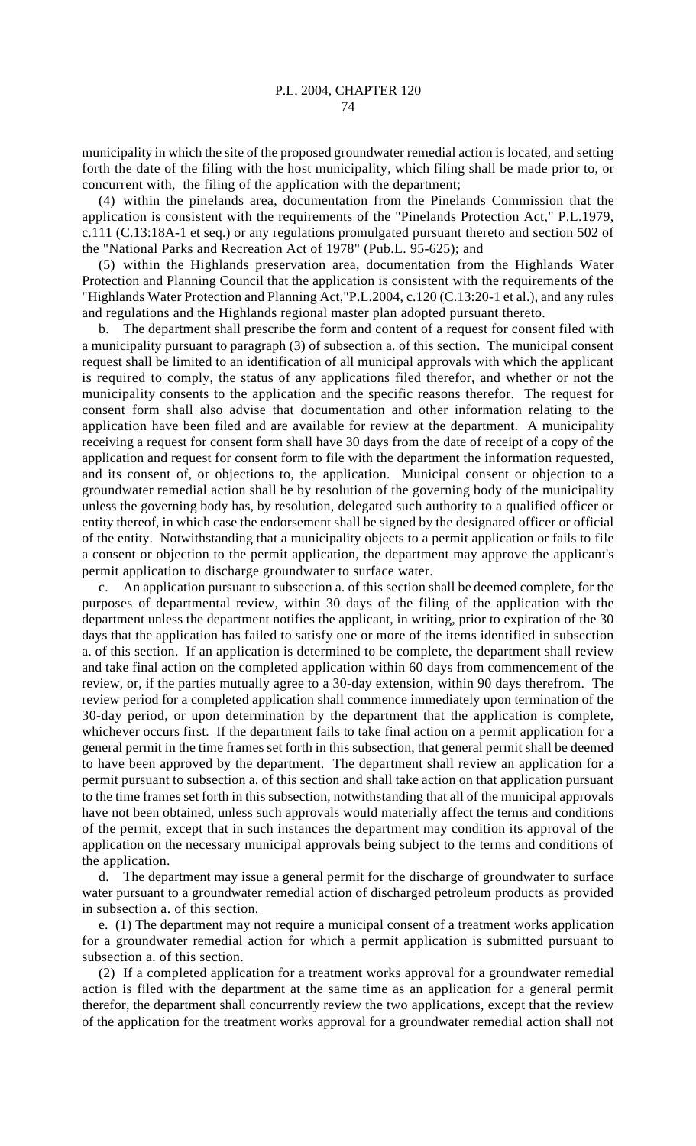municipality in which the site of the proposed groundwater remedial action is located, and setting forth the date of the filing with the host municipality, which filing shall be made prior to, or concurrent with, the filing of the application with the department;

(4) within the pinelands area, documentation from the Pinelands Commission that the application is consistent with the requirements of the "Pinelands Protection Act," P.L.1979, c.111 (C.13:18A-1 et seq.) or any regulations promulgated pursuant thereto and section 502 of the "National Parks and Recreation Act of 1978" (Pub.L. 95-625); and

(5) within the Highlands preservation area, documentation from the Highlands Water Protection and Planning Council that the application is consistent with the requirements of the "Highlands Water Protection and Planning Act,"P.L.2004, c.120 (C.13:20-1 et al.), and any rules and regulations and the Highlands regional master plan adopted pursuant thereto.

b. The department shall prescribe the form and content of a request for consent filed with a municipality pursuant to paragraph (3) of subsection a. of this section. The municipal consent request shall be limited to an identification of all municipal approvals with which the applicant is required to comply, the status of any applications filed therefor, and whether or not the municipality consents to the application and the specific reasons therefor. The request for consent form shall also advise that documentation and other information relating to the application have been filed and are available for review at the department. A municipality receiving a request for consent form shall have 30 days from the date of receipt of a copy of the application and request for consent form to file with the department the information requested, and its consent of, or objections to, the application. Municipal consent or objection to a groundwater remedial action shall be by resolution of the governing body of the municipality unless the governing body has, by resolution, delegated such authority to a qualified officer or entity thereof, in which case the endorsement shall be signed by the designated officer or official of the entity. Notwithstanding that a municipality objects to a permit application or fails to file a consent or objection to the permit application, the department may approve the applicant's permit application to discharge groundwater to surface water.

c. An application pursuant to subsection a. of this section shall be deemed complete, for the purposes of departmental review, within 30 days of the filing of the application with the department unless the department notifies the applicant, in writing, prior to expiration of the 30 days that the application has failed to satisfy one or more of the items identified in subsection a. of this section. If an application is determined to be complete, the department shall review and take final action on the completed application within 60 days from commencement of the review, or, if the parties mutually agree to a 30-day extension, within 90 days therefrom. The review period for a completed application shall commence immediately upon termination of the 30-day period, or upon determination by the department that the application is complete, whichever occurs first. If the department fails to take final action on a permit application for a general permit in the time frames set forth in this subsection, that general permit shall be deemed to have been approved by the department. The department shall review an application for a permit pursuant to subsection a. of this section and shall take action on that application pursuant to the time frames set forth in this subsection, notwithstanding that all of the municipal approvals have not been obtained, unless such approvals would materially affect the terms and conditions of the permit, except that in such instances the department may condition its approval of the application on the necessary municipal approvals being subject to the terms and conditions of the application.

d. The department may issue a general permit for the discharge of groundwater to surface water pursuant to a groundwater remedial action of discharged petroleum products as provided in subsection a. of this section.

e. (1) The department may not require a municipal consent of a treatment works application for a groundwater remedial action for which a permit application is submitted pursuant to subsection a. of this section.

(2) If a completed application for a treatment works approval for a groundwater remedial action is filed with the department at the same time as an application for a general permit therefor, the department shall concurrently review the two applications, except that the review of the application for the treatment works approval for a groundwater remedial action shall not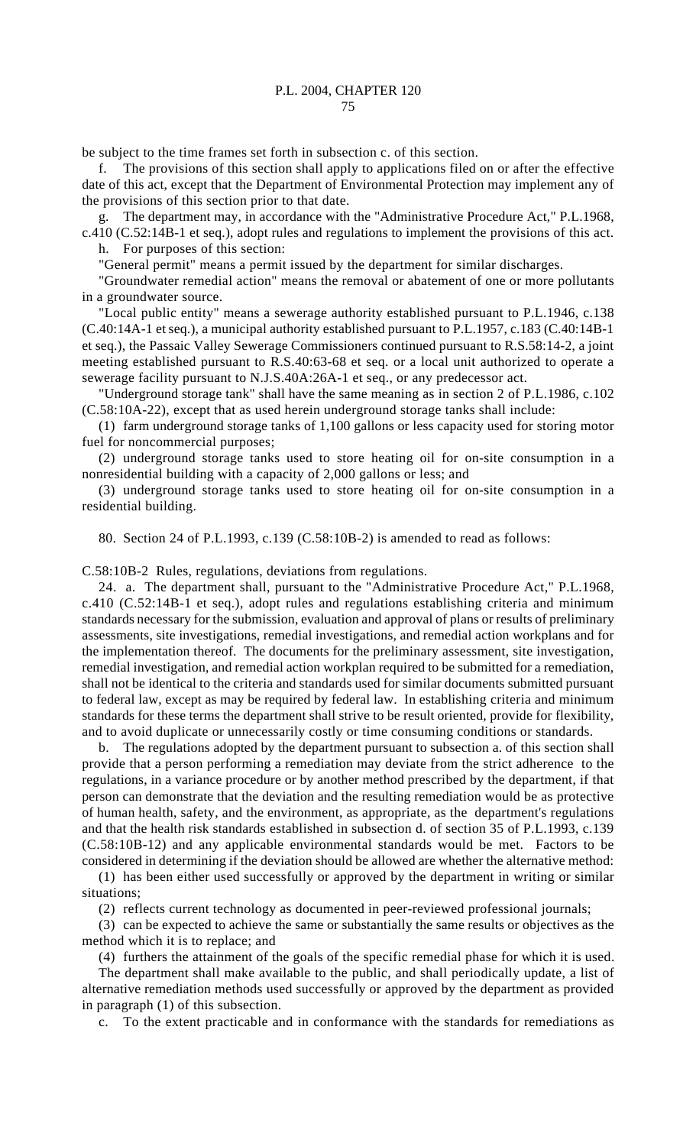be subject to the time frames set forth in subsection c. of this section.

The provisions of this section shall apply to applications filed on or after the effective date of this act, except that the Department of Environmental Protection may implement any of the provisions of this section prior to that date.

g. The department may, in accordance with the "Administrative Procedure Act," P.L.1968, c.410 (C.52:14B-1 et seq.), adopt rules and regulations to implement the provisions of this act.

h. For purposes of this section:

"General permit" means a permit issued by the department for similar discharges.

"Groundwater remedial action" means the removal or abatement of one or more pollutants in a groundwater source.

"Local public entity" means a sewerage authority established pursuant to P.L.1946, c.138 (C.40:14A-1 et seq.), a municipal authority established pursuant to P.L.1957, c.183 (C.40:14B-1 et seq.), the Passaic Valley Sewerage Commissioners continued pursuant to R.S.58:14-2, a joint meeting established pursuant to R.S.40:63-68 et seq. or a local unit authorized to operate a sewerage facility pursuant to N.J.S.40A:26A-1 et seq., or any predecessor act.

"Underground storage tank" shall have the same meaning as in section 2 of P.L.1986, c.102 (C.58:10A-22), except that as used herein underground storage tanks shall include:

(1) farm underground storage tanks of 1,100 gallons or less capacity used for storing motor fuel for noncommercial purposes;

(2) underground storage tanks used to store heating oil for on-site consumption in a nonresidential building with a capacity of 2,000 gallons or less; and

(3) underground storage tanks used to store heating oil for on-site consumption in a residential building.

80. Section 24 of P.L.1993, c.139 (C.58:10B-2) is amended to read as follows:

C.58:10B-2 Rules, regulations, deviations from regulations.

24. a. The department shall, pursuant to the "Administrative Procedure Act," P.L.1968, c.410 (C.52:14B-1 et seq.), adopt rules and regulations establishing criteria and minimum standards necessary for the submission, evaluation and approval of plans or results of preliminary assessments, site investigations, remedial investigations, and remedial action workplans and for the implementation thereof. The documents for the preliminary assessment, site investigation, remedial investigation, and remedial action workplan required to be submitted for a remediation, shall not be identical to the criteria and standards used for similar documents submitted pursuant to federal law, except as may be required by federal law. In establishing criteria and minimum standards for these terms the department shall strive to be result oriented, provide for flexibility, and to avoid duplicate or unnecessarily costly or time consuming conditions or standards.

b. The regulations adopted by the department pursuant to subsection a. of this section shall provide that a person performing a remediation may deviate from the strict adherence to the regulations, in a variance procedure or by another method prescribed by the department, if that person can demonstrate that the deviation and the resulting remediation would be as protective of human health, safety, and the environment, as appropriate, as the department's regulations and that the health risk standards established in subsection d. of section 35 of P.L.1993, c.139 (C.58:10B-12) and any applicable environmental standards would be met. Factors to be considered in determining if the deviation should be allowed are whether the alternative method:

(1) has been either used successfully or approved by the department in writing or similar situations;

(2) reflects current technology as documented in peer-reviewed professional journals;

(3) can be expected to achieve the same or substantially the same results or objectives as the method which it is to replace; and

(4) furthers the attainment of the goals of the specific remedial phase for which it is used. The department shall make available to the public, and shall periodically update, a list of alternative remediation methods used successfully or approved by the department as provided in paragraph (1) of this subsection.

c. To the extent practicable and in conformance with the standards for remediations as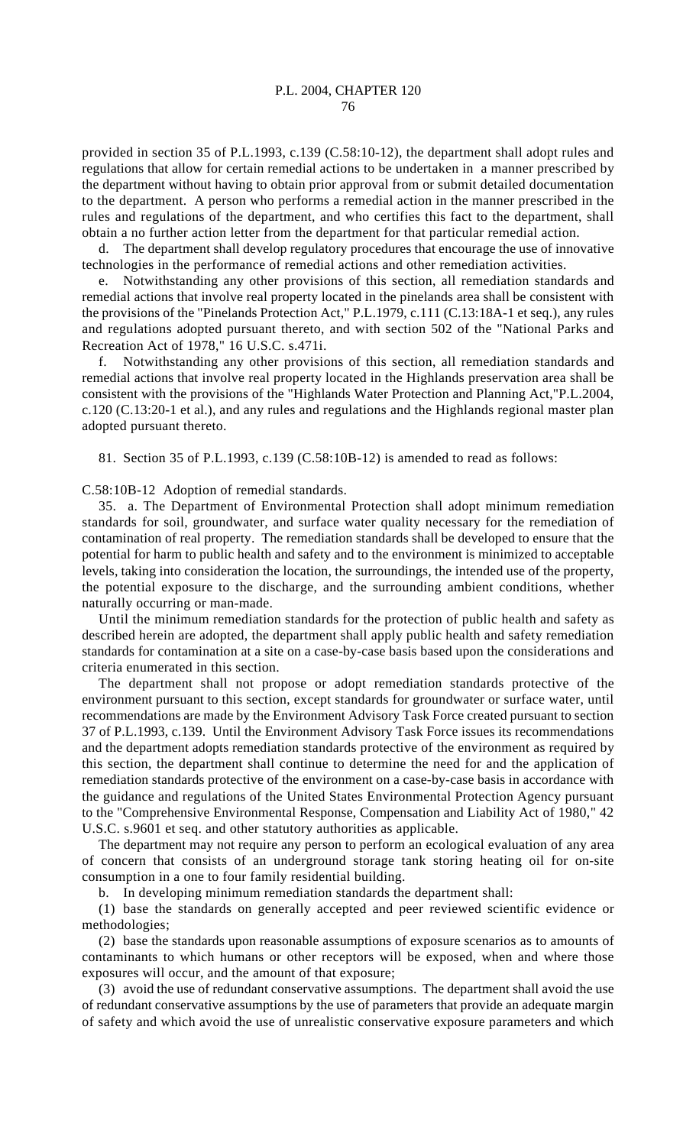provided in section 35 of P.L.1993, c.139 (C.58:10-12), the department shall adopt rules and regulations that allow for certain remedial actions to be undertaken in a manner prescribed by the department without having to obtain prior approval from or submit detailed documentation to the department. A person who performs a remedial action in the manner prescribed in the rules and regulations of the department, and who certifies this fact to the department, shall obtain a no further action letter from the department for that particular remedial action.

d. The department shall develop regulatory procedures that encourage the use of innovative technologies in the performance of remedial actions and other remediation activities.

e. Notwithstanding any other provisions of this section, all remediation standards and remedial actions that involve real property located in the pinelands area shall be consistent with the provisions of the "Pinelands Protection Act," P.L.1979, c.111 (C.13:18A-1 et seq.), any rules and regulations adopted pursuant thereto, and with section 502 of the "National Parks and Recreation Act of 1978," 16 U.S.C. s.471i.

f. Notwithstanding any other provisions of this section, all remediation standards and remedial actions that involve real property located in the Highlands preservation area shall be consistent with the provisions of the "Highlands Water Protection and Planning Act,"P.L.2004, c.120 (C.13:20-1 et al.), and any rules and regulations and the Highlands regional master plan adopted pursuant thereto.

81. Section 35 of P.L.1993, c.139 (C.58:10B-12) is amended to read as follows:

C.58:10B-12 Adoption of remedial standards.

35. a. The Department of Environmental Protection shall adopt minimum remediation standards for soil, groundwater, and surface water quality necessary for the remediation of contamination of real property. The remediation standards shall be developed to ensure that the potential for harm to public health and safety and to the environment is minimized to acceptable levels, taking into consideration the location, the surroundings, the intended use of the property, the potential exposure to the discharge, and the surrounding ambient conditions, whether naturally occurring or man-made.

Until the minimum remediation standards for the protection of public health and safety as described herein are adopted, the department shall apply public health and safety remediation standards for contamination at a site on a case-by-case basis based upon the considerations and criteria enumerated in this section.

The department shall not propose or adopt remediation standards protective of the environment pursuant to this section, except standards for groundwater or surface water, until recommendations are made by the Environment Advisory Task Force created pursuant to section 37 of P.L.1993, c.139. Until the Environment Advisory Task Force issues its recommendations and the department adopts remediation standards protective of the environment as required by this section, the department shall continue to determine the need for and the application of remediation standards protective of the environment on a case-by-case basis in accordance with the guidance and regulations of the United States Environmental Protection Agency pursuant to the "Comprehensive Environmental Response, Compensation and Liability Act of 1980," 42 U.S.C. s.9601 et seq. and other statutory authorities as applicable.

The department may not require any person to perform an ecological evaluation of any area of concern that consists of an underground storage tank storing heating oil for on-site consumption in a one to four family residential building.

b. In developing minimum remediation standards the department shall:

(1) base the standards on generally accepted and peer reviewed scientific evidence or methodologies;

(2) base the standards upon reasonable assumptions of exposure scenarios as to amounts of contaminants to which humans or other receptors will be exposed, when and where those exposures will occur, and the amount of that exposure;

(3) avoid the use of redundant conservative assumptions. The department shall avoid the use of redundant conservative assumptions by the use of parameters that provide an adequate margin of safety and which avoid the use of unrealistic conservative exposure parameters and which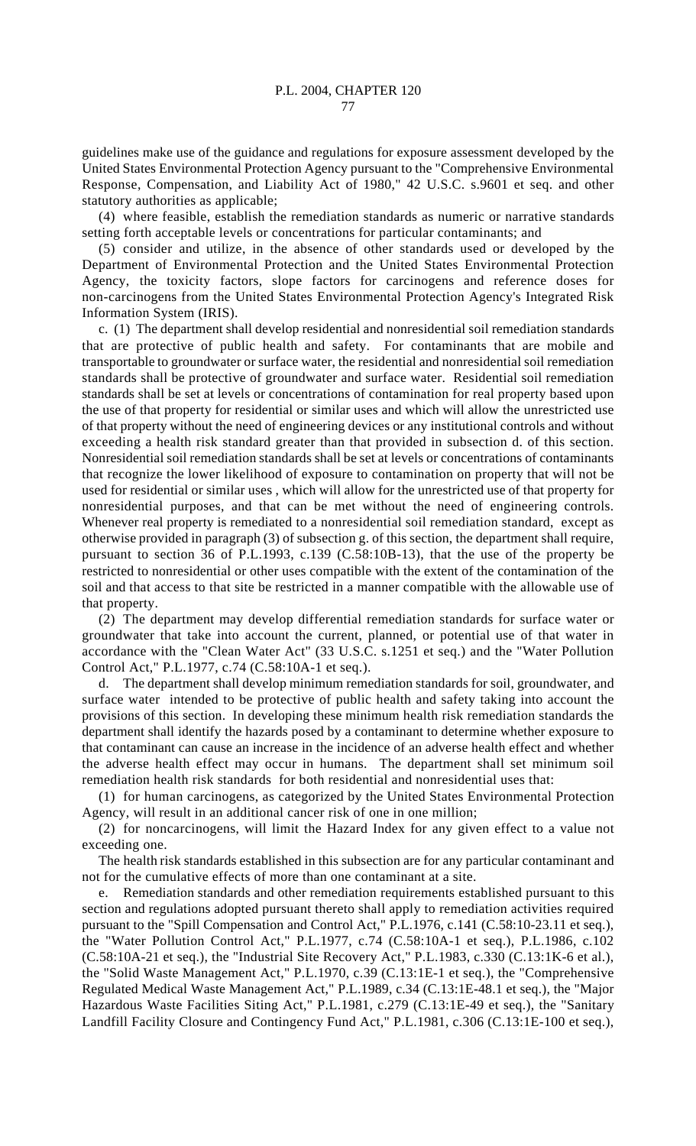guidelines make use of the guidance and regulations for exposure assessment developed by the United States Environmental Protection Agency pursuant to the "Comprehensive Environmental Response, Compensation, and Liability Act of 1980," 42 U.S.C. s.9601 et seq. and other statutory authorities as applicable;

(4) where feasible, establish the remediation standards as numeric or narrative standards setting forth acceptable levels or concentrations for particular contaminants; and

(5) consider and utilize, in the absence of other standards used or developed by the Department of Environmental Protection and the United States Environmental Protection Agency, the toxicity factors, slope factors for carcinogens and reference doses for non-carcinogens from the United States Environmental Protection Agency's Integrated Risk Information System (IRIS).

c. (1) The department shall develop residential and nonresidential soil remediation standards that are protective of public health and safety. For contaminants that are mobile and transportable to groundwater or surface water, the residential and nonresidential soil remediation standards shall be protective of groundwater and surface water. Residential soil remediation standards shall be set at levels or concentrations of contamination for real property based upon the use of that property for residential or similar uses and which will allow the unrestricted use of that property without the need of engineering devices or any institutional controls and without exceeding a health risk standard greater than that provided in subsection d. of this section. Nonresidential soil remediation standards shall be set at levels or concentrations of contaminants that recognize the lower likelihood of exposure to contamination on property that will not be used for residential or similar uses , which will allow for the unrestricted use of that property for nonresidential purposes, and that can be met without the need of engineering controls. Whenever real property is remediated to a nonresidential soil remediation standard, except as otherwise provided in paragraph (3) of subsection g. of this section, the department shall require, pursuant to section 36 of P.L.1993, c.139 (C.58:10B-13), that the use of the property be restricted to nonresidential or other uses compatible with the extent of the contamination of the soil and that access to that site be restricted in a manner compatible with the allowable use of that property.

(2) The department may develop differential remediation standards for surface water or groundwater that take into account the current, planned, or potential use of that water in accordance with the "Clean Water Act" (33 U.S.C. s.1251 et seq.) and the "Water Pollution Control Act," P.L.1977, c.74 (C.58:10A-1 et seq.).

d. The department shall develop minimum remediation standards for soil, groundwater, and surface water intended to be protective of public health and safety taking into account the provisions of this section. In developing these minimum health risk remediation standards the department shall identify the hazards posed by a contaminant to determine whether exposure to that contaminant can cause an increase in the incidence of an adverse health effect and whether the adverse health effect may occur in humans. The department shall set minimum soil remediation health risk standards for both residential and nonresidential uses that:

(1) for human carcinogens, as categorized by the United States Environmental Protection Agency, will result in an additional cancer risk of one in one million;

(2) for noncarcinogens, will limit the Hazard Index for any given effect to a value not exceeding one.

The health risk standards established in this subsection are for any particular contaminant and not for the cumulative effects of more than one contaminant at a site.

e. Remediation standards and other remediation requirements established pursuant to this section and regulations adopted pursuant thereto shall apply to remediation activities required pursuant to the "Spill Compensation and Control Act," P.L.1976, c.141 (C.58:10-23.11 et seq.), the "Water Pollution Control Act," P.L.1977, c.74 (C.58:10A-1 et seq.), P.L.1986, c.102 (C.58:10A-21 et seq.), the "Industrial Site Recovery Act," P.L.1983, c.330 (C.13:1K-6 et al.), the "Solid Waste Management Act," P.L.1970, c.39 (C.13:1E-1 et seq.), the "Comprehensive Regulated Medical Waste Management Act," P.L.1989, c.34 (C.13:1E-48.1 et seq.), the "Major Hazardous Waste Facilities Siting Act," P.L.1981, c.279 (C.13:1E-49 et seq.), the "Sanitary Landfill Facility Closure and Contingency Fund Act," P.L.1981, c.306 (C.13:1E-100 et seq.),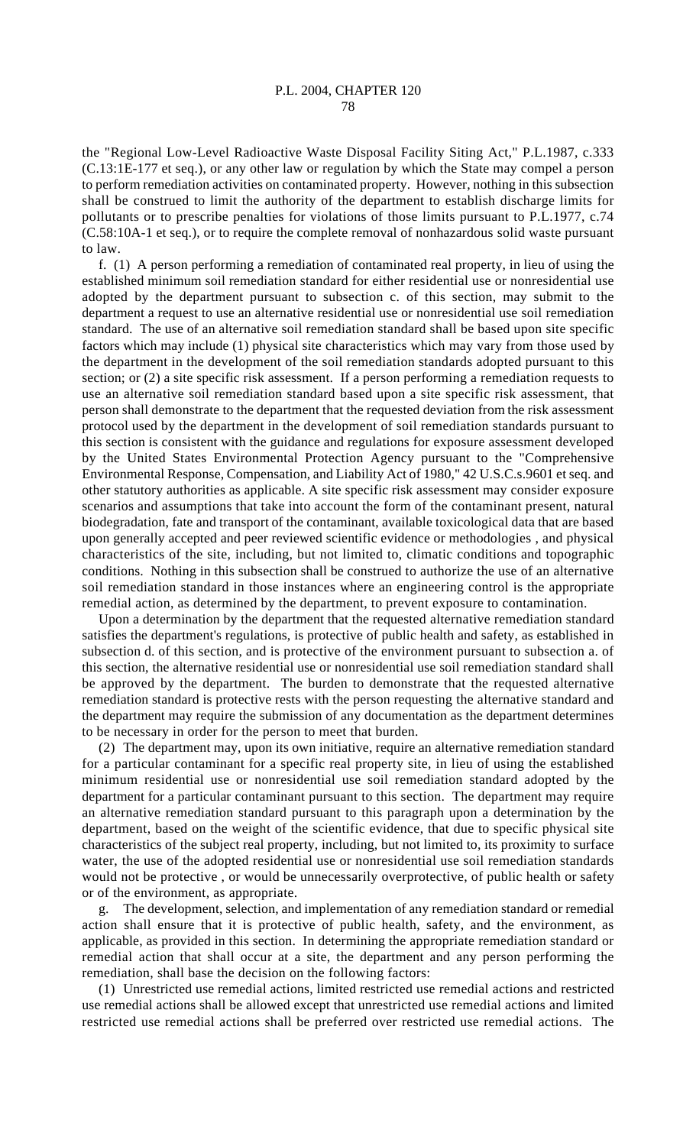the "Regional Low-Level Radioactive Waste Disposal Facility Siting Act," P.L.1987, c.333 (C.13:1E-177 et seq.), or any other law or regulation by which the State may compel a person to perform remediation activities on contaminated property. However, nothing in this subsection shall be construed to limit the authority of the department to establish discharge limits for pollutants or to prescribe penalties for violations of those limits pursuant to P.L.1977, c.74 (C.58:10A-1 et seq.), or to require the complete removal of nonhazardous solid waste pursuant to law.

f. (1) A person performing a remediation of contaminated real property, in lieu of using the established minimum soil remediation standard for either residential use or nonresidential use adopted by the department pursuant to subsection c. of this section, may submit to the department a request to use an alternative residential use or nonresidential use soil remediation standard. The use of an alternative soil remediation standard shall be based upon site specific factors which may include (1) physical site characteristics which may vary from those used by the department in the development of the soil remediation standards adopted pursuant to this section; or (2) a site specific risk assessment. If a person performing a remediation requests to use an alternative soil remediation standard based upon a site specific risk assessment, that person shall demonstrate to the department that the requested deviation from the risk assessment protocol used by the department in the development of soil remediation standards pursuant to this section is consistent with the guidance and regulations for exposure assessment developed by the United States Environmental Protection Agency pursuant to the "Comprehensive Environmental Response, Compensation, and Liability Act of 1980," 42 U.S.C.s.9601 et seq. and other statutory authorities as applicable. A site specific risk assessment may consider exposure scenarios and assumptions that take into account the form of the contaminant present, natural biodegradation, fate and transport of the contaminant, available toxicological data that are based upon generally accepted and peer reviewed scientific evidence or methodologies , and physical characteristics of the site, including, but not limited to, climatic conditions and topographic conditions. Nothing in this subsection shall be construed to authorize the use of an alternative soil remediation standard in those instances where an engineering control is the appropriate remedial action, as determined by the department, to prevent exposure to contamination.

Upon a determination by the department that the requested alternative remediation standard satisfies the department's regulations, is protective of public health and safety, as established in subsection d. of this section, and is protective of the environment pursuant to subsection a. of this section, the alternative residential use or nonresidential use soil remediation standard shall be approved by the department. The burden to demonstrate that the requested alternative remediation standard is protective rests with the person requesting the alternative standard and the department may require the submission of any documentation as the department determines to be necessary in order for the person to meet that burden.

(2) The department may, upon its own initiative, require an alternative remediation standard for a particular contaminant for a specific real property site, in lieu of using the established minimum residential use or nonresidential use soil remediation standard adopted by the department for a particular contaminant pursuant to this section. The department may require an alternative remediation standard pursuant to this paragraph upon a determination by the department, based on the weight of the scientific evidence, that due to specific physical site characteristics of the subject real property, including, but not limited to, its proximity to surface water, the use of the adopted residential use or nonresidential use soil remediation standards would not be protective , or would be unnecessarily overprotective, of public health or safety or of the environment, as appropriate.

g. The development, selection, and implementation of any remediation standard or remedial action shall ensure that it is protective of public health, safety, and the environment, as applicable, as provided in this section. In determining the appropriate remediation standard or remedial action that shall occur at a site, the department and any person performing the remediation, shall base the decision on the following factors:

(1) Unrestricted use remedial actions, limited restricted use remedial actions and restricted use remedial actions shall be allowed except that unrestricted use remedial actions and limited restricted use remedial actions shall be preferred over restricted use remedial actions. The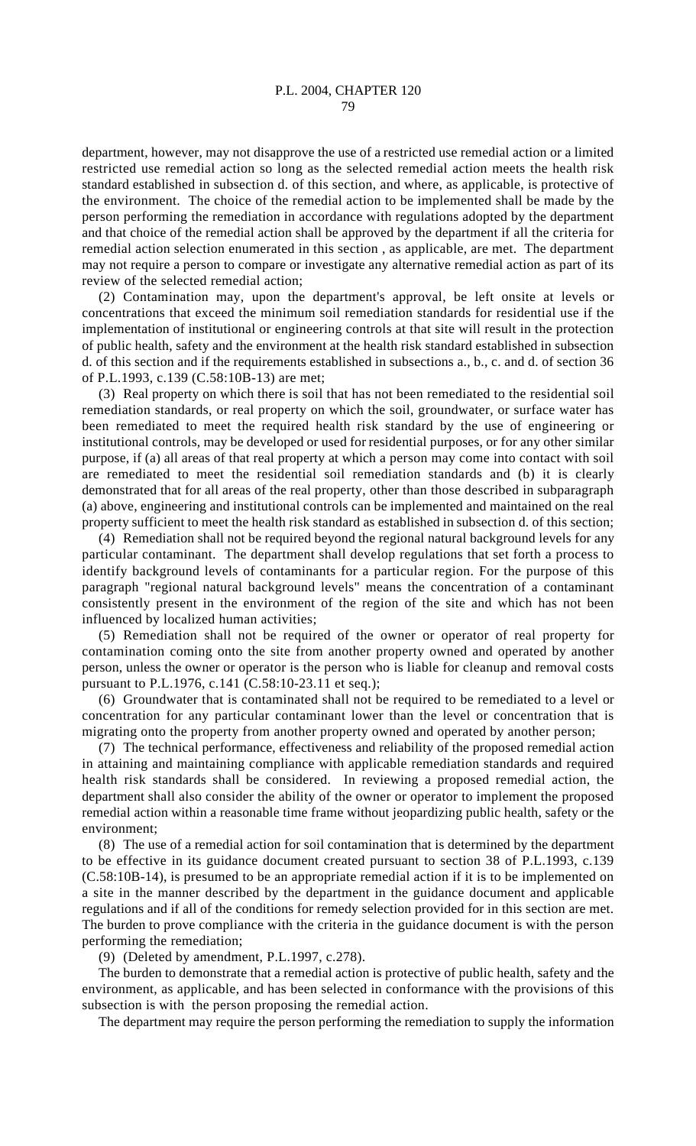department, however, may not disapprove the use of a restricted use remedial action or a limited restricted use remedial action so long as the selected remedial action meets the health risk standard established in subsection d. of this section, and where, as applicable, is protective of the environment. The choice of the remedial action to be implemented shall be made by the person performing the remediation in accordance with regulations adopted by the department and that choice of the remedial action shall be approved by the department if all the criteria for remedial action selection enumerated in this section , as applicable, are met. The department may not require a person to compare or investigate any alternative remedial action as part of its review of the selected remedial action;

(2) Contamination may, upon the department's approval, be left onsite at levels or concentrations that exceed the minimum soil remediation standards for residential use if the implementation of institutional or engineering controls at that site will result in the protection of public health, safety and the environment at the health risk standard established in subsection d. of this section and if the requirements established in subsections a., b., c. and d. of section 36 of P.L.1993, c.139 (C.58:10B-13) are met;

(3) Real property on which there is soil that has not been remediated to the residential soil remediation standards, or real property on which the soil, groundwater, or surface water has been remediated to meet the required health risk standard by the use of engineering or institutional controls, may be developed or used for residential purposes, or for any other similar purpose, if (a) all areas of that real property at which a person may come into contact with soil are remediated to meet the residential soil remediation standards and (b) it is clearly demonstrated that for all areas of the real property, other than those described in subparagraph (a) above, engineering and institutional controls can be implemented and maintained on the real property sufficient to meet the health risk standard as established in subsection d. of this section;

(4) Remediation shall not be required beyond the regional natural background levels for any particular contaminant. The department shall develop regulations that set forth a process to identify background levels of contaminants for a particular region. For the purpose of this paragraph "regional natural background levels" means the concentration of a contaminant consistently present in the environment of the region of the site and which has not been influenced by localized human activities;

(5) Remediation shall not be required of the owner or operator of real property for contamination coming onto the site from another property owned and operated by another person, unless the owner or operator is the person who is liable for cleanup and removal costs pursuant to P.L.1976, c.141 (C.58:10-23.11 et seq.);

(6) Groundwater that is contaminated shall not be required to be remediated to a level or concentration for any particular contaminant lower than the level or concentration that is migrating onto the property from another property owned and operated by another person;

(7) The technical performance, effectiveness and reliability of the proposed remedial action in attaining and maintaining compliance with applicable remediation standards and required health risk standards shall be considered. In reviewing a proposed remedial action, the department shall also consider the ability of the owner or operator to implement the proposed remedial action within a reasonable time frame without jeopardizing public health, safety or the environment;

(8) The use of a remedial action for soil contamination that is determined by the department to be effective in its guidance document created pursuant to section 38 of P.L.1993, c.139 (C.58:10B-14), is presumed to be an appropriate remedial action if it is to be implemented on a site in the manner described by the department in the guidance document and applicable regulations and if all of the conditions for remedy selection provided for in this section are met. The burden to prove compliance with the criteria in the guidance document is with the person performing the remediation;

(9) (Deleted by amendment, P.L.1997, c.278).

The burden to demonstrate that a remedial action is protective of public health, safety and the environment, as applicable, and has been selected in conformance with the provisions of this subsection is with the person proposing the remedial action.

The department may require the person performing the remediation to supply the information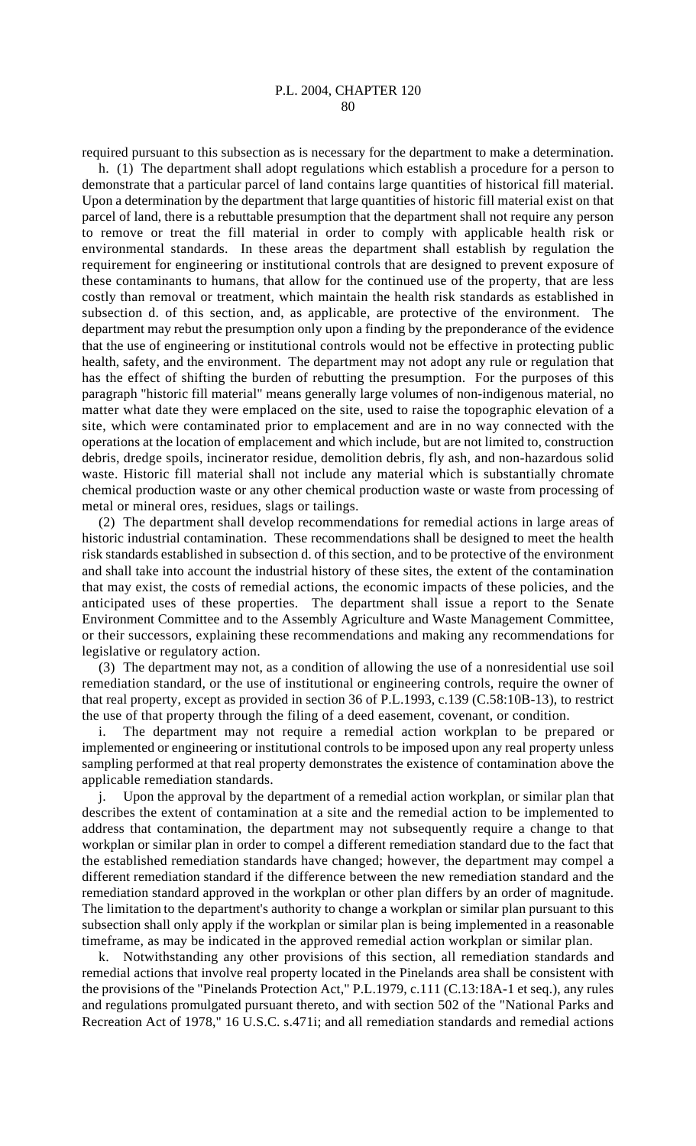required pursuant to this subsection as is necessary for the department to make a determination.

h. (1) The department shall adopt regulations which establish a procedure for a person to demonstrate that a particular parcel of land contains large quantities of historical fill material. Upon a determination by the department that large quantities of historic fill material exist on that parcel of land, there is a rebuttable presumption that the department shall not require any person to remove or treat the fill material in order to comply with applicable health risk or environmental standards. In these areas the department shall establish by regulation the requirement for engineering or institutional controls that are designed to prevent exposure of these contaminants to humans, that allow for the continued use of the property, that are less costly than removal or treatment, which maintain the health risk standards as established in subsection d. of this section, and, as applicable, are protective of the environment. The department may rebut the presumption only upon a finding by the preponderance of the evidence that the use of engineering or institutional controls would not be effective in protecting public health, safety, and the environment. The department may not adopt any rule or regulation that has the effect of shifting the burden of rebutting the presumption. For the purposes of this paragraph "historic fill material" means generally large volumes of non-indigenous material, no matter what date they were emplaced on the site, used to raise the topographic elevation of a site, which were contaminated prior to emplacement and are in no way connected with the operations at the location of emplacement and which include, but are not limited to, construction debris, dredge spoils, incinerator residue, demolition debris, fly ash, and non-hazardous solid waste. Historic fill material shall not include any material which is substantially chromate chemical production waste or any other chemical production waste or waste from processing of metal or mineral ores, residues, slags or tailings.

(2) The department shall develop recommendations for remedial actions in large areas of historic industrial contamination. These recommendations shall be designed to meet the health risk standards established in subsection d. of this section, and to be protective of the environment and shall take into account the industrial history of these sites, the extent of the contamination that may exist, the costs of remedial actions, the economic impacts of these policies, and the anticipated uses of these properties. The department shall issue a report to the Senate Environment Committee and to the Assembly Agriculture and Waste Management Committee, or their successors, explaining these recommendations and making any recommendations for legislative or regulatory action.

(3) The department may not, as a condition of allowing the use of a nonresidential use soil remediation standard, or the use of institutional or engineering controls, require the owner of that real property, except as provided in section 36 of P.L.1993, c.139 (C.58:10B-13), to restrict the use of that property through the filing of a deed easement, covenant, or condition.

i. The department may not require a remedial action workplan to be prepared or implemented or engineering or institutional controls to be imposed upon any real property unless sampling performed at that real property demonstrates the existence of contamination above the applicable remediation standards.

j. Upon the approval by the department of a remedial action workplan, or similar plan that describes the extent of contamination at a site and the remedial action to be implemented to address that contamination, the department may not subsequently require a change to that workplan or similar plan in order to compel a different remediation standard due to the fact that the established remediation standards have changed; however, the department may compel a different remediation standard if the difference between the new remediation standard and the remediation standard approved in the workplan or other plan differs by an order of magnitude. The limitation to the department's authority to change a workplan or similar plan pursuant to this subsection shall only apply if the workplan or similar plan is being implemented in a reasonable timeframe, as may be indicated in the approved remedial action workplan or similar plan.

k. Notwithstanding any other provisions of this section, all remediation standards and remedial actions that involve real property located in the Pinelands area shall be consistent with the provisions of the "Pinelands Protection Act," P.L.1979, c.111 (C.13:18A-1 et seq.), any rules and regulations promulgated pursuant thereto, and with section 502 of the "National Parks and Recreation Act of 1978," 16 U.S.C. s.471i; and all remediation standards and remedial actions